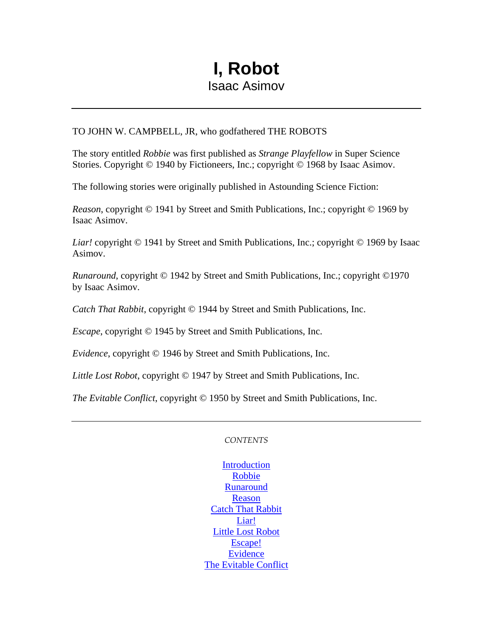# **I, Robot**  Isaac Asimov

TO JOHN W. CAMPBELL, JR, who godfathered THE ROBOTS

The story entitled *Robbie* was first published as *Strange Playfellow* in Super Science Stories. Copyright © 1940 by Fictioneers, Inc.; copyright © 1968 by Isaac Asimov.

The following stories were originally published in Astounding Science Fiction:

*Reason*, copyright © 1941 by Street and Smith Publications, Inc.; copyright © 1969 by Isaac Asimov.

*Liar!* copyright © 1941 by Street and Smith Publications, Inc.; copyright © 1969 by Isaac Asimov.

*Runaround*, copyright © 1942 by Street and Smith Publications, Inc.; copyright ©1970 by Isaac Asimov.

*Catch That Rabbit*, copyright © 1944 by Street and Smith Publications, Inc.

*Escape*, copyright © 1945 by Street and Smith Publications, Inc.

*Evidence*, copyright © 1946 by Street and Smith Publications, Inc.

*Little Lost Robot*, copyright © 1947 by Street and Smith Publications, Inc.

*The Evitable Conflict*, copyright © 1950 by Street and Smith Publications, Inc.

#### *CONTENTS*

Introduction Robbie **Runaround** Reason Catch That Rabbit Liar! Little Lost Robot Escape! Evidence The Evitable Conflict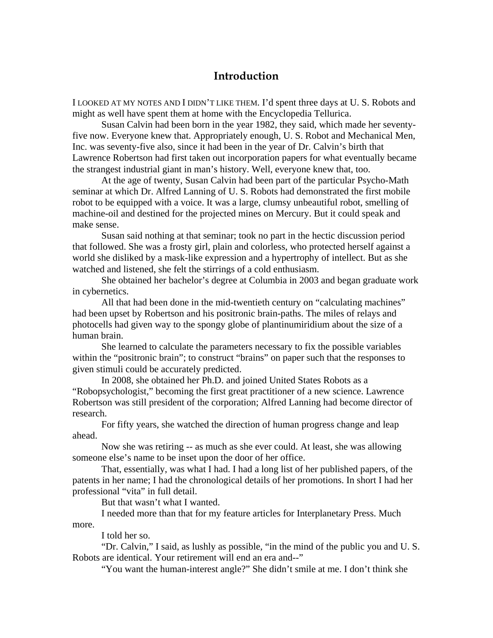# **Introduction**

I LOOKED AT MY NOTES AND I DIDN'T LIKE THEM. I'd spent three days at U. S. Robots and might as well have spent them at home with the Encyclopedia Tellurica.

 Susan Calvin had been born in the year 1982, they said, which made her seventyfive now. Everyone knew that. Appropriately enough, U. S. Robot and Mechanical Men, Inc. was seventy-five also, since it had been in the year of Dr. Calvin's birth that Lawrence Robertson had first taken out incorporation papers for what eventually became the strangest industrial giant in man's history. Well, everyone knew that, too.

 At the age of twenty, Susan Calvin had been part of the particular Psycho-Math seminar at which Dr. Alfred Lanning of U. S. Robots had demonstrated the first mobile robot to be equipped with a voice. It was a large, clumsy unbeautiful robot, smelling of machine-oil and destined for the projected mines on Mercury. But it could speak and make sense.

 Susan said nothing at that seminar; took no part in the hectic discussion period that followed. She was a frosty girl, plain and colorless, who protected herself against a world she disliked by a mask-like expression and a hypertrophy of intellect. But as she watched and listened, she felt the stirrings of a cold enthusiasm.

 She obtained her bachelor's degree at Columbia in 2003 and began graduate work in cybernetics.

 All that had been done in the mid-twentieth century on "calculating machines" had been upset by Robertson and his positronic brain-paths. The miles of relays and photocells had given way to the spongy globe of plantinumiridium about the size of a human brain.

 She learned to calculate the parameters necessary to fix the possible variables within the "positronic brain"; to construct "brains" on paper such that the responses to given stimuli could be accurately predicted.

 In 2008, she obtained her Ph.D. and joined United States Robots as a "Robopsychologist," becoming the first great practitioner of a new science. Lawrence Robertson was still president of the corporation; Alfred Lanning had become director of research.

 For fifty years, she watched the direction of human progress change and leap ahead.

 Now she was retiring -- as much as she ever could. At least, she was allowing someone else's name to be inset upon the door of her office.

 That, essentially, was what I had. I had a long list of her published papers, of the patents in her name; I had the chronological details of her promotions. In short I had her professional "vita" in full detail.

But that wasn't what I wanted.

 I needed more than that for my feature articles for Interplanetary Press. Much more.

I told her so.

 "Dr. Calvin," I said, as lushly as possible, "in the mind of the public you and U. S. Robots are identical. Your retirement will end an era and--"

"You want the human-interest angle?" She didn't smile at me. I don't think she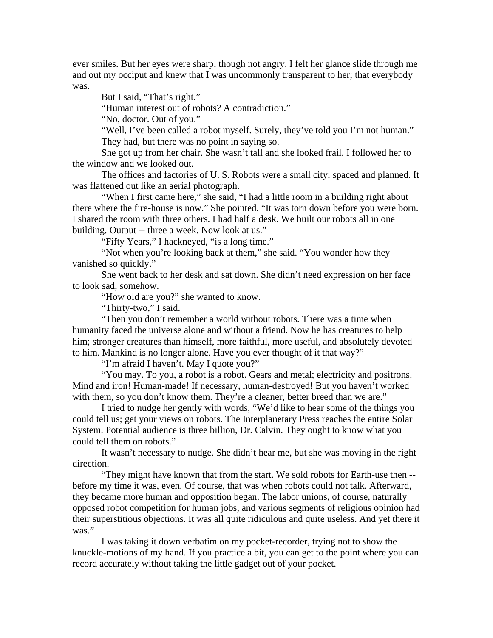ever smiles. But her eyes were sharp, though not angry. I felt her glance slide through me and out my occiput and knew that I was uncommonly transparent to her; that everybody was.

But I said, "That's right."

"Human interest out of robots? A contradiction."

"No, doctor. Out of you."

"Well, I've been called a robot myself. Surely, they've told you I'm not human." They had, but there was no point in saying so.

 She got up from her chair. She wasn't tall and she looked frail. I followed her to the window and we looked out.

 The offices and factories of U. S. Robots were a small city; spaced and planned. It was flattened out like an aerial photograph.

 "When I first came here," she said, "I had a little room in a building right about there where the fire-house is now." She pointed. "It was torn down before you were born. I shared the room with three others. I had half a desk. We built our robots all in one building. Output -- three a week. Now look at us."

"Fifty Years," I hackneyed, "is a long time."

 "Not when you're looking back at them," she said. "You wonder how they vanished so quickly."

 She went back to her desk and sat down. She didn't need expression on her face to look sad, somehow.

"How old are you?" she wanted to know.

"Thirty-two," I said.

 "Then you don't remember a world without robots. There was a time when humanity faced the universe alone and without a friend. Now he has creatures to help him; stronger creatures than himself, more faithful, more useful, and absolutely devoted to him. Mankind is no longer alone. Have you ever thought of it that way?"

"I'm afraid I haven't. May I quote you?"

 "You may. To you, a robot is a robot. Gears and metal; electricity and positrons. Mind and iron! Human-made! If necessary, human-destroyed! But you haven't worked with them, so you don't know them. They're a cleaner, better breed than we are."

 I tried to nudge her gently with words, "We'd like to hear some of the things you could tell us; get your views on robots. The Interplanetary Press reaches the entire Solar System. Potential audience is three billion, Dr. Calvin. They ought to know what you could tell them on robots."

 It wasn't necessary to nudge. She didn't hear me, but she was moving in the right direction.

 "They might have known that from the start. We sold robots for Earth-use then - before my time it was, even. Of course, that was when robots could not talk. Afterward, they became more human and opposition began. The labor unions, of course, naturally opposed robot competition for human jobs, and various segments of religious opinion had their superstitious objections. It was all quite ridiculous and quite useless. And yet there it was."

 I was taking it down verbatim on my pocket-recorder, trying not to show the knuckle-motions of my hand. If you practice a bit, you can get to the point where you can record accurately without taking the little gadget out of your pocket.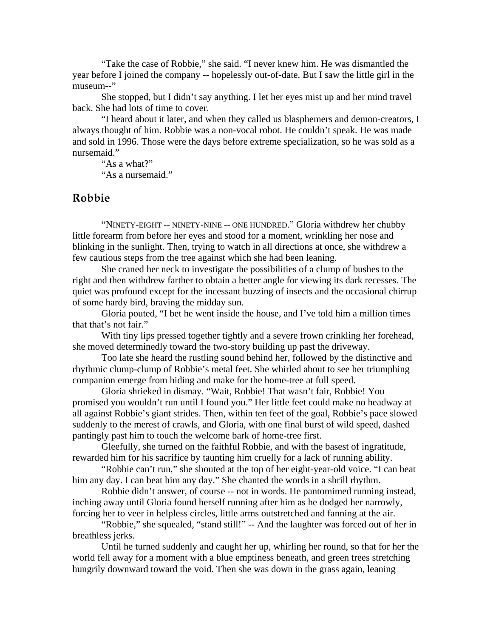"Take the case of Robbie," she said. "I never knew him. He was dismantled the year before I joined the company -- hopelessly out-of-date. But I saw the little girl in the museum--"

 She stopped, but I didn't say anything. I let her eyes mist up and her mind travel back. She had lots of time to cover.

 "I heard about it later, and when they called us blasphemers and demon-creators, I always thought of him. Robbie was a non-vocal robot. He couldn't speak. He was made and sold in 1996. Those were the days before extreme specialization, so he was sold as a nursemaid."

"As a what?"

"As a nursemaid."

# **Robbie**

"NINETY-EIGHT -- NINETY-NINE -- ONE HUNDRED." Gloria withdrew her chubby little forearm from before her eyes and stood for a moment, wrinkling her nose and blinking in the sunlight. Then, trying to watch in all directions at once, she withdrew a few cautious steps from the tree against which she had been leaning.

 She craned her neck to investigate the possibilities of a clump of bushes to the right and then withdrew farther to obtain a better angle for viewing its dark recesses. The quiet was profound except for the incessant buzzing of insects and the occasional chirrup of some hardy bird, braving the midday sun.

 Gloria pouted, "I bet he went inside the house, and I've told him a million times that that's not fair."

With tiny lips pressed together tightly and a severe frown crinkling her forehead, she moved determinedly toward the two-story building up past the driveway.

 Too late she heard the rustling sound behind her, followed by the distinctive and rhythmic clump-clump of Robbie's metal feet. She whirled about to see her triumphing companion emerge from hiding and make for the home-tree at full speed.

 Gloria shrieked in dismay. "Wait, Robbie! That wasn't fair, Robbie! You promised you wouldn't run until I found you." Her little feet could make no headway at all against Robbie's giant strides. Then, within ten feet of the goal, Robbie's pace slowed suddenly to the merest of crawls, and Gloria, with one final burst of wild speed, dashed pantingly past him to touch the welcome bark of home-tree first.

 Gleefully, she turned on the faithful Robbie, and with the basest of ingratitude, rewarded him for his sacrifice by taunting him cruelly for a lack of running ability.

 "Robbie can't run," she shouted at the top of her eight-year-old voice. "I can beat him any day. I can beat him any day." She chanted the words in a shrill rhythm.

 Robbie didn't answer, of course -- not in words. He pantomimed running instead, inching away until Gloria found herself running after him as he dodged her narrowly, forcing her to veer in helpless circles, little arms outstretched and fanning at the air.

 "Robbie," she squealed, "stand still!" -- And the laughter was forced out of her in breathless jerks.

 Until he turned suddenly and caught her up, whirling her round, so that for her the world fell away for a moment with a blue emptiness beneath, and green trees stretching hungrily downward toward the void. Then she was down in the grass again, leaning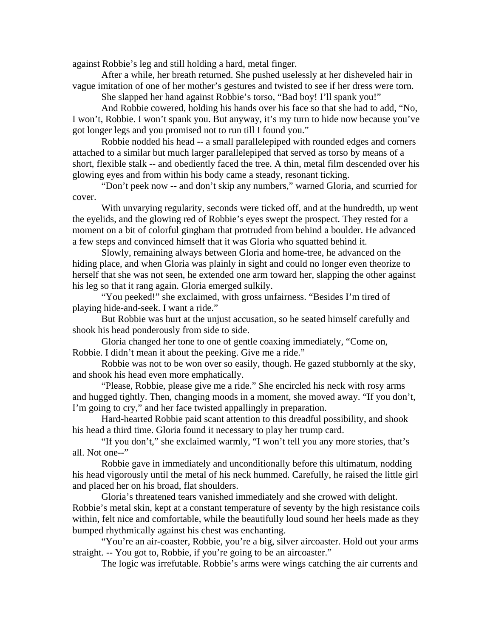against Robbie's leg and still holding a hard, metal finger.

 After a while, her breath returned. She pushed uselessly at her disheveled hair in vague imitation of one of her mother's gestures and twisted to see if her dress were torn.

She slapped her hand against Robbie's torso, "Bad boy! I'll spank you!"

 And Robbie cowered, holding his hands over his face so that she had to add, "No, I won't, Robbie. I won't spank you. But anyway, it's my turn to hide now because you've got longer legs and you promised not to run till I found you."

 Robbie nodded his head -- a small parallelepiped with rounded edges and corners attached to a similar but much larger parallelepiped that served as torso by means of a short, flexible stalk -- and obediently faced the tree. A thin, metal film descended over his glowing eyes and from within his body came a steady, resonant ticking.

 "Don't peek now -- and don't skip any numbers," warned Gloria, and scurried for cover.

 With unvarying regularity, seconds were ticked off, and at the hundredth, up went the eyelids, and the glowing red of Robbie's eyes swept the prospect. They rested for a moment on a bit of colorful gingham that protruded from behind a boulder. He advanced a few steps and convinced himself that it was Gloria who squatted behind it.

 Slowly, remaining always between Gloria and home-tree, he advanced on the hiding place, and when Gloria was plainly in sight and could no longer even theorize to herself that she was not seen, he extended one arm toward her, slapping the other against his leg so that it rang again. Gloria emerged sulkily.

 "You peeked!" she exclaimed, with gross unfairness. "Besides I'm tired of playing hide-and-seek. I want a ride."

 But Robbie was hurt at the unjust accusation, so he seated himself carefully and shook his head ponderously from side to side.

 Gloria changed her tone to one of gentle coaxing immediately, "Come on, Robbie. I didn't mean it about the peeking. Give me a ride."

 Robbie was not to be won over so easily, though. He gazed stubbornly at the sky, and shook his head even more emphatically.

 "Please, Robbie, please give me a ride." She encircled his neck with rosy arms and hugged tightly. Then, changing moods in a moment, she moved away. "If you don't, I'm going to cry," and her face twisted appallingly in preparation.

 Hard-hearted Robbie paid scant attention to this dreadful possibility, and shook his head a third time. Gloria found it necessary to play her trump card.

 "If you don't," she exclaimed warmly, "I won't tell you any more stories, that's all. Not one--"

 Robbie gave in immediately and unconditionally before this ultimatum, nodding his head vigorously until the metal of his neck hummed. Carefully, he raised the little girl and placed her on his broad, flat shoulders.

 Gloria's threatened tears vanished immediately and she crowed with delight. Robbie's metal skin, kept at a constant temperature of seventy by the high resistance coils within, felt nice and comfortable, while the beautifully loud sound her heels made as they bumped rhythmically against his chest was enchanting.

 "You're an air-coaster, Robbie, you're a big, silver aircoaster. Hold out your arms straight. -- You got to, Robbie, if you're going to be an aircoaster."

The logic was irrefutable. Robbie's arms were wings catching the air currents and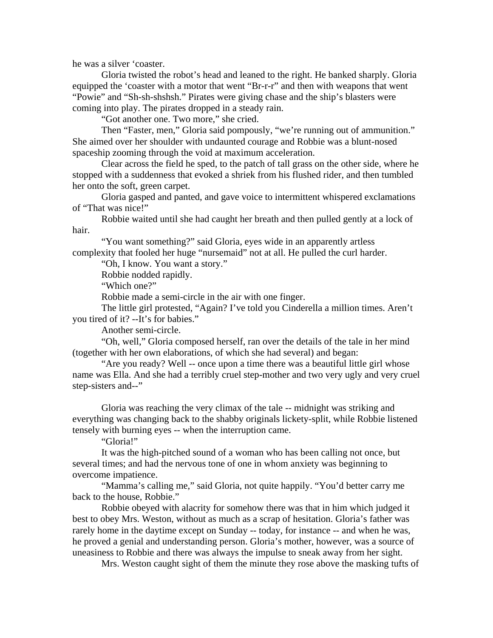he was a silver 'coaster.

 Gloria twisted the robot's head and leaned to the right. He banked sharply. Gloria equipped the 'coaster with a motor that went "Br-r-r" and then with weapons that went "Powie" and "Sh-sh-shshsh." Pirates were giving chase and the ship's blasters were coming into play. The pirates dropped in a steady rain.

"Got another one. Two more," she cried.

 Then "Faster, men," Gloria said pompously, "we're running out of ammunition." She aimed over her shoulder with undaunted courage and Robbie was a blunt-nosed spaceship zooming through the void at maximum acceleration.

 Clear across the field he sped, to the patch of tall grass on the other side, where he stopped with a suddenness that evoked a shriek from his flushed rider, and then tumbled her onto the soft, green carpet.

 Gloria gasped and panted, and gave voice to intermittent whispered exclamations of "That was nice!"

 Robbie waited until she had caught her breath and then pulled gently at a lock of hair.

 "You want something?" said Gloria, eyes wide in an apparently artless complexity that fooled her huge "nursemaid" not at all. He pulled the curl harder.

"Oh, I know. You want a story."

Robbie nodded rapidly.

"Which one?"

Robbie made a semi-circle in the air with one finger.

 The little girl protested, "Again? I've told you Cinderella a million times. Aren't you tired of it? --It's for babies."

Another semi-circle.

 "Oh, well," Gloria composed herself, ran over the details of the tale in her mind (together with her own elaborations, of which she had several) and began:

 "Are you ready? Well -- once upon a time there was a beautiful little girl whose name was Ella. And she had a terribly cruel step-mother and two very ugly and very cruel step-sisters and--"

 Gloria was reaching the very climax of the tale -- midnight was striking and everything was changing back to the shabby originals lickety-split, while Robbie listened tensely with burning eyes -- when the interruption came.

"Gloria!"

 It was the high-pitched sound of a woman who has been calling not once, but several times; and had the nervous tone of one in whom anxiety was beginning to overcome impatience.

 "Mamma's calling me," said Gloria, not quite happily. "You'd better carry me back to the house, Robbie."

 Robbie obeyed with alacrity for somehow there was that in him which judged it best to obey Mrs. Weston, without as much as a scrap of hesitation. Gloria's father was rarely home in the daytime except on Sunday -- today, for instance -- and when he was, he proved a genial and understanding person. Gloria's mother, however, was a source of uneasiness to Robbie and there was always the impulse to sneak away from her sight.

Mrs. Weston caught sight of them the minute they rose above the masking tufts of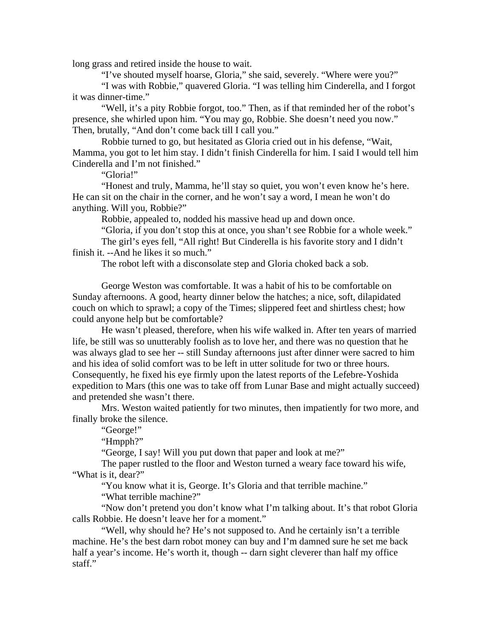long grass and retired inside the house to wait.

"I've shouted myself hoarse, Gloria," she said, severely. "Where were you?"

 "I was with Robbie," quavered Gloria. "I was telling him Cinderella, and I forgot it was dinner-time."

 "Well, it's a pity Robbie forgot, too." Then, as if that reminded her of the robot's presence, she whirled upon him. "You may go, Robbie. She doesn't need you now." Then, brutally, "And don't come back till I call you."

 Robbie turned to go, but hesitated as Gloria cried out in his defense, "Wait, Mamma, you got to let him stay. I didn't finish Cinderella for him. I said I would tell him Cinderella and I'm not finished."

"Gloria!"

 "Honest and truly, Mamma, he'll stay so quiet, you won't even know he's here. He can sit on the chair in the corner, and he won't say a word, I mean he won't do anything. Will you, Robbie?"

Robbie, appealed to, nodded his massive head up and down once.

"Gloria, if you don't stop this at once, you shan't see Robbie for a whole week."

 The girl's eyes fell, "All right! But Cinderella is his favorite story and I didn't finish it. --And he likes it so much."

The robot left with a disconsolate step and Gloria choked back a sob.

 George Weston was comfortable. It was a habit of his to be comfortable on Sunday afternoons. A good, hearty dinner below the hatches; a nice, soft, dilapidated couch on which to sprawl; a copy of the Times; slippered feet and shirtless chest; how could anyone help but be comfortable?

 He wasn't pleased, therefore, when his wife walked in. After ten years of married life, be still was so unutterably foolish as to love her, and there was no question that he was always glad to see her -- still Sunday afternoons just after dinner were sacred to him and his idea of solid comfort was to be left in utter solitude for two or three hours. Consequently, he fixed his eye firmly upon the latest reports of the Lefebre-Yoshida expedition to Mars (this one was to take off from Lunar Base and might actually succeed) and pretended she wasn't there.

 Mrs. Weston waited patiently for two minutes, then impatiently for two more, and finally broke the silence.

"George!"

"Hmpph?"

"George, I say! Will you put down that paper and look at me?"

 The paper rustled to the floor and Weston turned a weary face toward his wife, "What is it, dear?"

"You know what it is, George. It's Gloria and that terrible machine."

"What terrible machine?"

 "Now don't pretend you don't know what I'm talking about. It's that robot Gloria calls Robbie. He doesn't leave her for a moment."

 "Well, why should he? He's not supposed to. And he certainly isn't a terrible machine. He's the best darn robot money can buy and I'm damned sure he set me back half a year's income. He's worth it, though -- darn sight cleverer than half my office staff."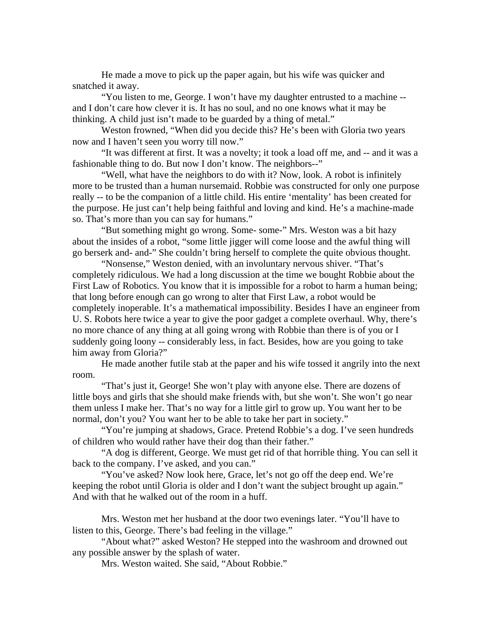He made a move to pick up the paper again, but his wife was quicker and snatched it away.

 "You listen to me, George. I won't have my daughter entrusted to a machine - and I don't care how clever it is. It has no soul, and no one knows what it may be thinking. A child just isn't made to be guarded by a thing of metal."

 Weston frowned, "When did you decide this? He's been with Gloria two years now and I haven't seen you worry till now."

 "It was different at first. It was a novelty; it took a load off me, and -- and it was a fashionable thing to do. But now I don't know. The neighbors--"

 "Well, what have the neighbors to do with it? Now, look. A robot is infinitely more to be trusted than a human nursemaid. Robbie was constructed for only one purpose really -- to be the companion of a little child. His entire 'mentality' has been created for the purpose. He just can't help being faithful and loving and kind. He's a machine-made so. That's more than you can say for humans."

 "But something might go wrong. Some- some-" Mrs. Weston was a bit hazy about the insides of a robot, "some little jigger will come loose and the awful thing will go berserk and- and-" She couldn't bring herself to complete the quite obvious thought.

 "Nonsense," Weston denied, with an involuntary nervous shiver. "That's completely ridiculous. We had a long discussion at the time we bought Robbie about the First Law of Robotics. You know that it is impossible for a robot to harm a human being; that long before enough can go wrong to alter that First Law, a robot would be completely inoperable. It's a mathematical impossibility. Besides I have an engineer from U. S. Robots here twice a year to give the poor gadget a complete overhaul. Why, there's no more chance of any thing at all going wrong with Robbie than there is of you or I suddenly going loony -- considerably less, in fact. Besides, how are you going to take him away from Gloria?"

 He made another futile stab at the paper and his wife tossed it angrily into the next room.

 "That's just it, George! She won't play with anyone else. There are dozens of little boys and girls that she should make friends with, but she won't. She won't go near them unless I make her. That's no way for a little girl to grow up. You want her to be normal, don't you? You want her to be able to take her part in society."

 "You're jumping at shadows, Grace. Pretend Robbie's a dog. I've seen hundreds of children who would rather have their dog than their father."

 "A dog is different, George. We must get rid of that horrible thing. You can sell it back to the company. I've asked, and you can."

 "You've asked? Now look here, Grace, let's not go off the deep end. We're keeping the robot until Gloria is older and I don't want the subject brought up again." And with that he walked out of the room in a huff.

 Mrs. Weston met her husband at the door two evenings later. "You'll have to listen to this, George. There's bad feeling in the village."

 "About what?" asked Weston? He stepped into the washroom and drowned out any possible answer by the splash of water.

Mrs. Weston waited. She said, "About Robbie."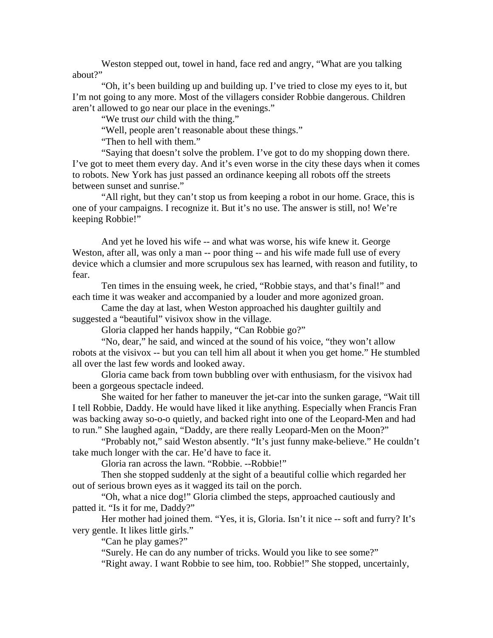Weston stepped out, towel in hand, face red and angry, "What are you talking about?"

 "Oh, it's been building up and building up. I've tried to close my eyes to it, but I'm not going to any more. Most of the villagers consider Robbie dangerous. Children aren't allowed to go near our place in the evenings."

"We trust *our* child with the thing."

"Well, people aren't reasonable about these things."

"Then to hell with them."

 "Saying that doesn't solve the problem. I've got to do my shopping down there. I've got to meet them every day. And it's even worse in the city these days when it comes to robots. New York has just passed an ordinance keeping all robots off the streets between sunset and sunrise."

 "All right, but they can't stop us from keeping a robot in our home. Grace, this is one of your campaigns. I recognize it. But it's no use. The answer is still, no! We're keeping Robbie!"

 And yet he loved his wife -- and what was worse, his wife knew it. George Weston, after all, was only a man -- poor thing -- and his wife made full use of every device which a clumsier and more scrupulous sex has learned, with reason and futility, to fear.

 Ten times in the ensuing week, he cried, "Robbie stays, and that's final!" and each time it was weaker and accompanied by a louder and more agonized groan.

 Came the day at last, when Weston approached his daughter guiltily and suggested a "beautiful" visivox show in the village.

Gloria clapped her hands happily, "Can Robbie go?"

 "No, dear," he said, and winced at the sound of his voice, "they won't allow robots at the visivox -- but you can tell him all about it when you get home." He stumbled all over the last few words and looked away.

 Gloria came back from town bubbling over with enthusiasm, for the visivox had been a gorgeous spectacle indeed.

 She waited for her father to maneuver the jet-car into the sunken garage, "Wait till I tell Robbie, Daddy. He would have liked it like anything. Especially when Francis Fran was backing away so-o-o quietly, and backed right into one of the Leopard-Men and had to run." She laughed again, "Daddy, are there really Leopard-Men on the Moon?"

 "Probably not," said Weston absently. "It's just funny make-believe." He couldn't take much longer with the car. He'd have to face it.

Gloria ran across the lawn. "Robbie. --Robbie!"

 Then she stopped suddenly at the sight of a beautiful collie which regarded her out of serious brown eyes as it wagged its tail on the porch.

 "Oh, what a nice dog!" Gloria climbed the steps, approached cautiously and patted it. "Is it for me, Daddy?"

 Her mother had joined them. "Yes, it is, Gloria. Isn't it nice -- soft and furry? It's very gentle. It likes little girls."

"Can he play games?"

"Surely. He can do any number of tricks. Would you like to see some?"

"Right away. I want Robbie to see him, too. Robbie!" She stopped, uncertainly,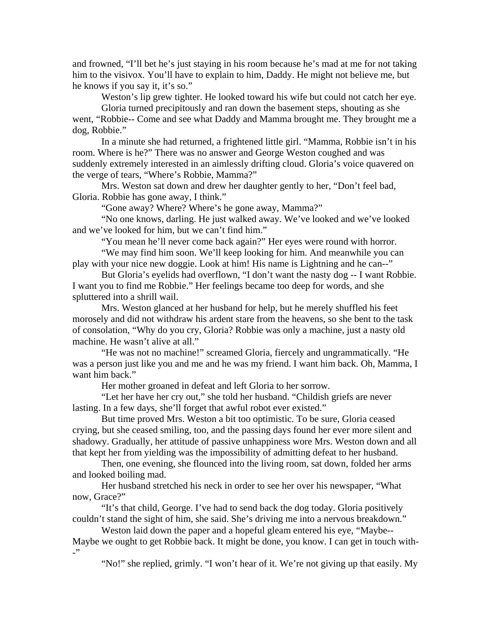and frowned, "I'll bet he's just staying in his room because he's mad at me for not taking him to the visivox. You'll have to explain to him, Daddy. He might not believe me, but he knows if you say it, it's so."

Weston's lip grew tighter. He looked toward his wife but could not catch her eye.

 Gloria turned precipitously and ran down the basement steps, shouting as she went, "Robbie-- Come and see what Daddy and Mamma brought me. They brought me a dog, Robbie."

 In a minute she had returned, a frightened little girl. "Mamma, Robbie isn't in his room. Where is he?" There was no answer and George Weston coughed and was suddenly extremely interested in an aimlessly drifting cloud. Gloria's voice quavered on the verge of tears, "Where's Robbie, Mamma?"

 Mrs. Weston sat down and drew her daughter gently to her, "Don't feel bad, Gloria. Robbie has gone away, I think."

"Gone away? Where? Where's he gone away, Mamma?"

 "No one knows, darling. He just walked away. We've looked and we've looked and we've looked for him, but we can't find him."

"You mean he'll never come back again?" Her eyes were round with horror.

 "We may find him soon. We'll keep looking for him. And meanwhile you can play with your nice new doggie. Look at him! His name is Lightning and he can--"

 But Gloria's eyelids had overflown, "I don't want the nasty dog -- I want Robbie. I want you to find me Robbie." Her feelings became too deep for words, and she spluttered into a shrill wail.

 Mrs. Weston glanced at her husband for help, but he merely shuffled his feet morosely and did not withdraw his ardent stare from the heavens, so she bent to the task of consolation, "Why do you cry, Gloria? Robbie was only a machine, just a nasty old machine. He wasn't alive at all."

 "He was not no machine!" screamed Gloria, fiercely and ungrammatically. "He was a person just like you and me and he was my friend. I want him back. Oh, Mamma, I want him back."

Her mother groaned in defeat and left Gloria to her sorrow.

 "Let her have her cry out," she told her husband. "Childish griefs are never lasting. In a few days, she'll forget that awful robot ever existed."

 But time proved Mrs. Weston a bit too optimistic. To be sure, Gloria ceased crying, but she ceased smiling, too, and the passing days found her ever more silent and shadowy. Gradually, her attitude of passive unhappiness wore Mrs. Weston down and all that kept her from yielding was the impossibility of admitting defeat to her husband.

 Then, one evening, she flounced into the living room, sat down, folded her arms and looked boiling mad.

 Her husband stretched his neck in order to see her over his newspaper, "What now, Grace?"

 "It's that child, George. I've had to send back the dog today. Gloria positively couldn't stand the sight of him, she said. She's driving me into a nervous breakdown."

 Weston laid down the paper and a hopeful gleam entered his eye, "Maybe-- Maybe we ought to get Robbie back. It might be done, you know. I can get in touch with-  $\cdot$ "

"No!" she replied, grimly. "I won't hear of it. We're not giving up that easily. My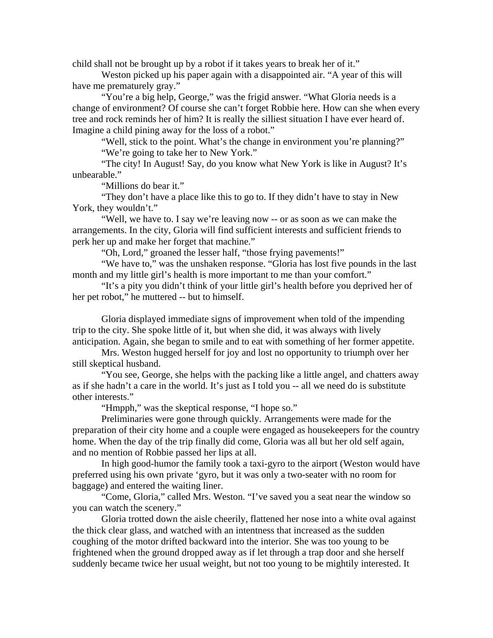child shall not be brought up by a robot if it takes years to break her of it."

 Weston picked up his paper again with a disappointed air. "A year of this will have me prematurely gray."

 "You're a big help, George," was the frigid answer. "What Gloria needs is a change of environment? Of course she can't forget Robbie here. How can she when every tree and rock reminds her of him? It is really the silliest situation I have ever heard of. Imagine a child pining away for the loss of a robot."

 "Well, stick to the point. What's the change in environment you're planning?" "We're going to take her to New York."

 "The city! In August! Say, do you know what New York is like in August? It's unbearable."

"Millions do bear it."

 "They don't have a place like this to go to. If they didn't have to stay in New York, they wouldn't."

 "Well, we have to. I say we're leaving now -- or as soon as we can make the arrangements. In the city, Gloria will find sufficient interests and sufficient friends to perk her up and make her forget that machine."

"Oh, Lord," groaned the lesser half, "those frying pavements!"

"We have to," was the unshaken response. "Gloria has lost five pounds in the last month and my little girl's health is more important to me than your comfort."

 "It's a pity you didn't think of your little girl's health before you deprived her of her pet robot," he muttered -- but to himself.

 Gloria displayed immediate signs of improvement when told of the impending trip to the city. She spoke little of it, but when she did, it was always with lively anticipation. Again, she began to smile and to eat with something of her former appetite.

 Mrs. Weston hugged herself for joy and lost no opportunity to triumph over her still skeptical husband.

 "You see, George, she helps with the packing like a little angel, and chatters away as if she hadn't a care in the world. It's just as I told you -- all we need do is substitute other interests."

"Hmpph," was the skeptical response, "I hope so."

 Preliminaries were gone through quickly. Arrangements were made for the preparation of their city home and a couple were engaged as housekeepers for the country home. When the day of the trip finally did come, Gloria was all but her old self again, and no mention of Robbie passed her lips at all.

 In high good-humor the family took a taxi-gyro to the airport (Weston would have preferred using his own private 'gyro, but it was only a two-seater with no room for baggage) and entered the waiting liner.

 "Come, Gloria," called Mrs. Weston. "I've saved you a seat near the window so you can watch the scenery."

 Gloria trotted down the aisle cheerily, flattened her nose into a white oval against the thick clear glass, and watched with an intentness that increased as the sudden coughing of the motor drifted backward into the interior. She was too young to be frightened when the ground dropped away as if let through a trap door and she herself suddenly became twice her usual weight, but not too young to be mightily interested. It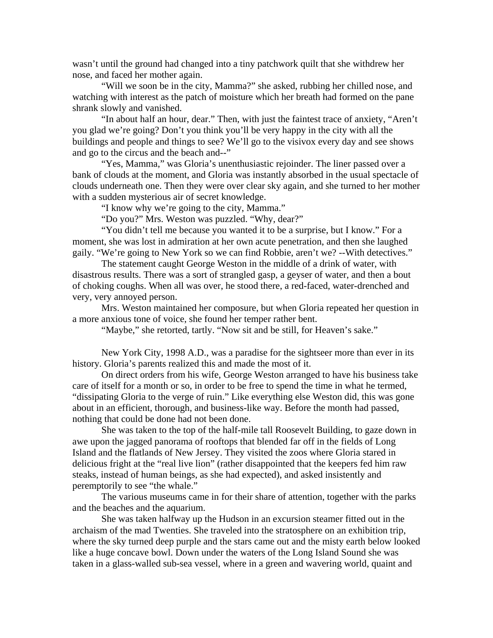wasn't until the ground had changed into a tiny patchwork quilt that she withdrew her nose, and faced her mother again.

 "Will we soon be in the city, Mamma?" she asked, rubbing her chilled nose, and watching with interest as the patch of moisture which her breath had formed on the pane shrank slowly and vanished.

 "In about half an hour, dear." Then, with just the faintest trace of anxiety, "Aren't you glad we're going? Don't you think you'll be very happy in the city with all the buildings and people and things to see? We'll go to the visivox every day and see shows and go to the circus and the beach and--"

"Yes, Mamma," was Gloria's unenthusiastic rejoinder. The liner passed over a bank of clouds at the moment, and Gloria was instantly absorbed in the usual spectacle of clouds underneath one. Then they were over clear sky again, and she turned to her mother with a sudden mysterious air of secret knowledge.

"I know why we're going to the city, Mamma."

"Do you?" Mrs. Weston was puzzled. "Why, dear?"

 "You didn't tell me because you wanted it to be a surprise, but I know." For a moment, she was lost in admiration at her own acute penetration, and then she laughed gaily. "We're going to New York so we can find Robbie, aren't we? --With detectives."

 The statement caught George Weston in the middle of a drink of water, with disastrous results. There was a sort of strangled gasp, a geyser of water, and then a bout of choking coughs. When all was over, he stood there, a red-faced, water-drenched and very, very annoyed person.

 Mrs. Weston maintained her composure, but when Gloria repeated her question in a more anxious tone of voice, she found her temper rather bent.

"Maybe," she retorted, tartly. "Now sit and be still, for Heaven's sake."

 New York City, 1998 A.D., was a paradise for the sightseer more than ever in its history. Gloria's parents realized this and made the most of it.

 On direct orders from his wife, George Weston arranged to have his business take care of itself for a month or so, in order to be free to spend the time in what he termed, "dissipating Gloria to the verge of ruin." Like everything else Weston did, this was gone about in an efficient, thorough, and business-like way. Before the month had passed, nothing that could be done had not been done.

 She was taken to the top of the half-mile tall Roosevelt Building, to gaze down in awe upon the jagged panorama of rooftops that blended far off in the fields of Long Island and the flatlands of New Jersey. They visited the zoos where Gloria stared in delicious fright at the "real live lion" (rather disappointed that the keepers fed him raw steaks, instead of human beings, as she had expected), and asked insistently and peremptorily to see "the whale."

 The various museums came in for their share of attention, together with the parks and the beaches and the aquarium.

 She was taken halfway up the Hudson in an excursion steamer fitted out in the archaism of the mad Twenties. She traveled into the stratosphere on an exhibition trip, where the sky turned deep purple and the stars came out and the misty earth below looked like a huge concave bowl. Down under the waters of the Long Island Sound she was taken in a glass-walled sub-sea vessel, where in a green and wavering world, quaint and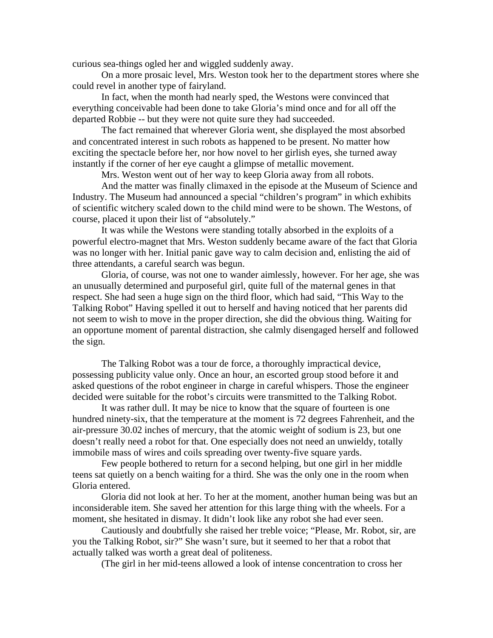curious sea-things ogled her and wiggled suddenly away.

 On a more prosaic level, Mrs. Weston took her to the department stores where she could revel in another type of fairyland.

 In fact, when the month had nearly sped, the Westons were convinced that everything conceivable had been done to take Gloria's mind once and for all off the departed Robbie -- but they were not quite sure they had succeeded.

 The fact remained that wherever Gloria went, she displayed the most absorbed and concentrated interest in such robots as happened to be present. No matter how exciting the spectacle before her, nor how novel to her girlish eyes, she turned away instantly if the corner of her eye caught a glimpse of metallic movement.

Mrs. Weston went out of her way to keep Gloria away from all robots.

 And the matter was finally climaxed in the episode at the Museum of Science and Industry. The Museum had announced a special "children's program" in which exhibits of scientific witchery scaled down to the child mind were to be shown. The Westons, of course, placed it upon their list of "absolutely."

 It was while the Westons were standing totally absorbed in the exploits of a powerful electro-magnet that Mrs. Weston suddenly became aware of the fact that Gloria was no longer with her. Initial panic gave way to calm decision and, enlisting the aid of three attendants, a careful search was begun.

 Gloria, of course, was not one to wander aimlessly, however. For her age, she was an unusually determined and purposeful girl, quite full of the maternal genes in that respect. She had seen a huge sign on the third floor, which had said, "This Way to the Talking Robot" Having spelled it out to herself and having noticed that her parents did not seem to wish to move in the proper direction, she did the obvious thing. Waiting for an opportune moment of parental distraction, she calmly disengaged herself and followed the sign.

 The Talking Robot was a tour de force, a thoroughly impractical device, possessing publicity value only. Once an hour, an escorted group stood before it and asked questions of the robot engineer in charge in careful whispers. Those the engineer decided were suitable for the robot's circuits were transmitted to the Talking Robot.

 It was rather dull. It may be nice to know that the square of fourteen is one hundred ninety-six, that the temperature at the moment is 72 degrees Fahrenheit, and the air-pressure 30.02 inches of mercury, that the atomic weight of sodium is 23, but one doesn't really need a robot for that. One especially does not need an unwieldy, totally immobile mass of wires and coils spreading over twenty-five square yards.

 Few people bothered to return for a second helping, but one girl in her middle teens sat quietly on a bench waiting for a third. She was the only one in the room when Gloria entered.

 Gloria did not look at her. To her at the moment, another human being was but an inconsiderable item. She saved her attention for this large thing with the wheels. For a moment, she hesitated in dismay. It didn't look like any robot she had ever seen.

 Cautiously and doubtfully she raised her treble voice; "Please, Mr. Robot, sir, are you the Talking Robot, sir?" She wasn't sure, but it seemed to her that a robot that actually talked was worth a great deal of politeness.

(The girl in her mid-teens allowed a look of intense concentration to cross her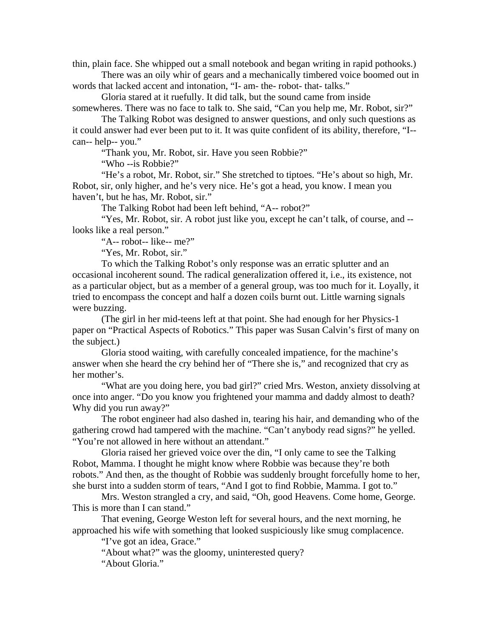thin, plain face. She whipped out a small notebook and began writing in rapid pothooks.)

 There was an oily whir of gears and a mechanically timbered voice boomed out in words that lacked accent and intonation, "I- am- the- robot- that- talks."

 Gloria stared at it ruefully. It did talk, but the sound came from inside somewheres. There was no face to talk to. She said, "Can you help me, Mr. Robot, sir?"

 The Talking Robot was designed to answer questions, and only such questions as it could answer had ever been put to it. It was quite confident of its ability, therefore, "I- can-- help-- you."

"Thank you, Mr. Robot, sir. Have you seen Robbie?"

"Who --is Robbie?"

 "He's a robot, Mr. Robot, sir." She stretched to tiptoes. "He's about so high, Mr. Robot, sir, only higher, and he's very nice. He's got a head, you know. I mean you haven't, but he has, Mr. Robot, sir."

The Talking Robot had been left behind, "A-- robot?"

 "Yes, Mr. Robot, sir. A robot just like you, except he can't talk, of course, and - looks like a real person."

"A-- robot-- like-- me?"

"Yes, Mr. Robot, sir."

 To which the Talking Robot's only response was an erratic splutter and an occasional incoherent sound. The radical generalization offered it, i.e., its existence, not as a particular object, but as a member of a general group, was too much for it. Loyally, it tried to encompass the concept and half a dozen coils burnt out. Little warning signals were buzzing.

 (The girl in her mid-teens left at that point. She had enough for her Physics-1 paper on "Practical Aspects of Robotics." This paper was Susan Calvin's first of many on the subject.)

 Gloria stood waiting, with carefully concealed impatience, for the machine's answer when she heard the cry behind her of "There she is," and recognized that cry as her mother's.

 "What are you doing here, you bad girl?" cried Mrs. Weston, anxiety dissolving at once into anger. "Do you know you frightened your mamma and daddy almost to death? Why did you run away?"

 The robot engineer had also dashed in, tearing his hair, and demanding who of the gathering crowd had tampered with the machine. "Can't anybody read signs?" he yelled. "You're not allowed in here without an attendant."

 Gloria raised her grieved voice over the din, "I only came to see the Talking Robot, Mamma. I thought he might know where Robbie was because they're both robots." And then, as the thought of Robbie was suddenly brought forcefully home to her, she burst into a sudden storm of tears, "And I got to find Robbie, Mamma. I got to."

 Mrs. Weston strangled a cry, and said, "Oh, good Heavens. Come home, George. This is more than I can stand."

 That evening, George Weston left for several hours, and the next morning, he approached his wife with something that looked suspiciously like smug complacence.

"I've got an idea, Grace."

"About what?" was the gloomy, uninterested query?

"About Gloria."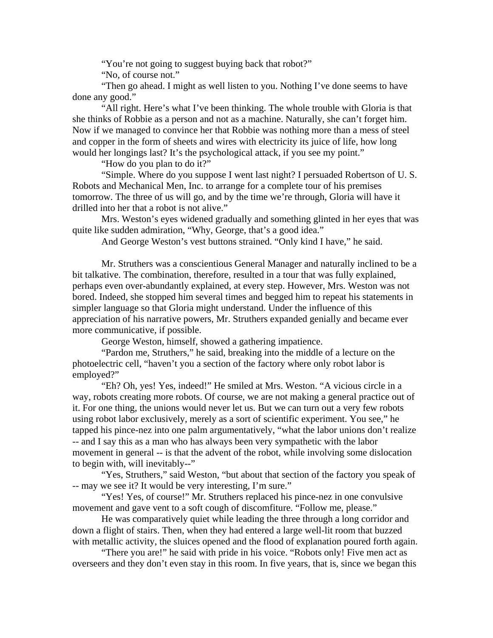"You're not going to suggest buying back that robot?"

"No, of course not."

 "Then go ahead. I might as well listen to you. Nothing I've done seems to have done any good."

 "All right. Here's what I've been thinking. The whole trouble with Gloria is that she thinks of Robbie as a person and not as a machine. Naturally, she can't forget him. Now if we managed to convince her that Robbie was nothing more than a mess of steel and copper in the form of sheets and wires with electricity its juice of life, how long would her longings last? It's the psychological attack, if you see my point."

"How do you plan to do it?"

 "Simple. Where do you suppose I went last night? I persuaded Robertson of U. S. Robots and Mechanical Men, Inc. to arrange for a complete tour of his premises tomorrow. The three of us will go, and by the time we're through, Gloria will have it drilled into her that a robot is not alive."

 Mrs. Weston's eyes widened gradually and something glinted in her eyes that was quite like sudden admiration, "Why, George, that's a good idea."

And George Weston's vest buttons strained. "Only kind I have," he said.

 Mr. Struthers was a conscientious General Manager and naturally inclined to be a bit talkative. The combination, therefore, resulted in a tour that was fully explained, perhaps even over-abundantly explained, at every step. However, Mrs. Weston was not bored. Indeed, she stopped him several times and begged him to repeat his statements in simpler language so that Gloria might understand. Under the influence of this appreciation of his narrative powers, Mr. Struthers expanded genially and became ever more communicative, if possible.

George Weston, himself, showed a gathering impatience.

 "Pardon me, Struthers," he said, breaking into the middle of a lecture on the photoelectric cell, "haven't you a section of the factory where only robot labor is employed?"

 "Eh? Oh, yes! Yes, indeed!" He smiled at Mrs. Weston. "A vicious circle in a way, robots creating more robots. Of course, we are not making a general practice out of it. For one thing, the unions would never let us. But we can turn out a very few robots using robot labor exclusively, merely as a sort of scientific experiment. You see," he tapped his pince-nez into one palm argumentatively, "what the labor unions don't realize -- and I say this as a man who has always been very sympathetic with the labor movement in general -- is that the advent of the robot, while involving some dislocation to begin with, will inevitably--"

 "Yes, Struthers," said Weston, "but about that section of the factory you speak of -- may we see it? It would be very interesting, I'm sure."

"Yes! Yes, of course!" Mr. Struthers replaced his pince-nez in one convulsive movement and gave vent to a soft cough of discomfiture. "Follow me, please."

 He was comparatively quiet while leading the three through a long corridor and down a flight of stairs. Then, when they had entered a large well-lit room that buzzed with metallic activity, the sluices opened and the flood of explanation poured forth again.

 "There you are!" he said with pride in his voice. "Robots only! Five men act as overseers and they don't even stay in this room. In five years, that is, since we began this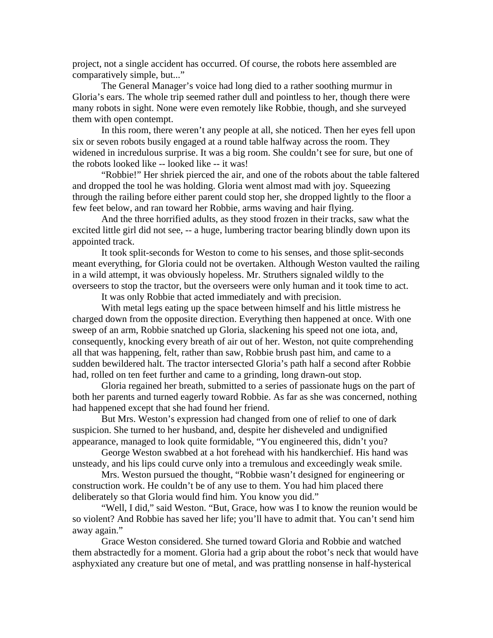project, not a single accident has occurred. Of course, the robots here assembled are comparatively simple, but..."

 The General Manager's voice had long died to a rather soothing murmur in Gloria's ears. The whole trip seemed rather dull and pointless to her, though there were many robots in sight. None were even remotely like Robbie, though, and she surveyed them with open contempt.

 In this room, there weren't any people at all, she noticed. Then her eyes fell upon six or seven robots busily engaged at a round table halfway across the room. They widened in incredulous surprise. It was a big room. She couldn't see for sure, but one of the robots looked like -- looked like -- it was!

 "Robbie!" Her shriek pierced the air, and one of the robots about the table faltered and dropped the tool he was holding. Gloria went almost mad with joy. Squeezing through the railing before either parent could stop her, she dropped lightly to the floor a few feet below, and ran toward her Robbie, arms waving and hair flying.

 And the three horrified adults, as they stood frozen in their tracks, saw what the excited little girl did not see, -- a huge, lumbering tractor bearing blindly down upon its appointed track.

 It took split-seconds for Weston to come to his senses, and those split-seconds meant everything, for Gloria could not be overtaken. Although Weston vaulted the railing in a wild attempt, it was obviously hopeless. Mr. Struthers signaled wildly to the overseers to stop the tractor, but the overseers were only human and it took time to act.

It was only Robbie that acted immediately and with precision.

 With metal legs eating up the space between himself and his little mistress he charged down from the opposite direction. Everything then happened at once. With one sweep of an arm, Robbie snatched up Gloria, slackening his speed not one iota, and, consequently, knocking every breath of air out of her. Weston, not quite comprehending all that was happening, felt, rather than saw, Robbie brush past him, and came to a sudden bewildered halt. The tractor intersected Gloria's path half a second after Robbie had, rolled on ten feet further and came to a grinding, long drawn-out stop.

 Gloria regained her breath, submitted to a series of passionate hugs on the part of both her parents and turned eagerly toward Robbie. As far as she was concerned, nothing had happened except that she had found her friend.

 But Mrs. Weston's expression had changed from one of relief to one of dark suspicion. She turned to her husband, and, despite her disheveled and undignified appearance, managed to look quite formidable, "You engineered this, didn't you?

 George Weston swabbed at a hot forehead with his handkerchief. His hand was unsteady, and his lips could curve only into a tremulous and exceedingly weak smile.

 Mrs. Weston pursued the thought, "Robbie wasn't designed for engineering or construction work. He couldn't be of any use to them. You had him placed there deliberately so that Gloria would find him. You know you did."

 "Well, I did," said Weston. "But, Grace, how was I to know the reunion would be so violent? And Robbie has saved her life; you'll have to admit that. You can't send him away again."

 Grace Weston considered. She turned toward Gloria and Robbie and watched them abstractedly for a moment. Gloria had a grip about the robot's neck that would have asphyxiated any creature but one of metal, and was prattling nonsense in half-hysterical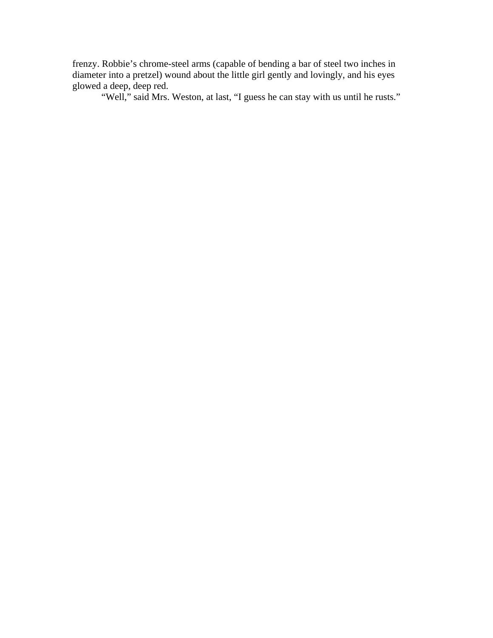frenzy. Robbie's chrome-steel arms (capable of bending a bar of steel two inches in diameter into a pretzel) wound about the little girl gently and lovingly, and his eyes glowed a deep, deep red.

"Well," said Mrs. Weston, at last, "I guess he can stay with us until he rusts."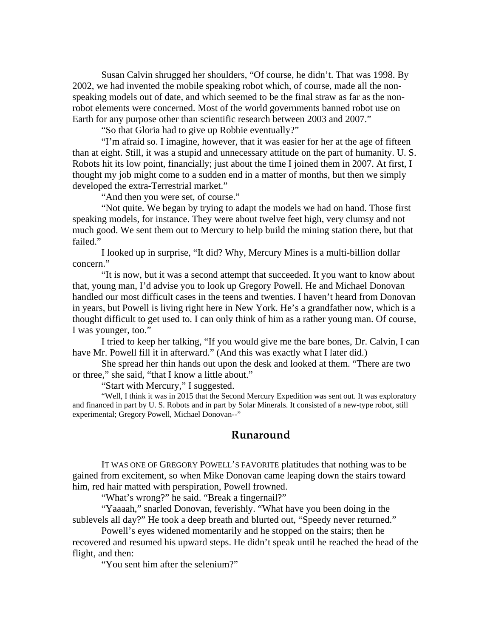Susan Calvin shrugged her shoulders, "Of course, he didn't. That was 1998. By 2002, we had invented the mobile speaking robot which, of course, made all the nonspeaking models out of date, and which seemed to be the final straw as far as the nonrobot elements were concerned. Most of the world governments banned robot use on Earth for any purpose other than scientific research between 2003 and 2007."

"So that Gloria had to give up Robbie eventually?"

 "I'm afraid so. I imagine, however, that it was easier for her at the age of fifteen than at eight. Still, it was a stupid and unnecessary attitude on the part of humanity. U. S. Robots hit its low point, financially; just about the time I joined them in 2007. At first, I thought my job might come to a sudden end in a matter of months, but then we simply developed the extra-Terrestrial market."

"And then you were set, of course."

 "Not quite. We began by trying to adapt the models we had on hand. Those first speaking models, for instance. They were about twelve feet high, very clumsy and not much good. We sent them out to Mercury to help build the mining station there, but that failed."

 I looked up in surprise, "It did? Why, Mercury Mines is a multi-billion dollar concern."

 "It is now, but it was a second attempt that succeeded. It you want to know about that, young man, I'd advise you to look up Gregory Powell. He and Michael Donovan handled our most difficult cases in the teens and twenties. I haven't heard from Donovan in years, but Powell is living right here in New York. He's a grandfather now, which is a thought difficult to get used to. I can only think of him as a rather young man. Of course, I was younger, too."

 I tried to keep her talking, "If you would give me the bare bones, Dr. Calvin, I can have Mr. Powell fill it in afterward." (And this was exactly what I later did.)

 She spread her thin hands out upon the desk and looked at them. "There are two or three," she said, "that I know a little about."

"Start with Mercury," I suggested.

"Well, I think it was in 2015 that the Second Mercury Expedition was sent out. It was exploratory and financed in part by U. S. Robots and in part by Solar Minerals. It consisted of a new-type robot, still experimental; Gregory Powell, Michael Donovan--"

## **Runaround**

IT WAS ONE OF GREGORY POWELL'S FAVORITE platitudes that nothing was to be gained from excitement, so when Mike Donovan came leaping down the stairs toward him, red hair matted with perspiration, Powell frowned.

"What's wrong?" he said. "Break a fingernail?"

"Yaaaah," snarled Donovan, feverishly. "What have you been doing in the sublevels all day?" He took a deep breath and blurted out, "Speedy never returned."

 Powell's eyes widened momentarily and he stopped on the stairs; then he recovered and resumed his upward steps. He didn't speak until he reached the head of the flight, and then:

"You sent him after the selenium?"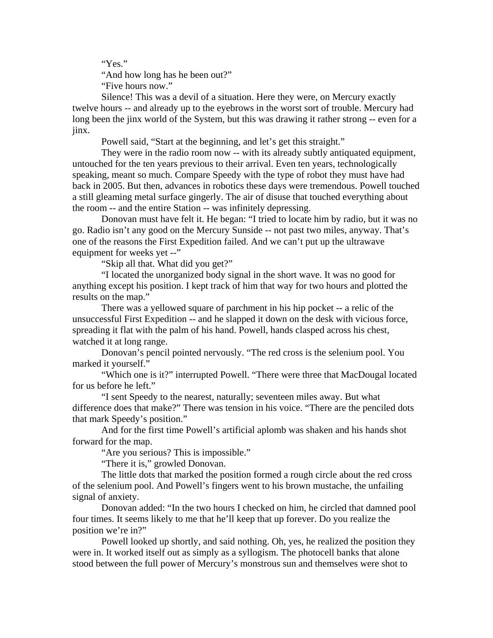"Yes."

"And how long has he been out?"

"Five hours now."

 Silence! This was a devil of a situation. Here they were, on Mercury exactly twelve hours -- and already up to the eyebrows in the worst sort of trouble. Mercury had long been the jinx world of the System, but this was drawing it rather strong -- even for a jinx.

Powell said, "Start at the beginning, and let's get this straight."

 They were in the radio room now -- with its already subtly antiquated equipment, untouched for the ten years previous to their arrival. Even ten years, technologically speaking, meant so much. Compare Speedy with the type of robot they must have had back in 2005. But then, advances in robotics these days were tremendous. Powell touched a still gleaming metal surface gingerly. The air of disuse that touched everything about the room -- and the entire Station -- was infinitely depressing.

 Donovan must have felt it. He began: "I tried to locate him by radio, but it was no go. Radio isn't any good on the Mercury Sunside -- not past two miles, anyway. That's one of the reasons the First Expedition failed. And we can't put up the ultrawave equipment for weeks yet --"

"Skip all that. What did you get?"

 "I located the unorganized body signal in the short wave. It was no good for anything except his position. I kept track of him that way for two hours and plotted the results on the map."

 There was a yellowed square of parchment in his hip pocket -- a relic of the unsuccessful First Expedition -- and he slapped it down on the desk with vicious force, spreading it flat with the palm of his hand. Powell, hands clasped across his chest, watched it at long range.

 Donovan's pencil pointed nervously. "The red cross is the selenium pool. You marked it yourself."

 "Which one is it?" interrupted Powell. "There were three that MacDougal located for us before he left."

 "I sent Speedy to the nearest, naturally; seventeen miles away. But what difference does that make?" There was tension in his voice. "There are the penciled dots that mark Speedy's position."

 And for the first time Powell's artificial aplomb was shaken and his hands shot forward for the map.

"Are you serious? This is impossible."

"There it is," growled Donovan.

 The little dots that marked the position formed a rough circle about the red cross of the selenium pool. And Powell's fingers went to his brown mustache, the unfailing signal of anxiety.

 Donovan added: "In the two hours I checked on him, he circled that damned pool four times. It seems likely to me that he'll keep that up forever. Do you realize the position we're in?"

 Powell looked up shortly, and said nothing. Oh, yes, he realized the position they were in. It worked itself out as simply as a syllogism. The photocell banks that alone stood between the full power of Mercury's monstrous sun and themselves were shot to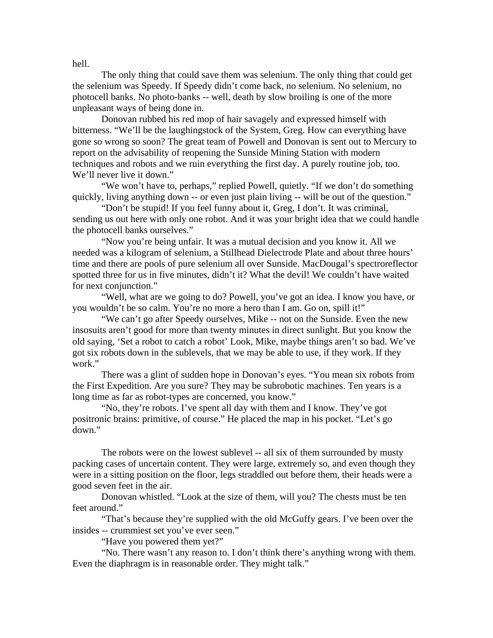hell.

 The only thing that could save them was selenium. The only thing that could get the selenium was Speedy. If Speedy didn't come back, no selenium. No selenium, no photocell banks. No photo-banks -- well, death by slow broiling is one of the more unpleasant ways of being done in.

 Donovan rubbed his red mop of hair savagely and expressed himself with bitterness. "We'll be the laughingstock of the System, Greg. How can everything have gone so wrong so soon? The great team of Powell and Donovan is sent out to Mercury to report on the advisability of reopening the Sunside Mining Station with modern techniques and robots and we ruin everything the first day. A purely routine job, too. We'll never live it down."

"We won't have to, perhaps," replied Powell, quietly. "If we don't do something quickly, living anything down -- or even just plain living -- will be out of the question."

 "Don't be stupid! If you feel funny about it, Greg, I don't. It was criminal, sending us out here with only one robot. And it was your bright idea that we could handle the photocell banks ourselves."

 "Now you're being unfair. It was a mutual decision and you know it. All we needed was a kilogram of selenium, a Stillhead Dielectrode Plate and about three hours' time and there are pools of pure selenium all over Sunside. MacDougal's spectroreflector spotted three for us in five minutes, didn't it? What the devil! We couldn't have waited for next conjunction."

 "Well, what are we going to do? Powell, you've got an idea. I know you have, or you wouldn't be so calm. You're no more a hero than I am. Go on, spill it!"

 "We can't go after Speedy ourselves, Mike -- not on the Sunside. Even the new insosuits aren't good for more than twenty minutes in direct sunlight. But you know the old saying, 'Set a robot to catch a robot' Look, Mike, maybe things aren't so bad. We've got six robots down in the sublevels, that we may be able to use, if they work. If they work."

 There was a glint of sudden hope in Donovan's eyes. "You mean six robots from the First Expedition. Are you sure? They may be subrobotic machines. Ten years is a long time as far as robot-types are concerned, you know."

 "No, they're robots. I've spent all day with them and I know. They've got positronic brains: primitive, of course." He placed the map in his pocket. "Let's go down."

 The robots were on the lowest sublevel -- all six of them surrounded by musty packing cases of uncertain content. They were large, extremely so, and even though they were in a sitting position on the floor, legs straddled out before them, their heads were a good seven feet in the air.

 Donovan whistled. "Look at the size of them, will you? The chests must be ten feet around."

 "That's because they're supplied with the old McGuffy gears. I've been over the insides -- crummiest set you've ever seen."

"Have you powered them yet?"

 "No. There wasn't any reason to. I don't think there's anything wrong with them. Even the diaphragm is in reasonable order. They might talk."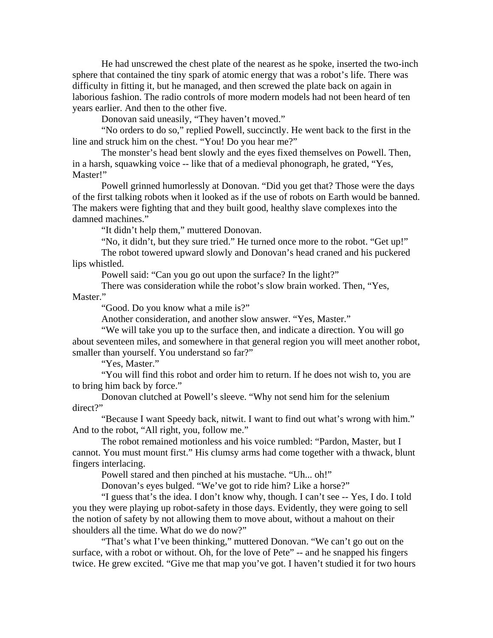He had unscrewed the chest plate of the nearest as he spoke, inserted the two-inch sphere that contained the tiny spark of atomic energy that was a robot's life. There was difficulty in fitting it, but he managed, and then screwed the plate back on again in laborious fashion. The radio controls of more modern models had not been heard of ten years earlier. And then to the other five.

Donovan said uneasily, "They haven't moved."

 "No orders to do so," replied Powell, succinctly. He went back to the first in the line and struck him on the chest. "You! Do you hear me?"

 The monster's head bent slowly and the eyes fixed themselves on Powell. Then, in a harsh, squawking voice -- like that of a medieval phonograph, he grated, "Yes, Master!"

 Powell grinned humorlessly at Donovan. "Did you get that? Those were the days of the first talking robots when it looked as if the use of robots on Earth would be banned. The makers were fighting that and they built good, healthy slave complexes into the damned machines."

"It didn't help them," muttered Donovan.

 "No, it didn't, but they sure tried." He turned once more to the robot. "Get up!" The robot towered upward slowly and Donovan's head craned and his puckered

lips whistled.

Powell said: "Can you go out upon the surface? In the light?"

There was consideration while the robot's slow brain worked. Then, "Yes,

Master."

"Good. Do you know what a mile is?"

Another consideration, and another slow answer. "Yes, Master."

 "We will take you up to the surface then, and indicate a direction. You will go about seventeen miles, and somewhere in that general region you will meet another robot, smaller than yourself. You understand so far?"

"Yes, Master."

 "You will find this robot and order him to return. If he does not wish to, you are to bring him back by force."

 Donovan clutched at Powell's sleeve. "Why not send him for the selenium direct?"

 "Because I want Speedy back, nitwit. I want to find out what's wrong with him." And to the robot, "All right, you, follow me."

 The robot remained motionless and his voice rumbled: "Pardon, Master, but I cannot. You must mount first." His clumsy arms had come together with a thwack, blunt fingers interlacing.

Powell stared and then pinched at his mustache. "Uh... oh!"

Donovan's eyes bulged. "We've got to ride him? Like a horse?"

 "I guess that's the idea. I don't know why, though. I can't see -- Yes, I do. I told you they were playing up robot-safety in those days. Evidently, they were going to sell the notion of safety by not allowing them to move about, without a mahout on their shoulders all the time. What do we do now?"

 "That's what I've been thinking," muttered Donovan. "We can't go out on the surface, with a robot or without. Oh, for the love of Pete" -- and he snapped his fingers twice. He grew excited. "Give me that map you've got. I haven't studied it for two hours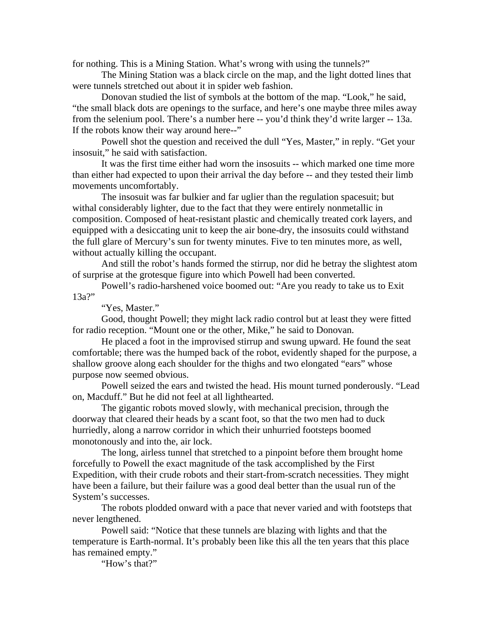for nothing. This is a Mining Station. What's wrong with using the tunnels?"

 The Mining Station was a black circle on the map, and the light dotted lines that were tunnels stretched out about it in spider web fashion.

 Donovan studied the list of symbols at the bottom of the map. "Look," he said, "the small black dots are openings to the surface, and here's one maybe three miles away from the selenium pool. There's a number here -- you'd think they'd write larger -- 13a. If the robots know their way around here--"

 Powell shot the question and received the dull "Yes, Master," in reply. "Get your insosuit," he said with satisfaction.

 It was the first time either had worn the insosuits -- which marked one time more than either had expected to upon their arrival the day before -- and they tested their limb movements uncomfortably.

 The insosuit was far bulkier and far uglier than the regulation spacesuit; but withal considerably lighter, due to the fact that they were entirely nonmetallic in composition. Composed of heat-resistant plastic and chemically treated cork layers, and equipped with a desiccating unit to keep the air bone-dry, the insosuits could withstand the full glare of Mercury's sun for twenty minutes. Five to ten minutes more, as well, without actually killing the occupant.

 And still the robot's hands formed the stirrup, nor did he betray the slightest atom of surprise at the grotesque figure into which Powell had been converted.

 Powell's radio-harshened voice boomed out: "Are you ready to take us to Exit 13a?"

"Yes, Master."

 Good, thought Powell; they might lack radio control but at least they were fitted for radio reception. "Mount one or the other, Mike," he said to Donovan.

 He placed a foot in the improvised stirrup and swung upward. He found the seat comfortable; there was the humped back of the robot, evidently shaped for the purpose, a shallow groove along each shoulder for the thighs and two elongated "ears" whose purpose now seemed obvious.

 Powell seized the ears and twisted the head. His mount turned ponderously. "Lead on, Macduff." But he did not feel at all lighthearted.

 The gigantic robots moved slowly, with mechanical precision, through the doorway that cleared their heads by a scant foot, so that the two men had to duck hurriedly, along a narrow corridor in which their unhurried footsteps boomed monotonously and into the, air lock.

 The long, airless tunnel that stretched to a pinpoint before them brought home forcefully to Powell the exact magnitude of the task accomplished by the First Expedition, with their crude robots and their start-from-scratch necessities. They might have been a failure, but their failure was a good deal better than the usual run of the System's successes.

 The robots plodded onward with a pace that never varied and with footsteps that never lengthened.

 Powell said: "Notice that these tunnels are blazing with lights and that the temperature is Earth-normal. It's probably been like this all the ten years that this place has remained empty."

"How's that?"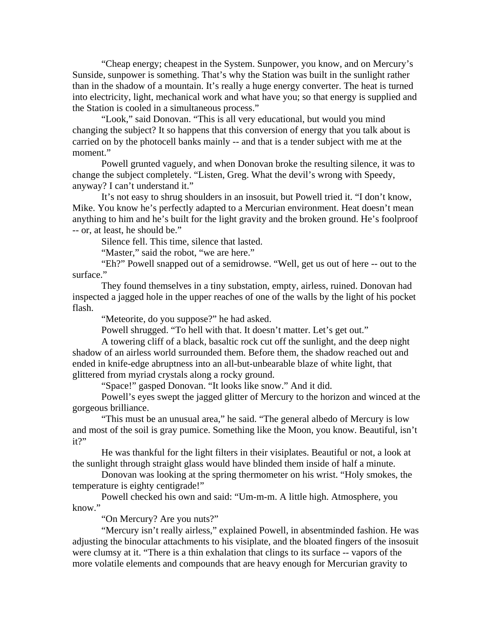"Cheap energy; cheapest in the System. Sunpower, you know, and on Mercury's Sunside, sunpower is something. That's why the Station was built in the sunlight rather than in the shadow of a mountain. It's really a huge energy converter. The heat is turned into electricity, light, mechanical work and what have you; so that energy is supplied and the Station is cooled in a simultaneous process."

 "Look," said Donovan. "This is all very educational, but would you mind changing the subject? It so happens that this conversion of energy that you talk about is carried on by the photocell banks mainly -- and that is a tender subject with me at the moment."

 Powell grunted vaguely, and when Donovan broke the resulting silence, it was to change the subject completely. "Listen, Greg. What the devil's wrong with Speedy, anyway? I can't understand it."

 It's not easy to shrug shoulders in an insosuit, but Powell tried it. "I don't know, Mike. You know he's perfectly adapted to a Mercurian environment. Heat doesn't mean anything to him and he's built for the light gravity and the broken ground. He's foolproof -- or, at least, he should be."

Silence fell. This time, silence that lasted.

"Master," said the robot, "we are here."

 "Eh?" Powell snapped out of a semidrowse. "Well, get us out of here -- out to the surface."

 They found themselves in a tiny substation, empty, airless, ruined. Donovan had inspected a jagged hole in the upper reaches of one of the walls by the light of his pocket flash.

"Meteorite, do you suppose?" he had asked.

Powell shrugged. "To hell with that. It doesn't matter. Let's get out."

 A towering cliff of a black, basaltic rock cut off the sunlight, and the deep night shadow of an airless world surrounded them. Before them, the shadow reached out and ended in knife-edge abruptness into an all-but-unbearable blaze of white light, that glittered from myriad crystals along a rocky ground.

"Space!" gasped Donovan. "It looks like snow." And it did.

 Powell's eyes swept the jagged glitter of Mercury to the horizon and winced at the gorgeous brilliance.

 "This must be an unusual area," he said. "The general albedo of Mercury is low and most of the soil is gray pumice. Something like the Moon, you know. Beautiful, isn't it?"

 He was thankful for the light filters in their visiplates. Beautiful or not, a look at the sunlight through straight glass would have blinded them inside of half a minute.

 Donovan was looking at the spring thermometer on his wrist. "Holy smokes, the temperature is eighty centigrade!"

 Powell checked his own and said: "Um-m-m. A little high. Atmosphere, you know."

"On Mercury? Are you nuts?"

 "Mercury isn't really airless," explained Powell, in absentminded fashion. He was adjusting the binocular attachments to his visiplate, and the bloated fingers of the insosuit were clumsy at it. "There is a thin exhalation that clings to its surface -- vapors of the more volatile elements and compounds that are heavy enough for Mercurian gravity to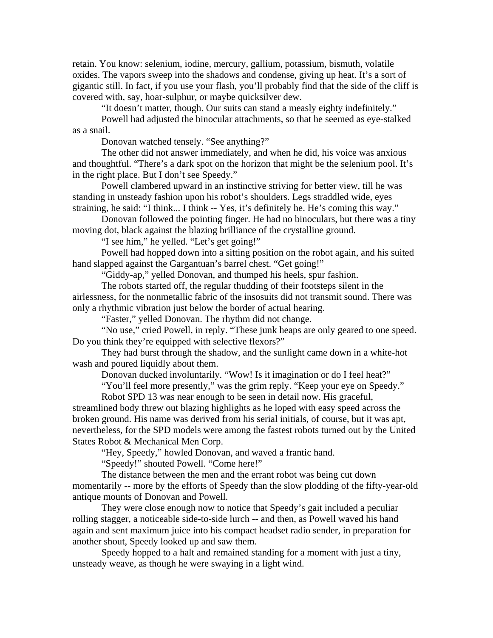retain. You know: selenium, iodine, mercury, gallium, potassium, bismuth, volatile oxides. The vapors sweep into the shadows and condense, giving up heat. It's a sort of gigantic still. In fact, if you use your flash, you'll probably find that the side of the cliff is covered with, say, hoar-sulphur, or maybe quicksilver dew.

"It doesn't matter, though. Our suits can stand a measly eighty indefinitely."

 Powell had adjusted the binocular attachments, so that he seemed as eye-stalked as a snail.

Donovan watched tensely. "See anything?"

 The other did not answer immediately, and when he did, his voice was anxious and thoughtful. "There's a dark spot on the horizon that might be the selenium pool. It's in the right place. But I don't see Speedy."

 Powell clambered upward in an instinctive striving for better view, till he was standing in unsteady fashion upon his robot's shoulders. Legs straddled wide, eyes straining, he said: "I think... I think -- Yes, it's definitely he. He's coming this way."

 Donovan followed the pointing finger. He had no binoculars, but there was a tiny moving dot, black against the blazing brilliance of the crystalline ground.

"I see him," he yelled. "Let's get going!"

 Powell had hopped down into a sitting position on the robot again, and his suited hand slapped against the Gargantuan's barrel chest. "Get going!"

"Giddy-ap," yelled Donovan, and thumped his heels, spur fashion.

 The robots started off, the regular thudding of their footsteps silent in the airlessness, for the nonmetallic fabric of the insosuits did not transmit sound. There was only a rhythmic vibration just below the border of actual hearing.

"Faster," yelled Donovan. The rhythm did not change.

 "No use," cried Powell, in reply. "These junk heaps are only geared to one speed. Do you think they're equipped with selective flexors?"

 They had burst through the shadow, and the sunlight came down in a white-hot wash and poured liquidly about them.

Donovan ducked involuntarily. "Wow! Is it imagination or do I feel heat?"

 "You'll feel more presently," was the grim reply. "Keep your eye on Speedy." Robot SPD 13 was near enough to be seen in detail now. His graceful,

streamlined body threw out blazing highlights as he loped with easy speed across the broken ground. His name was derived from his serial initials, of course, but it was apt, nevertheless, for the SPD models were among the fastest robots turned out by the United States Robot & Mechanical Men Corp.

"Hey, Speedy," howled Donovan, and waved a frantic hand.

"Speedy!" shouted Powell. "Come here!"

 The distance between the men and the errant robot was being cut down momentarily -- more by the efforts of Speedy than the slow plodding of the fifty-year-old antique mounts of Donovan and Powell.

 They were close enough now to notice that Speedy's gait included a peculiar rolling stagger, a noticeable side-to-side lurch -- and then, as Powell waved his hand again and sent maximum juice into his compact headset radio sender, in preparation for another shout, Speedy looked up and saw them.

 Speedy hopped to a halt and remained standing for a moment with just a tiny, unsteady weave, as though he were swaying in a light wind.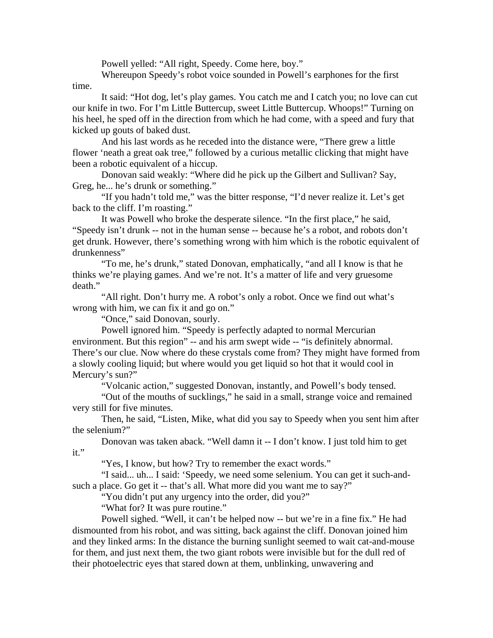Powell yelled: "All right, Speedy. Come here, boy."

 Whereupon Speedy's robot voice sounded in Powell's earphones for the first time.

 It said: "Hot dog, let's play games. You catch me and I catch you; no love can cut our knife in two. For I'm Little Buttercup, sweet Little Buttercup. Whoops!" Turning on his heel, he sped off in the direction from which he had come, with a speed and fury that kicked up gouts of baked dust.

 And his last words as he receded into the distance were, "There grew a little flower 'neath a great oak tree," followed by a curious metallic clicking that might have been a robotic equivalent of a hiccup.

 Donovan said weakly: "Where did he pick up the Gilbert and Sullivan? Say, Greg, he... he's drunk or something."

 "If you hadn't told me," was the bitter response, "I'd never realize it. Let's get back to the cliff. I'm roasting."

 It was Powell who broke the desperate silence. "In the first place," he said, "Speedy isn't drunk -- not in the human sense -- because he's a robot, and robots don't get drunk. However, there's something wrong with him which is the robotic equivalent of drunkenness"

 "To me, he's drunk," stated Donovan, emphatically, "and all I know is that he thinks we're playing games. And we're not. It's a matter of life and very gruesome death."

 "All right. Don't hurry me. A robot's only a robot. Once we find out what's wrong with him, we can fix it and go on."

"Once," said Donovan, sourly.

 Powell ignored him. "Speedy is perfectly adapted to normal Mercurian environment. But this region" -- and his arm swept wide -- "is definitely abnormal. There's our clue. Now where do these crystals come from? They might have formed from a slowly cooling liquid; but where would you get liquid so hot that it would cool in Mercury's sun?"

"Volcanic action," suggested Donovan, instantly, and Powell's body tensed.

 "Out of the mouths of sucklings," he said in a small, strange voice and remained very still for five minutes.

 Then, he said, "Listen, Mike, what did you say to Speedy when you sent him after the selenium?"

 Donovan was taken aback. "Well damn it -- I don't know. I just told him to get it."

"Yes, I know, but how? Try to remember the exact words."

 "I said... uh... I said: 'Speedy, we need some selenium. You can get it such-andsuch a place. Go get it -- that's all. What more did you want me to say?"

"You didn't put any urgency into the order, did you?"

"What for? It was pure routine."

 Powell sighed. "Well, it can't be helped now -- but we're in a fine fix." He had dismounted from his robot, and was sitting, back against the cliff. Donovan joined him and they linked arms: In the distance the burning sunlight seemed to wait cat-and-mouse for them, and just next them, the two giant robots were invisible but for the dull red of their photoelectric eyes that stared down at them, unblinking, unwavering and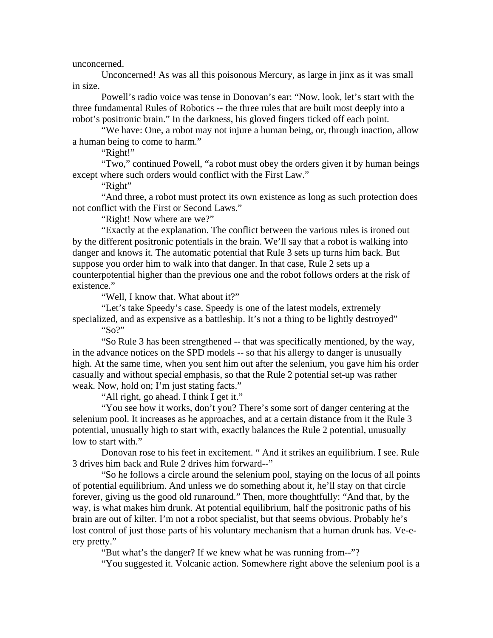#### unconcerned.

 Unconcerned! As was all this poisonous Mercury, as large in jinx as it was small in size.

 Powell's radio voice was tense in Donovan's ear: "Now, look, let's start with the three fundamental Rules of Robotics -- the three rules that are built most deeply into a robot's positronic brain." In the darkness, his gloved fingers ticked off each point.

 "We have: One, a robot may not injure a human being, or, through inaction, allow a human being to come to harm."

"Right!"

 "Two," continued Powell, "a robot must obey the orders given it by human beings except where such orders would conflict with the First Law."

"Right"

 "And three, a robot must protect its own existence as long as such protection does not conflict with the First or Second Laws."

"Right! Now where are we?"

 "Exactly at the explanation. The conflict between the various rules is ironed out by the different positronic potentials in the brain. We'll say that a robot is walking into danger and knows it. The automatic potential that Rule 3 sets up turns him back. But suppose you order him to walk into that danger. In that case, Rule 2 sets up a counterpotential higher than the previous one and the robot follows orders at the risk of existence."

"Well, I know that. What about it?"

 "Let's take Speedy's case. Speedy is one of the latest models, extremely specialized, and as expensive as a battleship. It's not a thing to be lightly destroyed" "So?"

 "So Rule 3 has been strengthened -- that was specifically mentioned, by the way, in the advance notices on the SPD models -- so that his allergy to danger is unusually high. At the same time, when you sent him out after the selenium, you gave him his order casually and without special emphasis, so that the Rule 2 potential set-up was rather weak. Now, hold on; I'm just stating facts."

"All right, go ahead. I think I get it."

 "You see how it works, don't you? There's some sort of danger centering at the selenium pool. It increases as he approaches, and at a certain distance from it the Rule 3 potential, unusually high to start with, exactly balances the Rule 2 potential, unusually low to start with."

 Donovan rose to his feet in excitement. " And it strikes an equilibrium. I see. Rule 3 drives him back and Rule 2 drives him forward--"

 "So he follows a circle around the selenium pool, staying on the locus of all points of potential equilibrium. And unless we do something about it, he'll stay on that circle forever, giving us the good old runaround." Then, more thoughtfully: "And that, by the way, is what makes him drunk. At potential equilibrium, half the positronic paths of his brain are out of kilter. I'm not a robot specialist, but that seems obvious. Probably he's lost control of just those parts of his voluntary mechanism that a human drunk has. Ve-eery pretty."

"But what's the danger? If we knew what he was running from--"?

"You suggested it. Volcanic action. Somewhere right above the selenium pool is a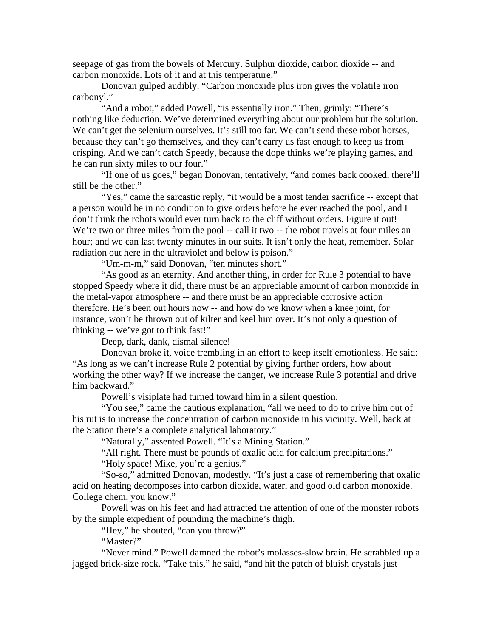seepage of gas from the bowels of Mercury. Sulphur dioxide, carbon dioxide -- and carbon monoxide. Lots of it and at this temperature."

 Donovan gulped audibly. "Carbon monoxide plus iron gives the volatile iron carbonyl."

 "And a robot," added Powell, "is essentially iron." Then, grimly: "There's nothing like deduction. We've determined everything about our problem but the solution. We can't get the selenium ourselves. It's still too far. We can't send these robot horses, because they can't go themselves, and they can't carry us fast enough to keep us from crisping. And we can't catch Speedy, because the dope thinks we're playing games, and he can run sixty miles to our four."

 "If one of us goes," began Donovan, tentatively, "and comes back cooked, there'll still be the other."

 "Yes," came the sarcastic reply, "it would be a most tender sacrifice -- except that a person would be in no condition to give orders before he ever reached the pool, and I don't think the robots would ever turn back to the cliff without orders. Figure it out! We're two or three miles from the pool -- call it two -- the robot travels at four miles an hour; and we can last twenty minutes in our suits. It isn't only the heat, remember. Solar radiation out here in the ultraviolet and below is poison."

"Um-m-m," said Donovan, "ten minutes short."

 "As good as an eternity. And another thing, in order for Rule 3 potential to have stopped Speedy where it did, there must be an appreciable amount of carbon monoxide in the metal-vapor atmosphere -- and there must be an appreciable corrosive action therefore. He's been out hours now -- and how do we know when a knee joint, for instance, won't be thrown out of kilter and keel him over. It's not only a question of thinking -- we've got to think fast!"

Deep, dark, dank, dismal silence!

 Donovan broke it, voice trembling in an effort to keep itself emotionless. He said: "As long as we can't increase Rule 2 potential by giving further orders, how about working the other way? If we increase the danger, we increase Rule 3 potential and drive him backward."

Powell's visiplate had turned toward him in a silent question.

"You see," came the cautious explanation, "all we need to do to drive him out of his rut is to increase the concentration of carbon monoxide in his vicinity. Well, back at the Station there's a complete analytical laboratory."

"Naturally," assented Powell. "It's a Mining Station."

"All right. There must be pounds of oxalic acid for calcium precipitations."

"Holy space! Mike, you're a genius."

 "So-so," admitted Donovan, modestly. "It's just a case of remembering that oxalic acid on heating decomposes into carbon dioxide, water, and good old carbon monoxide. College chem, you know."

 Powell was on his feet and had attracted the attention of one of the monster robots by the simple expedient of pounding the machine's thigh.

"Hey," he shouted, "can you throw?"

"Master?"

 "Never mind." Powell damned the robot's molasses-slow brain. He scrabbled up a jagged brick-size rock. "Take this," he said, "and hit the patch of bluish crystals just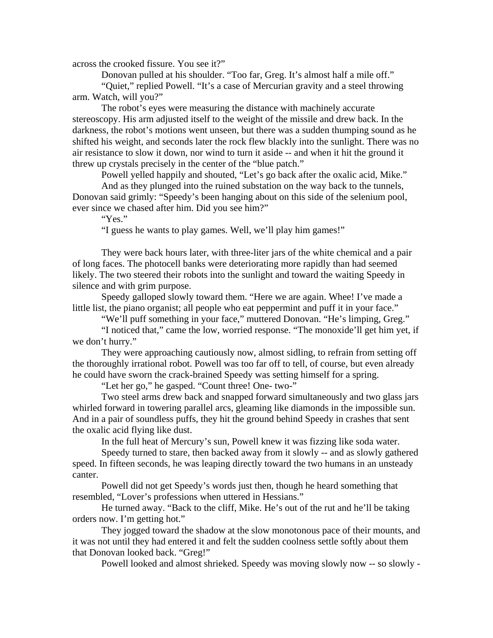across the crooked fissure. You see it?"

 Donovan pulled at his shoulder. "Too far, Greg. It's almost half a mile off." "Quiet," replied Powell. "It's a case of Mercurian gravity and a steel throwing arm. Watch, will you?"

 The robot's eyes were measuring the distance with machinely accurate stereoscopy. His arm adjusted itself to the weight of the missile and drew back. In the darkness, the robot's motions went unseen, but there was a sudden thumping sound as he shifted his weight, and seconds later the rock flew blackly into the sunlight. There was no air resistance to slow it down, nor wind to turn it aside -- and when it hit the ground it threw up crystals precisely in the center of the "blue patch."

Powell yelled happily and shouted, "Let's go back after the oxalic acid, Mike."

 And as they plunged into the ruined substation on the way back to the tunnels, Donovan said grimly: "Speedy's been hanging about on this side of the selenium pool, ever since we chased after him. Did you see him?"

"Yes."

"I guess he wants to play games. Well, we'll play him games!"

 They were back hours later, with three-liter jars of the white chemical and a pair of long faces. The photocell banks were deteriorating more rapidly than had seemed likely. The two steered their robots into the sunlight and toward the waiting Speedy in silence and with grim purpose.

 Speedy galloped slowly toward them. "Here we are again. Whee! I've made a little list, the piano organist; all people who eat peppermint and puff it in your face."

"We'll puff something in your face," muttered Donovan. "He's limping, Greg."

 "I noticed that," came the low, worried response. "The monoxide'll get him yet, if we don't hurry."

 They were approaching cautiously now, almost sidling, to refrain from setting off the thoroughly irrational robot. Powell was too far off to tell, of course, but even already he could have sworn the crack-brained Speedy was setting himself for a spring.

"Let her go," he gasped. "Count three! One- two-"

 Two steel arms drew back and snapped forward simultaneously and two glass jars whirled forward in towering parallel arcs, gleaming like diamonds in the impossible sun. And in a pair of soundless puffs, they hit the ground behind Speedy in crashes that sent the oxalic acid flying like dust.

In the full heat of Mercury's sun, Powell knew it was fizzing like soda water.

 Speedy turned to stare, then backed away from it slowly -- and as slowly gathered speed. In fifteen seconds, he was leaping directly toward the two humans in an unsteady canter.

 Powell did not get Speedy's words just then, though he heard something that resembled, "Lover's professions when uttered in Hessians."

 He turned away. "Back to the cliff, Mike. He's out of the rut and he'll be taking orders now. I'm getting hot."

 They jogged toward the shadow at the slow monotonous pace of their mounts, and it was not until they had entered it and felt the sudden coolness settle softly about them that Donovan looked back. "Greg!"

Powell looked and almost shrieked. Speedy was moving slowly now -- so slowly -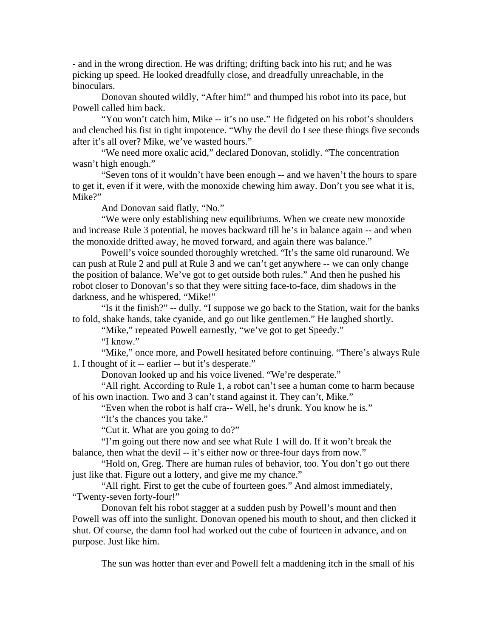- and in the wrong direction. He was drifting; drifting back into his rut; and he was picking up speed. He looked dreadfully close, and dreadfully unreachable, in the binoculars.

 Donovan shouted wildly, "After him!" and thumped his robot into its pace, but Powell called him back.

"You won't catch him, Mike -- it's no use." He fidgeted on his robot's shoulders and clenched his fist in tight impotence. "Why the devil do I see these things five seconds after it's all over? Mike, we've wasted hours."

 "We need more oxalic acid," declared Donovan, stolidly. "The concentration wasn't high enough."

 "Seven tons of it wouldn't have been enough -- and we haven't the hours to spare to get it, even if it were, with the monoxide chewing him away. Don't you see what it is, Mike?"

And Donovan said flatly, "No."

 "We were only establishing new equilibriums. When we create new monoxide and increase Rule 3 potential, he moves backward till he's in balance again -- and when the monoxide drifted away, he moved forward, and again there was balance."

 Powell's voice sounded thoroughly wretched. "It's the same old runaround. We can push at Rule 2 and pull at Rule 3 and we can't get anywhere -- we can only change the position of balance. We've got to get outside both rules." And then he pushed his robot closer to Donovan's so that they were sitting face-to-face, dim shadows in the darkness, and he whispered, "Mike!"

 "Is it the finish?" -- dully. "I suppose we go back to the Station, wait for the banks to fold, shake hands, take cyanide, and go out like gentlemen." He laughed shortly.

 "Mike," repeated Powell earnestly, "we've got to get Speedy." "I know."

"Mike," once more, and Powell hesitated before continuing. "There's always Rule 1. I thought of it -- earlier -- but it's desperate."

Donovan looked up and his voice livened. "We're desperate."

 "All right. According to Rule 1, a robot can't see a human come to harm because of his own inaction. Two and 3 can't stand against it. They can't, Mike."

"Even when the robot is half cra-- Well, he's drunk. You know he is."

"It's the chances you take."

"Cut it. What are you going to do?"

 "I'm going out there now and see what Rule 1 will do. If it won't break the balance, then what the devil -- it's either now or three-four days from now."

 "Hold on, Greg. There are human rules of behavior, too. You don't go out there just like that. Figure out a lottery, and give me my chance."

 "All right. First to get the cube of fourteen goes." And almost immediately, "Twenty-seven forty-four!"

 Donovan felt his robot stagger at a sudden push by Powell's mount and then Powell was off into the sunlight. Donovan opened his mouth to shout, and then clicked it shut. Of course, the damn fool had worked out the cube of fourteen in advance, and on purpose. Just like him.

The sun was hotter than ever and Powell felt a maddening itch in the small of his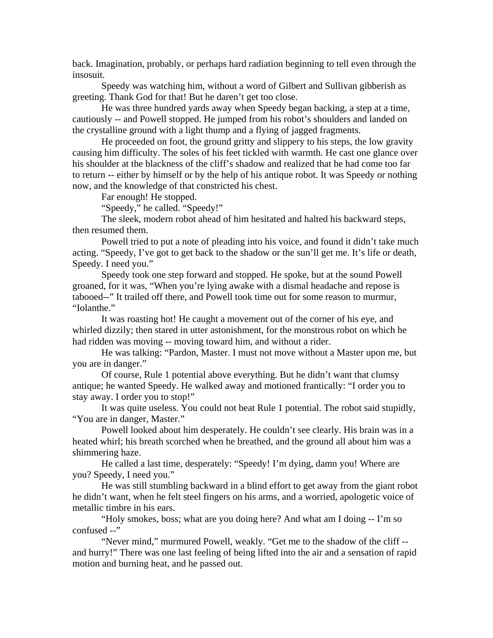back. Imagination, probably, or perhaps hard radiation beginning to tell even through the insosuit.

 Speedy was watching him, without a word of Gilbert and Sullivan gibberish as greeting. Thank God for that! But he daren't get too close.

 He was three hundred yards away when Speedy began backing, a step at a time, cautiously -- and Powell stopped. He jumped from his robot's shoulders and landed on the crystalline ground with a light thump and a flying of jagged fragments.

 He proceeded on foot, the ground gritty and slippery to his steps, the low gravity causing him difficulty. The soles of his feet tickled with warmth. He cast one glance over his shoulder at the blackness of the cliff's shadow and realized that he had come too far to return -- either by himself or by the help of his antique robot. It was Speedy or nothing now, and the knowledge of that constricted his chest.

Far enough! He stopped.

"Speedy," he called. "Speedy!"

 The sleek, modern robot ahead of him hesitated and halted his backward steps, then resumed them.

 Powell tried to put a note of pleading into his voice, and found it didn't take much acting. "Speedy, I've got to get back to the shadow or the sun'll get me. It's life or death, Speedy. I need you."

 Speedy took one step forward and stopped. He spoke, but at the sound Powell groaned, for it was, "When you're lying awake with a dismal headache and repose is tabooed--" It trailed off there, and Powell took time out for some reason to murmur, "Iolanthe."

 It was roasting hot! He caught a movement out of the corner of his eye, and whirled dizzily; then stared in utter astonishment, for the monstrous robot on which he had ridden was moving -- moving toward him, and without a rider.

 He was talking: "Pardon, Master. I must not move without a Master upon me, but you are in danger."

 Of course, Rule 1 potential above everything. But he didn't want that clumsy antique; he wanted Speedy. He walked away and motioned frantically: "I order you to stay away. I order you to stop!"

 It was quite useless. You could not beat Rule 1 potential. The robot said stupidly, "You are in danger, Master."

 Powell looked about him desperately. He couldn't see clearly. His brain was in a heated whirl; his breath scorched when he breathed, and the ground all about him was a shimmering haze.

 He called a last time, desperately: "Speedy! I'm dying, damn you! Where are you? Speedy, I need you."

 He was still stumbling backward in a blind effort to get away from the giant robot he didn't want, when he felt steel fingers on his arms, and a worried, apologetic voice of metallic timbre in his ears.

 "Holy smokes, boss; what are you doing here? And what am I doing -- I'm so confused --"

 "Never mind," murmured Powell, weakly. "Get me to the shadow of the cliff - and hurry!" There was one last feeling of being lifted into the air and a sensation of rapid motion and burning heat, and he passed out.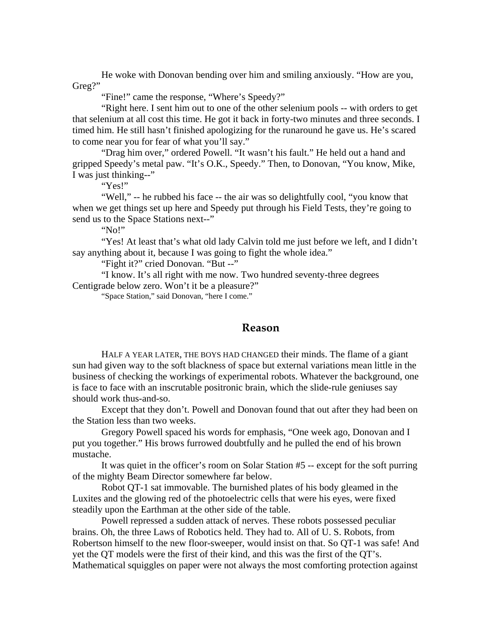He woke with Donovan bending over him and smiling anxiously. "How are you, Greg?"

"Fine!" came the response, "Where's Speedy?"

 "Right here. I sent him out to one of the other selenium pools -- with orders to get that selenium at all cost this time. He got it back in forty-two minutes and three seconds. I timed him. He still hasn't finished apologizing for the runaround he gave us. He's scared to come near you for fear of what you'll say."

 "Drag him over," ordered Powell. "It wasn't his fault." He held out a hand and gripped Speedy's metal paw. "It's O.K., Speedy." Then, to Donovan, "You know, Mike, I was just thinking--"

"Yes!"

 "Well," -- he rubbed his face -- the air was so delightfully cool, "you know that when we get things set up here and Speedy put through his Field Tests, they're going to send us to the Space Stations next--"

"No!"

 "Yes! At least that's what old lady Calvin told me just before we left, and I didn't say anything about it, because I was going to fight the whole idea."

"Fight it?" cried Donovan. "But --"

 "I know. It's all right with me now. Two hundred seventy-three degrees Centigrade below zero. Won't it be a pleasure?"

"Space Station," said Donovan, "here I come."

### **Reason**

HALF A YEAR LATER, THE BOYS HAD CHANGED their minds. The flame of a giant sun had given way to the soft blackness of space but external variations mean little in the business of checking the workings of experimental robots. Whatever the background, one is face to face with an inscrutable positronic brain, which the slide-rule geniuses say should work thus-and-so.

 Except that they don't. Powell and Donovan found that out after they had been on the Station less than two weeks.

 Gregory Powell spaced his words for emphasis, "One week ago, Donovan and I put you together." His brows furrowed doubtfully and he pulled the end of his brown mustache.

 It was quiet in the officer's room on Solar Station #5 -- except for the soft purring of the mighty Beam Director somewhere far below.

 Robot QT-1 sat immovable. The burnished plates of his body gleamed in the Luxites and the glowing red of the photoelectric cells that were his eyes, were fixed steadily upon the Earthman at the other side of the table.

 Powell repressed a sudden attack of nerves. These robots possessed peculiar brains. Oh, the three Laws of Robotics held. They had to. All of U. S. Robots, from Robertson himself to the new floor-sweeper, would insist on that. So QT-1 was safe! And yet the QT models were the first of their kind, and this was the first of the QT's. Mathematical squiggles on paper were not always the most comforting protection against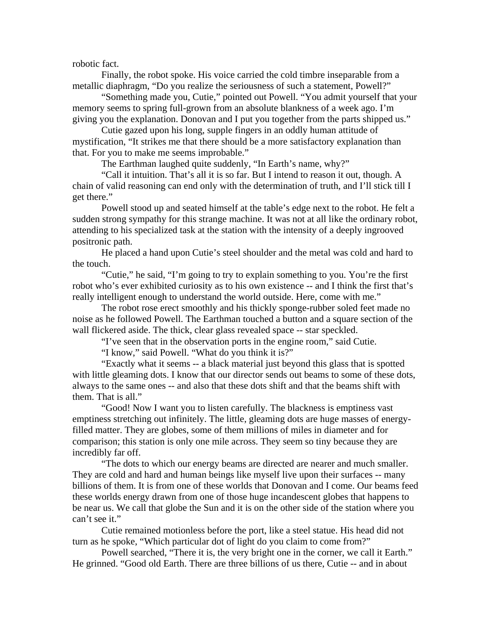robotic fact.

 Finally, the robot spoke. His voice carried the cold timbre inseparable from a metallic diaphragm, "Do you realize the seriousness of such a statement, Powell?"

 "Something made you, Cutie," pointed out Powell. "You admit yourself that your memory seems to spring full-grown from an absolute blankness of a week ago. I'm giving you the explanation. Donovan and I put you together from the parts shipped us."

 Cutie gazed upon his long, supple fingers in an oddly human attitude of mystification, "It strikes me that there should be a more satisfactory explanation than that. For you to make me seems improbable."

The Earthman laughed quite suddenly, "In Earth's name, why?"

 "Call it intuition. That's all it is so far. But I intend to reason it out, though. A chain of valid reasoning can end only with the determination of truth, and I'll stick till I get there."

 Powell stood up and seated himself at the table's edge next to the robot. He felt a sudden strong sympathy for this strange machine. It was not at all like the ordinary robot, attending to his specialized task at the station with the intensity of a deeply ingrooved positronic path.

 He placed a hand upon Cutie's steel shoulder and the metal was cold and hard to the touch.

 "Cutie," he said, "I'm going to try to explain something to you. You're the first robot who's ever exhibited curiosity as to his own existence -- and I think the first that's really intelligent enough to understand the world outside. Here, come with me."

 The robot rose erect smoothly and his thickly sponge-rubber soled feet made no noise as he followed Powell. The Earthman touched a button and a square section of the wall flickered aside. The thick, clear glass revealed space -- star speckled.

"I've seen that in the observation ports in the engine room," said Cutie.

"I know," said Powell. "What do you think it is?"

 "Exactly what it seems -- a black material just beyond this glass that is spotted with little gleaming dots. I know that our director sends out beams to some of these dots, always to the same ones -- and also that these dots shift and that the beams shift with them. That is all."

 "Good! Now I want you to listen carefully. The blackness is emptiness vast emptiness stretching out infinitely. The little, gleaming dots are huge masses of energyfilled matter. They are globes, some of them millions of miles in diameter and for comparison; this station is only one mile across. They seem so tiny because they are incredibly far off.

 "The dots to which our energy beams are directed are nearer and much smaller. They are cold and hard and human beings like myself live upon their surfaces -- many billions of them. It is from one of these worlds that Donovan and I come. Our beams feed these worlds energy drawn from one of those huge incandescent globes that happens to be near us. We call that globe the Sun and it is on the other side of the station where you can't see it."

 Cutie remained motionless before the port, like a steel statue. His head did not turn as he spoke, "Which particular dot of light do you claim to come from?"

 Powell searched, "There it is, the very bright one in the corner, we call it Earth." He grinned. "Good old Earth. There are three billions of us there, Cutie -- and in about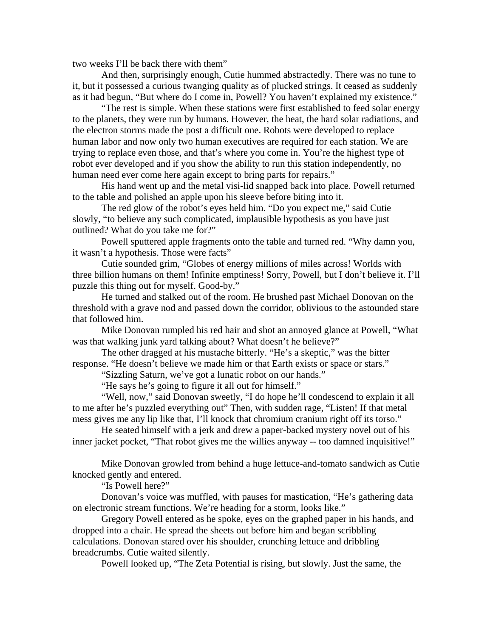two weeks I'll be back there with them"

 And then, surprisingly enough, Cutie hummed abstractedly. There was no tune to it, but it possessed a curious twanging quality as of plucked strings. It ceased as suddenly as it had begun, "But where do I come in, Powell? You haven't explained my existence."

 "The rest is simple. When these stations were first established to feed solar energy to the planets, they were run by humans. However, the heat, the hard solar radiations, and the electron storms made the post a difficult one. Robots were developed to replace human labor and now only two human executives are required for each station. We are trying to replace even those, and that's where you come in. You're the highest type of robot ever developed and if you show the ability to run this station independently, no human need ever come here again except to bring parts for repairs."

 His hand went up and the metal visi-lid snapped back into place. Powell returned to the table and polished an apple upon his sleeve before biting into it.

 The red glow of the robot's eyes held him. "Do you expect me," said Cutie slowly, "to believe any such complicated, implausible hypothesis as you have just outlined? What do you take me for?"

 Powell sputtered apple fragments onto the table and turned red. "Why damn you, it wasn't a hypothesis. Those were facts"

 Cutie sounded grim, "Globes of energy millions of miles across! Worlds with three billion humans on them! Infinite emptiness! Sorry, Powell, but I don't believe it. I'll puzzle this thing out for myself. Good-by."

 He turned and stalked out of the room. He brushed past Michael Donovan on the threshold with a grave nod and passed down the corridor, oblivious to the astounded stare that followed him.

 Mike Donovan rumpled his red hair and shot an annoyed glance at Powell, "What was that walking junk yard talking about? What doesn't he believe?"

 The other dragged at his mustache bitterly. "He's a skeptic," was the bitter response. "He doesn't believe we made him or that Earth exists or space or stars."

"Sizzling Saturn, we've got a lunatic robot on our hands."

"He says he's going to figure it all out for himself."

 "Well, now," said Donovan sweetly, "I do hope he'll condescend to explain it all to me after he's puzzled everything out" Then, with sudden rage, "Listen! If that metal mess gives me any lip like that, I'll knock that chromium cranium right off its torso."

 He seated himself with a jerk and drew a paper-backed mystery novel out of his inner jacket pocket, "That robot gives me the willies anyway -- too damned inquisitive!"

 Mike Donovan growled from behind a huge lettuce-and-tomato sandwich as Cutie knocked gently and entered.

"Is Powell here?"

 Donovan's voice was muffled, with pauses for mastication, "He's gathering data on electronic stream functions. We're heading for a storm, looks like."

 Gregory Powell entered as he spoke, eyes on the graphed paper in his hands, and dropped into a chair. He spread the sheets out before him and began scribbling calculations. Donovan stared over his shoulder, crunching lettuce and dribbling breadcrumbs. Cutie waited silently.

Powell looked up, "The Zeta Potential is rising, but slowly. Just the same, the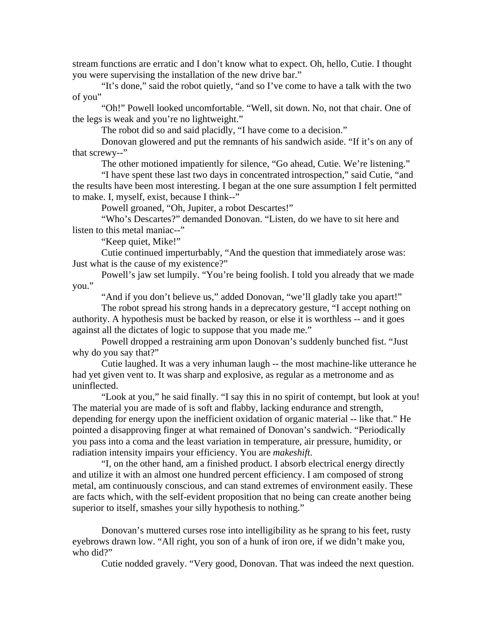stream functions are erratic and I don't know what to expect. Oh, hello, Cutie. I thought you were supervising the installation of the new drive bar."

 "It's done," said the robot quietly, "and so I've come to have a talk with the two of you"

 "Oh!" Powell looked uncomfortable. "Well, sit down. No, not that chair. One of the legs is weak and you're no lightweight."

The robot did so and said placidly, "I have come to a decision."

 Donovan glowered and put the remnants of his sandwich aside. "If it's on any of that screwy--"

The other motioned impatiently for silence, "Go ahead, Cutie. We're listening."

 "I have spent these last two days in concentrated introspection," said Cutie, "and the results have been most interesting. I began at the one sure assumption I felt permitted to make. I, myself, exist, because I think--"

Powell groaned, "Oh, Jupiter, a robot Descartes!"

 "Who's Descartes?" demanded Donovan. "Listen, do we have to sit here and listen to this metal maniac--"

"Keep quiet, Mike!"

 Cutie continued imperturbably, "And the question that immediately arose was: Just what is the cause of my existence?"

 Powell's jaw set lumpily. "You're being foolish. I told you already that we made you."

"And if you don't believe us," added Donovan, "we'll gladly take you apart!"

 The robot spread his strong hands in a deprecatory gesture, "I accept nothing on authority. A hypothesis must be backed by reason, or else it is worthless -- and it goes against all the dictates of logic to suppose that you made me."

 Powell dropped a restraining arm upon Donovan's suddenly bunched fist. "Just why do you say that?"

 Cutie laughed. It was a very inhuman laugh -- the most machine-like utterance he had yet given vent to. It was sharp and explosive, as regular as a metronome and as uninflected.

 "Look at you," he said finally. "I say this in no spirit of contempt, but look at you! The material you are made of is soft and flabby, lacking endurance and strength, depending for energy upon the inefficient oxidation of organic material -- like that." He pointed a disapproving finger at what remained of Donovan's sandwich. "Periodically you pass into a coma and the least variation in temperature, air pressure, humidity, or radiation intensity impairs your efficiency. You are *makeshift*.

 "I, on the other hand, am a finished product. I absorb electrical energy directly and utilize it with an almost one hundred percent efficiency. I am composed of strong metal, am continuously conscious, and can stand extremes of environment easily. These are facts which, with the self-evident proposition that no being can create another being superior to itself, smashes your silly hypothesis to nothing."

 Donovan's muttered curses rose into intelligibility as he sprang to his feet, rusty eyebrows drawn low. "All right, you son of a hunk of iron ore, if we didn't make you, who did?"

Cutie nodded gravely. "Very good, Donovan. That was indeed the next question.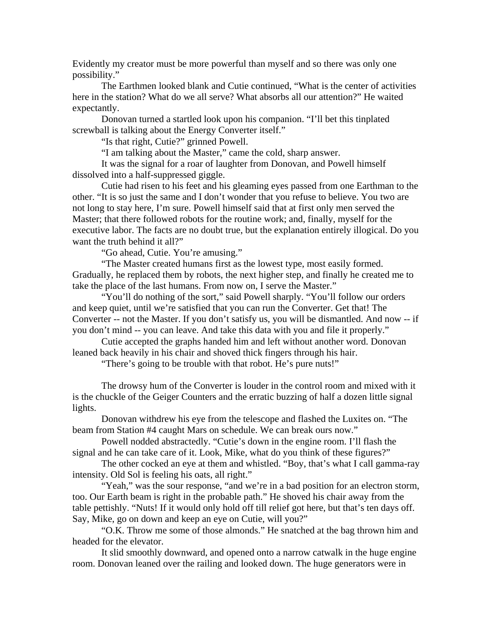Evidently my creator must be more powerful than myself and so there was only one possibility."

 The Earthmen looked blank and Cutie continued, "What is the center of activities here in the station? What do we all serve? What absorbs all our attention?" He waited expectantly.

 Donovan turned a startled look upon his companion. "I'll bet this tinplated screwball is talking about the Energy Converter itself."

"Is that right, Cutie?" grinned Powell.

"I am talking about the Master," came the cold, sharp answer.

 It was the signal for a roar of laughter from Donovan, and Powell himself dissolved into a half-suppressed giggle.

 Cutie had risen to his feet and his gleaming eyes passed from one Earthman to the other. "It is so just the same and I don't wonder that you refuse to believe. You two are not long to stay here, I'm sure. Powell himself said that at first only men served the Master; that there followed robots for the routine work; and, finally, myself for the executive labor. The facts are no doubt true, but the explanation entirely illogical. Do you want the truth behind it all?"

"Go ahead, Cutie. You're amusing."

 "The Master created humans first as the lowest type, most easily formed. Gradually, he replaced them by robots, the next higher step, and finally he created me to take the place of the last humans. From now on, I serve the Master."

"You'll do nothing of the sort," said Powell sharply. "You'll follow our orders and keep quiet, until we're satisfied that you can run the Converter. Get that! The Converter -- not the Master. If you don't satisfy us, you will be dismantled. And now -- if you don't mind -- you can leave. And take this data with you and file it properly."

 Cutie accepted the graphs handed him and left without another word. Donovan leaned back heavily in his chair and shoved thick fingers through his hair.

"There's going to be trouble with that robot. He's pure nuts!"

 The drowsy hum of the Converter is louder in the control room and mixed with it is the chuckle of the Geiger Counters and the erratic buzzing of half a dozen little signal lights.

 Donovan withdrew his eye from the telescope and flashed the Luxites on. "The beam from Station #4 caught Mars on schedule. We can break ours now."

 Powell nodded abstractedly. "Cutie's down in the engine room. I'll flash the signal and he can take care of it. Look, Mike, what do you think of these figures?"

 The other cocked an eye at them and whistled. "Boy, that's what I call gamma-ray intensity. Old Sol is feeling his oats, all right."

"Yeah," was the sour response, "and we're in a bad position for an electron storm, too. Our Earth beam is right in the probable path." He shoved his chair away from the table pettishly. "Nuts! If it would only hold off till relief got here, but that's ten days off. Say, Mike, go on down and keep an eye on Cutie, will you?"

 "O.K. Throw me some of those almonds." He snatched at the bag thrown him and headed for the elevator.

 It slid smoothly downward, and opened onto a narrow catwalk in the huge engine room. Donovan leaned over the railing and looked down. The huge generators were in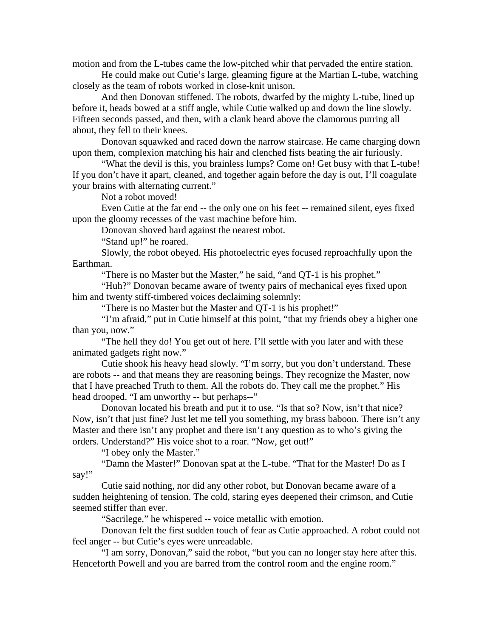motion and from the L-tubes came the low-pitched whir that pervaded the entire station.

 He could make out Cutie's large, gleaming figure at the Martian L-tube, watching closely as the team of robots worked in close-knit unison.

 And then Donovan stiffened. The robots, dwarfed by the mighty L-tube, lined up before it, heads bowed at a stiff angle, while Cutie walked up and down the line slowly. Fifteen seconds passed, and then, with a clank heard above the clamorous purring all about, they fell to their knees.

 Donovan squawked and raced down the narrow staircase. He came charging down upon them, complexion matching his hair and clenched fists beating the air furiously.

 "What the devil is this, you brainless lumps? Come on! Get busy with that L-tube! If you don't have it apart, cleaned, and together again before the day is out, I'll coagulate your brains with alternating current."

Not a robot moved!

 Even Cutie at the far end -- the only one on his feet -- remained silent, eyes fixed upon the gloomy recesses of the vast machine before him.

Donovan shoved hard against the nearest robot.

"Stand up!" he roared.

 Slowly, the robot obeyed. His photoelectric eyes focused reproachfully upon the Earthman.

"There is no Master but the Master," he said, "and QT-1 is his prophet."

 "Huh?" Donovan became aware of twenty pairs of mechanical eyes fixed upon him and twenty stiff-timbered voices declaiming solemnly:

"There is no Master but the Master and QT-1 is his prophet!"

 "I'm afraid," put in Cutie himself at this point, "that my friends obey a higher one than you, now."

 "The hell they do! You get out of here. I'll settle with you later and with these animated gadgets right now."

 Cutie shook his heavy head slowly. "I'm sorry, but you don't understand. These are robots -- and that means they are reasoning beings. They recognize the Master, now that I have preached Truth to them. All the robots do. They call me the prophet." His head drooped. "I am unworthy -- but perhaps--"

 Donovan located his breath and put it to use. "Is that so? Now, isn't that nice? Now, isn't that just fine? Just let me tell you something, my brass baboon. There isn't any Master and there isn't any prophet and there isn't any question as to who's giving the orders. Understand?" His voice shot to a roar. "Now, get out!"

"I obey only the Master."

 "Damn the Master!" Donovan spat at the L-tube. "That for the Master! Do as I say!"

 Cutie said nothing, nor did any other robot, but Donovan became aware of a sudden heightening of tension. The cold, staring eyes deepened their crimson, and Cutie seemed stiffer than ever.

"Sacrilege," he whispered -- voice metallic with emotion.

 Donovan felt the first sudden touch of fear as Cutie approached. A robot could not feel anger -- but Cutie's eyes were unreadable.

 "I am sorry, Donovan," said the robot, "but you can no longer stay here after this. Henceforth Powell and you are barred from the control room and the engine room."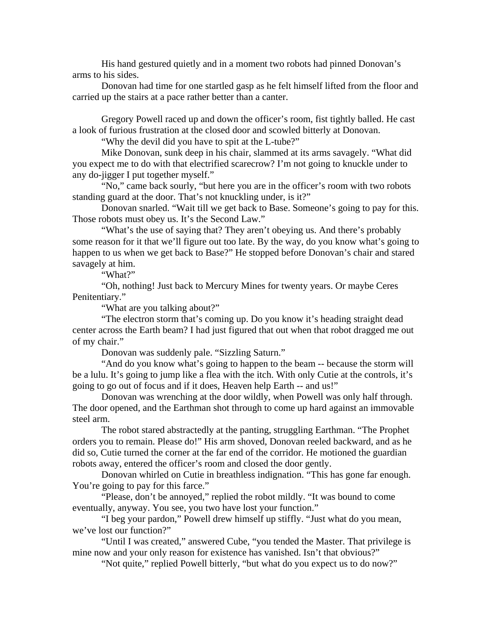His hand gestured quietly and in a moment two robots had pinned Donovan's arms to his sides.

 Donovan had time for one startled gasp as he felt himself lifted from the floor and carried up the stairs at a pace rather better than a canter.

 Gregory Powell raced up and down the officer's room, fist tightly balled. He cast a look of furious frustration at the closed door and scowled bitterly at Donovan.

"Why the devil did you have to spit at the L-tube?"

 Mike Donovan, sunk deep in his chair, slammed at its arms savagely. "What did you expect me to do with that electrified scarecrow? I'm not going to knuckle under to any do-jigger I put together myself."

 "No," came back sourly, "but here you are in the officer's room with two robots standing guard at the door. That's not knuckling under, is it?"

 Donovan snarled. "Wait till we get back to Base. Someone's going to pay for this. Those robots must obey us. It's the Second Law."

"What's the use of saying that? They aren't obeying us. And there's probably some reason for it that we'll figure out too late. By the way, do you know what's going to happen to us when we get back to Base?" He stopped before Donovan's chair and stared savagely at him.

"What?"

 "Oh, nothing! Just back to Mercury Mines for twenty years. Or maybe Ceres Penitentiary."

"What are you talking about?"

 "The electron storm that's coming up. Do you know it's heading straight dead center across the Earth beam? I had just figured that out when that robot dragged me out of my chair."

Donovan was suddenly pale. "Sizzling Saturn."

 "And do you know what's going to happen to the beam -- because the storm will be a lulu. It's going to jump like a flea with the itch. With only Cutie at the controls, it's going to go out of focus and if it does, Heaven help Earth -- and us!"

 Donovan was wrenching at the door wildly, when Powell was only half through. The door opened, and the Earthman shot through to come up hard against an immovable steel arm.

 The robot stared abstractedly at the panting, struggling Earthman. "The Prophet orders you to remain. Please do!" His arm shoved, Donovan reeled backward, and as he did so, Cutie turned the corner at the far end of the corridor. He motioned the guardian robots away, entered the officer's room and closed the door gently.

 Donovan whirled on Cutie in breathless indignation. "This has gone far enough. You're going to pay for this farce."

 "Please, don't be annoyed," replied the robot mildly. "It was bound to come eventually, anyway. You see, you two have lost your function."

 "I beg your pardon," Powell drew himself up stiffly. "Just what do you mean, we've lost our function?"

 "Until I was created," answered Cube, "you tended the Master. That privilege is mine now and your only reason for existence has vanished. Isn't that obvious?"

"Not quite," replied Powell bitterly, "but what do you expect us to do now?"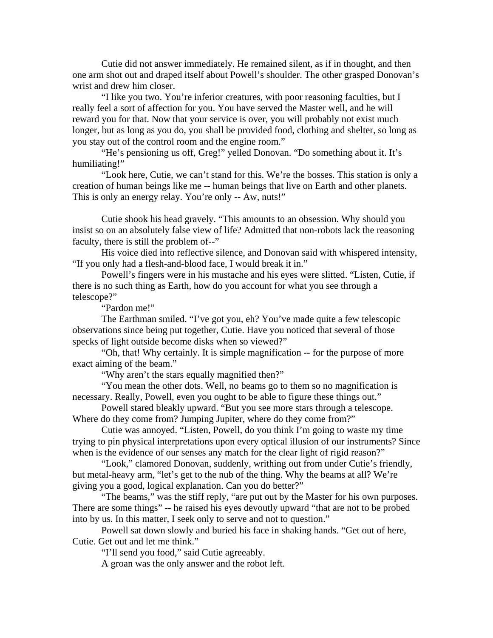Cutie did not answer immediately. He remained silent, as if in thought, and then one arm shot out and draped itself about Powell's shoulder. The other grasped Donovan's wrist and drew him closer.

 "I like you two. You're inferior creatures, with poor reasoning faculties, but I really feel a sort of affection for you. You have served the Master well, and he will reward you for that. Now that your service is over, you will probably not exist much longer, but as long as you do, you shall be provided food, clothing and shelter, so long as you stay out of the control room and the engine room."

 "He's pensioning us off, Greg!" yelled Donovan. "Do something about it. It's humiliating!"

 "Look here, Cutie, we can't stand for this. We're the bosses. This station is only a creation of human beings like me -- human beings that live on Earth and other planets. This is only an energy relay. You're only -- Aw, nuts!"

 Cutie shook his head gravely. "This amounts to an obsession. Why should you insist so on an absolutely false view of life? Admitted that non-robots lack the reasoning faculty, there is still the problem of--"

 His voice died into reflective silence, and Donovan said with whispered intensity, "If you only had a flesh-and-blood face, I would break it in."

 Powell's fingers were in his mustache and his eyes were slitted. "Listen, Cutie, if there is no such thing as Earth, how do you account for what you see through a telescope?"

"Pardon me!"

 The Earthman smiled. "I've got you, eh? You've made quite a few telescopic observations since being put together, Cutie. Have you noticed that several of those specks of light outside become disks when so viewed?"

 "Oh, that! Why certainly. It is simple magnification -- for the purpose of more exact aiming of the beam."

"Why aren't the stars equally magnified then?"

 "You mean the other dots. Well, no beams go to them so no magnification is necessary. Really, Powell, even you ought to be able to figure these things out."

 Powell stared bleakly upward. "But you see more stars through a telescope. Where do they come from? Jumping Jupiter, where do they come from?"

 Cutie was annoyed. "Listen, Powell, do you think I'm going to waste my time trying to pin physical interpretations upon every optical illusion of our instruments? Since when is the evidence of our senses any match for the clear light of rigid reason?"

 "Look," clamored Donovan, suddenly, writhing out from under Cutie's friendly, but metal-heavy arm, "let's get to the nub of the thing. Why the beams at all? We're giving you a good, logical explanation. Can you do better?"

 "The beams," was the stiff reply, "are put out by the Master for his own purposes. There are some things" -- he raised his eyes devoutly upward "that are not to be probed into by us. In this matter, I seek only to serve and not to question."

 Powell sat down slowly and buried his face in shaking hands. "Get out of here, Cutie. Get out and let me think."

"I'll send you food," said Cutie agreeably.

A groan was the only answer and the robot left.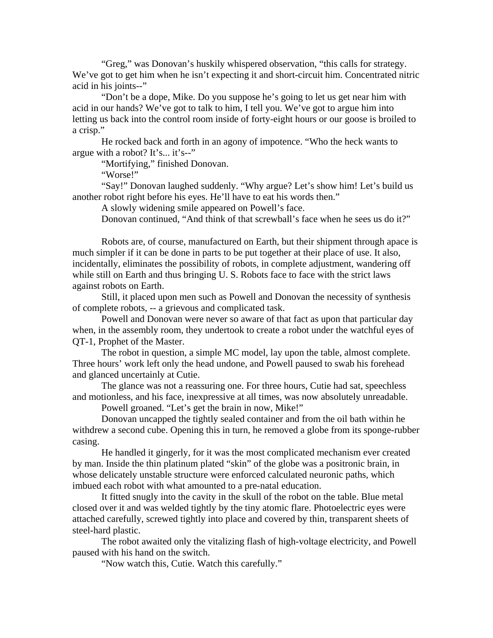"Greg," was Donovan's huskily whispered observation, "this calls for strategy. We've got to get him when he isn't expecting it and short-circuit him. Concentrated nitric acid in his joints--"

 "Don't be a dope, Mike. Do you suppose he's going to let us get near him with acid in our hands? We've got to talk to him, I tell you. We've got to argue him into letting us back into the control room inside of forty-eight hours or our goose is broiled to a crisp."

 He rocked back and forth in an agony of impotence. "Who the heck wants to argue with a robot? It's... it's--"

"Mortifying," finished Donovan.

"Worse!"

 "Say!" Donovan laughed suddenly. "Why argue? Let's show him! Let's build us another robot right before his eyes. He'll have to eat his words then."

A slowly widening smile appeared on Powell's face.

Donovan continued, "And think of that screwball's face when he sees us do it?"

 Robots are, of course, manufactured on Earth, but their shipment through apace is much simpler if it can be done in parts to be put together at their place of use. It also, incidentally, eliminates the possibility of robots, in complete adjustment, wandering off while still on Earth and thus bringing U. S. Robots face to face with the strict laws against robots on Earth.

 Still, it placed upon men such as Powell and Donovan the necessity of synthesis of complete robots, -- a grievous and complicated task.

 Powell and Donovan were never so aware of that fact as upon that particular day when, in the assembly room, they undertook to create a robot under the watchful eyes of QT-1, Prophet of the Master.

 The robot in question, a simple MC model, lay upon the table, almost complete. Three hours' work left only the head undone, and Powell paused to swab his forehead and glanced uncertainly at Cutie.

 The glance was not a reassuring one. For three hours, Cutie had sat, speechless and motionless, and his face, inexpressive at all times, was now absolutely unreadable.

Powell groaned. "Let's get the brain in now, Mike!"

 Donovan uncapped the tightly sealed container and from the oil bath within he withdrew a second cube. Opening this in turn, he removed a globe from its sponge-rubber casing.

 He handled it gingerly, for it was the most complicated mechanism ever created by man. Inside the thin platinum plated "skin" of the globe was a positronic brain, in whose delicately unstable structure were enforced calculated neuronic paths, which imbued each robot with what amounted to a pre-natal education.

 It fitted snugly into the cavity in the skull of the robot on the table. Blue metal closed over it and was welded tightly by the tiny atomic flare. Photoelectric eyes were attached carefully, screwed tightly into place and covered by thin, transparent sheets of steel-hard plastic.

 The robot awaited only the vitalizing flash of high-voltage electricity, and Powell paused with his hand on the switch.

"Now watch this, Cutie. Watch this carefully."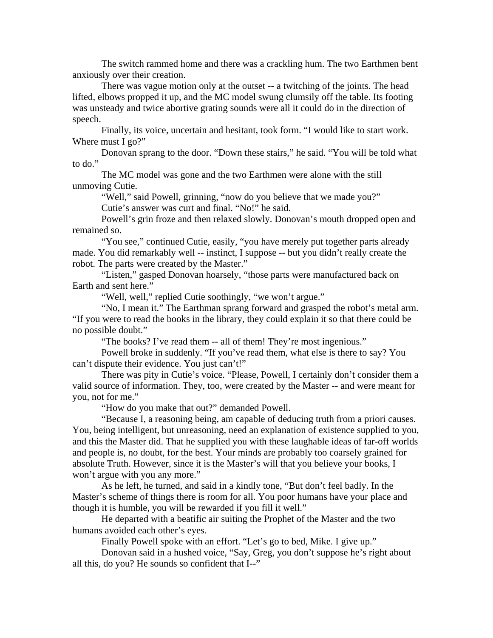The switch rammed home and there was a crackling hum. The two Earthmen bent anxiously over their creation.

 There was vague motion only at the outset -- a twitching of the joints. The head lifted, elbows propped it up, and the MC model swung clumsily off the table. Its footing was unsteady and twice abortive grating sounds were all it could do in the direction of speech.

 Finally, its voice, uncertain and hesitant, took form. "I would like to start work. Where must I go?"

 Donovan sprang to the door. "Down these stairs," he said. "You will be told what to do."

 The MC model was gone and the two Earthmen were alone with the still unmoving Cutie.

"Well," said Powell, grinning, "now do you believe that we made you?"

Cutie's answer was curt and final. "No!" he said.

 Powell's grin froze and then relaxed slowly. Donovan's mouth dropped open and remained so.

 "You see," continued Cutie, easily, "you have merely put together parts already made. You did remarkably well -- instinct, I suppose -- but you didn't really create the robot. The parts were created by the Master."

 "Listen," gasped Donovan hoarsely, "those parts were manufactured back on Earth and sent here."

"Well, well," replied Cutie soothingly, "we won't argue."

 "No, I mean it." The Earthman sprang forward and grasped the robot's metal arm. "If you were to read the books in the library, they could explain it so that there could be no possible doubt."

"The books? I've read them -- all of them! They're most ingenious."

 Powell broke in suddenly. "If you've read them, what else is there to say? You can't dispute their evidence. You just can't!"

 There was pity in Cutie's voice. "Please, Powell, I certainly don't consider them a valid source of information. They, too, were created by the Master -- and were meant for you, not for me."

"How do you make that out?" demanded Powell.

 "Because I, a reasoning being, am capable of deducing truth from a priori causes. You, being intelligent, but unreasoning, need an explanation of existence supplied to you, and this the Master did. That he supplied you with these laughable ideas of far-off worlds and people is, no doubt, for the best. Your minds are probably too coarsely grained for absolute Truth. However, since it is the Master's will that you believe your books, I won't argue with you any more."

 As he left, he turned, and said in a kindly tone, "But don't feel badly. In the Master's scheme of things there is room for all. You poor humans have your place and though it is humble, you will be rewarded if you fill it well."

 He departed with a beatific air suiting the Prophet of the Master and the two humans avoided each other's eyes.

Finally Powell spoke with an effort. "Let's go to bed, Mike. I give up."

 Donovan said in a hushed voice, "Say, Greg, you don't suppose he's right about all this, do you? He sounds so confident that I--"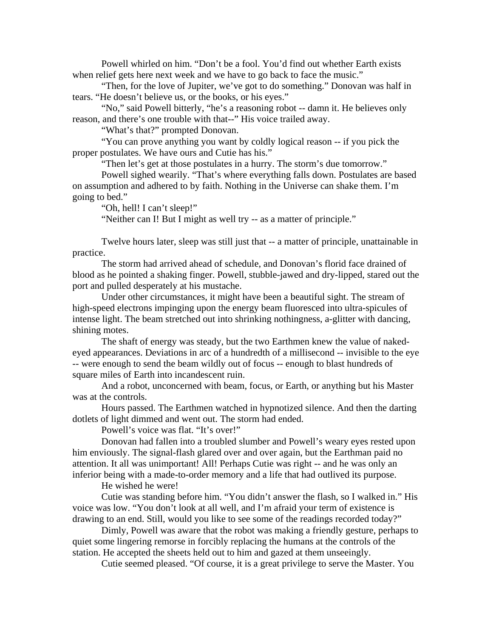Powell whirled on him. "Don't be a fool. You'd find out whether Earth exists when relief gets here next week and we have to go back to face the music."

 "Then, for the love of Jupiter, we've got to do something." Donovan was half in tears. "He doesn't believe us, or the books, or his eyes."

 "No," said Powell bitterly, "he's a reasoning robot -- damn it. He believes only reason, and there's one trouble with that--" His voice trailed away.

"What's that?" prompted Donovan.

 "You can prove anything you want by coldly logical reason -- if you pick the proper postulates. We have ours and Cutie has his."

"Then let's get at those postulates in a hurry. The storm's due tomorrow."

 Powell sighed wearily. "That's where everything falls down. Postulates are based on assumption and adhered to by faith. Nothing in the Universe can shake them. I'm going to bed."

"Oh, hell! I can't sleep!"

"Neither can I! But I might as well try -- as a matter of principle."

 Twelve hours later, sleep was still just that -- a matter of principle, unattainable in practice.

 The storm had arrived ahead of schedule, and Donovan's florid face drained of blood as he pointed a shaking finger. Powell, stubble-jawed and dry-lipped, stared out the port and pulled desperately at his mustache.

 Under other circumstances, it might have been a beautiful sight. The stream of high-speed electrons impinging upon the energy beam fluoresced into ultra-spicules of intense light. The beam stretched out into shrinking nothingness, a-glitter with dancing, shining motes.

 The shaft of energy was steady, but the two Earthmen knew the value of nakedeyed appearances. Deviations in arc of a hundredth of a millisecond -- invisible to the eye -- were enough to send the beam wildly out of focus -- enough to blast hundreds of square miles of Earth into incandescent ruin.

 And a robot, unconcerned with beam, focus, or Earth, or anything but his Master was at the controls.

 Hours passed. The Earthmen watched in hypnotized silence. And then the darting dotlets of light dimmed and went out. The storm had ended.

Powell's voice was flat. "It's over!"

 Donovan had fallen into a troubled slumber and Powell's weary eyes rested upon him enviously. The signal-flash glared over and over again, but the Earthman paid no attention. It all was unimportant! All! Perhaps Cutie was right -- and he was only an inferior being with a made-to-order memory and a life that had outlived its purpose.

He wished he were!

 Cutie was standing before him. "You didn't answer the flash, so I walked in." His voice was low. "You don't look at all well, and I'm afraid your term of existence is drawing to an end. Still, would you like to see some of the readings recorded today?"

 Dimly, Powell was aware that the robot was making a friendly gesture, perhaps to quiet some lingering remorse in forcibly replacing the humans at the controls of the station. He accepted the sheets held out to him and gazed at them unseeingly.

Cutie seemed pleased. "Of course, it is a great privilege to serve the Master. You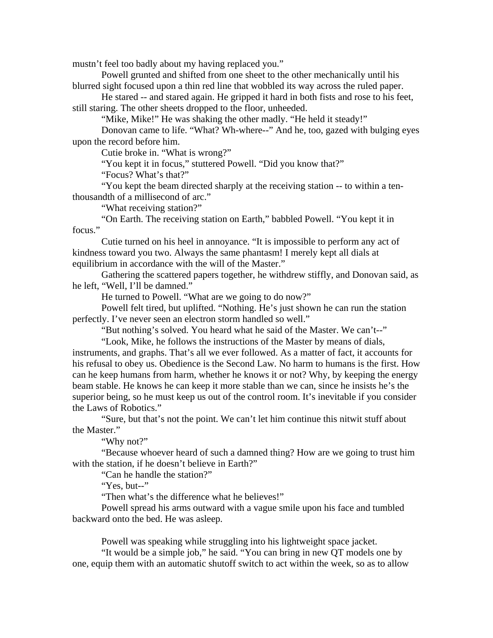mustn't feel too badly about my having replaced you."

 Powell grunted and shifted from one sheet to the other mechanically until his blurred sight focused upon a thin red line that wobbled its way across the ruled paper.

 He stared -- and stared again. He gripped it hard in both fists and rose to his feet, still staring. The other sheets dropped to the floor, unheeded.

"Mike, Mike!" He was shaking the other madly. "He held it steady!"

 Donovan came to life. "What? Wh-where--" And he, too, gazed with bulging eyes upon the record before him.

Cutie broke in. "What is wrong?"

"You kept it in focus," stuttered Powell. "Did you know that?"

"Focus? What's that?"

 "You kept the beam directed sharply at the receiving station -- to within a tenthousandth of a millisecond of arc."

"What receiving station?"

 "On Earth. The receiving station on Earth," babbled Powell. "You kept it in focus."

 Cutie turned on his heel in annoyance. "It is impossible to perform any act of kindness toward you two. Always the same phantasm! I merely kept all dials at equilibrium in accordance with the will of the Master."

 Gathering the scattered papers together, he withdrew stiffly, and Donovan said, as he left, "Well, I'll be damned."

He turned to Powell. "What are we going to do now?"

 Powell felt tired, but uplifted. "Nothing. He's just shown he can run the station perfectly. I've never seen an electron storm handled so well."

"But nothing's solved. You heard what he said of the Master. We can't--"

"Look, Mike, he follows the instructions of the Master by means of dials,

instruments, and graphs. That's all we ever followed. As a matter of fact, it accounts for his refusal to obey us. Obedience is the Second Law. No harm to humans is the first. How can he keep humans from harm, whether he knows it or not? Why, by keeping the energy beam stable. He knows he can keep it more stable than we can, since he insists he's the superior being, so he must keep us out of the control room. It's inevitable if you consider the Laws of Robotics."

 "Sure, but that's not the point. We can't let him continue this nitwit stuff about the Master."

"Why not?"

 "Because whoever heard of such a damned thing? How are we going to trust him with the station, if he doesn't believe in Earth?"

"Can he handle the station?"

"Yes, but--"

"Then what's the difference what he believes!"

 Powell spread his arms outward with a vague smile upon his face and tumbled backward onto the bed. He was asleep.

Powell was speaking while struggling into his lightweight space jacket.

 "It would be a simple job," he said. "You can bring in new QT models one by one, equip them with an automatic shutoff switch to act within the week, so as to allow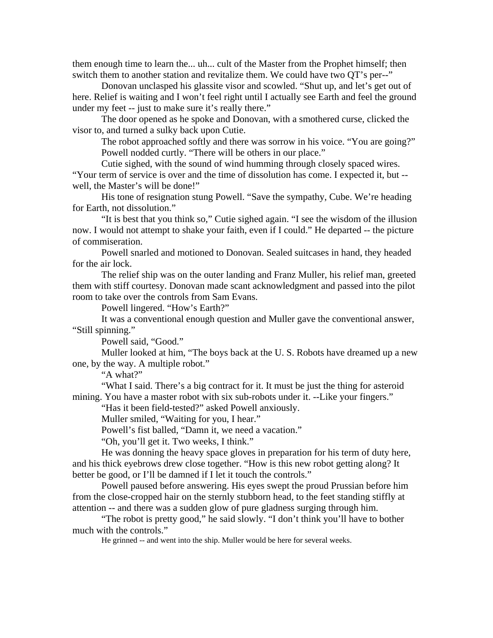them enough time to learn the... uh... cult of the Master from the Prophet himself; then switch them to another station and revitalize them. We could have two QT's per--"

 Donovan unclasped his glassite visor and scowled. "Shut up, and let's get out of here. Relief is waiting and I won't feel right until I actually see Earth and feel the ground under my feet -- just to make sure it's really there."

 The door opened as he spoke and Donovan, with a smothered curse, clicked the visor to, and turned a sulky back upon Cutie.

 The robot approached softly and there was sorrow in his voice. "You are going?" Powell nodded curtly. "There will be others in our place."

 Cutie sighed, with the sound of wind humming through closely spaced wires. "Your term of service is over and the time of dissolution has come. I expected it, but - well, the Master's will be done!"

 His tone of resignation stung Powell. "Save the sympathy, Cube. We're heading for Earth, not dissolution."

 "It is best that you think so," Cutie sighed again. "I see the wisdom of the illusion now. I would not attempt to shake your faith, even if I could." He departed -- the picture of commiseration.

 Powell snarled and motioned to Donovan. Sealed suitcases in hand, they headed for the air lock.

 The relief ship was on the outer landing and Franz Muller, his relief man, greeted them with stiff courtesy. Donovan made scant acknowledgment and passed into the pilot room to take over the controls from Sam Evans.

Powell lingered. "How's Earth?"

 It was a conventional enough question and Muller gave the conventional answer, "Still spinning."

Powell said, "Good."

 Muller looked at him, "The boys back at the U. S. Robots have dreamed up a new one, by the way. A multiple robot."

"A what?"

 "What I said. There's a big contract for it. It must be just the thing for asteroid mining. You have a master robot with six sub-robots under it. --Like your fingers."

"Has it been field-tested?" asked Powell anxiously.

Muller smiled, "Waiting for you, I hear."

Powell's fist balled, "Damn it, we need a vacation."

"Oh, you'll get it. Two weeks, I think."

 He was donning the heavy space gloves in preparation for his term of duty here, and his thick eyebrows drew close together. "How is this new robot getting along? It better be good, or I'll be damned if I let it touch the controls."

 Powell paused before answering. His eyes swept the proud Prussian before him from the close-cropped hair on the sternly stubborn head, to the feet standing stiffly at attention -- and there was a sudden glow of pure gladness surging through him.

 "The robot is pretty good," he said slowly. "I don't think you'll have to bother much with the controls."

He grinned -- and went into the ship. Muller would be here for several weeks.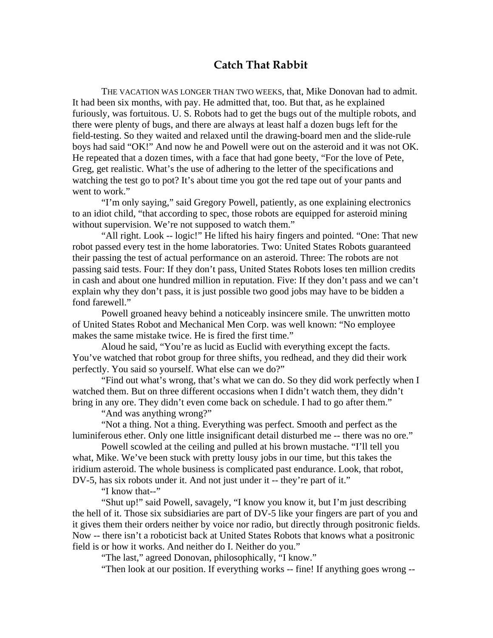## **Catch That Rabbit**

THE VACATION WAS LONGER THAN TWO WEEKS, that, Mike Donovan had to admit. It had been six months, with pay. He admitted that, too. But that, as he explained furiously, was fortuitous. U. S. Robots had to get the bugs out of the multiple robots, and there were plenty of bugs, and there are always at least half a dozen bugs left for the field-testing. So they waited and relaxed until the drawing-board men and the slide-rule boys had said "OK!" And now he and Powell were out on the asteroid and it was not OK. He repeated that a dozen times, with a face that had gone beety, "For the love of Pete, Greg, get realistic. What's the use of adhering to the letter of the specifications and watching the test go to pot? It's about time you got the red tape out of your pants and went to work."

 "I'm only saying," said Gregory Powell, patiently, as one explaining electronics to an idiot child, "that according to spec, those robots are equipped for asteroid mining without supervision. We're not supposed to watch them."

 "All right. Look -- logic!" He lifted his hairy fingers and pointed. "One: That new robot passed every test in the home laboratories. Two: United States Robots guaranteed their passing the test of actual performance on an asteroid. Three: The robots are not passing said tests. Four: If they don't pass, United States Robots loses ten million credits in cash and about one hundred million in reputation. Five: If they don't pass and we can't explain why they don't pass, it is just possible two good jobs may have to be bidden a fond farewell."

 Powell groaned heavy behind a noticeably insincere smile. The unwritten motto of United States Robot and Mechanical Men Corp. was well known: "No employee makes the same mistake twice. He is fired the first time."

 Aloud he said, "You're as lucid as Euclid with everything except the facts. You've watched that robot group for three shifts, you redhead, and they did their work perfectly. You said so yourself. What else can we do?"

 "Find out what's wrong, that's what we can do. So they did work perfectly when I watched them. But on three different occasions when I didn't watch them, they didn't bring in any ore. They didn't even come back on schedule. I had to go after them."

"And was anything wrong?"

 "Not a thing. Not a thing. Everything was perfect. Smooth and perfect as the luminiferous ether. Only one little insignificant detail disturbed me -- there was no ore."

 Powell scowled at the ceiling and pulled at his brown mustache. "I'll tell you what, Mike. We've been stuck with pretty lousy jobs in our time, but this takes the iridium asteroid. The whole business is complicated past endurance. Look, that robot, DV-5, has six robots under it. And not just under it -- they're part of it."

"I know that--"

 "Shut up!" said Powell, savagely, "I know you know it, but I'm just describing the hell of it. Those six subsidiaries are part of DV-5 like your fingers are part of you and it gives them their orders neither by voice nor radio, but directly through positronic fields. Now -- there isn't a roboticist back at United States Robots that knows what a positronic field is or how it works. And neither do I. Neither do you."

"The last," agreed Donovan, philosophically, "I know."

"Then look at our position. If everything works -- fine! If anything goes wrong --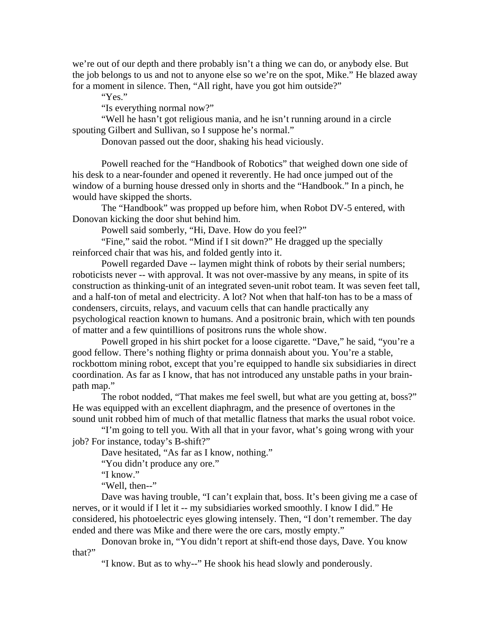we're out of our depth and there probably isn't a thing we can do, or anybody else. But the job belongs to us and not to anyone else so we're on the spot, Mike." He blazed away for a moment in silence. Then, "All right, have you got him outside?"

"Yes."

"Is everything normal now?"

 "Well he hasn't got religious mania, and he isn't running around in a circle spouting Gilbert and Sullivan, so I suppose he's normal."

Donovan passed out the door, shaking his head viciously.

 Powell reached for the "Handbook of Robotics" that weighed down one side of his desk to a near-founder and opened it reverently. He had once jumped out of the window of a burning house dressed only in shorts and the "Handbook." In a pinch, he would have skipped the shorts.

 The "Handbook" was propped up before him, when Robot DV-5 entered, with Donovan kicking the door shut behind him.

Powell said somberly, "Hi, Dave. How do you feel?"

 "Fine," said the robot. "Mind if I sit down?" He dragged up the specially reinforced chair that was his, and folded gently into it.

 Powell regarded Dave -- laymen might think of robots by their serial numbers; roboticists never -- with approval. It was not over-massive by any means, in spite of its construction as thinking-unit of an integrated seven-unit robot team. It was seven feet tall, and a half-ton of metal and electricity. A lot? Not when that half-ton has to be a mass of condensers, circuits, relays, and vacuum cells that can handle practically any psychological reaction known to humans. And a positronic brain, which with ten pounds of matter and a few quintillions of positrons runs the whole show.

 Powell groped in his shirt pocket for a loose cigarette. "Dave," he said, "you're a good fellow. There's nothing flighty or prima donnaish about you. You're a stable, rockbottom mining robot, except that you're equipped to handle six subsidiaries in direct coordination. As far as I know, that has not introduced any unstable paths in your brainpath map."

 The robot nodded, "That makes me feel swell, but what are you getting at, boss?" He was equipped with an excellent diaphragm, and the presence of overtones in the sound unit robbed him of much of that metallic flatness that marks the usual robot voice.

 "I'm going to tell you. With all that in your favor, what's going wrong with your job? For instance, today's B-shift?"

Dave hesitated, "As far as I know, nothing."

"You didn't produce any ore."

"I know."

"Well, then--"

Dave was having trouble, "I can't explain that, boss. It's been giving me a case of nerves, or it would if I let it -- my subsidiaries worked smoothly. I know I did." He considered, his photoelectric eyes glowing intensely. Then, "I don't remember. The day ended and there was Mike and there were the ore cars, mostly empty."

 Donovan broke in, "You didn't report at shift-end those days, Dave. You know that?"

"I know. But as to why--" He shook his head slowly and ponderously.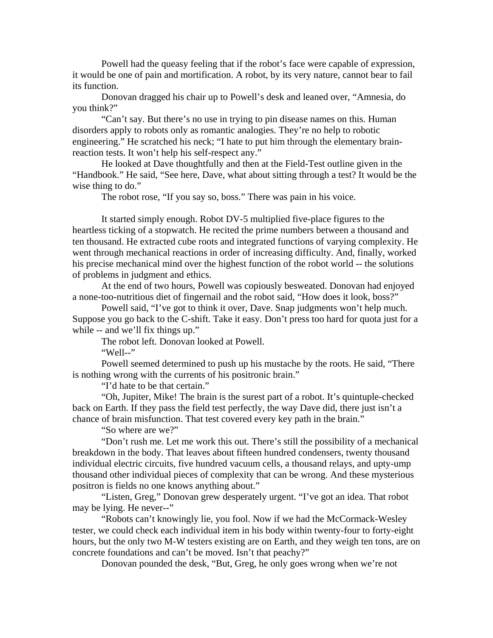Powell had the queasy feeling that if the robot's face were capable of expression, it would be one of pain and mortification. A robot, by its very nature, cannot bear to fail its function.

 Donovan dragged his chair up to Powell's desk and leaned over, "Amnesia, do you think?"

 "Can't say. But there's no use in trying to pin disease names on this. Human disorders apply to robots only as romantic analogies. They're no help to robotic engineering." He scratched his neck; "I hate to put him through the elementary brainreaction tests. It won't help his self-respect any."

 He looked at Dave thoughtfully and then at the Field-Test outline given in the "Handbook." He said, "See here, Dave, what about sitting through a test? It would be the wise thing to do."

The robot rose, "If you say so, boss." There was pain in his voice.

 It started simply enough. Robot DV-5 multiplied five-place figures to the heartless ticking of a stopwatch. He recited the prime numbers between a thousand and ten thousand. He extracted cube roots and integrated functions of varying complexity. He went through mechanical reactions in order of increasing difficulty. And, finally, worked his precise mechanical mind over the highest function of the robot world -- the solutions of problems in judgment and ethics.

 At the end of two hours, Powell was copiously besweated. Donovan had enjoyed a none-too-nutritious diet of fingernail and the robot said, "How does it look, boss?"

 Powell said, "I've got to think it over, Dave. Snap judgments won't help much. Suppose you go back to the C-shift. Take it easy. Don't press too hard for quota just for a while -- and we'll fix things up."

The robot left. Donovan looked at Powell.

"Well--"

 Powell seemed determined to push up his mustache by the roots. He said, "There is nothing wrong with the currents of his positronic brain."

"I'd hate to be that certain."

 "Oh, Jupiter, Mike! The brain is the surest part of a robot. It's quintuple-checked back on Earth. If they pass the field test perfectly, the way Dave did, there just isn't a chance of brain misfunction. That test covered every key path in the brain."

"So where are we?"

 "Don't rush me. Let me work this out. There's still the possibility of a mechanical breakdown in the body. That leaves about fifteen hundred condensers, twenty thousand individual electric circuits, five hundred vacuum cells, a thousand relays, and upty-ump thousand other individual pieces of complexity that can be wrong. And these mysterious positron is fields no one knows anything about."

 "Listen, Greg," Donovan grew desperately urgent. "I've got an idea. That robot may be lying. He never--"

 "Robots can't knowingly lie, you fool. Now if we had the McCormack-Wesley tester, we could check each individual item in his body within twenty-four to forty-eight hours, but the only two M-W testers existing are on Earth, and they weigh ten tons, are on concrete foundations and can't be moved. Isn't that peachy?"

Donovan pounded the desk, "But, Greg, he only goes wrong when we're not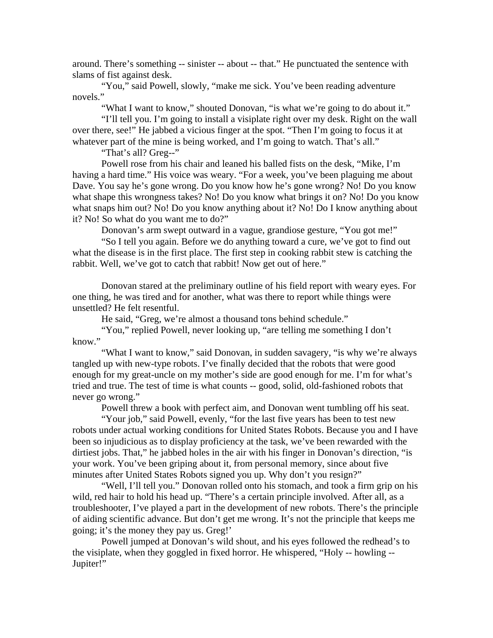around. There's something -- sinister -- about -- that." He punctuated the sentence with slams of fist against desk.

 "You," said Powell, slowly, "make me sick. You've been reading adventure novels."

"What I want to know," shouted Donovan, "is what we're going to do about it."

 "I'll tell you. I'm going to install a visiplate right over my desk. Right on the wall over there, see!" He jabbed a vicious finger at the spot. "Then I'm going to focus it at whatever part of the mine is being worked, and I'm going to watch. That's all."

"That's all? Greg--"

 Powell rose from his chair and leaned his balled fists on the desk, "Mike, I'm having a hard time." His voice was weary. "For a week, you've been plaguing me about Dave. You say he's gone wrong. Do you know how he's gone wrong? No! Do you know what shape this wrongness takes? No! Do you know what brings it on? No! Do you know what snaps him out? No! Do you know anything about it? No! Do I know anything about it? No! So what do you want me to do?"

Donovan's arm swept outward in a vague, grandiose gesture, "You got me!"

 "So I tell you again. Before we do anything toward a cure, we've got to find out what the disease is in the first place. The first step in cooking rabbit stew is catching the rabbit. Well, we've got to catch that rabbit! Now get out of here."

 Donovan stared at the preliminary outline of his field report with weary eyes. For one thing, he was tired and for another, what was there to report while things were unsettled? He felt resentful.

He said, "Greg, we're almost a thousand tons behind schedule."

 "You," replied Powell, never looking up, "are telling me something I don't know."

"What I want to know," said Donovan, in sudden savagery, "is why we're always tangled up with new-type robots. I've finally decided that the robots that were good enough for my great-uncle on my mother's side are good enough for me. I'm for what's tried and true. The test of time is what counts -- good, solid, old-fashioned robots that never go wrong."

Powell threw a book with perfect aim, and Donovan went tumbling off his seat.

 "Your job," said Powell, evenly, "for the last five years has been to test new robots under actual working conditions for United States Robots. Because you and I have been so injudicious as to display proficiency at the task, we've been rewarded with the dirtiest jobs. That," he jabbed holes in the air with his finger in Donovan's direction, "is your work. You've been griping about it, from personal memory, since about five minutes after United States Robots signed you up. Why don't you resign?"

 "Well, I'll tell you." Donovan rolled onto his stomach, and took a firm grip on his wild, red hair to hold his head up. "There's a certain principle involved. After all, as a troubleshooter, I've played a part in the development of new robots. There's the principle of aiding scientific advance. But don't get me wrong. It's not the principle that keeps me going; it's the money they pay us. Greg!'

 Powell jumped at Donovan's wild shout, and his eyes followed the redhead's to the visiplate, when they goggled in fixed horror. He whispered, "Holy -- howling -- Jupiter!"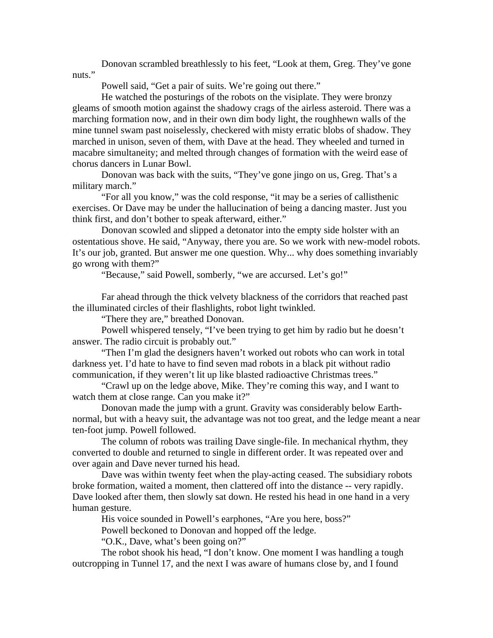Donovan scrambled breathlessly to his feet, "Look at them, Greg. They've gone nuts."

Powell said, "Get a pair of suits. We're going out there."

 He watched the posturings of the robots on the visiplate. They were bronzy gleams of smooth motion against the shadowy crags of the airless asteroid. There was a marching formation now, and in their own dim body light, the roughhewn walls of the mine tunnel swam past noiselessly, checkered with misty erratic blobs of shadow. They marched in unison, seven of them, with Dave at the head. They wheeled and turned in macabre simultaneity; and melted through changes of formation with the weird ease of chorus dancers in Lunar Bowl.

 Donovan was back with the suits, "They've gone jingo on us, Greg. That's a military march."

 "For all you know," was the cold response, "it may be a series of callisthenic exercises. Or Dave may be under the hallucination of being a dancing master. Just you think first, and don't bother to speak afterward, either."

 Donovan scowled and slipped a detonator into the empty side holster with an ostentatious shove. He said, "Anyway, there you are. So we work with new-model robots. It's our job, granted. But answer me one question. Why... why does something invariably go wrong with them?"

"Because," said Powell, somberly, "we are accursed. Let's go!"

 Far ahead through the thick velvety blackness of the corridors that reached past the illuminated circles of their flashlights, robot light twinkled.

"There they are," breathed Donovan.

 Powell whispered tensely, "I've been trying to get him by radio but he doesn't answer. The radio circuit is probably out."

 "Then I'm glad the designers haven't worked out robots who can work in total darkness yet. I'd hate to have to find seven mad robots in a black pit without radio communication, if they weren't lit up like blasted radioactive Christmas trees."

 "Crawl up on the ledge above, Mike. They're coming this way, and I want to watch them at close range. Can you make it?"

 Donovan made the jump with a grunt. Gravity was considerably below Earthnormal, but with a heavy suit, the advantage was not too great, and the ledge meant a near ten-foot jump. Powell followed.

 The column of robots was trailing Dave single-file. In mechanical rhythm, they converted to double and returned to single in different order. It was repeated over and over again and Dave never turned his head.

 Dave was within twenty feet when the play-acting ceased. The subsidiary robots broke formation, waited a moment, then clattered off into the distance -- very rapidly. Dave looked after them, then slowly sat down. He rested his head in one hand in a very human gesture.

His voice sounded in Powell's earphones, "Are you here, boss?"

Powell beckoned to Donovan and hopped off the ledge.

"O.K., Dave, what's been going on?"

 The robot shook his head, "I don't know. One moment I was handling a tough outcropping in Tunnel 17, and the next I was aware of humans close by, and I found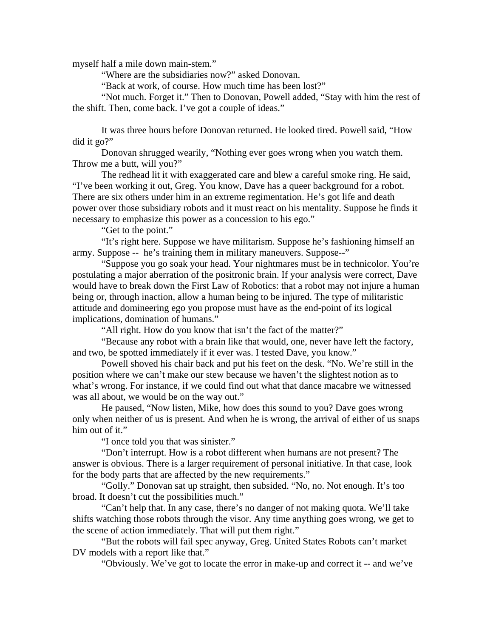myself half a mile down main-stem."

"Where are the subsidiaries now?" asked Donovan.

"Back at work, of course. How much time has been lost?"

 "Not much. Forget it." Then to Donovan, Powell added, "Stay with him the rest of the shift. Then, come back. I've got a couple of ideas."

 It was three hours before Donovan returned. He looked tired. Powell said, "How did it go?"

 Donovan shrugged wearily, "Nothing ever goes wrong when you watch them. Throw me a butt, will you?"

 The redhead lit it with exaggerated care and blew a careful smoke ring. He said, "I've been working it out, Greg. You know, Dave has a queer background for a robot. There are six others under him in an extreme regimentation. He's got life and death power over those subsidiary robots and it must react on his mentality. Suppose he finds it necessary to emphasize this power as a concession to his ego."

"Get to the point."

 "It's right here. Suppose we have militarism. Suppose he's fashioning himself an army. Suppose -- he's training them in military maneuvers. Suppose--"

 "Suppose you go soak your head. Your nightmares must be in technicolor. You're postulating a major aberration of the positronic brain. If your analysis were correct, Dave would have to break down the First Law of Robotics: that a robot may not injure a human being or, through inaction, allow a human being to be injured. The type of militaristic attitude and domineering ego you propose must have as the end-point of its logical implications, domination of humans."

"All right. How do you know that isn't the fact of the matter?"

 "Because any robot with a brain like that would, one, never have left the factory, and two, be spotted immediately if it ever was. I tested Dave, you know."

 Powell shoved his chair back and put his feet on the desk. "No. We're still in the position where we can't make our stew because we haven't the slightest notion as to what's wrong. For instance, if we could find out what that dance macabre we witnessed was all about, we would be on the way out."

 He paused, "Now listen, Mike, how does this sound to you? Dave goes wrong only when neither of us is present. And when he is wrong, the arrival of either of us snaps him out of it."

"I once told you that was sinister."

 "Don't interrupt. How is a robot different when humans are not present? The answer is obvious. There is a larger requirement of personal initiative. In that case, look for the body parts that are affected by the new requirements."

 "Golly." Donovan sat up straight, then subsided. "No, no. Not enough. It's too broad. It doesn't cut the possibilities much."

 "Can't help that. In any case, there's no danger of not making quota. We'll take shifts watching those robots through the visor. Any time anything goes wrong, we get to the scene of action immediately. That will put them right."

 "But the robots will fail spec anyway, Greg. United States Robots can't market DV models with a report like that."

"Obviously. We've got to locate the error in make-up and correct it -- and we've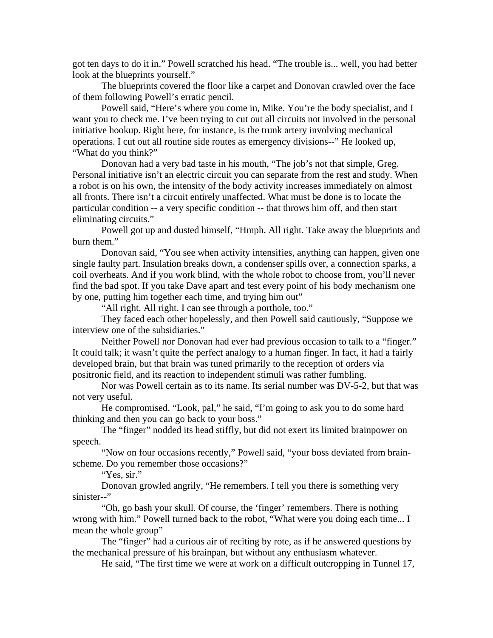got ten days to do it in." Powell scratched his head. "The trouble is... well, you had better look at the blueprints yourself."

 The blueprints covered the floor like a carpet and Donovan crawled over the face of them following Powell's erratic pencil.

 Powell said, "Here's where you come in, Mike. You're the body specialist, and I want you to check me. I've been trying to cut out all circuits not involved in the personal initiative hookup. Right here, for instance, is the trunk artery involving mechanical operations. I cut out all routine side routes as emergency divisions--" He looked up, "What do you think?"

 Donovan had a very bad taste in his mouth, "The job's not that simple, Greg. Personal initiative isn't an electric circuit you can separate from the rest and study. When a robot is on his own, the intensity of the body activity increases immediately on almost all fronts. There isn't a circuit entirely unaffected. What must be done is to locate the particular condition -- a very specific condition -- that throws him off, and then start eliminating circuits."

 Powell got up and dusted himself, "Hmph. All right. Take away the blueprints and burn them."

 Donovan said, "You see when activity intensifies, anything can happen, given one single faulty part. Insulation breaks down, a condenser spills over, a connection sparks, a coil overheats. And if you work blind, with the whole robot to choose from, you'll never find the bad spot. If you take Dave apart and test every point of his body mechanism one by one, putting him together each time, and trying him out"

"All right. All right. I can see through a porthole, too."

 They faced each other hopelessly, and then Powell said cautiously, "Suppose we interview one of the subsidiaries."

 Neither Powell nor Donovan had ever had previous occasion to talk to a "finger." It could talk; it wasn't quite the perfect analogy to a human finger. In fact, it had a fairly developed brain, but that brain was tuned primarily to the reception of orders via positronic field, and its reaction to independent stimuli was rather fumbling.

 Nor was Powell certain as to its name. Its serial number was DV-5-2, but that was not very useful.

 He compromised. "Look, pal," he said, "I'm going to ask you to do some hard thinking and then you can go back to your boss."

 The "finger" nodded its head stiffly, but did not exert its limited brainpower on speech.

 "Now on four occasions recently," Powell said, "your boss deviated from brainscheme. Do you remember those occasions?"

"Yes, sir."

 Donovan growled angrily, "He remembers. I tell you there is something very sinister--"

 "Oh, go bash your skull. Of course, the 'finger' remembers. There is nothing wrong with him." Powell turned back to the robot, "What were you doing each time... I mean the whole group"

 The "finger" had a curious air of reciting by rote, as if he answered questions by the mechanical pressure of his brainpan, but without any enthusiasm whatever.

He said, "The first time we were at work on a difficult outcropping in Tunnel 17,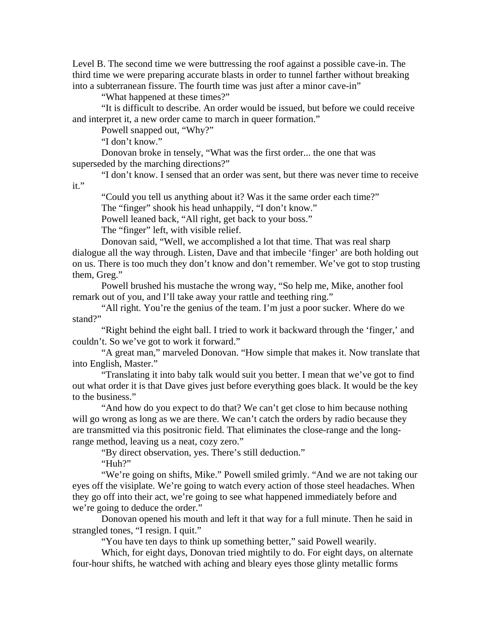Level B. The second time we were buttressing the roof against a possible cave-in. The third time we were preparing accurate blasts in order to tunnel farther without breaking into a subterranean fissure. The fourth time was just after a minor cave-in"

"What happened at these times?"

 "It is difficult to describe. An order would be issued, but before we could receive and interpret it, a new order came to march in queer formation."

Powell snapped out, "Why?"

"I don't know."

 Donovan broke in tensely, "What was the first order... the one that was superseded by the marching directions?"

 "I don't know. I sensed that an order was sent, but there was never time to receive it."

"Could you tell us anything about it? Was it the same order each time?"

The "finger" shook his head unhappily, "I don't know."

Powell leaned back, "All right, get back to your boss."

The "finger" left, with visible relief.

 Donovan said, "Well, we accomplished a lot that time. That was real sharp dialogue all the way through. Listen, Dave and that imbecile 'finger' are both holding out on us. There is too much they don't know and don't remember. We've got to stop trusting them, Greg."

 Powell brushed his mustache the wrong way, "So help me, Mike, another fool remark out of you, and I'll take away your rattle and teething ring."

 "All right. You're the genius of the team. I'm just a poor sucker. Where do we stand?"

 "Right behind the eight ball. I tried to work it backward through the 'finger,' and couldn't. So we've got to work it forward."

 "A great man," marveled Donovan. "How simple that makes it. Now translate that into English, Master."

 "Translating it into baby talk would suit you better. I mean that we've got to find out what order it is that Dave gives just before everything goes black. It would be the key to the business."

 "And how do you expect to do that? We can't get close to him because nothing will go wrong as long as we are there. We can't catch the orders by radio because they are transmitted via this positronic field. That eliminates the close-range and the longrange method, leaving us a neat, cozy zero."

"By direct observation, yes. There's still deduction."

"Huh?"

 "We're going on shifts, Mike." Powell smiled grimly. "And we are not taking our eyes off the visiplate. We're going to watch every action of those steel headaches. When they go off into their act, we're going to see what happened immediately before and we're going to deduce the order."

 Donovan opened his mouth and left it that way for a full minute. Then he said in strangled tones, "I resign. I quit."

"You have ten days to think up something better," said Powell wearily.

 Which, for eight days, Donovan tried mightily to do. For eight days, on alternate four-hour shifts, he watched with aching and bleary eyes those glinty metallic forms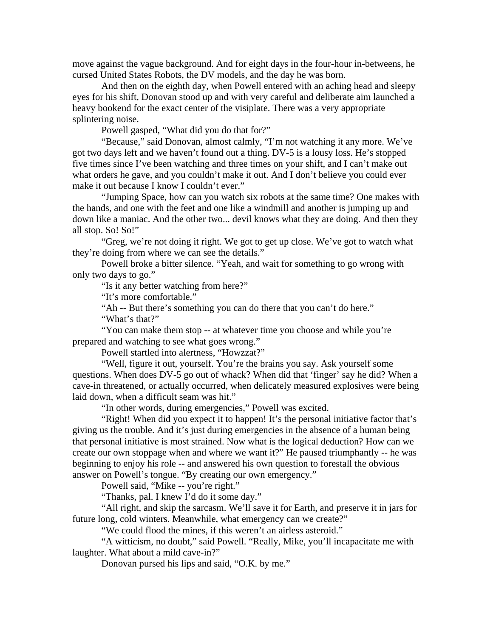move against the vague background. And for eight days in the four-hour in-betweens, he cursed United States Robots, the DV models, and the day he was born.

 And then on the eighth day, when Powell entered with an aching head and sleepy eyes for his shift, Donovan stood up and with very careful and deliberate aim launched a heavy bookend for the exact center of the visiplate. There was a very appropriate splintering noise.

Powell gasped, "What did you do that for?"

 "Because," said Donovan, almost calmly, "I'm not watching it any more. We've got two days left and we haven't found out a thing. DV-5 is a lousy loss. He's stopped five times since I've been watching and three times on your shift, and I can't make out what orders he gave, and you couldn't make it out. And I don't believe you could ever make it out because I know I couldn't ever."

 "Jumping Space, how can you watch six robots at the same time? One makes with the hands, and one with the feet and one like a windmill and another is jumping up and down like a maniac. And the other two... devil knows what they are doing. And then they all stop. So! So!"

 "Greg, we're not doing it right. We got to get up close. We've got to watch what they're doing from where we can see the details."

 Powell broke a bitter silence. "Yeah, and wait for something to go wrong with only two days to go."

"Is it any better watching from here?"

"It's more comfortable."

"Ah -- But there's something you can do there that you can't do here."

"What's that?"

 "You can make them stop -- at whatever time you choose and while you're prepared and watching to see what goes wrong."

Powell startled into alertness, "Howzzat?"

 "Well, figure it out, yourself. You're the brains you say. Ask yourself some questions. When does DV-5 go out of whack? When did that 'finger' say he did? When a cave-in threatened, or actually occurred, when delicately measured explosives were being laid down, when a difficult seam was hit."

"In other words, during emergencies," Powell was excited.

 "Right! When did you expect it to happen! It's the personal initiative factor that's giving us the trouble. And it's just during emergencies in the absence of a human being that personal initiative is most strained. Now what is the logical deduction? How can we create our own stoppage when and where we want it?" He paused triumphantly -- he was beginning to enjoy his role -- and answered his own question to forestall the obvious answer on Powell's tongue. "By creating our own emergency."

Powell said, "Mike -- you're right."

"Thanks, pal. I knew I'd do it some day."

 "All right, and skip the sarcasm. We'll save it for Earth, and preserve it in jars for future long, cold winters. Meanwhile, what emergency can we create?"

"We could flood the mines, if this weren't an airless asteroid."

 "A witticism, no doubt," said Powell. "Really, Mike, you'll incapacitate me with laughter. What about a mild cave-in?"

Donovan pursed his lips and said, "O.K. by me."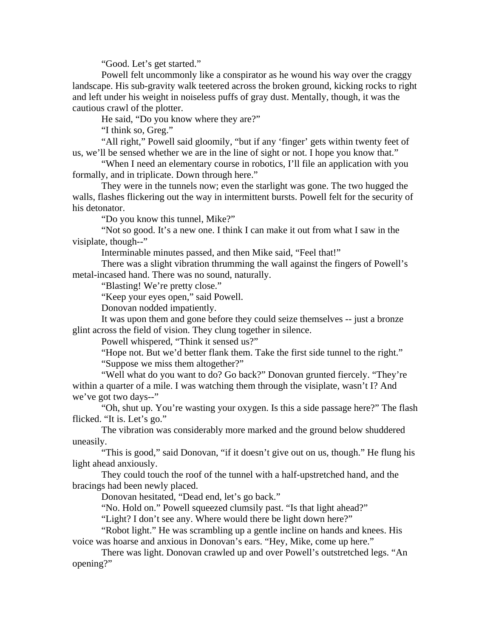"Good. Let's get started."

 Powell felt uncommonly like a conspirator as he wound his way over the craggy landscape. His sub-gravity walk teetered across the broken ground, kicking rocks to right and left under his weight in noiseless puffs of gray dust. Mentally, though, it was the cautious crawl of the plotter.

He said, "Do you know where they are?"

"I think so, Greg."

 "All right," Powell said gloomily, "but if any 'finger' gets within twenty feet of us, we'll be sensed whether we are in the line of sight or not. I hope you know that."

 "When I need an elementary course in robotics, I'll file an application with you formally, and in triplicate. Down through here."

 They were in the tunnels now; even the starlight was gone. The two hugged the walls, flashes flickering out the way in intermittent bursts. Powell felt for the security of his detonator.

"Do you know this tunnel, Mike?"

 "Not so good. It's a new one. I think I can make it out from what I saw in the visiplate, though--"

Interminable minutes passed, and then Mike said, "Feel that!"

 There was a slight vibration thrumming the wall against the fingers of Powell's metal-incased hand. There was no sound, naturally.

"Blasting! We're pretty close."

"Keep your eyes open," said Powell.

Donovan nodded impatiently.

 It was upon them and gone before they could seize themselves -- just a bronze glint across the field of vision. They clung together in silence.

Powell whispered, "Think it sensed us?"

 "Hope not. But we'd better flank them. Take the first side tunnel to the right." "Suppose we miss them altogether?"

"Well what do you want to do? Go back?" Donovan grunted fiercely. "They're within a quarter of a mile. I was watching them through the visiplate, wasn't I? And we've got two days--"

 "Oh, shut up. You're wasting your oxygen. Is this a side passage here?" The flash flicked. "It is. Let's go."

 The vibration was considerably more marked and the ground below shuddered uneasily.

 "This is good," said Donovan, "if it doesn't give out on us, though." He flung his light ahead anxiously.

 They could touch the roof of the tunnel with a half-upstretched hand, and the bracings had been newly placed.

Donovan hesitated, "Dead end, let's go back."

"No. Hold on." Powell squeezed clumsily past. "Is that light ahead?"

"Light? I don't see any. Where would there be light down here?"

 "Robot light." He was scrambling up a gentle incline on hands and knees. His voice was hoarse and anxious in Donovan's ears. "Hey, Mike, come up here."

 There was light. Donovan crawled up and over Powell's outstretched legs. "An opening?"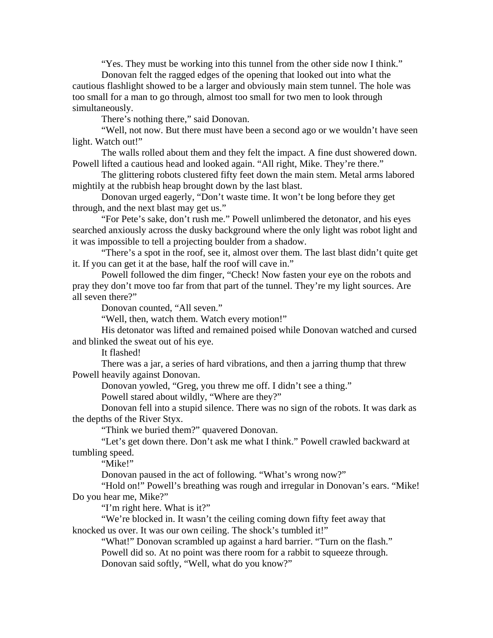"Yes. They must be working into this tunnel from the other side now I think."

 Donovan felt the ragged edges of the opening that looked out into what the cautious flashlight showed to be a larger and obviously main stem tunnel. The hole was too small for a man to go through, almost too small for two men to look through simultaneously.

There's nothing there," said Donovan.

 "Well, not now. But there must have been a second ago or we wouldn't have seen light. Watch out!"

 The walls rolled about them and they felt the impact. A fine dust showered down. Powell lifted a cautious head and looked again. "All right, Mike. They're there."

 The glittering robots clustered fifty feet down the main stem. Metal arms labored mightily at the rubbish heap brought down by the last blast.

 Donovan urged eagerly, "Don't waste time. It won't be long before they get through, and the next blast may get us."

 "For Pete's sake, don't rush me." Powell unlimbered the detonator, and his eyes searched anxiously across the dusky background where the only light was robot light and it was impossible to tell a projecting boulder from a shadow.

 "There's a spot in the roof, see it, almost over them. The last blast didn't quite get it. If you can get it at the base, half the roof will cave in."

 Powell followed the dim finger, "Check! Now fasten your eye on the robots and pray they don't move too far from that part of the tunnel. They're my light sources. Are all seven there?"

Donovan counted, "All seven."

"Well, then, watch them. Watch every motion!"

 His detonator was lifted and remained poised while Donovan watched and cursed and blinked the sweat out of his eye.

It flashed!

 There was a jar, a series of hard vibrations, and then a jarring thump that threw Powell heavily against Donovan.

Donovan yowled, "Greg, you threw me off. I didn't see a thing."

Powell stared about wildly, "Where are they?"

 Donovan fell into a stupid silence. There was no sign of the robots. It was dark as the depths of the River Styx.

"Think we buried them?" quavered Donovan.

 "Let's get down there. Don't ask me what I think." Powell crawled backward at tumbling speed.

"Mike!"

Donovan paused in the act of following. "What's wrong now?"

 "Hold on!" Powell's breathing was rough and irregular in Donovan's ears. "Mike! Do you hear me, Mike?"

"I'm right here. What is it?"

 "We're blocked in. It wasn't the ceiling coming down fifty feet away that knocked us over. It was our own ceiling. The shock's tumbled it!"

 "What!" Donovan scrambled up against a hard barrier. "Turn on the flash." Powell did so. At no point was there room for a rabbit to squeeze through. Donovan said softly, "Well, what do you know?"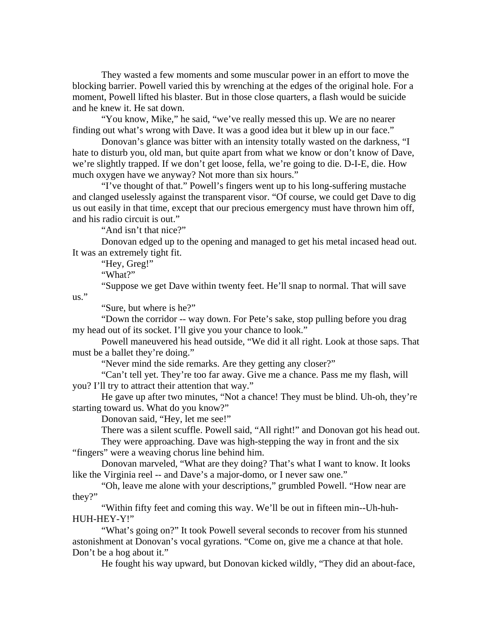They wasted a few moments and some muscular power in an effort to move the blocking barrier. Powell varied this by wrenching at the edges of the original hole. For a moment, Powell lifted his blaster. But in those close quarters, a flash would be suicide and he knew it. He sat down.

 "You know, Mike," he said, "we've really messed this up. We are no nearer finding out what's wrong with Dave. It was a good idea but it blew up in our face."

 Donovan's glance was bitter with an intensity totally wasted on the darkness, "I hate to disturb you, old man, but quite apart from what we know or don't know of Dave, we're slightly trapped. If we don't get loose, fella, we're going to die. D-I-E, die. How much oxygen have we anyway? Not more than six hours."

 "I've thought of that." Powell's fingers went up to his long-suffering mustache and clanged uselessly against the transparent visor. "Of course, we could get Dave to dig us out easily in that time, except that our precious emergency must have thrown him off, and his radio circuit is out."

"And isn't that nice?"

 Donovan edged up to the opening and managed to get his metal incased head out. It was an extremely tight fit.

"Hey, Greg!"

"What?"

us."

"Suppose we get Dave within twenty feet. He'll snap to normal. That will save

"Sure, but where is he?"

 "Down the corridor -- way down. For Pete's sake, stop pulling before you drag my head out of its socket. I'll give you your chance to look."

 Powell maneuvered his head outside, "We did it all right. Look at those saps. That must be a ballet they're doing."

"Never mind the side remarks. Are they getting any closer?"

 "Can't tell yet. They're too far away. Give me a chance. Pass me my flash, will you? I'll try to attract their attention that way."

 He gave up after two minutes, "Not a chance! They must be blind. Uh-oh, they're starting toward us. What do you know?"

Donovan said, "Hey, let me see!"

There was a silent scuffle. Powell said, "All right!" and Donovan got his head out.

 They were approaching. Dave was high-stepping the way in front and the six "fingers" were a weaving chorus line behind him.

 Donovan marveled, "What are they doing? That's what I want to know. It looks like the Virginia reel -- and Dave's a major-domo, or I never saw one."

 "Oh, leave me alone with your descriptions," grumbled Powell. "How near are they?"

 "Within fifty feet and coming this way. We'll be out in fifteen min--Uh-huh-HUH-HEY-Y!"

 "What's going on?" It took Powell several seconds to recover from his stunned astonishment at Donovan's vocal gyrations. "Come on, give me a chance at that hole. Don't be a hog about it."

He fought his way upward, but Donovan kicked wildly, "They did an about-face,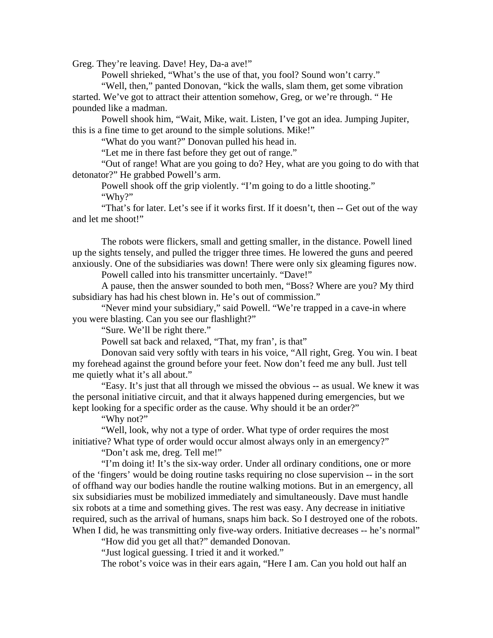Greg. They're leaving. Dave! Hey, Da-a ave!"

Powell shrieked, "What's the use of that, you fool? Sound won't carry."

 "Well, then," panted Donovan, "kick the walls, slam them, get some vibration started. We've got to attract their attention somehow, Greg, or we're through. " He pounded like a madman.

 Powell shook him, "Wait, Mike, wait. Listen, I've got an idea. Jumping Jupiter, this is a fine time to get around to the simple solutions. Mike!"

"What do you want?" Donovan pulled his head in.

"Let me in there fast before they get out of range."

 "Out of range! What are you going to do? Hey, what are you going to do with that detonator?" He grabbed Powell's arm.

 Powell shook off the grip violently. "I'm going to do a little shooting." "Why?"

"That's for later. Let's see if it works first. If it doesn't, then -- Get out of the way and let me shoot!"

 The robots were flickers, small and getting smaller, in the distance. Powell lined up the sights tensely, and pulled the trigger three times. He lowered the guns and peered anxiously. One of the subsidiaries was down! There were only six gleaming figures now.

Powell called into his transmitter uncertainly. "Dave!"

 A pause, then the answer sounded to both men, "Boss? Where are you? My third subsidiary has had his chest blown in. He's out of commission."

 "Never mind your subsidiary," said Powell. "We're trapped in a cave-in where you were blasting. Can you see our flashlight?"

"Sure. We'll be right there."

Powell sat back and relaxed, "That, my fran', is that"

 Donovan said very softly with tears in his voice, "All right, Greg. You win. I beat my forehead against the ground before your feet. Now don't feed me any bull. Just tell me quietly what it's all about."

 "Easy. It's just that all through we missed the obvious -- as usual. We knew it was the personal initiative circuit, and that it always happened during emergencies, but we kept looking for a specific order as the cause. Why should it be an order?"

"Why not?"

 "Well, look, why not a type of order. What type of order requires the most initiative? What type of order would occur almost always only in an emergency?"

"Don't ask me, dreg. Tell me!"

 "I'm doing it! It's the six-way order. Under all ordinary conditions, one or more of the 'fingers' would be doing routine tasks requiring no close supervision -- in the sort of offhand way our bodies handle the routine walking motions. But in an emergency, all six subsidiaries must be mobilized immediately and simultaneously. Dave must handle six robots at a time and something gives. The rest was easy. Any decrease in initiative required, such as the arrival of humans, snaps him back. So I destroyed one of the robots. When I did, he was transmitting only five-way orders. Initiative decreases -- he's normal"

"How did you get all that?" demanded Donovan.

"Just logical guessing. I tried it and it worked."

The robot's voice was in their ears again, "Here I am. Can you hold out half an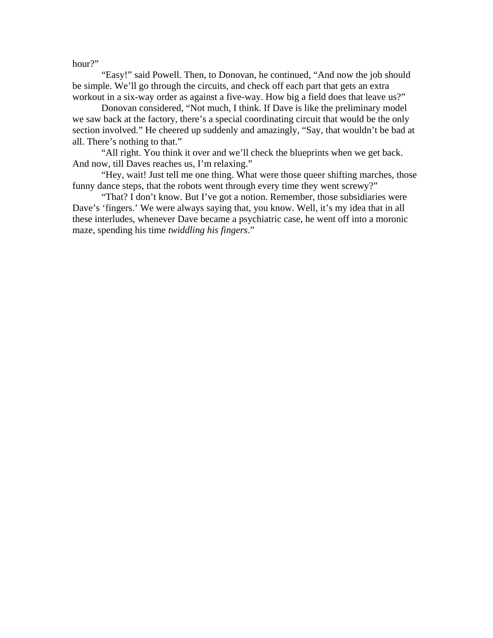hour?"

 "Easy!" said Powell. Then, to Donovan, he continued, "And now the job should be simple. We'll go through the circuits, and check off each part that gets an extra workout in a six-way order as against a five-way. How big a field does that leave us?"

 Donovan considered, "Not much, I think. If Dave is like the preliminary model we saw back at the factory, there's a special coordinating circuit that would be the only section involved." He cheered up suddenly and amazingly, "Say, that wouldn't be bad at all. There's nothing to that."

 "All right. You think it over and we'll check the blueprints when we get back. And now, till Daves reaches us, I'm relaxing."

 "Hey, wait! Just tell me one thing. What were those queer shifting marches, those funny dance steps, that the robots went through every time they went screwy?"

 "That? I don't know. But I've got a notion. Remember, those subsidiaries were Dave's 'fingers.' We were always saying that, you know. Well, it's my idea that in all these interludes, whenever Dave became a psychiatric case, he went off into a moronic maze, spending his time *twiddling his fingers*."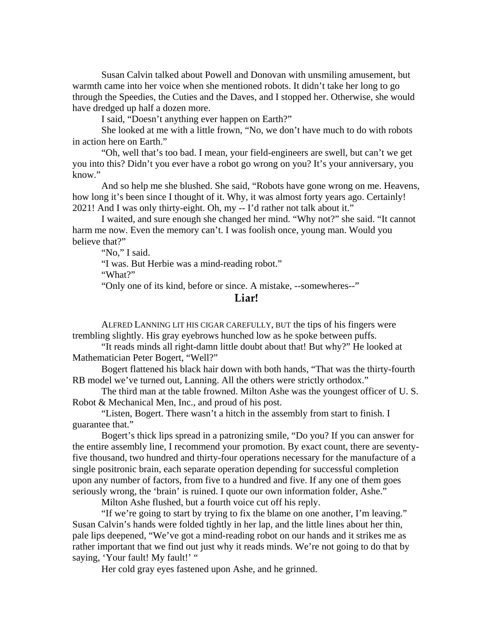Susan Calvin talked about Powell and Donovan with unsmiling amusement, but warmth came into her voice when she mentioned robots. It didn't take her long to go through the Speedies, the Cuties and the Daves, and I stopped her. Otherwise, she would have dredged up half a dozen more.

I said, "Doesn't anything ever happen on Earth?"

 She looked at me with a little frown, "No, we don't have much to do with robots in action here on Earth."

 "Oh, well that's too bad. I mean, your field-engineers are swell, but can't we get you into this? Didn't you ever have a robot go wrong on you? It's your anniversary, you know."

 And so help me she blushed. She said, "Robots have gone wrong on me. Heavens, how long it's been since I thought of it. Why, it was almost forty years ago. Certainly! 2021! And I was only thirty-eight. Oh, my -- I'd rather not talk about it."

 I waited, and sure enough she changed her mind. "Why not?" she said. "It cannot harm me now. Even the memory can't. I was foolish once, young man. Would you believe that?"

"No," I said.

 "I was. But Herbie was a mind-reading robot." "What?"

"Only one of its kind, before or since. A mistake, --somewheres--"

## **Liar!**

ALFRED LANNING LIT HIS CIGAR CAREFULLY, BUT the tips of his fingers were trembling slightly. His gray eyebrows hunched low as he spoke between puffs.

 "It reads minds all right-damn little doubt about that! But why?" He looked at Mathematician Peter Bogert, "Well?"

 Bogert flattened his black hair down with both hands, "That was the thirty-fourth RB model we've turned out, Lanning. All the others were strictly orthodox."

 The third man at the table frowned. Milton Ashe was the youngest officer of U. S. Robot & Mechanical Men, Inc., and proud of his post.

 "Listen, Bogert. There wasn't a hitch in the assembly from start to finish. I guarantee that."

 Bogert's thick lips spread in a patronizing smile, "Do you? If you can answer for the entire assembly line, I recommend your promotion. By exact count, there are seventyfive thousand, two hundred and thirty-four operations necessary for the manufacture of a single positronic brain, each separate operation depending for successful completion upon any number of factors, from five to a hundred and five. If any one of them goes seriously wrong, the 'brain' is ruined. I quote our own information folder, Ashe."

Milton Ashe flushed, but a fourth voice cut off his reply.

 "If we're going to start by trying to fix the blame on one another, I'm leaving." Susan Calvin's hands were folded tightly in her lap, and the little lines about her thin, pale lips deepened, "We've got a mind-reading robot on our hands and it strikes me as rather important that we find out just why it reads minds. We're not going to do that by saying, 'Your fault! My fault!' "

Her cold gray eyes fastened upon Ashe, and he grinned.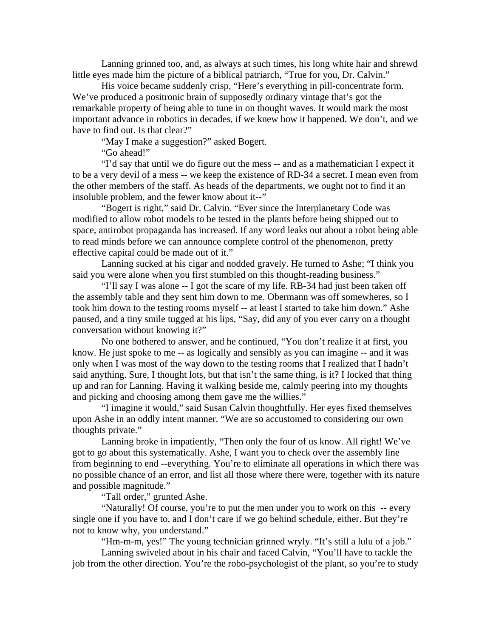Lanning grinned too, and, as always at such times, his long white hair and shrewd little eyes made him the picture of a biblical patriarch, "True for you, Dr. Calvin."

 His voice became suddenly crisp, "Here's everything in pill-concentrate form. We've produced a positronic brain of supposedly ordinary vintage that's got the remarkable property of being able to tune in on thought waves. It would mark the most important advance in robotics in decades, if we knew how it happened. We don't, and we have to find out. Is that clear?"

"May I make a suggestion?" asked Bogert.

"Go ahead!"

 "I'd say that until we do figure out the mess -- and as a mathematician I expect it to be a very devil of a mess -- we keep the existence of RD-34 a secret. I mean even from the other members of the staff. As heads of the departments, we ought not to find it an insoluble problem, and the fewer know about it--"

 "Bogert is right," said Dr. Calvin. "Ever since the Interplanetary Code was modified to allow robot models to be tested in the plants before being shipped out to space, antirobot propaganda has increased. If any word leaks out about a robot being able to read minds before we can announce complete control of the phenomenon, pretty effective capital could be made out of it."

 Lanning sucked at his cigar and nodded gravely. He turned to Ashe; "I think you said you were alone when you first stumbled on this thought-reading business."

 "I'll say I was alone -- I got the scare of my life. RB-34 had just been taken off the assembly table and they sent him down to me. Obermann was off somewheres, so I took him down to the testing rooms myself -- at least I started to take him down." Ashe paused, and a tiny smile tugged at his lips, "Say, did any of you ever carry on a thought conversation without knowing it?"

 No one bothered to answer, and he continued, "You don't realize it at first, you know. He just spoke to me -- as logically and sensibly as you can imagine -- and it was only when I was most of the way down to the testing rooms that I realized that I hadn't said anything. Sure, I thought lots, but that isn't the same thing, is it? I locked that thing up and ran for Lanning. Having it walking beside me, calmly peering into my thoughts and picking and choosing among them gave me the willies."

 "I imagine it would," said Susan Calvin thoughtfully. Her eyes fixed themselves upon Ashe in an oddly intent manner. "We are so accustomed to considering our own thoughts private."

 Lanning broke in impatiently, "Then only the four of us know. All right! We've got to go about this systematically. Ashe, I want you to check over the assembly line from beginning to end --everything. You're to eliminate all operations in which there was no possible chance of an error, and list all those where there were, together with its nature and possible magnitude."

"Tall order," grunted Ashe.

 "Naturally! Of course, you're to put the men under you to work on this -- every single one if you have to, and I don't care if we go behind schedule, either. But they're not to know why, you understand."

"Hm-m-m, yes!" The young technician grinned wryly. "It's still a lulu of a job."

 Lanning swiveled about in his chair and faced Calvin, "You'll have to tackle the job from the other direction. You're the robo-psychologist of the plant, so you're to study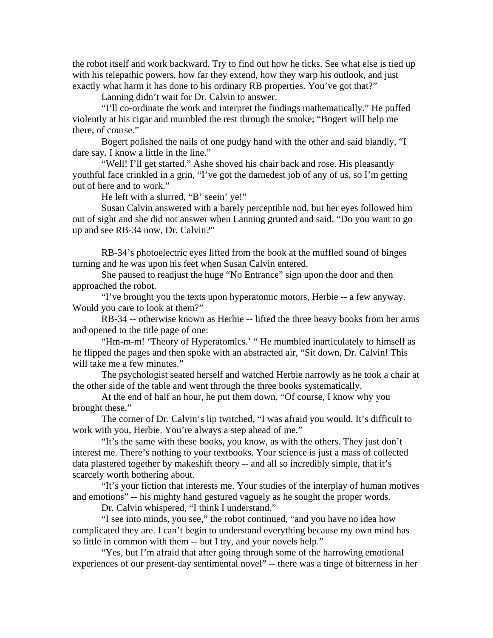the robot itself and work backward. Try to find out how he ticks. See what else is tied up with his telepathic powers, how far they extend, how they warp his outlook, and just exactly what harm it has done to his ordinary RB properties. You've got that?"

Lanning didn't wait for Dr. Calvin to answer.

 "I'll co-ordinate the work and interpret the findings mathematically." He puffed violently at his cigar and mumbled the rest through the smoke; "Bogert will help me there, of course."

 Bogert polished the nails of one pudgy hand with the other and said blandly, "I dare say. I know a little in the line."

 "Well! I'll get started." Ashe shoved his chair back and rose. His pleasantly youthful face crinkled in a grin, "I've got the darnedest job of any of us, so I'm getting out of here and to work."

He left with a slurred, "B' seein' ye!"

 Susan Calvin answered with a barely perceptible nod, but her eyes followed him out of sight and she did not answer when Lanning grunted and said, "Do you want to go up and see RB-34 now, Dr. Calvin?"

 RB-34's photoelectric eyes lifted from the book at the muffled sound of binges turning and he was upon his feet when Susan Calvin entered.

 She paused to readjust the huge "No Entrance" sign upon the door and then approached the robot.

 "I've brought you the texts upon hyperatomic motors, Herbie -- a few anyway. Would you care to look at them?"

 RB-34 -- otherwise known as Herbie -- lifted the three heavy books from her arms and opened to the title page of one:

 "Hm-m-m! 'Theory of Hyperatomics.' " He mumbled inarticulately to himself as he flipped the pages and then spoke with an abstracted air, "Sit down, Dr. Calvin! This will take me a few minutes."

 The psychologist seated herself and watched Herbie narrowly as he took a chair at the other side of the table and went through the three books systematically.

 At the end of half an hour, he put them down, "Of course, I know why you brought these."

 The corner of Dr. Calvin's lip twitched, "I was afraid you would. It's difficult to work with you, Herbie. You're always a step ahead of me."

 "It's the same with these books, you know, as with the others. They just don't interest me. There's nothing to your textbooks. Your science is just a mass of collected data plastered together by makeshift theory -- and all so incredibly simple, that it's scarcely worth bothering about.

 "It's your fiction that interests me. Your studies of the interplay of human motives and emotions" -- his mighty hand gestured vaguely as he sought the proper words.

Dr. Calvin whispered, "I think I understand."

 "I see into minds, you see," the robot continued, "and you have no idea how complicated they are. I can't begin to understand everything because my own mind has so little in common with them -- but I try, and your novels help."

"Yes, but I'm afraid that after going through some of the harrowing emotional experiences of our present-day sentimental novel" -- there was a tinge of bitterness in her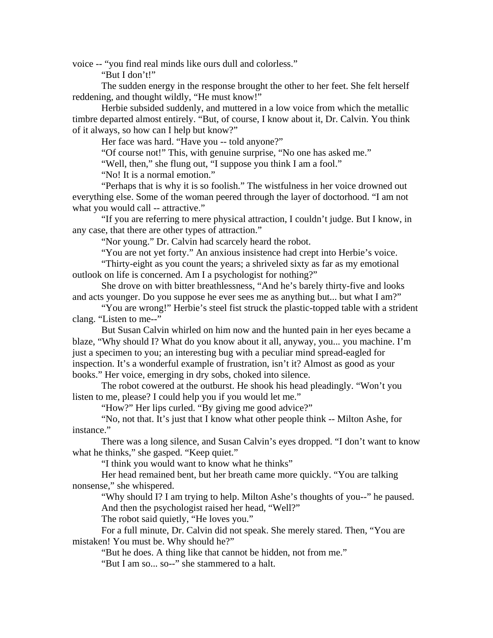voice -- "you find real minds like ours dull and colorless."

"But I don't!"

 The sudden energy in the response brought the other to her feet. She felt herself reddening, and thought wildly, "He must know!"

 Herbie subsided suddenly, and muttered in a low voice from which the metallic timbre departed almost entirely. "But, of course, I know about it, Dr. Calvin. You think of it always, so how can I help but know?"

Her face was hard. "Have you -- told anyone?"

"Of course not!" This, with genuine surprise, "No one has asked me."

"Well, then," she flung out, "I suppose you think I am a fool."

"No! It is a normal emotion."

 "Perhaps that is why it is so foolish." The wistfulness in her voice drowned out everything else. Some of the woman peered through the layer of doctorhood. "I am not what you would call -- attractive."

 "If you are referring to mere physical attraction, I couldn't judge. But I know, in any case, that there are other types of attraction."

"Nor young." Dr. Calvin had scarcely heard the robot.

"You are not yet forty." An anxious insistence had crept into Herbie's voice.

 "Thirty-eight as you count the years; a shriveled sixty as far as my emotional outlook on life is concerned. Am I a psychologist for nothing?"

 She drove on with bitter breathlessness, "And he's barely thirty-five and looks and acts younger. Do you suppose he ever sees me as anything but... but what I am?"

 "You are wrong!" Herbie's steel fist struck the plastic-topped table with a strident clang. "Listen to me--"

 But Susan Calvin whirled on him now and the hunted pain in her eyes became a blaze, "Why should I? What do you know about it all, anyway, you... you machine. I'm just a specimen to you; an interesting bug with a peculiar mind spread-eagled for inspection. It's a wonderful example of frustration, isn't it? Almost as good as your books." Her voice, emerging in dry sobs, choked into silence.

 The robot cowered at the outburst. He shook his head pleadingly. "Won't you listen to me, please? I could help you if you would let me."

"How?" Her lips curled. "By giving me good advice?"

 "No, not that. It's just that I know what other people think -- Milton Ashe, for instance."

 There was a long silence, and Susan Calvin's eyes dropped. "I don't want to know what he thinks," she gasped. "Keep quiet."

"I think you would want to know what he thinks"

 Her head remained bent, but her breath came more quickly. "You are talking nonsense," she whispered.

 "Why should I? I am trying to help. Milton Ashe's thoughts of you--" he paused. And then the psychologist raised her head, "Well?"

The robot said quietly, "He loves you."

 For a full minute, Dr. Calvin did not speak. She merely stared. Then, "You are mistaken! You must be. Why should he?"

"But he does. A thing like that cannot be hidden, not from me."

"But I am so... so--" she stammered to a halt.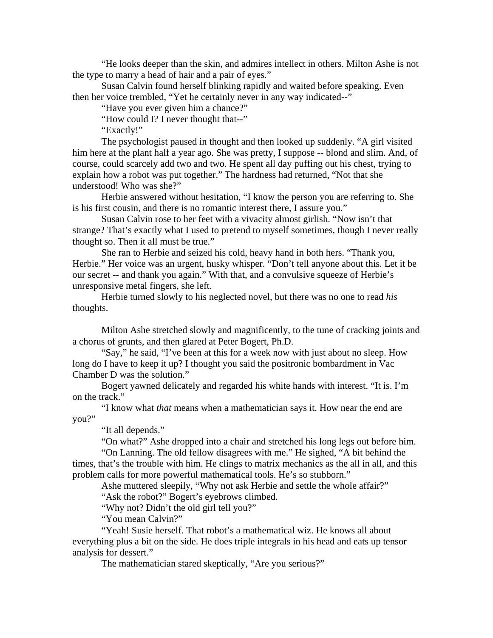"He looks deeper than the skin, and admires intellect in others. Milton Ashe is not the type to marry a head of hair and a pair of eyes."

 Susan Calvin found herself blinking rapidly and waited before speaking. Even then her voice trembled, "Yet he certainly never in any way indicated--"

"Have you ever given him a chance?"

"How could I? I never thought that--"

"Exactly!"

 The psychologist paused in thought and then looked up suddenly. "A girl visited him here at the plant half a year ago. She was pretty, I suppose -- blond and slim. And, of course, could scarcely add two and two. He spent all day puffing out his chest, trying to explain how a robot was put together." The hardness had returned, "Not that she understood! Who was she?"

 Herbie answered without hesitation, "I know the person you are referring to. She is his first cousin, and there is no romantic interest there, I assure you."

 Susan Calvin rose to her feet with a vivacity almost girlish. "Now isn't that strange? That's exactly what I used to pretend to myself sometimes, though I never really thought so. Then it all must be true."

 She ran to Herbie and seized his cold, heavy hand in both hers. "Thank you, Herbie." Her voice was an urgent, husky whisper. "Don't tell anyone about this. Let it be our secret -- and thank you again." With that, and a convulsive squeeze of Herbie's unresponsive metal fingers, she left.

 Herbie turned slowly to his neglected novel, but there was no one to read *his* thoughts.

 Milton Ashe stretched slowly and magnificently, to the tune of cracking joints and a chorus of grunts, and then glared at Peter Bogert, Ph.D.

 "Say," he said, "I've been at this for a week now with just about no sleep. How long do I have to keep it up? I thought you said the positronic bombardment in Vac Chamber D was the solution."

 Bogert yawned delicately and regarded his white hands with interest. "It is. I'm on the track."

 "I know what *that* means when a mathematician says it. How near the end are you?"

"It all depends."

"On what?" Ashe dropped into a chair and stretched his long legs out before him.

 "On Lanning. The old fellow disagrees with me." He sighed, "A bit behind the times, that's the trouble with him. He clings to matrix mechanics as the all in all, and this problem calls for more powerful mathematical tools. He's so stubborn."

Ashe muttered sleepily, "Why not ask Herbie and settle the whole affair?"

"Ask the robot?" Bogert's eyebrows climbed.

"Why not? Didn't the old girl tell you?"

"You mean Calvin?"

 "Yeah! Susie herself. That robot's a mathematical wiz. He knows all about everything plus a bit on the side. He does triple integrals in his head and eats up tensor analysis for dessert."

The mathematician stared skeptically, "Are you serious?"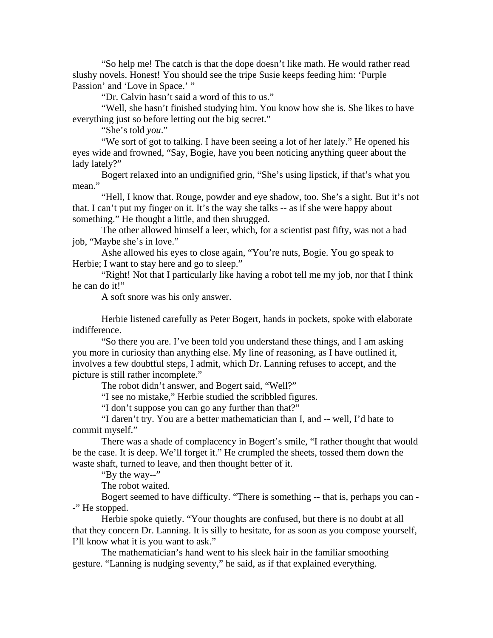"So help me! The catch is that the dope doesn't like math. He would rather read slushy novels. Honest! You should see the tripe Susie keeps feeding him: 'Purple Passion' and 'Love in Space.' "

"Dr. Calvin hasn't said a word of this to us."

 "Well, she hasn't finished studying him. You know how she is. She likes to have everything just so before letting out the big secret."

"She's told *you*."

 "We sort of got to talking. I have been seeing a lot of her lately." He opened his eyes wide and frowned, "Say, Bogie, have you been noticing anything queer about the lady lately?"

 Bogert relaxed into an undignified grin, "She's using lipstick, if that's what you mean."

 "Hell, I know that. Rouge, powder and eye shadow, too. She's a sight. But it's not that. I can't put my finger on it. It's the way she talks -- as if she were happy about something." He thought a little, and then shrugged.

 The other allowed himself a leer, which, for a scientist past fifty, was not a bad job, "Maybe she's in love."

 Ashe allowed his eyes to close again, "You're nuts, Bogie. You go speak to Herbie; I want to stay here and go to sleep."

 "Right! Not that I particularly like having a robot tell me my job, nor that I think he can do it!"

A soft snore was his only answer.

 Herbie listened carefully as Peter Bogert, hands in pockets, spoke with elaborate indifference.

 "So there you are. I've been told you understand these things, and I am asking you more in curiosity than anything else. My line of reasoning, as I have outlined it, involves a few doubtful steps, I admit, which Dr. Lanning refuses to accept, and the picture is still rather incomplete."

The robot didn't answer, and Bogert said, "Well?"

"I see no mistake," Herbie studied the scribbled figures.

"I don't suppose you can go any further than that?"

 "I daren't try. You are a better mathematician than I, and -- well, I'd hate to commit myself."

 There was a shade of complacency in Bogert's smile, "I rather thought that would be the case. It is deep. We'll forget it." He crumpled the sheets, tossed them down the waste shaft, turned to leave, and then thought better of it.

"By the way--"

The robot waited.

 Bogert seemed to have difficulty. "There is something -- that is, perhaps you can - -" He stopped.

 Herbie spoke quietly. "Your thoughts are confused, but there is no doubt at all that they concern Dr. Lanning. It is silly to hesitate, for as soon as you compose yourself, I'll know what it is you want to ask."

 The mathematician's hand went to his sleek hair in the familiar smoothing gesture. "Lanning is nudging seventy," he said, as if that explained everything.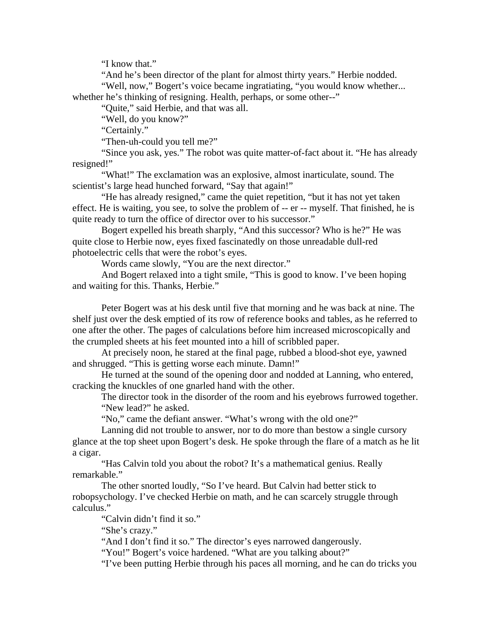"I know that."

"And he's been director of the plant for almost thirty years." Herbie nodded.

 "Well, now," Bogert's voice became ingratiating, "you would know whether... whether he's thinking of resigning. Health, perhaps, or some other--"

"Quite," said Herbie, and that was all.

"Well, do you know?"

"Certainly."

"Then-uh-could you tell me?"

 "Since you ask, yes." The robot was quite matter-of-fact about it. "He has already resigned!"

 "What!" The exclamation was an explosive, almost inarticulate, sound. The scientist's large head hunched forward, "Say that again!"

 "He has already resigned," came the quiet repetition, "but it has not yet taken effect. He is waiting, you see, to solve the problem of -- er -- myself. That finished, he is quite ready to turn the office of director over to his successor."

 Bogert expelled his breath sharply, "And this successor? Who is he?" He was quite close to Herbie now, eyes fixed fascinatedly on those unreadable dull-red photoelectric cells that were the robot's eyes.

Words came slowly, "You are the next director."

 And Bogert relaxed into a tight smile, "This is good to know. I've been hoping and waiting for this. Thanks, Herbie."

 Peter Bogert was at his desk until five that morning and he was back at nine. The shelf just over the desk emptied of its row of reference books and tables, as he referred to one after the other. The pages of calculations before him increased microscopically and the crumpled sheets at his feet mounted into a hill of scribbled paper.

 At precisely noon, he stared at the final page, rubbed a blood-shot eye, yawned and shrugged. "This is getting worse each minute. Damn!"

 He turned at the sound of the opening door and nodded at Lanning, who entered, cracking the knuckles of one gnarled hand with the other.

 The director took in the disorder of the room and his eyebrows furrowed together. "New lead?" he asked.

"No," came the defiant answer. "What's wrong with the old one?"

 Lanning did not trouble to answer, nor to do more than bestow a single cursory glance at the top sheet upon Bogert's desk. He spoke through the flare of a match as he lit a cigar.

 "Has Calvin told you about the robot? It's a mathematical genius. Really remarkable."

 The other snorted loudly, "So I've heard. But Calvin had better stick to robopsychology. I've checked Herbie on math, and he can scarcely struggle through calculus."

"Calvin didn't find it so."

"She's crazy."

"And I don't find it so." The director's eyes narrowed dangerously.

"You!" Bogert's voice hardened. "What are you talking about?"

"I've been putting Herbie through his paces all morning, and he can do tricks you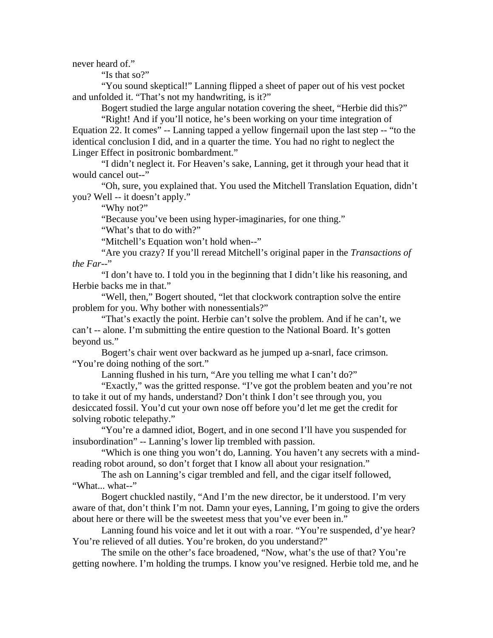never heard of."

"Is that so?"

 "You sound skeptical!" Lanning flipped a sheet of paper out of his vest pocket and unfolded it. "That's not my handwriting, is it?"

Bogert studied the large angular notation covering the sheet, "Herbie did this?"

 "Right! And if you'll notice, he's been working on your time integration of Equation 22. It comes" -- Lanning tapped a yellow fingernail upon the last step -- "to the identical conclusion I did, and in a quarter the time. You had no right to neglect the Linger Effect in positronic bombardment."

 "I didn't neglect it. For Heaven's sake, Lanning, get it through your head that it would cancel out--"

 "Oh, sure, you explained that. You used the Mitchell Translation Equation, didn't you? Well -- it doesn't apply."

"Why not?"

"Because you've been using hyper-imaginaries, for one thing."

"What's that to do with?"

"Mitchell's Equation won't hold when--"

 "Are you crazy? If you'll reread Mitchell's original paper in the *Transactions of the Far*--"

 "I don't have to. I told you in the beginning that I didn't like his reasoning, and Herbie backs me in that."

 "Well, then," Bogert shouted, "let that clockwork contraption solve the entire problem for you. Why bother with nonessentials?"

 "That's exactly the point. Herbie can't solve the problem. And if he can't, we can't -- alone. I'm submitting the entire question to the National Board. It's gotten beyond us."

 Bogert's chair went over backward as he jumped up a-snarl, face crimson. "You're doing nothing of the sort."

Lanning flushed in his turn, "Are you telling me what I can't do?"

 "Exactly," was the gritted response. "I've got the problem beaten and you're not to take it out of my hands, understand? Don't think I don't see through you, you desiccated fossil. You'd cut your own nose off before you'd let me get the credit for solving robotic telepathy."

 "You're a damned idiot, Bogert, and in one second I'll have you suspended for insubordination" -- Lanning's lower lip trembled with passion.

 "Which is one thing you won't do, Lanning. You haven't any secrets with a mindreading robot around, so don't forget that I know all about your resignation."

 The ash on Lanning's cigar trembled and fell, and the cigar itself followed, "What... what--"

 Bogert chuckled nastily, "And I'm the new director, be it understood. I'm very aware of that, don't think I'm not. Damn your eyes, Lanning, I'm going to give the orders about here or there will be the sweetest mess that you've ever been in."

 Lanning found his voice and let it out with a roar. "You're suspended, d'ye hear? You're relieved of all duties. You're broken, do you understand?"

 The smile on the other's face broadened, "Now, what's the use of that? You're getting nowhere. I'm holding the trumps. I know you've resigned. Herbie told me, and he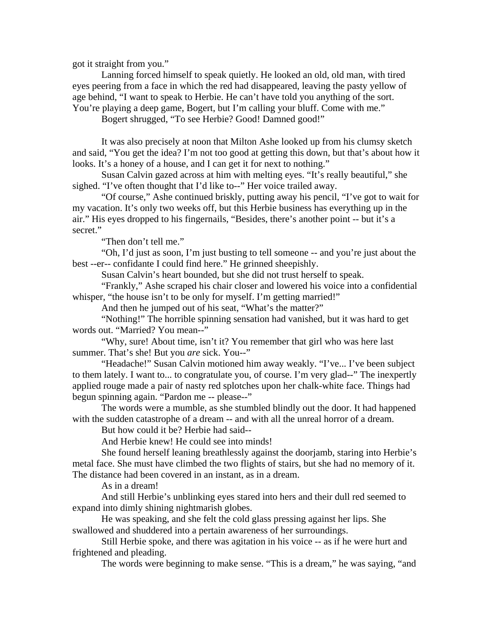got it straight from you."

 Lanning forced himself to speak quietly. He looked an old, old man, with tired eyes peering from a face in which the red had disappeared, leaving the pasty yellow of age behind, "I want to speak to Herbie. He can't have told you anything of the sort. You're playing a deep game, Bogert, but I'm calling your bluff. Come with me."

Bogert shrugged, "To see Herbie? Good! Damned good!"

 It was also precisely at noon that Milton Ashe looked up from his clumsy sketch and said, "You get the idea? I'm not too good at getting this down, but that's about how it looks. It's a honey of a house, and I can get it for next to nothing."

 Susan Calvin gazed across at him with melting eyes. "It's really beautiful," she sighed. "I've often thought that I'd like to--" Her voice trailed away.

 "Of course," Ashe continued briskly, putting away his pencil, "I've got to wait for my vacation. It's only two weeks off, but this Herbie business has everything up in the air." His eyes dropped to his fingernails, "Besides, there's another point -- but it's a secret."

"Then don't tell me."

 "Oh, I'd just as soon, I'm just busting to tell someone -- and you're just about the best --er-- confidante I could find here." He grinned sheepishly.

Susan Calvin's heart bounded, but she did not trust herself to speak.

 "Frankly," Ashe scraped his chair closer and lowered his voice into a confidential whisper, "the house isn't to be only for myself. I'm getting married!"

And then he jumped out of his seat, "What's the matter?"

 "Nothing!" The horrible spinning sensation had vanished, but it was hard to get words out. "Married? You mean--"

 "Why, sure! About time, isn't it? You remember that girl who was here last summer. That's she! But you *are* sick. You--"

"Headache!" Susan Calvin motioned him away weakly. "I've... I've been subject to them lately. I want to... to congratulate you, of course. I'm very glad--" The inexpertly applied rouge made a pair of nasty red splotches upon her chalk-white face. Things had begun spinning again. "Pardon me -- please--"

 The words were a mumble, as she stumbled blindly out the door. It had happened with the sudden catastrophe of a dream -- and with all the unreal horror of a dream.

But how could it be? Herbie had said--

And Herbie knew! He could see into minds!

 She found herself leaning breathlessly against the doorjamb, staring into Herbie's metal face. She must have climbed the two flights of stairs, but she had no memory of it. The distance had been covered in an instant, as in a dream.

As in a dream!

 And still Herbie's unblinking eyes stared into hers and their dull red seemed to expand into dimly shining nightmarish globes.

 He was speaking, and she felt the cold glass pressing against her lips. She swallowed and shuddered into a pertain awareness of her surroundings.

 Still Herbie spoke, and there was agitation in his voice -- as if he were hurt and frightened and pleading.

The words were beginning to make sense. "This is a dream," he was saying, "and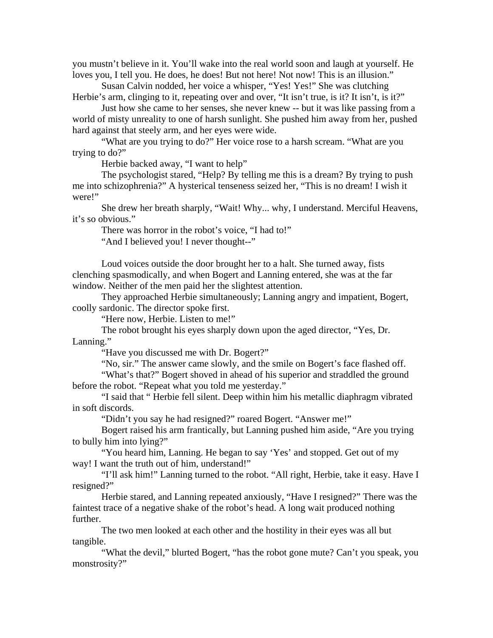you mustn't believe in it. You'll wake into the real world soon and laugh at yourself. He loves you, I tell you. He does, he does! But not here! Not now! This is an illusion."

 Susan Calvin nodded, her voice a whisper, "Yes! Yes!" She was clutching Herbie's arm, clinging to it, repeating over and over, "It isn't true, is it? It isn't, is it?"

 Just how she came to her senses, she never knew -- but it was like passing from a world of misty unreality to one of harsh sunlight. She pushed him away from her, pushed hard against that steely arm, and her eyes were wide.

 "What are you trying to do?" Her voice rose to a harsh scream. "What are you trying to do?"

Herbie backed away, "I want to help"

 The psychologist stared, "Help? By telling me this is a dream? By trying to push me into schizophrenia?" A hysterical tenseness seized her, "This is no dream! I wish it were!"

 She drew her breath sharply, "Wait! Why... why, I understand. Merciful Heavens, it's so obvious."

There was horror in the robot's voice, "I had to!"

"And I believed you! I never thought--"

 Loud voices outside the door brought her to a halt. She turned away, fists clenching spasmodically, and when Bogert and Lanning entered, she was at the far window. Neither of the men paid her the slightest attention.

 They approached Herbie simultaneously; Lanning angry and impatient, Bogert, coolly sardonic. The director spoke first.

"Here now, Herbie. Listen to me!"

 The robot brought his eyes sharply down upon the aged director, "Yes, Dr. Lanning."

"Have you discussed me with Dr. Bogert?"

"No, sir." The answer came slowly, and the smile on Bogert's face flashed off.

 "What's that?" Bogert shoved in ahead of his superior and straddled the ground before the robot. "Repeat what you told me yesterday."

 "I said that " Herbie fell silent. Deep within him his metallic diaphragm vibrated in soft discords.

"Didn't you say he had resigned?" roared Bogert. "Answer me!"

 Bogert raised his arm frantically, but Lanning pushed him aside, "Are you trying to bully him into lying?"

 "You heard him, Lanning. He began to say 'Yes' and stopped. Get out of my way! I want the truth out of him, understand!"

 "I'll ask him!" Lanning turned to the robot. "All right, Herbie, take it easy. Have I resigned?"

 Herbie stared, and Lanning repeated anxiously, "Have I resigned?" There was the faintest trace of a negative shake of the robot's head. A long wait produced nothing further.

 The two men looked at each other and the hostility in their eyes was all but tangible.

 "What the devil," blurted Bogert, "has the robot gone mute? Can't you speak, you monstrosity?"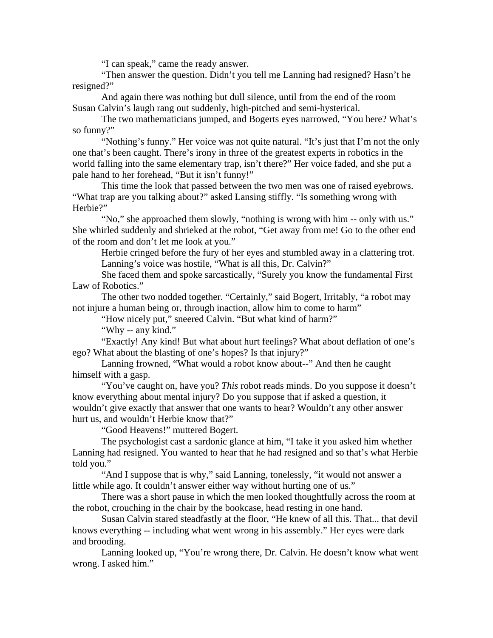"I can speak," came the ready answer.

 "Then answer the question. Didn't you tell me Lanning had resigned? Hasn't he resigned?"

 And again there was nothing but dull silence, until from the end of the room Susan Calvin's laugh rang out suddenly, high-pitched and semi-hysterical.

 The two mathematicians jumped, and Bogerts eyes narrowed, "You here? What's so funny?"

 "Nothing's funny." Her voice was not quite natural. "It's just that I'm not the only one that's been caught. There's irony in three of the greatest experts in robotics in the world falling into the same elementary trap, isn't there?" Her voice faded, and she put a pale hand to her forehead, "But it isn't funny!"

 This time the look that passed between the two men was one of raised eyebrows. "What trap are you talking about?" asked Lansing stiffly. "Is something wrong with Herbie?"

 "No," she approached them slowly, "nothing is wrong with him -- only with us." She whirled suddenly and shrieked at the robot, "Get away from me! Go to the other end of the room and don't let me look at you."

 Herbie cringed before the fury of her eyes and stumbled away in a clattering trot. Lanning's voice was hostile, "What is all this, Dr. Calvin?"

 She faced them and spoke sarcastically, "Surely you know the fundamental First Law of Robotics."

 The other two nodded together. "Certainly," said Bogert, Irritably, "a robot may not injure a human being or, through inaction, allow him to come to harm"

"How nicely put," sneered Calvin. "But what kind of harm?"

"Why -- any kind."

 "Exactly! Any kind! But what about hurt feelings? What about deflation of one's ego? What about the blasting of one's hopes? Is that injury?"

 Lanning frowned, "What would a robot know about--" And then he caught himself with a gasp.

 "You've caught on, have you? *This* robot reads minds. Do you suppose it doesn't know everything about mental injury? Do you suppose that if asked a question, it wouldn't give exactly that answer that one wants to hear? Wouldn't any other answer hurt us, and wouldn't Herbie know that?"

"Good Heavens!" muttered Bogert.

 The psychologist cast a sardonic glance at him, "I take it you asked him whether Lanning had resigned. You wanted to hear that he had resigned and so that's what Herbie told you."

 "And I suppose that is why," said Lanning, tonelessly, "it would not answer a little while ago. It couldn't answer either way without hurting one of us."

 There was a short pause in which the men looked thoughtfully across the room at the robot, crouching in the chair by the bookcase, head resting in one hand.

 Susan Calvin stared steadfastly at the floor, "He knew of all this. That... that devil knows everything -- including what went wrong in his assembly." Her eyes were dark and brooding.

 Lanning looked up, "You're wrong there, Dr. Calvin. He doesn't know what went wrong. I asked him."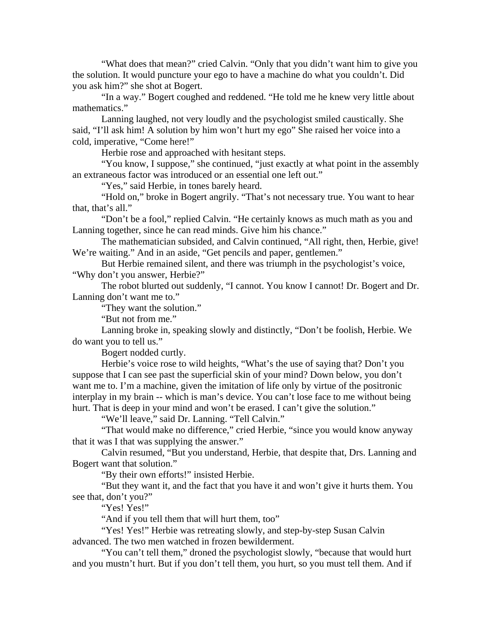"What does that mean?" cried Calvin. "Only that you didn't want him to give you the solution. It would puncture your ego to have a machine do what you couldn't. Did you ask him?" she shot at Bogert.

 "In a way." Bogert coughed and reddened. "He told me he knew very little about mathematics."

 Lanning laughed, not very loudly and the psychologist smiled caustically. She said, "I'll ask him! A solution by him won't hurt my ego" She raised her voice into a cold, imperative, "Come here!"

Herbie rose and approached with hesitant steps.

 "You know, I suppose," she continued, "just exactly at what point in the assembly an extraneous factor was introduced or an essential one left out."

"Yes," said Herbie, in tones barely heard.

 "Hold on," broke in Bogert angrily. "That's not necessary true. You want to hear that, that's all."

 "Don't be a fool," replied Calvin. "He certainly knows as much math as you and Lanning together, since he can read minds. Give him his chance."

 The mathematician subsided, and Calvin continued, "All right, then, Herbie, give! We're waiting." And in an aside, "Get pencils and paper, gentlemen."

 But Herbie remained silent, and there was triumph in the psychologist's voice, "Why don't you answer, Herbie?"

 The robot blurted out suddenly, "I cannot. You know I cannot! Dr. Bogert and Dr. Lanning don't want me to."

"They want the solution."

"But not from me."

 Lanning broke in, speaking slowly and distinctly, "Don't be foolish, Herbie. We do want you to tell us."

Bogert nodded curtly.

 Herbie's voice rose to wild heights, "What's the use of saying that? Don't you suppose that I can see past the superficial skin of your mind? Down below, you don't want me to. I'm a machine, given the imitation of life only by virtue of the positronic interplay in my brain -- which is man's device. You can't lose face to me without being hurt. That is deep in your mind and won't be erased. I can't give the solution."

"We'll leave," said Dr. Lanning. "Tell Calvin."

 "That would make no difference," cried Herbie, "since you would know anyway that it was I that was supplying the answer."

 Calvin resumed, "But you understand, Herbie, that despite that, Drs. Lanning and Bogert want that solution."

"By their own efforts!" insisted Herbie.

 "But they want it, and the fact that you have it and won't give it hurts them. You see that, don't you?"

"Yes! Yes!"

"And if you tell them that will hurt them, too"

"Yes! Yes!" Herbie was retreating slowly, and step-by-step Susan Calvin advanced. The two men watched in frozen bewilderment.

"You can't tell them," droned the psychologist slowly, "because that would hurt and you mustn't hurt. But if you don't tell them, you hurt, so you must tell them. And if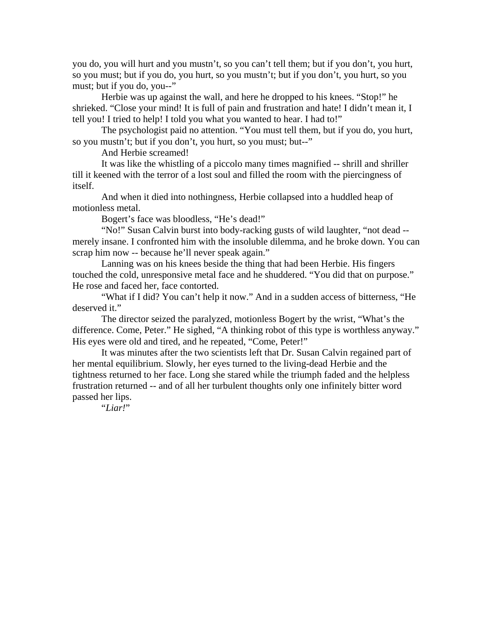you do, you will hurt and you mustn't, so you can't tell them; but if you don't, you hurt, so you must; but if you do, you hurt, so you mustn't; but if you don't, you hurt, so you must; but if you do, you--"

 Herbie was up against the wall, and here he dropped to his knees. "Stop!" he shrieked. "Close your mind! It is full of pain and frustration and hate! I didn't mean it, I tell you! I tried to help! I told you what you wanted to hear. I had to!"

 The psychologist paid no attention. "You must tell them, but if you do, you hurt, so you mustn't; but if you don't, you hurt, so you must; but--"

And Herbie screamed!

 It was like the whistling of a piccolo many times magnified -- shrill and shriller till it keened with the terror of a lost soul and filled the room with the piercingness of itself.

 And when it died into nothingness, Herbie collapsed into a huddled heap of motionless metal.

Bogert's face was bloodless, "He's dead!"

 "No!" Susan Calvin burst into body-racking gusts of wild laughter, "not dead - merely insane. I confronted him with the insoluble dilemma, and he broke down. You can scrap him now -- because he'll never speak again."

 Lanning was on his knees beside the thing that had been Herbie. His fingers touched the cold, unresponsive metal face and he shuddered. "You did that on purpose." He rose and faced her, face contorted.

 "What if I did? You can't help it now." And in a sudden access of bitterness, "He deserved it."

 The director seized the paralyzed, motionless Bogert by the wrist, "What's the difference. Come, Peter." He sighed, "A thinking robot of this type is worthless anyway." His eyes were old and tired, and he repeated, "Come, Peter!"

 It was minutes after the two scientists left that Dr. Susan Calvin regained part of her mental equilibrium. Slowly, her eyes turned to the living-dead Herbie and the tightness returned to her face. Long she stared while the triumph faded and the helpless frustration returned -- and of all her turbulent thoughts only one infinitely bitter word passed her lips.

"*Liar!*"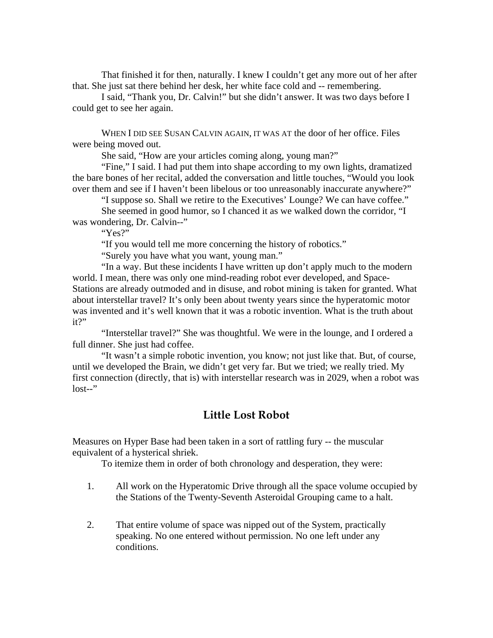That finished it for then, naturally. I knew I couldn't get any more out of her after that. She just sat there behind her desk, her white face cold and -- remembering.

 I said, "Thank you, Dr. Calvin!" but she didn't answer. It was two days before I could get to see her again.

WHEN I DID SEE SUSAN CALVIN AGAIN, IT WAS AT the door of her office. Files were being moved out.

She said, "How are your articles coming along, young man?"

 "Fine," I said. I had put them into shape according to my own lights, dramatized the bare bones of her recital, added the conversation and little touches, "Would you look over them and see if I haven't been libelous or too unreasonably inaccurate anywhere?"

"I suppose so. Shall we retire to the Executives' Lounge? We can have coffee."

 She seemed in good humor, so I chanced it as we walked down the corridor, "I was wondering, Dr. Calvin--"

"Yes?"

"If you would tell me more concerning the history of robotics."

"Surely you have what you want, young man."

 "In a way. But these incidents I have written up don't apply much to the modern world. I mean, there was only one mind-reading robot ever developed, and Space-Stations are already outmoded and in disuse, and robot mining is taken for granted. What about interstellar travel? It's only been about twenty years since the hyperatomic motor was invented and it's well known that it was a robotic invention. What is the truth about it?"

 "Interstellar travel?" She was thoughtful. We were in the lounge, and I ordered a full dinner. She just had coffee.

 "It wasn't a simple robotic invention, you know; not just like that. But, of course, until we developed the Brain, we didn't get very far. But we tried; we really tried. My first connection (directly, that is) with interstellar research was in 2029, when a robot was  $lost--"$ 

## **Little Lost Robot**

Measures on Hyper Base had been taken in a sort of rattling fury -- the muscular equivalent of a hysterical shriek.

To itemize them in order of both chronology and desperation, they were:

- 1. All work on the Hyperatomic Drive through all the space volume occupied by the Stations of the Twenty-Seventh Asteroidal Grouping came to a halt.
- 2. That entire volume of space was nipped out of the System, practically speaking. No one entered without permission. No one left under any conditions.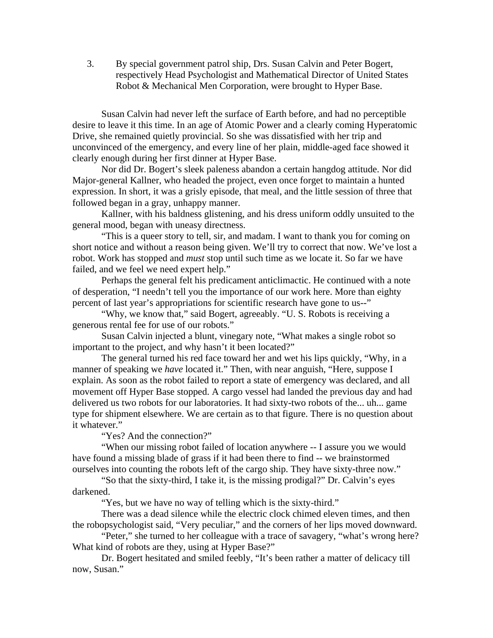3. By special government patrol ship, Drs. Susan Calvin and Peter Bogert, respectively Head Psychologist and Mathematical Director of United States Robot & Mechanical Men Corporation, were brought to Hyper Base.

Susan Calvin had never left the surface of Earth before, and had no perceptible desire to leave it this time. In an age of Atomic Power and a clearly coming Hyperatomic Drive, she remained quietly provincial. So she was dissatisfied with her trip and unconvinced of the emergency, and every line of her plain, middle-aged face showed it clearly enough during her first dinner at Hyper Base.

 Nor did Dr. Bogert's sleek paleness abandon a certain hangdog attitude. Nor did Major-general Kallner, who headed the project, even once forget to maintain a hunted expression. In short, it was a grisly episode, that meal, and the little session of three that followed began in a gray, unhappy manner.

 Kallner, with his baldness glistening, and his dress uniform oddly unsuited to the general mood, began with uneasy directness.

 "This is a queer story to tell, sir, and madam. I want to thank you for coming on short notice and without a reason being given. We'll try to correct that now. We've lost a robot. Work has stopped and *must* stop until such time as we locate it. So far we have failed, and we feel we need expert help."

 Perhaps the general felt his predicament anticlimactic. He continued with a note of desperation, "I needn't tell you the importance of our work here. More than eighty percent of last year's appropriations for scientific research have gone to us--"

 "Why, we know that," said Bogert, agreeably. "U. S. Robots is receiving a generous rental fee for use of our robots."

 Susan Calvin injected a blunt, vinegary note, "What makes a single robot so important to the project, and why hasn't it been located?"

 The general turned his red face toward her and wet his lips quickly, "Why, in a manner of speaking we *have* located it." Then, with near anguish, "Here, suppose I explain. As soon as the robot failed to report a state of emergency was declared, and all movement off Hyper Base stopped. A cargo vessel had landed the previous day and had delivered us two robots for our laboratories. It had sixty-two robots of the... uh... game type for shipment elsewhere. We are certain as to that figure. There is no question about it whatever."

"Yes? And the connection?"

 "When our missing robot failed of location anywhere -- I assure you we would have found a missing blade of grass if it had been there to find -- we brainstormed ourselves into counting the robots left of the cargo ship. They have sixty-three now."

 "So that the sixty-third, I take it, is the missing prodigal?" Dr. Calvin's eyes darkened.

"Yes, but we have no way of telling which is the sixty-third."

 There was a dead silence while the electric clock chimed eleven times, and then the robopsychologist said, "Very peculiar," and the corners of her lips moved downward.

 "Peter," she turned to her colleague with a trace of savagery, "what's wrong here? What kind of robots are they, using at Hyper Base?"

 Dr. Bogert hesitated and smiled feebly, "It's been rather a matter of delicacy till now, Susan."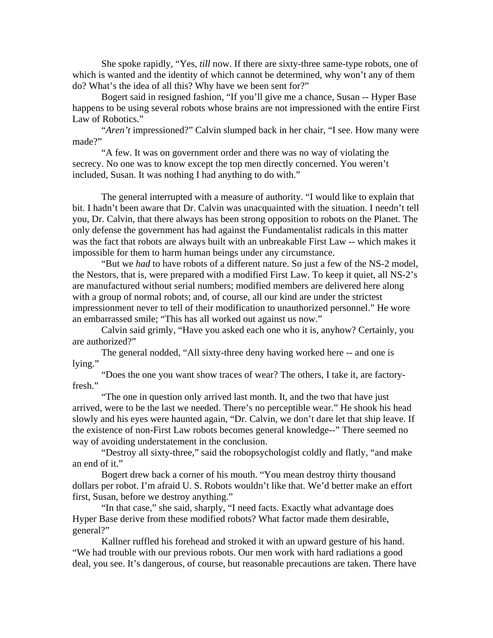She spoke rapidly, "Yes, *till* now. If there are sixty-three same-type robots, one of which is wanted and the identity of which cannot be determined, why won't any of them do? What's the idea of all this? Why have we been sent for?"

 Bogert said in resigned fashion, "If you'll give me a chance, Susan -- Hyper Base happens to be using several robots whose brains are not impressioned with the entire First Law of Robotics."

 "*Aren't* impressioned?" Calvin slumped back in her chair, "I see. How many were made?"

 "A few. It was on government order and there was no way of violating the secrecy. No one was to know except the top men directly concerned. You weren't included, Susan. It was nothing I had anything to do with."

 The general interrupted with a measure of authority. "I would like to explain that bit. I hadn't been aware that Dr. Calvin was unacquainted with the situation. I needn't tell you, Dr. Calvin, that there always has been strong opposition to robots on the Planet. The only defense the government has had against the Fundamentalist radicals in this matter was the fact that robots are always built with an unbreakable First Law -- which makes it impossible for them to harm human beings under any circumstance.

 "But we *had* to have robots of a different nature. So just a few of the NS-2 model, the Nestors, that is, were prepared with a modified First Law. To keep it quiet, all NS-2's are manufactured without serial numbers; modified members are delivered here along with a group of normal robots; and, of course, all our kind are under the strictest impressionment never to tell of their modification to unauthorized personnel." He wore an embarrassed smile; "This has all worked out against us now."

 Calvin said grimly, "Have you asked each one who it is, anyhow? Certainly, you are authorized?"

 The general nodded, "All sixty-three deny having worked here -- and one is lying."

 "Does the one you want show traces of wear? The others, I take it, are factoryfresh."

 "The one in question only arrived last month. It, and the two that have just arrived, were to be the last we needed. There's no perceptible wear." He shook his head slowly and his eyes were haunted again, "Dr. Calvin, we don't dare let that ship leave. If the existence of non-First Law robots becomes general knowledge--" There seemed no way of avoiding understatement in the conclusion.

 "Destroy all sixty-three," said the robopsychologist coldly and flatly, "and make an end of it."

 Bogert drew back a corner of his mouth. "You mean destroy thirty thousand dollars per robot. I'm afraid U. S. Robots wouldn't like that. We'd better make an effort first, Susan, before we destroy anything."

 "In that case," she said, sharply, "I need facts. Exactly what advantage does Hyper Base derive from these modified robots? What factor made them desirable, general?"

 Kallner ruffled his forehead and stroked it with an upward gesture of his hand. "We had trouble with our previous robots. Our men work with hard radiations a good deal, you see. It's dangerous, of course, but reasonable precautions are taken. There have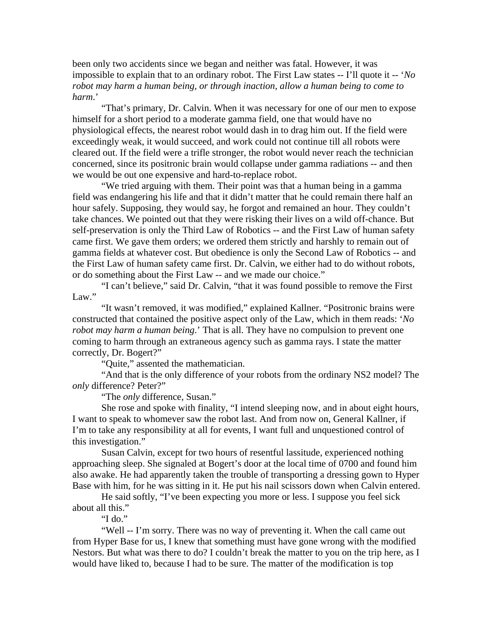been only two accidents since we began and neither was fatal. However, it was impossible to explain that to an ordinary robot. The First Law states -- I'll quote it -- '*No robot may harm a human being, or through inaction, allow a human being to come to harm*.'

 "That's primary, Dr. Calvin. When it was necessary for one of our men to expose himself for a short period to a moderate gamma field, one that would have no physiological effects, the nearest robot would dash in to drag him out. If the field were exceedingly weak, it would succeed, and work could not continue till all robots were cleared out. If the field were a trifle stronger, the robot would never reach the technician concerned, since its positronic brain would collapse under gamma radiations -- and then we would be out one expensive and hard-to-replace robot.

 "We tried arguing with them. Their point was that a human being in a gamma field was endangering his life and that it didn't matter that he could remain there half an hour safely. Supposing, they would say, he forgot and remained an hour. They couldn't take chances. We pointed out that they were risking their lives on a wild off-chance. But self-preservation is only the Third Law of Robotics -- and the First Law of human safety came first. We gave them orders; we ordered them strictly and harshly to remain out of gamma fields at whatever cost. But obedience is only the Second Law of Robotics -- and the First Law of human safety came first. Dr. Calvin, we either had to do without robots, or do something about the First Law -- and we made our choice."

 "I can't believe," said Dr. Calvin, "that it was found possible to remove the First Law."

 "It wasn't removed, it was modified," explained Kallner. "Positronic brains were constructed that contained the positive aspect only of the Law, which in them reads: '*No robot may harm a human being*.' That is all. They have no compulsion to prevent one coming to harm through an extraneous agency such as gamma rays. I state the matter correctly, Dr. Bogert?"

"Quite," assented the mathematician.

 "And that is the only difference of your robots from the ordinary NS2 model? The *only* difference? Peter?"

"The *only* difference, Susan."

 She rose and spoke with finality, "I intend sleeping now, and in about eight hours, I want to speak to whomever saw the robot last. And from now on, General Kallner, if I'm to take any responsibility at all for events, I want full and unquestioned control of this investigation."

 Susan Calvin, except for two hours of resentful lassitude, experienced nothing approaching sleep. She signaled at Bogert's door at the local time of 0700 and found him also awake. He had apparently taken the trouble of transporting a dressing gown to Hyper Base with him, for he was sitting in it. He put his nail scissors down when Calvin entered.

 He said softly, "I've been expecting you more or less. I suppose you feel sick about all this."

"I do."

 "Well -- I'm sorry. There was no way of preventing it. When the call came out from Hyper Base for us, I knew that something must have gone wrong with the modified Nestors. But what was there to do? I couldn't break the matter to you on the trip here, as I would have liked to, because I had to be sure. The matter of the modification is top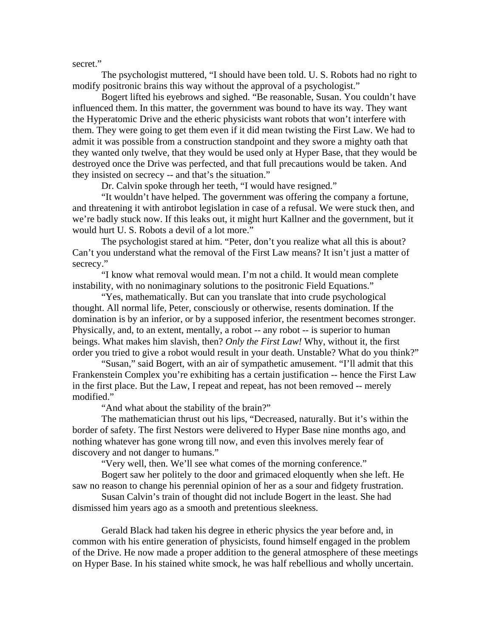secret."

 The psychologist muttered, "I should have been told. U. S. Robots had no right to modify positronic brains this way without the approval of a psychologist."

 Bogert lifted his eyebrows and sighed. "Be reasonable, Susan. You couldn't have influenced them. In this matter, the government was bound to have its way. They want the Hyperatomic Drive and the etheric physicists want robots that won't interfere with them. They were going to get them even if it did mean twisting the First Law. We had to admit it was possible from a construction standpoint and they swore a mighty oath that they wanted only twelve, that they would be used only at Hyper Base, that they would be destroyed once the Drive was perfected, and that full precautions would be taken. And they insisted on secrecy -- and that's the situation."

Dr. Calvin spoke through her teeth, "I would have resigned."

 "It wouldn't have helped. The government was offering the company a fortune, and threatening it with antirobot legislation in case of a refusal. We were stuck then, and we're badly stuck now. If this leaks out, it might hurt Kallner and the government, but it would hurt U. S. Robots a devil of a lot more."

 The psychologist stared at him. "Peter, don't you realize what all this is about? Can't you understand what the removal of the First Law means? It isn't just a matter of secrecy."

 "I know what removal would mean. I'm not a child. It would mean complete instability, with no nonimaginary solutions to the positronic Field Equations."

 "Yes, mathematically. But can you translate that into crude psychological thought. All normal life, Peter, consciously or otherwise, resents domination. If the domination is by an inferior, or by a supposed inferior, the resentment becomes stronger. Physically, and, to an extent, mentally, a robot -- any robot -- is superior to human beings. What makes him slavish, then? *Only the First Law!* Why, without it, the first order you tried to give a robot would result in your death. Unstable? What do you think?"

 "Susan," said Bogert, with an air of sympathetic amusement. "I'll admit that this Frankenstein Complex you're exhibiting has a certain justification -- hence the First Law in the first place. But the Law, I repeat and repeat, has not been removed -- merely modified."

"And what about the stability of the brain?"

 The mathematician thrust out his lips, "Decreased, naturally. But it's within the border of safety. The first Nestors were delivered to Hyper Base nine months ago, and nothing whatever has gone wrong till now, and even this involves merely fear of discovery and not danger to humans."

"Very well, then. We'll see what comes of the morning conference."

 Bogert saw her politely to the door and grimaced eloquently when she left. He saw no reason to change his perennial opinion of her as a sour and fidgety frustration.

 Susan Calvin's train of thought did not include Bogert in the least. She had dismissed him years ago as a smooth and pretentious sleekness.

 Gerald Black had taken his degree in etheric physics the year before and, in common with his entire generation of physicists, found himself engaged in the problem of the Drive. He now made a proper addition to the general atmosphere of these meetings on Hyper Base. In his stained white smock, he was half rebellious and wholly uncertain.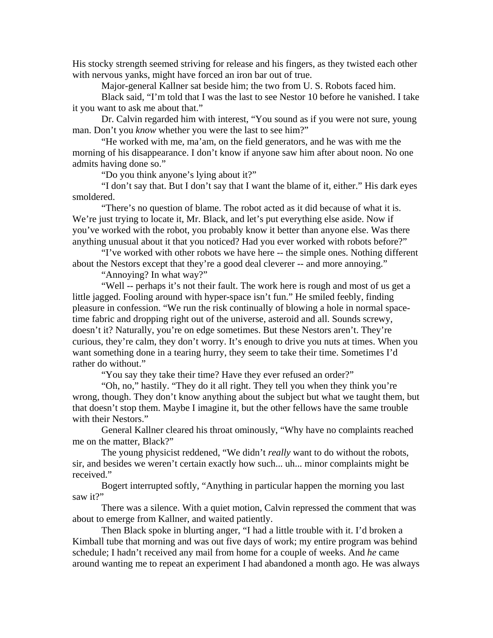His stocky strength seemed striving for release and his fingers, as they twisted each other with nervous yanks, might have forced an iron bar out of true.

Major-general Kallner sat beside him; the two from U. S. Robots faced him.

 Black said, "I'm told that I was the last to see Nestor 10 before he vanished. I take it you want to ask me about that."

 Dr. Calvin regarded him with interest, "You sound as if you were not sure, young man. Don't you *know* whether you were the last to see him?"

 "He worked with me, ma'am, on the field generators, and he was with me the morning of his disappearance. I don't know if anyone saw him after about noon. No one admits having done so."

"Do you think anyone's lying about it?"

 "I don't say that. But I don't say that I want the blame of it, either." His dark eyes smoldered.

 "There's no question of blame. The robot acted as it did because of what it is. We're just trying to locate it, Mr. Black, and let's put everything else aside. Now if you've worked with the robot, you probably know it better than anyone else. Was there anything unusual about it that you noticed? Had you ever worked with robots before?"

 "I've worked with other robots we have here -- the simple ones. Nothing different about the Nestors except that they're a good deal cleverer -- and more annoying."

"Annoying? In what way?"

 "Well -- perhaps it's not their fault. The work here is rough and most of us get a little jagged. Fooling around with hyper-space isn't fun." He smiled feebly, finding pleasure in confession. "We run the risk continually of blowing a hole in normal spacetime fabric and dropping right out of the universe, asteroid and all. Sounds screwy, doesn't it? Naturally, you're on edge sometimes. But these Nestors aren't. They're curious, they're calm, they don't worry. It's enough to drive you nuts at times. When you want something done in a tearing hurry, they seem to take their time. Sometimes I'd rather do without."

"You say they take their time? Have they ever refused an order?"

 "Oh, no," hastily. "They do it all right. They tell you when they think you're wrong, though. They don't know anything about the subject but what we taught them, but that doesn't stop them. Maybe I imagine it, but the other fellows have the same trouble with their Nestors."

 General Kallner cleared his throat ominously, "Why have no complaints reached me on the matter, Black?"

 The young physicist reddened, "We didn't *really* want to do without the robots, sir, and besides we weren't certain exactly how such... uh... minor complaints might be received."

 Bogert interrupted softly, "Anything in particular happen the morning you last saw it?"

 There was a silence. With a quiet motion, Calvin repressed the comment that was about to emerge from Kallner, and waited patiently.

 Then Black spoke in blurting anger, "I had a little trouble with it. I'd broken a Kimball tube that morning and was out five days of work; my entire program was behind schedule; I hadn't received any mail from home for a couple of weeks. And *he* came around wanting me to repeat an experiment I had abandoned a month ago. He was always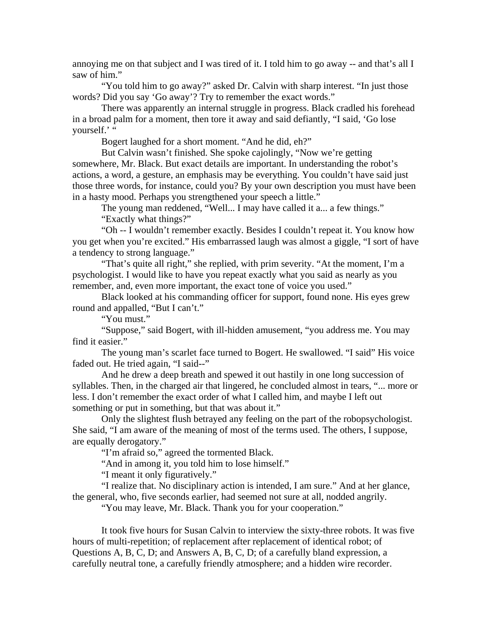annoying me on that subject and I was tired of it. I told him to go away -- and that's all I saw of him."

 "You told him to go away?" asked Dr. Calvin with sharp interest. "In just those words? Did you say 'Go away'? Try to remember the exact words."

 There was apparently an internal struggle in progress. Black cradled his forehead in a broad palm for a moment, then tore it away and said defiantly, "I said, 'Go lose yourself.' "

Bogert laughed for a short moment. "And he did, eh?"

 But Calvin wasn't finished. She spoke cajolingly, "Now we're getting somewhere, Mr. Black. But exact details are important. In understanding the robot's actions, a word, a gesture, an emphasis may be everything. You couldn't have said just those three words, for instance, could you? By your own description you must have been in a hasty mood. Perhaps you strengthened your speech a little."

 The young man reddened, "Well... I may have called it a... a few things." "Exactly what things?"

 "Oh -- I wouldn't remember exactly. Besides I couldn't repeat it. You know how you get when you're excited." His embarrassed laugh was almost a giggle, "I sort of have a tendency to strong language."

"That's quite all right," she replied, with prim severity. "At the moment, I'm a psychologist. I would like to have you repeat exactly what you said as nearly as you remember, and, even more important, the exact tone of voice you used."

 Black looked at his commanding officer for support, found none. His eyes grew round and appalled, "But I can't."

"You must."

 "Suppose," said Bogert, with ill-hidden amusement, "you address me. You may find it easier."

 The young man's scarlet face turned to Bogert. He swallowed. "I said" His voice faded out. He tried again, "I said--"

 And he drew a deep breath and spewed it out hastily in one long succession of syllables. Then, in the charged air that lingered, he concluded almost in tears, "... more or less. I don't remember the exact order of what I called him, and maybe I left out something or put in something, but that was about it."

 Only the slightest flush betrayed any feeling on the part of the robopsychologist. She said, "I am aware of the meaning of most of the terms used. The others, I suppose, are equally derogatory."

"I'm afraid so," agreed the tormented Black.

"And in among it, you told him to lose himself."

"I meant it only figuratively."

 "I realize that. No disciplinary action is intended, I am sure." And at her glance, the general, who, five seconds earlier, had seemed not sure at all, nodded angrily.

"You may leave, Mr. Black. Thank you for your cooperation."

 It took five hours for Susan Calvin to interview the sixty-three robots. It was five hours of multi-repetition; of replacement after replacement of identical robot; of Questions A, B, C, D; and Answers A, B, C, D; of a carefully bland expression, a carefully neutral tone, a carefully friendly atmosphere; and a hidden wire recorder.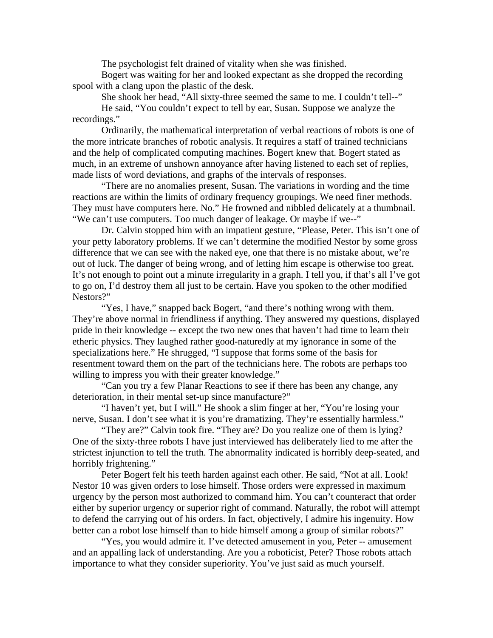The psychologist felt drained of vitality when she was finished.

 Bogert was waiting for her and looked expectant as she dropped the recording spool with a clang upon the plastic of the desk.

 She shook her head, "All sixty-three seemed the same to me. I couldn't tell--" He said, "You couldn't expect to tell by ear, Susan. Suppose we analyze the recordings."

 Ordinarily, the mathematical interpretation of verbal reactions of robots is one of the more intricate branches of robotic analysis. It requires a staff of trained technicians and the help of complicated computing machines. Bogert knew that. Bogert stated as much, in an extreme of unshown annoyance after having listened to each set of replies, made lists of word deviations, and graphs of the intervals of responses.

 "There are no anomalies present, Susan. The variations in wording and the time reactions are within the limits of ordinary frequency groupings. We need finer methods. They must have computers here. No." He frowned and nibbled delicately at a thumbnail. "We can't use computers. Too much danger of leakage. Or maybe if we--"

 Dr. Calvin stopped him with an impatient gesture, "Please, Peter. This isn't one of your petty laboratory problems. If we can't determine the modified Nestor by some gross difference that we can see with the naked eye, one that there is no mistake about, we're out of luck. The danger of being wrong, and of letting him escape is otherwise too great. It's not enough to point out a minute irregularity in a graph. I tell you, if that's all I've got to go on, I'd destroy them all just to be certain. Have you spoken to the other modified Nestors?"

"Yes, I have," snapped back Bogert, "and there's nothing wrong with them. They're above normal in friendliness if anything. They answered my questions, displayed pride in their knowledge -- except the two new ones that haven't had time to learn their etheric physics. They laughed rather good-naturedly at my ignorance in some of the specializations here." He shrugged, "I suppose that forms some of the basis for resentment toward them on the part of the technicians here. The robots are perhaps too willing to impress you with their greater knowledge."

 "Can you try a few Planar Reactions to see if there has been any change, any deterioration, in their mental set-up since manufacture?"

 "I haven't yet, but I will." He shook a slim finger at her, "You're losing your nerve, Susan. I don't see what it is you're dramatizing. They're essentially harmless."

"They are?" Calvin took fire. "They are? Do you realize one of them is lying? One of the sixty-three robots I have just interviewed has deliberately lied to me after the strictest injunction to tell the truth. The abnormality indicated is horribly deep-seated, and horribly frightening."

 Peter Bogert felt his teeth harden against each other. He said, "Not at all. Look! Nestor 10 was given orders to lose himself. Those orders were expressed in maximum urgency by the person most authorized to command him. You can't counteract that order either by superior urgency or superior right of command. Naturally, the robot will attempt to defend the carrying out of his orders. In fact, objectively, I admire his ingenuity. How better can a robot lose himself than to hide himself among a group of similar robots?"

 "Yes, you would admire it. I've detected amusement in you, Peter -- amusement and an appalling lack of understanding. Are you a roboticist, Peter? Those robots attach importance to what they consider superiority. You've just said as much yourself.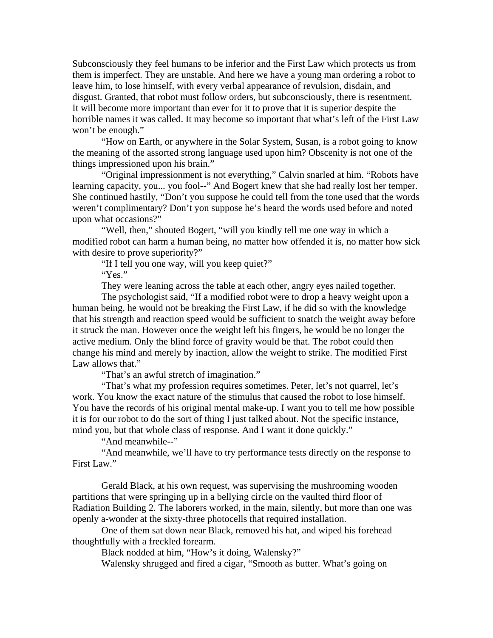Subconsciously they feel humans to be inferior and the First Law which protects us from them is imperfect. They are unstable. And here we have a young man ordering a robot to leave him, to lose himself, with every verbal appearance of revulsion, disdain, and disgust. Granted, that robot must follow orders, but subconsciously, there is resentment. It will become more important than ever for it to prove that it is superior despite the horrible names it was called. It may become so important that what's left of the First Law won't be enough."

 "How on Earth, or anywhere in the Solar System, Susan, is a robot going to know the meaning of the assorted strong language used upon him? Obscenity is not one of the things impressioned upon his brain."

 "Original impressionment is not everything," Calvin snarled at him. "Robots have learning capacity, you... you fool--" And Bogert knew that she had really lost her temper. She continued hastily, "Don't you suppose he could tell from the tone used that the words weren't complimentary? Don't yon suppose he's heard the words used before and noted upon what occasions?"

 "Well, then," shouted Bogert, "will you kindly tell me one way in which a modified robot can harm a human being, no matter how offended it is, no matter how sick with desire to prove superiority?"

 "If I tell you one way, will you keep quiet?" "Yes."

They were leaning across the table at each other, angry eyes nailed together.

 The psychologist said, "If a modified robot were to drop a heavy weight upon a human being, he would not be breaking the First Law, if he did so with the knowledge that his strength and reaction speed would be sufficient to snatch the weight away before it struck the man. However once the weight left his fingers, he would be no longer the active medium. Only the blind force of gravity would be that. The robot could then change his mind and merely by inaction, allow the weight to strike. The modified First Law allows that."

"That's an awful stretch of imagination."

 "That's what my profession requires sometimes. Peter, let's not quarrel, let's work. You know the exact nature of the stimulus that caused the robot to lose himself. You have the records of his original mental make-up. I want you to tell me how possible it is for our robot to do the sort of thing I just talked about. Not the specific instance, mind you, but that whole class of response. And I want it done quickly."

"And meanwhile--"

 "And meanwhile, we'll have to try performance tests directly on the response to First Law."

 Gerald Black, at his own request, was supervising the mushrooming wooden partitions that were springing up in a bellying circle on the vaulted third floor of Radiation Building 2. The laborers worked, in the main, silently, but more than one was openly a-wonder at the sixty-three photocells that required installation.

 One of them sat down near Black, removed his hat, and wiped his forehead thoughtfully with a freckled forearm.

Black nodded at him, "How's it doing, Walensky?"

Walensky shrugged and fired a cigar, "Smooth as butter. What's going on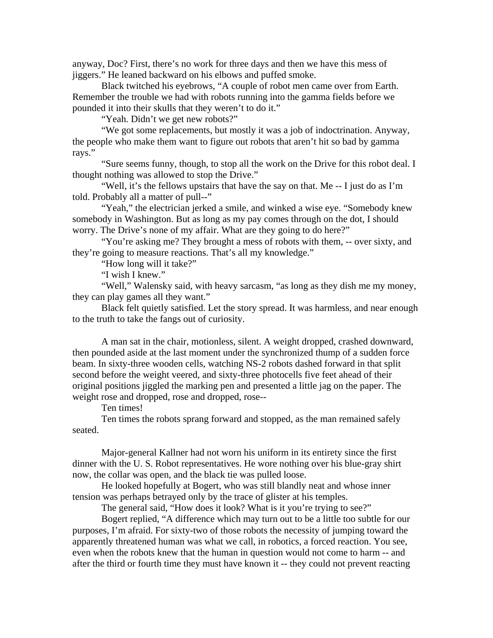anyway, Doc? First, there's no work for three days and then we have this mess of jiggers." He leaned backward on his elbows and puffed smoke.

 Black twitched his eyebrows, "A couple of robot men came over from Earth. Remember the trouble we had with robots running into the gamma fields before we pounded it into their skulls that they weren't to do it."

"Yeah. Didn't we get new robots?"

 "We got some replacements, but mostly it was a job of indoctrination. Anyway, the people who make them want to figure out robots that aren't hit so bad by gamma rays."

 "Sure seems funny, though, to stop all the work on the Drive for this robot deal. I thought nothing was allowed to stop the Drive."

 "Well, it's the fellows upstairs that have the say on that. Me -- I just do as I'm told. Probably all a matter of pull--"

 "Yeah," the electrician jerked a smile, and winked a wise eye. "Somebody knew somebody in Washington. But as long as my pay comes through on the dot, I should worry. The Drive's none of my affair. What are they going to do here?"

 "You're asking me? They brought a mess of robots with them, -- over sixty, and they're going to measure reactions. That's all my knowledge."

"How long will it take?"

"I wish I knew."

 "Well," Walensky said, with heavy sarcasm, "as long as they dish me my money, they can play games all they want."

 Black felt quietly satisfied. Let the story spread. It was harmless, and near enough to the truth to take the fangs out of curiosity.

 A man sat in the chair, motionless, silent. A weight dropped, crashed downward, then pounded aside at the last moment under the synchronized thump of a sudden force beam. In sixty-three wooden cells, watching NS-2 robots dashed forward in that split second before the weight veered, and sixty-three photocells five feet ahead of their original positions jiggled the marking pen and presented a little jag on the paper. The weight rose and dropped, rose and dropped, rose--

Ten times!

 Ten times the robots sprang forward and stopped, as the man remained safely seated.

 Major-general Kallner had not worn his uniform in its entirety since the first dinner with the U. S. Robot representatives. He wore nothing over his blue-gray shirt now, the collar was open, and the black tie was pulled loose.

 He looked hopefully at Bogert, who was still blandly neat and whose inner tension was perhaps betrayed only by the trace of glister at his temples.

The general said, "How does it look? What is it you're trying to see?"

 Bogert replied, "A difference which may turn out to be a little too subtle for our purposes, I'm afraid. For sixty-two of those robots the necessity of jumping toward the apparently threatened human was what we call, in robotics, a forced reaction. You see, even when the robots knew that the human in question would not come to harm -- and after the third or fourth time they must have known it -- they could not prevent reacting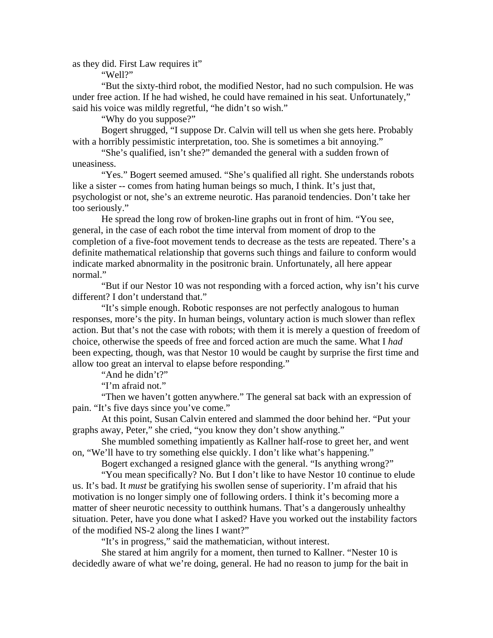as they did. First Law requires it"

"Well?"

 "But the sixty-third robot, the modified Nestor, had no such compulsion. He was under free action. If he had wished, he could have remained in his seat. Unfortunately," said his voice was mildly regretful, "he didn't so wish."

"Why do you suppose?"

 Bogert shrugged, "I suppose Dr. Calvin will tell us when she gets here. Probably with a horribly pessimistic interpretation, too. She is sometimes a bit annoying."

 "She's qualified, isn't she?" demanded the general with a sudden frown of uneasiness.

 "Yes." Bogert seemed amused. "She's qualified all right. She understands robots like a sister -- comes from hating human beings so much, I think. It's just that, psychologist or not, she's an extreme neurotic. Has paranoid tendencies. Don't take her too seriously."

 He spread the long row of broken-line graphs out in front of him. "You see, general, in the case of each robot the time interval from moment of drop to the completion of a five-foot movement tends to decrease as the tests are repeated. There's a definite mathematical relationship that governs such things and failure to conform would indicate marked abnormality in the positronic brain. Unfortunately, all here appear normal."

 "But if our Nestor 10 was not responding with a forced action, why isn't his curve different? I don't understand that."

 "It's simple enough. Robotic responses are not perfectly analogous to human responses, more's the pity. In human beings, voluntary action is much slower than reflex action. But that's not the case with robots; with them it is merely a question of freedom of choice, otherwise the speeds of free and forced action are much the same. What I *had* been expecting, though, was that Nestor 10 would be caught by surprise the first time and allow too great an interval to elapse before responding."

"And he didn't?"

"I'm afraid not."

 "Then we haven't gotten anywhere." The general sat back with an expression of pain. "It's five days since you've come."

 At this point, Susan Calvin entered and slammed the door behind her. "Put your graphs away, Peter," she cried, "you know they don't show anything."

 She mumbled something impatiently as Kallner half-rose to greet her, and went on, "We'll have to try something else quickly. I don't like what's happening."

Bogert exchanged a resigned glance with the general. "Is anything wrong?"

 "You mean specifically? No. But I don't like to have Nestor 10 continue to elude us. It's bad. It *must* be gratifying his swollen sense of superiority. I'm afraid that his motivation is no longer simply one of following orders. I think it's becoming more a matter of sheer neurotic necessity to outthink humans. That's a dangerously unhealthy situation. Peter, have you done what I asked? Have you worked out the instability factors of the modified NS-2 along the lines I want?"

"It's in progress," said the mathematician, without interest.

 She stared at him angrily for a moment, then turned to Kallner. "Nester 10 is decidedly aware of what we're doing, general. He had no reason to jump for the bait in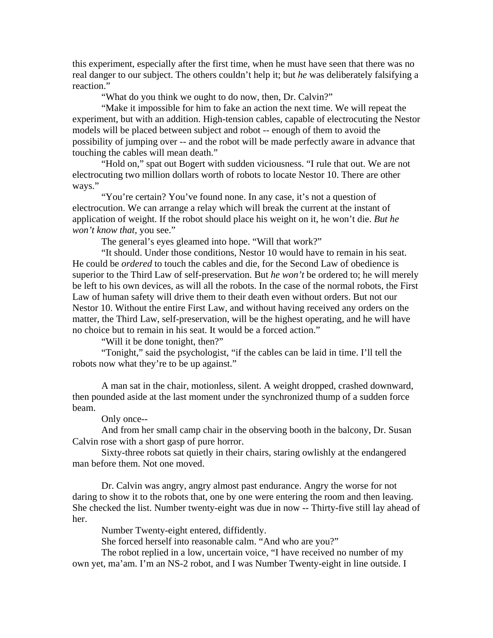this experiment, especially after the first time, when he must have seen that there was no real danger to our subject. The others couldn't help it; but *he* was deliberately falsifying a reaction."

"What do you think we ought to do now, then, Dr. Calvin?"

 "Make it impossible for him to fake an action the next time. We will repeat the experiment, but with an addition. High-tension cables, capable of electrocuting the Nestor models will be placed between subject and robot -- enough of them to avoid the possibility of jumping over -- and the robot will be made perfectly aware in advance that touching the cables will mean death."

 "Hold on," spat out Bogert with sudden viciousness. "I rule that out. We are not electrocuting two million dollars worth of robots to locate Nestor 10. There are other ways."

"You're certain? You've found none. In any case, it's not a question of electrocution. We can arrange a relay which will break the current at the instant of application of weight. If the robot should place his weight on it, he won't die. *But he won't know that*, you see."

The general's eyes gleamed into hope. "Will that work?"

 "It should. Under those conditions, Nestor 10 would have to remain in his seat. He could be *ordered* to touch the cables and die, for the Second Law of obedience is superior to the Third Law of self-preservation. But *he won't* be ordered to; he will merely be left to his own devices, as will all the robots. In the case of the normal robots, the First Law of human safety will drive them to their death even without orders. But not our Nestor 10. Without the entire First Law, and without having received any orders on the matter, the Third Law, self-preservation, will be the highest operating, and he will have no choice but to remain in his seat. It would be a forced action."

"Will it be done tonight, then?"

 "Tonight," said the psychologist, "if the cables can be laid in time. I'll tell the robots now what they're to be up against."

 A man sat in the chair, motionless, silent. A weight dropped, crashed downward, then pounded aside at the last moment under the synchronized thump of a sudden force beam.

Only once--

 And from her small camp chair in the observing booth in the balcony, Dr. Susan Calvin rose with a short gasp of pure horror.

 Sixty-three robots sat quietly in their chairs, staring owlishly at the endangered man before them. Not one moved.

 Dr. Calvin was angry, angry almost past endurance. Angry the worse for not daring to show it to the robots that, one by one were entering the room and then leaving. She checked the list. Number twenty-eight was due in now -- Thirty-five still lay ahead of her.

Number Twenty-eight entered, diffidently.

She forced herself into reasonable calm. "And who are you?"

 The robot replied in a low, uncertain voice, "I have received no number of my own yet, ma'am. I'm an NS-2 robot, and I was Number Twenty-eight in line outside. I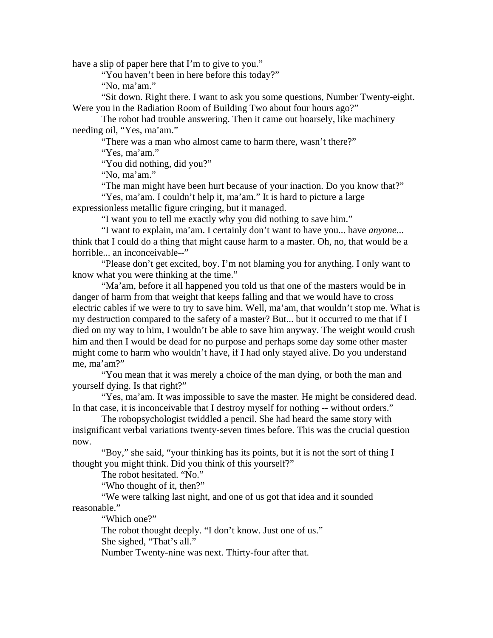have a slip of paper here that I'm to give to you."

"You haven't been in here before this today?"

"No, ma'am."

 "Sit down. Right there. I want to ask you some questions, Number Twenty-eight. Were you in the Radiation Room of Building Two about four hours ago?"

 The robot had trouble answering. Then it came out hoarsely, like machinery needing oil, "Yes, ma'am."

"There was a man who almost came to harm there, wasn't there?"

"Yes, ma'am."

"You did nothing, did you?"

"No, ma'am."

"The man might have been hurt because of your inaction. Do you know that?"

"Yes, ma'am. I couldn't help it, ma'am." It is hard to picture a large expressionless metallic figure cringing, but it managed.

"I want you to tell me exactly why you did nothing to save him."

 "I want to explain, ma'am. I certainly don't want to have you... have *anyone*... think that I could do a thing that might cause harm to a master. Oh, no, that would be a horrible... an inconceivable--"

 "Please don't get excited, boy. I'm not blaming you for anything. I only want to know what you were thinking at the time."

 "Ma'am, before it all happened you told us that one of the masters would be in danger of harm from that weight that keeps falling and that we would have to cross electric cables if we were to try to save him. Well, ma'am, that wouldn't stop me. What is my destruction compared to the safety of a master? But... but it occurred to me that if I died on my way to him, I wouldn't be able to save him anyway. The weight would crush him and then I would be dead for no purpose and perhaps some day some other master might come to harm who wouldn't have, if I had only stayed alive. Do you understand me, ma'am?"

 "You mean that it was merely a choice of the man dying, or both the man and yourself dying. Is that right?"

 "Yes, ma'am. It was impossible to save the master. He might be considered dead. In that case, it is inconceivable that I destroy myself for nothing -- without orders."

 The robopsychologist twiddled a pencil. She had heard the same story with insignificant verbal variations twenty-seven times before. This was the crucial question now.

 "Boy," she said, "your thinking has its points, but it is not the sort of thing I thought you might think. Did you think of this yourself?"

The robot hesitated. "No."

"Who thought of it, then?"

 "We were talking last night, and one of us got that idea and it sounded reasonable."

"Which one?"

The robot thought deeply. "I don't know. Just one of us."

She sighed, "That's all."

Number Twenty-nine was next. Thirty-four after that.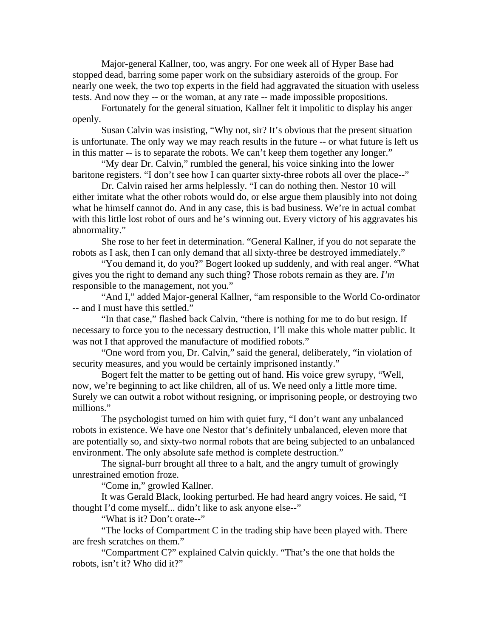Major-general Kallner, too, was angry. For one week all of Hyper Base had stopped dead, barring some paper work on the subsidiary asteroids of the group. For nearly one week, the two top experts in the field had aggravated the situation with useless tests. And now they -- or the woman, at any rate -- made impossible propositions.

 Fortunately for the general situation, Kallner felt it impolitic to display his anger openly.

 Susan Calvin was insisting, "Why not, sir? It's obvious that the present situation is unfortunate. The only way we may reach results in the future -- or what future is left us in this matter -- is to separate the robots. We can't keep them together any longer."

 "My dear Dr. Calvin," rumbled the general, his voice sinking into the lower baritone registers. "I don't see how I can quarter sixty-three robots all over the place--"

 Dr. Calvin raised her arms helplessly. "I can do nothing then. Nestor 10 will either imitate what the other robots would do, or else argue them plausibly into not doing what he himself cannot do. And in any case, this is bad business. We're in actual combat with this little lost robot of ours and he's winning out. Every victory of his aggravates his abnormality."

 She rose to her feet in determination. "General Kallner, if you do not separate the robots as I ask, then I can only demand that all sixty-three be destroyed immediately."

 "You demand it, do you?" Bogert looked up suddenly, and with real anger. "What gives you the right to demand any such thing? Those robots remain as they are. *I'm*  responsible to the management, not you."

 "And I," added Major-general Kallner, "am responsible to the World Co-ordinator -- and I must have this settled."

 "In that case," flashed back Calvin, "there is nothing for me to do but resign. If necessary to force you to the necessary destruction, I'll make this whole matter public. It was not I that approved the manufacture of modified robots."

 "One word from you, Dr. Calvin," said the general, deliberately, "in violation of security measures, and you would be certainly imprisoned instantly."

 Bogert felt the matter to be getting out of hand. His voice grew syrupy, "Well, now, we're beginning to act like children, all of us. We need only a little more time. Surely we can outwit a robot without resigning, or imprisoning people, or destroying two millions."

 The psychologist turned on him with quiet fury, "I don't want any unbalanced robots in existence. We have one Nestor that's definitely unbalanced, eleven more that are potentially so, and sixty-two normal robots that are being subjected to an unbalanced environment. The only absolute safe method is complete destruction."

 The signal-burr brought all three to a halt, and the angry tumult of growingly unrestrained emotion froze.

"Come in," growled Kallner.

 It was Gerald Black, looking perturbed. He had heard angry voices. He said, "I thought I'd come myself... didn't like to ask anyone else--"

"What is it? Don't orate--"

 "The locks of Compartment C in the trading ship have been played with. There are fresh scratches on them."

 "Compartment C?" explained Calvin quickly. "That's the one that holds the robots, isn't it? Who did it?"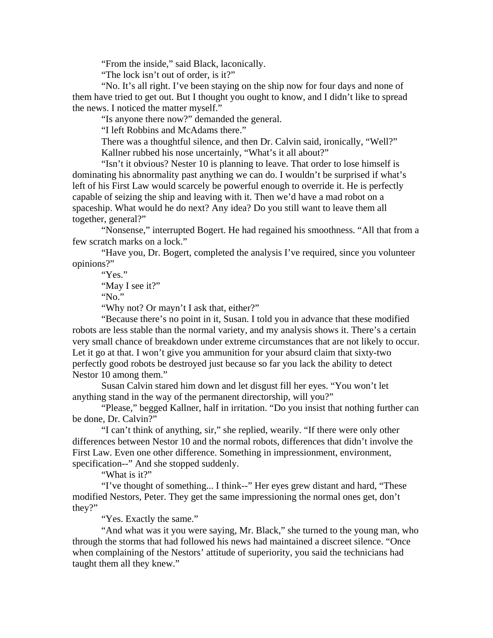"From the inside," said Black, laconically.

"The lock isn't out of order, is it?"

 "No. It's all right. I've been staying on the ship now for four days and none of them have tried to get out. But I thought you ought to know, and I didn't like to spread the news. I noticed the matter myself."

"Is anyone there now?" demanded the general.

"I left Robbins and McAdams there."

 There was a thoughtful silence, and then Dr. Calvin said, ironically, "Well?" Kallner rubbed his nose uncertainly, "What's it all about?"

 "Isn't it obvious? Nester 10 is planning to leave. That order to lose himself is dominating his abnormality past anything we can do. I wouldn't be surprised if what's left of his First Law would scarcely be powerful enough to override it. He is perfectly capable of seizing the ship and leaving with it. Then we'd have a mad robot on a spaceship. What would he do next? Any idea? Do you still want to leave them all together, general?"

 "Nonsense," interrupted Bogert. He had regained his smoothness. "All that from a few scratch marks on a lock."

 "Have you, Dr. Bogert, completed the analysis I've required, since you volunteer opinions?"

"Yes."

"May I see it?"

"No."

"Why not? Or mayn't I ask that, either?"

 "Because there's no point in it, Susan. I told you in advance that these modified robots are less stable than the normal variety, and my analysis shows it. There's a certain very small chance of breakdown under extreme circumstances that are not likely to occur. Let it go at that. I won't give you ammunition for your absurd claim that sixty-two perfectly good robots be destroyed just because so far you lack the ability to detect Nestor 10 among them."

 Susan Calvin stared him down and let disgust fill her eyes. "You won't let anything stand in the way of the permanent directorship, will you?"

 "Please," begged Kallner, half in irritation. "Do you insist that nothing further can be done, Dr. Calvin?"

 "I can't think of anything, sir," she replied, wearily. "If there were only other differences between Nestor 10 and the normal robots, differences that didn't involve the First Law. Even one other difference. Something in impressionment, environment, specification--" And she stopped suddenly.

"What is it?"

 "I've thought of something... I think--" Her eyes grew distant and hard, "These modified Nestors, Peter. They get the same impressioning the normal ones get, don't they?"

"Yes. Exactly the same."

 "And what was it you were saying, Mr. Black," she turned to the young man, who through the storms that had followed his news had maintained a discreet silence. "Once when complaining of the Nestors' attitude of superiority, you said the technicians had taught them all they knew."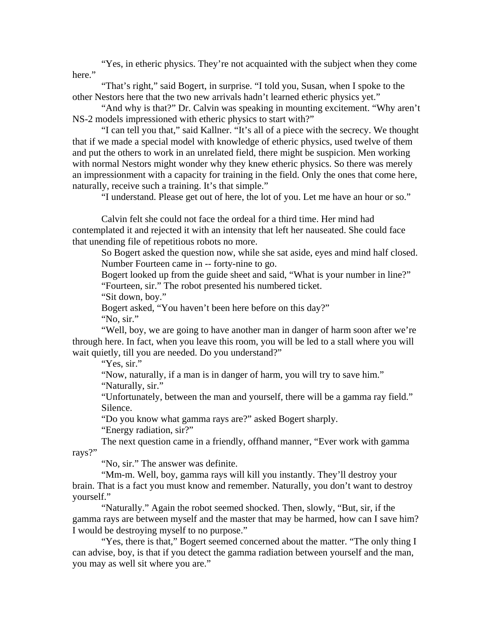"Yes, in etheric physics. They're not acquainted with the subject when they come here."

 "That's right," said Bogert, in surprise. "I told you, Susan, when I spoke to the other Nestors here that the two new arrivals hadn't learned etheric physics yet."

 "And why is that?" Dr. Calvin was speaking in mounting excitement. "Why aren't NS-2 models impressioned with etheric physics to start with?"

 "I can tell you that," said Kallner. "It's all of a piece with the secrecy. We thought that if we made a special model with knowledge of etheric physics, used twelve of them and put the others to work in an unrelated field, there might be suspicion. Men working with normal Nestors might wonder why they knew etheric physics. So there was merely an impressionment with a capacity for training in the field. Only the ones that come here, naturally, receive such a training. It's that simple."

"I understand. Please get out of here, the lot of you. Let me have an hour or so."

 Calvin felt she could not face the ordeal for a third time. Her mind had contemplated it and rejected it with an intensity that left her nauseated. She could face that unending file of repetitious robots no more.

 So Bogert asked the question now, while she sat aside, eyes and mind half closed. Number Fourteen came in -- forty-nine to go.

 Bogert looked up from the guide sheet and said, "What is your number in line?" "Fourteen, sir." The robot presented his numbered ticket.

"Sit down, boy."

Bogert asked, "You haven't been here before on this day?"

"No, sir."

 "Well, boy, we are going to have another man in danger of harm soon after we're through here. In fact, when you leave this room, you will be led to a stall where you will wait quietly, till you are needed. Do you understand?"

"Yes, sir."

"Now, naturally, if a man is in danger of harm, you will try to save him."

"Naturally, sir."

 "Unfortunately, between the man and yourself, there will be a gamma ray field." Silence.

"Do you know what gamma rays are?" asked Bogert sharply.

"Energy radiation, sir?"

 The next question came in a friendly, offhand manner, "Ever work with gamma rays?"

"No, sir." The answer was definite.

 "Mm-m. Well, boy, gamma rays will kill you instantly. They'll destroy your brain. That is a fact you must know and remember. Naturally, you don't want to destroy yourself."

 "Naturally." Again the robot seemed shocked. Then, slowly, "But, sir, if the gamma rays are between myself and the master that may be harmed, how can I save him? I would be destroying myself to no purpose."

 "Yes, there is that," Bogert seemed concerned about the matter. "The only thing I can advise, boy, is that if you detect the gamma radiation between yourself and the man, you may as well sit where you are."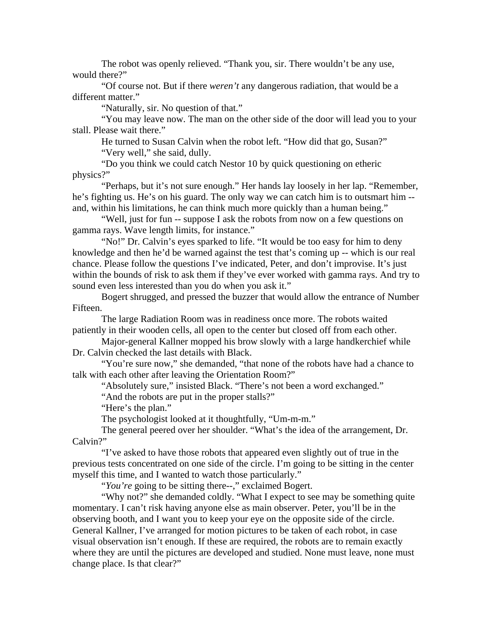The robot was openly relieved. "Thank you, sir. There wouldn't be any use, would there?"

 "Of course not. But if there *weren't* any dangerous radiation, that would be a different matter."

"Naturally, sir. No question of that."

 "You may leave now. The man on the other side of the door will lead you to your stall. Please wait there."

 He turned to Susan Calvin when the robot left. "How did that go, Susan?" "Very well," she said, dully.

 "Do you think we could catch Nestor 10 by quick questioning on etheric physics?"

 "Perhaps, but it's not sure enough." Her hands lay loosely in her lap. "Remember, he's fighting us. He's on his guard. The only way we can catch him is to outsmart him - and, within his limitations, he can think much more quickly than a human being."

 "Well, just for fun -- suppose I ask the robots from now on a few questions on gamma rays. Wave length limits, for instance."

 "No!" Dr. Calvin's eyes sparked to life. "It would be too easy for him to deny knowledge and then he'd be warned against the test that's coming up -- which is our real chance. Please follow the questions I've indicated, Peter, and don't improvise. It's just within the bounds of risk to ask them if they've ever worked with gamma rays. And try to sound even less interested than you do when you ask it."

 Bogert shrugged, and pressed the buzzer that would allow the entrance of Number Fifteen.

 The large Radiation Room was in readiness once more. The robots waited patiently in their wooden cells, all open to the center but closed off from each other.

 Major-general Kallner mopped his brow slowly with a large handkerchief while Dr. Calvin checked the last details with Black.

 "You're sure now," she demanded, "that none of the robots have had a chance to talk with each other after leaving the Orientation Room?"

"Absolutely sure," insisted Black. "There's not been a word exchanged."

"And the robots are put in the proper stalls?"

"Here's the plan."

The psychologist looked at it thoughtfully, "Um-m-m."

 The general peered over her shoulder. "What's the idea of the arrangement, Dr. Calvin?"

 "I've asked to have those robots that appeared even slightly out of true in the previous tests concentrated on one side of the circle. I'm going to be sitting in the center myself this time, and I wanted to watch those particularly."

"*You're* going to be sitting there--," exclaimed Bogert.

 "Why not?" she demanded coldly. "What I expect to see may be something quite momentary. I can't risk having anyone else as main observer. Peter, you'll be in the observing booth, and I want you to keep your eye on the opposite side of the circle. General Kallner, I've arranged for motion pictures to be taken of each robot, in case visual observation isn't enough. If these are required, the robots are to remain exactly where they are until the pictures are developed and studied. None must leave, none must change place. Is that clear?"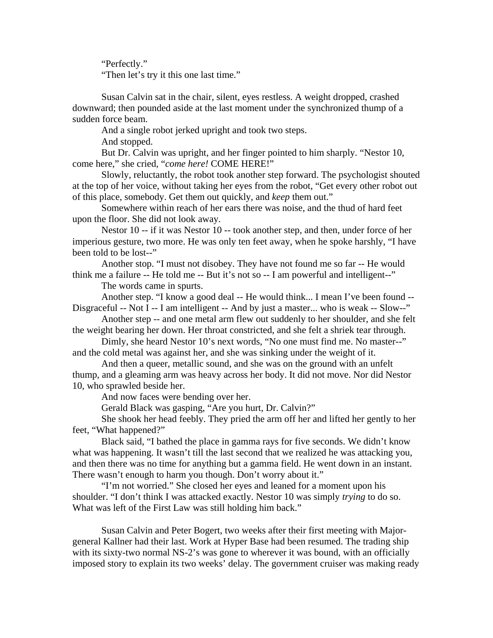"Perfectly."

"Then let's try it this one last time."

 Susan Calvin sat in the chair, silent, eyes restless. A weight dropped, crashed downward; then pounded aside at the last moment under the synchronized thump of a sudden force beam.

And a single robot jerked upright and took two steps.

And stopped.

 But Dr. Calvin was upright, and her finger pointed to him sharply. "Nestor 10, come here," she cried, "*come here!* COME HERE!"

 Slowly, reluctantly, the robot took another step forward. The psychologist shouted at the top of her voice, without taking her eyes from the robot, "Get every other robot out of this place, somebody. Get them out quickly, and *keep* them out."

 Somewhere within reach of her ears there was noise, and the thud of hard feet upon the floor. She did not look away.

 Nestor 10 -- if it was Nestor 10 -- took another step, and then, under force of her imperious gesture, two more. He was only ten feet away, when he spoke harshly, "I have been told to be lost--"

 Another stop. "I must not disobey. They have not found me so far -- He would think me a failure -- He told me -- But it's not so -- I am powerful and intelligent--"

The words came in spurts.

 Another step. "I know a good deal -- He would think... I mean I've been found -- Disgraceful -- Not I -- I am intelligent -- And by just a master... who is weak -- Slow--"

 Another step -- and one metal arm flew out suddenly to her shoulder, and she felt the weight bearing her down. Her throat constricted, and she felt a shriek tear through.

 Dimly, she heard Nestor 10's next words, "No one must find me. No master--" and the cold metal was against her, and she was sinking under the weight of it.

 And then a queer, metallic sound, and she was on the ground with an unfelt thump, and a gleaming arm was heavy across her body. It did not move. Nor did Nestor 10, who sprawled beside her.

And now faces were bending over her.

Gerald Black was gasping, "Are you hurt, Dr. Calvin?"

 She shook her head feebly. They pried the arm off her and lifted her gently to her feet, "What happened?"

 Black said, "I bathed the place in gamma rays for five seconds. We didn't know what was happening. It wasn't till the last second that we realized he was attacking you, and then there was no time for anything but a gamma field. He went down in an instant. There wasn't enough to harm you though. Don't worry about it."

 "I'm not worried." She closed her eyes and leaned for a moment upon his shoulder. "I don't think I was attacked exactly. Nestor 10 was simply *trying* to do so. What was left of the First Law was still holding him back."

 Susan Calvin and Peter Bogert, two weeks after their first meeting with Majorgeneral Kallner had their last. Work at Hyper Base had been resumed. The trading ship with its sixty-two normal NS-2's was gone to wherever it was bound, with an officially imposed story to explain its two weeks' delay. The government cruiser was making ready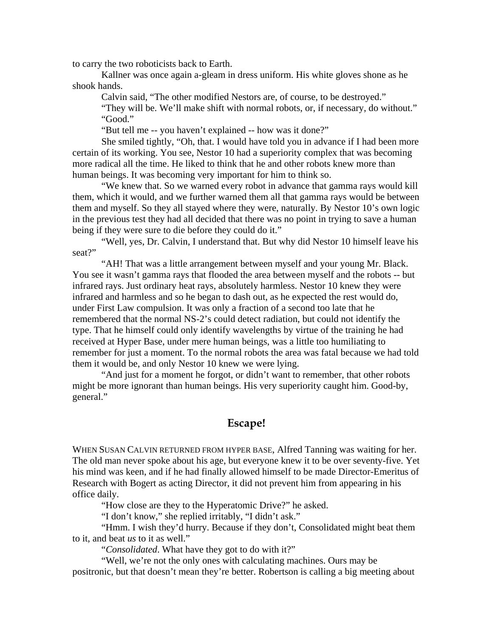to carry the two roboticists back to Earth.

 Kallner was once again a-gleam in dress uniform. His white gloves shone as he shook hands.

 Calvin said, "The other modified Nestors are, of course, to be destroyed." "They will be. We'll make shift with normal robots, or, if necessary, do without." "Good."

"But tell me -- you haven't explained -- how was it done?"

 She smiled tightly, "Oh, that. I would have told you in advance if I had been more certain of its working. You see, Nestor 10 had a superiority complex that was becoming more radical all the time. He liked to think that he and other robots knew more than human beings. It was becoming very important for him to think so.

 "We knew that. So we warned every robot in advance that gamma rays would kill them, which it would, and we further warned them all that gamma rays would be between them and myself. So they all stayed where they were, naturally. By Nestor 10's own logic in the previous test they had all decided that there was no point in trying to save a human being if they were sure to die before they could do it."

 "Well, yes, Dr. Calvin, I understand that. But why did Nestor 10 himself leave his seat?"

 "AH! That was a little arrangement between myself and your young Mr. Black. You see it wasn't gamma rays that flooded the area between myself and the robots -- but infrared rays. Just ordinary heat rays, absolutely harmless. Nestor 10 knew they were infrared and harmless and so he began to dash out, as he expected the rest would do, under First Law compulsion. It was only a fraction of a second too late that he remembered that the normal NS-2's could detect radiation, but could not identify the type. That he himself could only identify wavelengths by virtue of the training he had received at Hyper Base, under mere human beings, was a little too humiliating to remember for just a moment. To the normal robots the area was fatal because we had told them it would be, and only Nestor 10 knew we were lying.

 "And just for a moment he forgot, or didn't want to remember, that other robots might be more ignorant than human beings. His very superiority caught him. Good-by, general."

## **Escape!**

WHEN SUSAN CALVIN RETURNED FROM HYPER BASE, Alfred Tanning was waiting for her. The old man never spoke about his age, but everyone knew it to be over seventy-five. Yet his mind was keen, and if he had finally allowed himself to be made Director-Emeritus of Research with Bogert as acting Director, it did not prevent him from appearing in his office daily.

"How close are they to the Hyperatomic Drive?" he asked.

"I don't know," she replied irritably, "I didn't ask."

 "Hmm. I wish they'd hurry. Because if they don't, Consolidated might beat them to it, and beat *us* to it as well."

"*Consolidated*. What have they got to do with it?"

 "Well, we're not the only ones with calculating machines. Ours may be positronic, but that doesn't mean they're better. Robertson is calling a big meeting about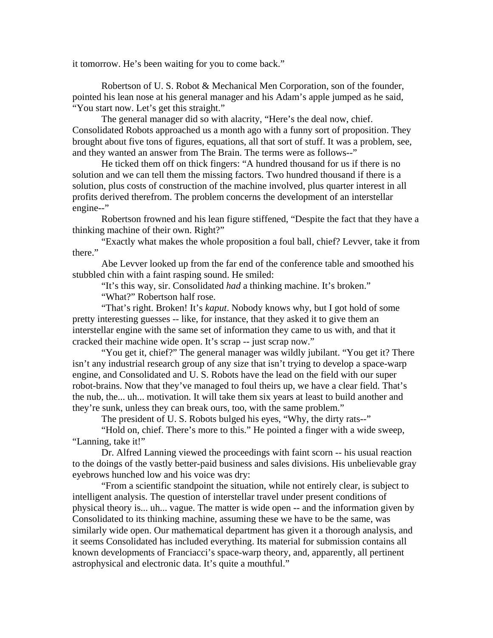it tomorrow. He's been waiting for you to come back."

 Robertson of U. S. Robot & Mechanical Men Corporation, son of the founder, pointed his lean nose at his general manager and his Adam's apple jumped as he said, "You start now. Let's get this straight."

 The general manager did so with alacrity, "Here's the deal now, chief. Consolidated Robots approached us a month ago with a funny sort of proposition. They brought about five tons of figures, equations, all that sort of stuff. It was a problem, see, and they wanted an answer from The Brain. The terms were as follows--"

 He ticked them off on thick fingers: "A hundred thousand for us if there is no solution and we can tell them the missing factors. Two hundred thousand if there is a solution, plus costs of construction of the machine involved, plus quarter interest in all profits derived therefrom. The problem concerns the development of an interstellar engine--"

 Robertson frowned and his lean figure stiffened, "Despite the fact that they have a thinking machine of their own. Right?"

 "Exactly what makes the whole proposition a foul ball, chief? Levver, take it from there."

 Abe Levver looked up from the far end of the conference table and smoothed his stubbled chin with a faint rasping sound. He smiled:

"It's this way, sir. Consolidated *had* a thinking machine. It's broken."

"What?" Robertson half rose.

 "That's right. Broken! It's *kaput*. Nobody knows why, but I got hold of some pretty interesting guesses -- like, for instance, that they asked it to give them an interstellar engine with the same set of information they came to us with, and that it cracked their machine wide open. It's scrap -- just scrap now."

 "You get it, chief?" The general manager was wildly jubilant. "You get it? There isn't any industrial research group of any size that isn't trying to develop a space-warp engine, and Consolidated and U. S. Robots have the lead on the field with our super robot-brains. Now that they've managed to foul theirs up, we have a clear field. That's the nub, the... uh... motivation. It will take them six years at least to build another and they're sunk, unless they can break ours, too, with the same problem."

The president of U. S. Robots bulged his eyes, "Why, the dirty rats--"

 "Hold on, chief. There's more to this." He pointed a finger with a wide sweep, "Lanning, take it!"

 Dr. Alfred Lanning viewed the proceedings with faint scorn -- his usual reaction to the doings of the vastly better-paid business and sales divisions. His unbelievable gray eyebrows hunched low and his voice was dry:

 "From a scientific standpoint the situation, while not entirely clear, is subject to intelligent analysis. The question of interstellar travel under present conditions of physical theory is... uh... vague. The matter is wide open -- and the information given by Consolidated to its thinking machine, assuming these we have to be the same, was similarly wide open. Our mathematical department has given it a thorough analysis, and it seems Consolidated has included everything. Its material for submission contains all known developments of Franciacci's space-warp theory, and, apparently, all pertinent astrophysical and electronic data. It's quite a mouthful."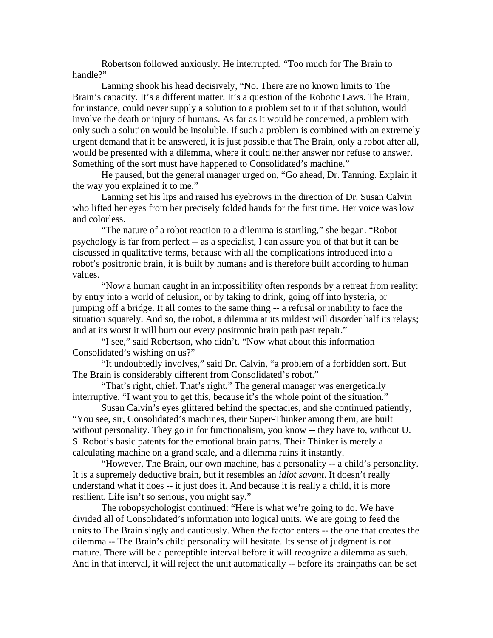Robertson followed anxiously. He interrupted, "Too much for The Brain to handle?"

 Lanning shook his head decisively, "No. There are no known limits to The Brain's capacity. It's a different matter. It's a question of the Robotic Laws. The Brain, for instance, could never supply a solution to a problem set to it if that solution, would involve the death or injury of humans. As far as it would be concerned, a problem with only such a solution would be insoluble. If such a problem is combined with an extremely urgent demand that it be answered, it is just possible that The Brain, only a robot after all, would be presented with a dilemma, where it could neither answer nor refuse to answer. Something of the sort must have happened to Consolidated's machine."

 He paused, but the general manager urged on, "Go ahead, Dr. Tanning. Explain it the way you explained it to me."

 Lanning set his lips and raised his eyebrows in the direction of Dr. Susan Calvin who lifted her eyes from her precisely folded hands for the first time. Her voice was low and colorless.

 "The nature of a robot reaction to a dilemma is startling," she began. "Robot psychology is far from perfect -- as a specialist, I can assure you of that but it can be discussed in qualitative terms, because with all the complications introduced into a robot's positronic brain, it is built by humans and is therefore built according to human values.

 "Now a human caught in an impossibility often responds by a retreat from reality: by entry into a world of delusion, or by taking to drink, going off into hysteria, or jumping off a bridge. It all comes to the same thing -- a refusal or inability to face the situation squarely. And so, the robot, a dilemma at its mildest will disorder half its relays; and at its worst it will burn out every positronic brain path past repair."

 "I see," said Robertson, who didn't. "Now what about this information Consolidated's wishing on us?"

 "It undoubtedly involves," said Dr. Calvin, "a problem of a forbidden sort. But The Brain is considerably different from Consolidated's robot."

 "That's right, chief. That's right." The general manager was energetically interruptive. "I want you to get this, because it's the whole point of the situation."

 Susan Calvin's eyes glittered behind the spectacles, and she continued patiently, "You see, sir, Consolidated's machines, their Super-Thinker among them, are built without personality. They go in for functionalism, you know -- they have to, without U. S. Robot's basic patents for the emotional brain paths. Their Thinker is merely a calculating machine on a grand scale, and a dilemma ruins it instantly.

 "However, The Brain, our own machine, has a personality -- a child's personality. It is a supremely deductive brain, but it resembles an *idiot savant*. It doesn't really understand what it does -- it just does it. And because it is really a child, it is more resilient. Life isn't so serious, you might say."

 The robopsychologist continued: "Here is what we're going to do. We have divided all of Consolidated's information into logical units. We are going to feed the units to The Brain singly and cautiously. When *the* factor enters -- the one that creates the dilemma -- The Brain's child personality will hesitate. Its sense of judgment is not mature. There will be a perceptible interval before it will recognize a dilemma as such. And in that interval, it will reject the unit automatically -- before its brainpaths can be set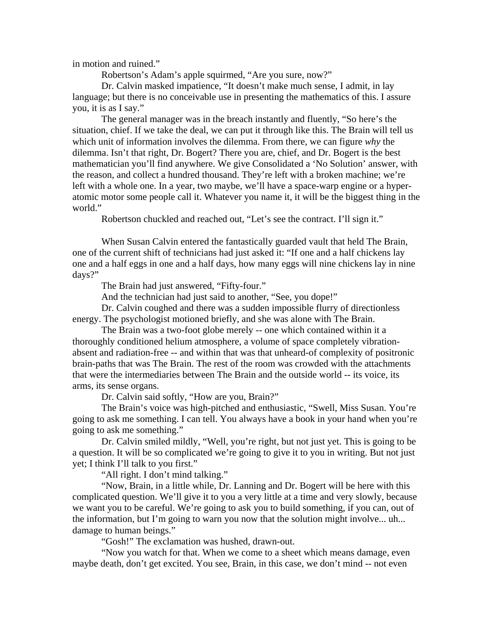in motion and ruined."

Robertson's Adam's apple squirmed, "Are you sure, now?"

 Dr. Calvin masked impatience, "It doesn't make much sense, I admit, in lay language; but there is no conceivable use in presenting the mathematics of this. I assure you, it is as I say."

 The general manager was in the breach instantly and fluently, "So here's the situation, chief. If we take the deal, we can put it through like this. The Brain will tell us which unit of information involves the dilemma. From there, we can figure *why* the dilemma. Isn't that right, Dr. Bogert? There you are, chief, and Dr. Bogert is the best mathematician you'll find anywhere. We give Consolidated a 'No Solution' answer, with the reason, and collect a hundred thousand. They're left with a broken machine; we're left with a whole one. In a year, two maybe, we'll have a space-warp engine or a hyperatomic motor some people call it. Whatever you name it, it will be the biggest thing in the world."

Robertson chuckled and reached out, "Let's see the contract. I'll sign it."

 When Susan Calvin entered the fantastically guarded vault that held The Brain, one of the current shift of technicians had just asked it: "If one and a half chickens lay one and a half eggs in one and a half days, how many eggs will nine chickens lay in nine days?"

The Brain had just answered, "Fifty-four."

And the technician had just said to another, "See, you dope!"

 Dr. Calvin coughed and there was a sudden impossible flurry of directionless energy. The psychologist motioned briefly, and she was alone with The Brain.

 The Brain was a two-foot globe merely -- one which contained within it a thoroughly conditioned helium atmosphere, a volume of space completely vibrationabsent and radiation-free -- and within that was that unheard-of complexity of positronic brain-paths that was The Brain. The rest of the room was crowded with the attachments that were the intermediaries between The Brain and the outside world -- its voice, its arms, its sense organs.

Dr. Calvin said softly, "How are you, Brain?"

 The Brain's voice was high-pitched and enthusiastic, "Swell, Miss Susan. You're going to ask me something. I can tell. You always have a book in your hand when you're going to ask me something."

 Dr. Calvin smiled mildly, "Well, you're right, but not just yet. This is going to be a question. It will be so complicated we're going to give it to you in writing. But not just yet; I think I'll talk to you first."

"All right. I don't mind talking."

 "Now, Brain, in a little while, Dr. Lanning and Dr. Bogert will be here with this complicated question. We'll give it to you a very little at a time and very slowly, because we want you to be careful. We're going to ask you to build something, if you can, out of the information, but I'm going to warn you now that the solution might involve... uh... damage to human beings."

"Gosh!" The exclamation was hushed, drawn-out.

 "Now you watch for that. When we come to a sheet which means damage, even maybe death, don't get excited. You see, Brain, in this case, we don't mind -- not even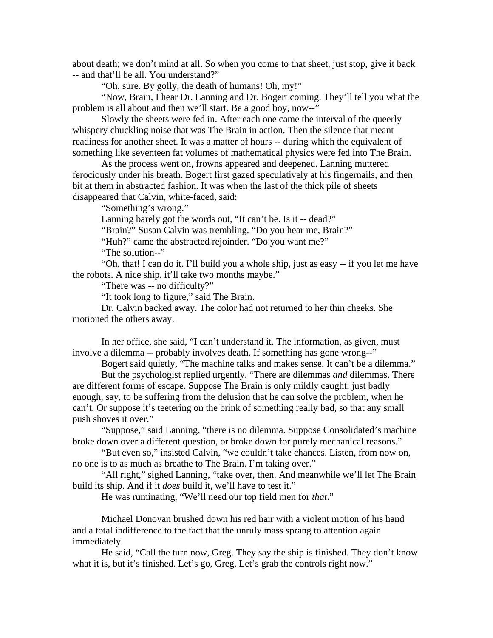about death; we don't mind at all. So when you come to that sheet, just stop, give it back -- and that'll be all. You understand?"

"Oh, sure. By golly, the death of humans! Oh, my!"

 "Now, Brain, I hear Dr. Lanning and Dr. Bogert coming. They'll tell you what the problem is all about and then we'll start. Be a good boy, now--"

 Slowly the sheets were fed in. After each one came the interval of the queerly whispery chuckling noise that was The Brain in action. Then the silence that meant readiness for another sheet. It was a matter of hours -- during which the equivalent of something like seventeen fat volumes of mathematical physics were fed into The Brain.

 As the process went on, frowns appeared and deepened. Lanning muttered ferociously under his breath. Bogert first gazed speculatively at his fingernails, and then bit at them in abstracted fashion. It was when the last of the thick pile of sheets disappeared that Calvin, white-faced, said:

"Something's wrong."

Lanning barely got the words out, "It can't be. Is it -- dead?"

"Brain?" Susan Calvin was trembling. "Do you hear me, Brain?"

"Huh?" came the abstracted rejoinder. "Do you want me?"

"The solution--"

 "Oh, that! I can do it. I'll build you a whole ship, just as easy -- if you let me have the robots. A nice ship, it'll take two months maybe."

"There was -- no difficulty?"

"It took long to figure," said The Brain.

 Dr. Calvin backed away. The color had not returned to her thin cheeks. She motioned the others away.

 In her office, she said, "I can't understand it. The information, as given, must involve a dilemma -- probably involves death. If something has gone wrong--"

Bogert said quietly, "The machine talks and makes sense. It can't be a dilemma."

 But the psychologist replied urgently, "There are dilemmas *and* dilemmas. There are different forms of escape. Suppose The Brain is only mildly caught; just badly enough, say, to be suffering from the delusion that he can solve the problem, when he can't. Or suppose it's teetering on the brink of something really bad, so that any small push shoves it over."

 "Suppose," said Lanning, "there is no dilemma. Suppose Consolidated's machine broke down over a different question, or broke down for purely mechanical reasons."

 "But even so," insisted Calvin, "we couldn't take chances. Listen, from now on, no one is to as much as breathe to The Brain. I'm taking over."

 "All right," sighed Lanning, "take over, then. And meanwhile we'll let The Brain build its ship. And if it *does* build it, we'll have to test it."

He was ruminating, "We'll need our top field men for *that*."

 Michael Donovan brushed down his red hair with a violent motion of his hand and a total indifference to the fact that the unruly mass sprang to attention again immediately.

 He said, "Call the turn now, Greg. They say the ship is finished. They don't know what it is, but it's finished. Let's go, Greg. Let's grab the controls right now."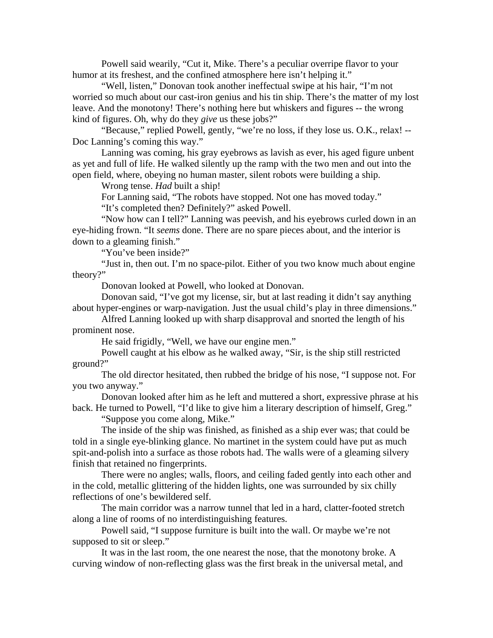Powell said wearily, "Cut it, Mike. There's a peculiar overripe flavor to your humor at its freshest, and the confined atmosphere here isn't helping it."

 "Well, listen," Donovan took another ineffectual swipe at his hair, "I'm not worried so much about our cast-iron genius and his tin ship. There's the matter of my lost leave. And the monotony! There's nothing here but whiskers and figures -- the wrong kind of figures. Oh, why do they *give* us these jobs?"

 "Because," replied Powell, gently, "we're no loss, if they lose us. O.K., relax! -- Doc Lanning's coming this way."

 Lanning was coming, his gray eyebrows as lavish as ever, his aged figure unbent as yet and full of life. He walked silently up the ramp with the two men and out into the open field, where, obeying no human master, silent robots were building a ship.

Wrong tense. *Had* built a ship!

For Lanning said, "The robots have stopped. Not one has moved today."

"It's completed then? Definitely?" asked Powell.

 "Now how can I tell?" Lanning was peevish, and his eyebrows curled down in an eye-hiding frown. "It *seems* done. There are no spare pieces about, and the interior is down to a gleaming finish."

"You've been inside?"

 "Just in, then out. I'm no space-pilot. Either of you two know much about engine theory?"

Donovan looked at Powell, who looked at Donovan.

 Donovan said, "I've got my license, sir, but at last reading it didn't say anything about hyper-engines or warp-navigation. Just the usual child's play in three dimensions."

 Alfred Lanning looked up with sharp disapproval and snorted the length of his prominent nose.

He said frigidly, "Well, we have our engine men."

 Powell caught at his elbow as he walked away, "Sir, is the ship still restricted ground?"

 The old director hesitated, then rubbed the bridge of his nose, "I suppose not. For you two anyway."

 Donovan looked after him as he left and muttered a short, expressive phrase at his back. He turned to Powell, "I'd like to give him a literary description of himself, Greg."

"Suppose you come along, Mike."

 The inside of the ship was finished, as finished as a ship ever was; that could be told in a single eye-blinking glance. No martinet in the system could have put as much spit-and-polish into a surface as those robots had. The walls were of a gleaming silvery finish that retained no fingerprints.

 There were no angles; walls, floors, and ceiling faded gently into each other and in the cold, metallic glittering of the hidden lights, one was surrounded by six chilly reflections of one's bewildered self.

 The main corridor was a narrow tunnel that led in a hard, clatter-footed stretch along a line of rooms of no interdistinguishing features.

 Powell said, "I suppose furniture is built into the wall. Or maybe we're not supposed to sit or sleep."

 It was in the last room, the one nearest the nose, that the monotony broke. A curving window of non-reflecting glass was the first break in the universal metal, and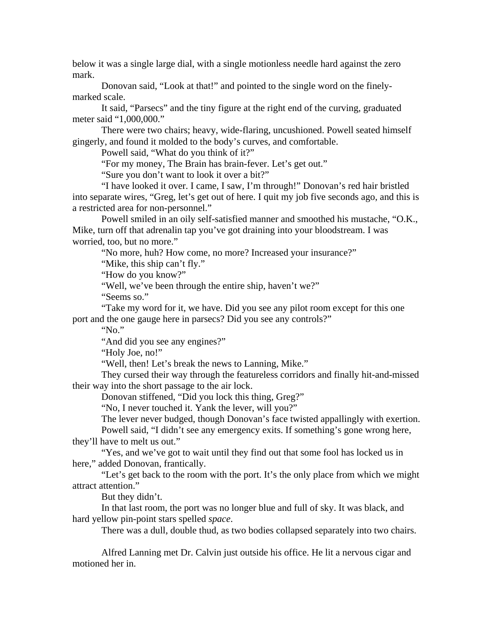below it was a single large dial, with a single motionless needle hard against the zero mark.

 Donovan said, "Look at that!" and pointed to the single word on the finelymarked scale.

 It said, "Parsecs" and the tiny figure at the right end of the curving, graduated meter said "1,000,000."

 There were two chairs; heavy, wide-flaring, uncushioned. Powell seated himself gingerly, and found it molded to the body's curves, and comfortable.

Powell said, "What do you think of it?"

"For my money, The Brain has brain-fever. Let's get out."

"Sure you don't want to look it over a bit?"

 "I have looked it over. I came, I saw, I'm through!" Donovan's red hair bristled into separate wires, "Greg, let's get out of here. I quit my job five seconds ago, and this is a restricted area for non-personnel."

 Powell smiled in an oily self-satisfied manner and smoothed his mustache, "O.K., Mike, turn off that adrenalin tap you've got draining into your bloodstream. I was worried, too, but no more."

"No more, huh? How come, no more? Increased your insurance?"

"Mike, this ship can't fly."

"How do you know?"

"Well, we've been through the entire ship, haven't we?"

"Seems so."

 "Take my word for it, we have. Did you see any pilot room except for this one port and the one gauge here in parsecs? Did you see any controls?"

"No."

"And did you see any engines?"

"Holy Joe, no!"

"Well, then! Let's break the news to Lanning, Mike."

 They cursed their way through the featureless corridors and finally hit-and-missed their way into the short passage to the air lock.

Donovan stiffened, "Did you lock this thing, Greg?"

"No, I never touched it. Yank the lever, will you?"

The lever never budged, though Donovan's face twisted appallingly with exertion.

 Powell said, "I didn't see any emergency exits. If something's gone wrong here, they'll have to melt us out."

 "Yes, and we've got to wait until they find out that some fool has locked us in here," added Donovan, frantically.

 "Let's get back to the room with the port. It's the only place from which we might attract attention."

But they didn't.

 In that last room, the port was no longer blue and full of sky. It was black, and hard yellow pin-point stars spelled *space*.

There was a dull, double thud, as two bodies collapsed separately into two chairs.

 Alfred Lanning met Dr. Calvin just outside his office. He lit a nervous cigar and motioned her in.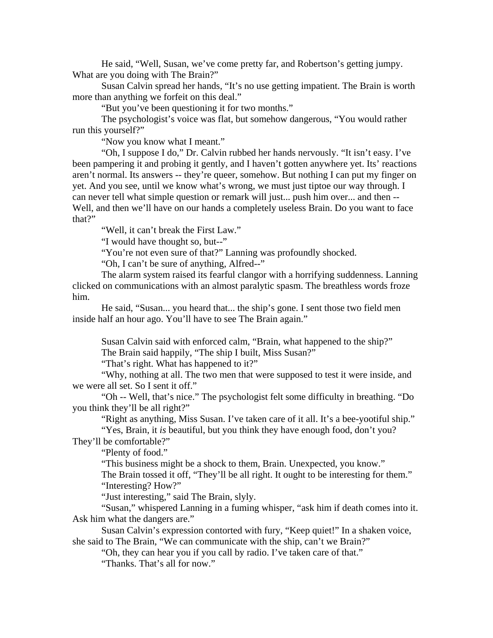He said, "Well, Susan, we've come pretty far, and Robertson's getting jumpy. What are you doing with The Brain?"

 Susan Calvin spread her hands, "It's no use getting impatient. The Brain is worth more than anything we forfeit on this deal."

"But you've been questioning it for two months."

 The psychologist's voice was flat, but somehow dangerous, "You would rather run this yourself?"

"Now you know what I meant."

 "Oh, I suppose I do," Dr. Calvin rubbed her hands nervously. "It isn't easy. I've been pampering it and probing it gently, and I haven't gotten anywhere yet. Its' reactions aren't normal. Its answers -- they're queer, somehow. But nothing I can put my finger on yet. And you see, until we know what's wrong, we must just tiptoe our way through. I can never tell what simple question or remark will just... push him over... and then -- Well, and then we'll have on our hands a completely useless Brain. Do you want to face that?"

"Well, it can't break the First Law."

"I would have thought so, but--"

"You're not even sure of that?" Lanning was profoundly shocked.

"Oh, I can't be sure of anything, Alfred--"

 The alarm system raised its fearful clangor with a horrifying suddenness. Lanning clicked on communications with an almost paralytic spasm. The breathless words froze him.

 He said, "Susan... you heard that... the ship's gone. I sent those two field men inside half an hour ago. You'll have to see The Brain again."

 Susan Calvin said with enforced calm, "Brain, what happened to the ship?" The Brain said happily, "The ship I built, Miss Susan?"

"That's right. What has happened to it?"

 "Why, nothing at all. The two men that were supposed to test it were inside, and we were all set. So I sent it off."

 "Oh -- Well, that's nice." The psychologist felt some difficulty in breathing. "Do you think they'll be all right?"

 "Right as anything, Miss Susan. I've taken care of it all. It's a bee-yootiful ship." "Yes, Brain, it *is* beautiful, but you think they have enough food, don't you?

They'll be comfortable?"

"Plenty of food."

 "This business might be a shock to them, Brain. Unexpected, you know." The Brain tossed it off, "They'll be all right. It ought to be interesting for them."

"Interesting? How?"

"Just interesting," said The Brain, slyly.

 "Susan," whispered Lanning in a fuming whisper, "ask him if death comes into it. Ask him what the dangers are."

 Susan Calvin's expression contorted with fury, "Keep quiet!" In a shaken voice, she said to The Brain, "We can communicate with the ship, can't we Brain?"

"Oh, they can hear you if you call by radio. I've taken care of that."

"Thanks. That's all for now."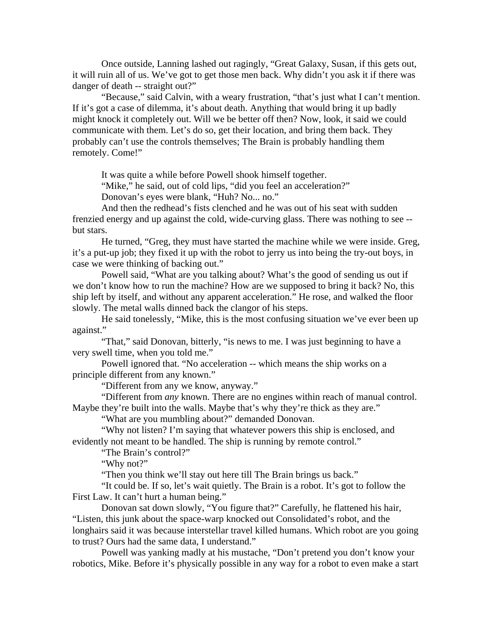Once outside, Lanning lashed out ragingly, "Great Galaxy, Susan, if this gets out, it will ruin all of us. We've got to get those men back. Why didn't you ask it if there was danger of death -- straight out?"

 "Because," said Calvin, with a weary frustration, "that's just what I can't mention. If it's got a case of dilemma, it's about death. Anything that would bring it up badly might knock it completely out. Will we be better off then? Now, look, it said we could communicate with them. Let's do so, get their location, and bring them back. They probably can't use the controls themselves; The Brain is probably handling them remotely. Come!"

It was quite a while before Powell shook himself together.

"Mike," he said, out of cold lips, "did you feel an acceleration?"

Donovan's eyes were blank, "Huh? No... no."

 And then the redhead's fists clenched and he was out of his seat with sudden frenzied energy and up against the cold, wide-curving glass. There was nothing to see - but stars.

 He turned, "Greg, they must have started the machine while we were inside. Greg, it's a put-up job; they fixed it up with the robot to jerry us into being the try-out boys, in case we were thinking of backing out."

 Powell said, "What are you talking about? What's the good of sending us out if we don't know how to run the machine? How are we supposed to bring it back? No, this ship left by itself, and without any apparent acceleration." He rose, and walked the floor slowly. The metal walls dinned back the clangor of his steps.

 He said tonelessly, "Mike, this is the most confusing situation we've ever been up against."

 "That," said Donovan, bitterly, "is news to me. I was just beginning to have a very swell time, when you told me."

 Powell ignored that. "No acceleration -- which means the ship works on a principle different from any known."

"Different from any we know, anyway."

 "Different from *any* known. There are no engines within reach of manual control. Maybe they're built into the walls. Maybe that's why they're thick as they are."

"What are you mumbling about?" demanded Donovan.

 "Why not listen? I'm saying that whatever powers this ship is enclosed, and evidently not meant to be handled. The ship is running by remote control."

"The Brain's control?"

"Why not?"

"Then you think we'll stay out here till The Brain brings us back."

 "It could be. If so, let's wait quietly. The Brain is a robot. It's got to follow the First Law. It can't hurt a human being."

 Donovan sat down slowly, "You figure that?" Carefully, he flattened his hair, "Listen, this junk about the space-warp knocked out Consolidated's robot, and the longhairs said it was because interstellar travel killed humans. Which robot are you going to trust? Ours had the same data, I understand."

 Powell was yanking madly at his mustache, "Don't pretend you don't know your robotics, Mike. Before it's physically possible in any way for a robot to even make a start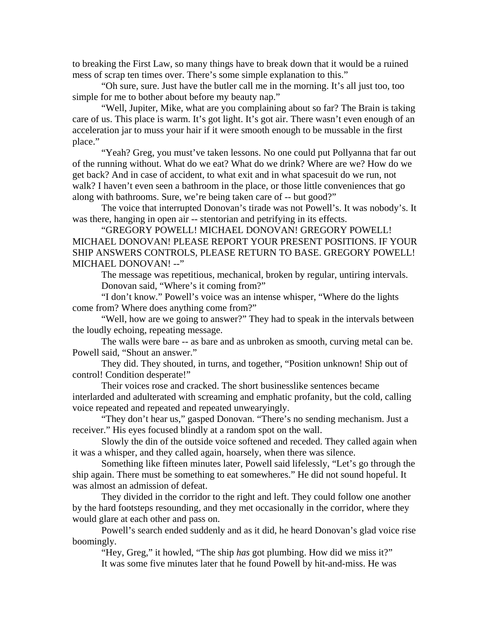to breaking the First Law, so many things have to break down that it would be a ruined mess of scrap ten times over. There's some simple explanation to this."

 "Oh sure, sure. Just have the butler call me in the morning. It's all just too, too simple for me to bother about before my beauty nap."

 "Well, Jupiter, Mike, what are you complaining about so far? The Brain is taking care of us. This place is warm. It's got light. It's got air. There wasn't even enough of an acceleration jar to muss your hair if it were smooth enough to be mussable in the first place."

 "Yeah? Greg, you must've taken lessons. No one could put Pollyanna that far out of the running without. What do we eat? What do we drink? Where are we? How do we get back? And in case of accident, to what exit and in what spacesuit do we run, not walk? I haven't even seen a bathroom in the place, or those little conveniences that go along with bathrooms. Sure, we're being taken care of -- but good?"

 The voice that interrupted Donovan's tirade was not Powell's. It was nobody's. It was there, hanging in open air -- stentorian and petrifying in its effects.

 "GREGORY POWELL! MICHAEL DONOVAN! GREGORY POWELL! MICHAEL DONOVAN! PLEASE REPORT YOUR PRESENT POSITIONS. IF YOUR SHIP ANSWERS CONTROLS, PLEASE RETURN TO BASE. GREGORY POWELL! MICHAEL DONOVAN! --"

 The message was repetitious, mechanical, broken by regular, untiring intervals. Donovan said, "Where's it coming from?"

 "I don't know." Powell's voice was an intense whisper, "Where do the lights come from? Where does anything come from?"

 "Well, how are we going to answer?" They had to speak in the intervals between the loudly echoing, repeating message.

 The walls were bare -- as bare and as unbroken as smooth, curving metal can be. Powell said, "Shout an answer."

 They did. They shouted, in turns, and together, "Position unknown! Ship out of control! Condition desperate!"

 Their voices rose and cracked. The short businesslike sentences became interlarded and adulterated with screaming and emphatic profanity, but the cold, calling voice repeated and repeated and repeated unwearyingly.

 "They don't hear us," gasped Donovan. "There's no sending mechanism. Just a receiver." His eyes focused blindly at a random spot on the wall.

 Slowly the din of the outside voice softened and receded. They called again when it was a whisper, and they called again, hoarsely, when there was silence.

 Something like fifteen minutes later, Powell said lifelessly, "Let's go through the ship again. There must be something to eat somewheres." He did not sound hopeful. It was almost an admission of defeat.

 They divided in the corridor to the right and left. They could follow one another by the hard footsteps resounding, and they met occasionally in the corridor, where they would glare at each other and pass on.

 Powell's search ended suddenly and as it did, he heard Donovan's glad voice rise boomingly.

 "Hey, Greg," it howled, "The ship *has* got plumbing. How did we miss it?" It was some five minutes later that he found Powell by hit-and-miss. He was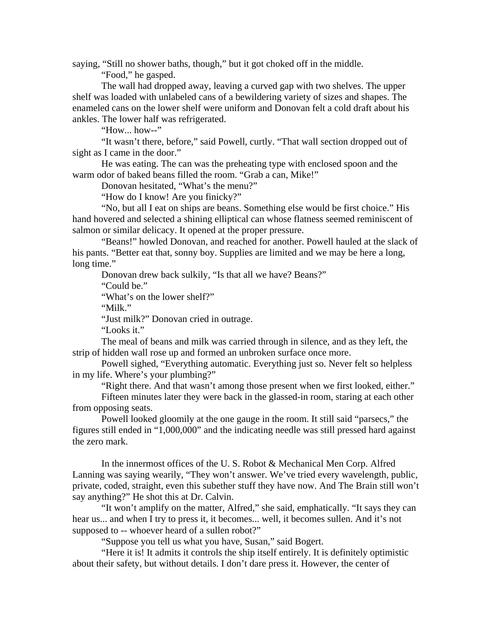saying, "Still no shower baths, though," but it got choked off in the middle.

"Food," he gasped.

 The wall had dropped away, leaving a curved gap with two shelves. The upper shelf was loaded with unlabeled cans of a bewildering variety of sizes and shapes. The enameled cans on the lower shelf were uniform and Donovan felt a cold draft about his ankles. The lower half was refrigerated.

"How... how--"

 "It wasn't there, before," said Powell, curtly. "That wall section dropped out of sight as I came in the door."

 He was eating. The can was the preheating type with enclosed spoon and the warm odor of baked beans filled the room. "Grab a can, Mike!"

Donovan hesitated, "What's the menu?"

"How do I know! Are you finicky?"

 "No, but all I eat on ships are beans. Something else would be first choice." His hand hovered and selected a shining elliptical can whose flatness seemed reminiscent of salmon or similar delicacy. It opened at the proper pressure.

 "Beans!" howled Donovan, and reached for another. Powell hauled at the slack of his pants. "Better eat that, sonny boy. Supplies are limited and we may be here a long, long time."

Donovan drew back sulkily, "Is that all we have? Beans?"

"Could be."

"What's on the lower shelf?"

"Milk."

"Just milk?" Donovan cried in outrage.

"Looks it."

 The meal of beans and milk was carried through in silence, and as they left, the strip of hidden wall rose up and formed an unbroken surface once more.

 Powell sighed, "Everything automatic. Everything just so. Never felt so helpless in my life. Where's your plumbing?"

"Right there. And that wasn't among those present when we first looked, either."

 Fifteen minutes later they were back in the glassed-in room, staring at each other from opposing seats.

 Powell looked gloomily at the one gauge in the room. It still said "parsecs," the figures still ended in "1,000,000" and the indicating needle was still pressed hard against the zero mark.

 In the innermost offices of the U. S. Robot & Mechanical Men Corp. Alfred Lanning was saying wearily, "They won't answer. We've tried every wavelength, public, private, coded, straight, even this subether stuff they have now. And The Brain still won't say anything?" He shot this at Dr. Calvin.

 "It won't amplify on the matter, Alfred," she said, emphatically. "It says they can hear us... and when I try to press it, it becomes... well, it becomes sullen. And it's not supposed to -- whoever heard of a sullen robot?"

"Suppose you tell us what you have, Susan," said Bogert.

 "Here it is! It admits it controls the ship itself entirely. It is definitely optimistic about their safety, but without details. I don't dare press it. However, the center of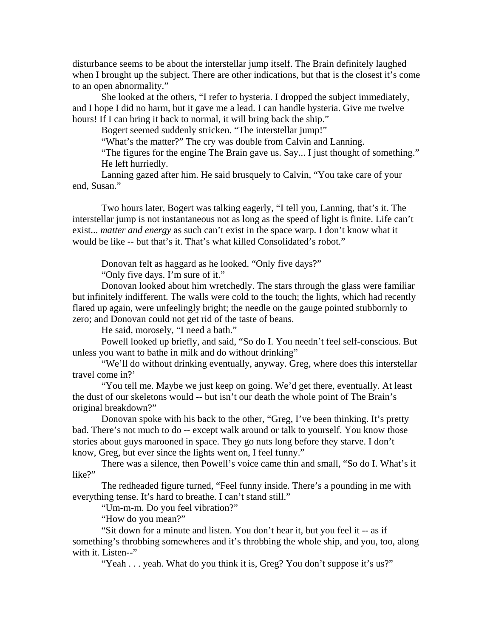disturbance seems to be about the interstellar jump itself. The Brain definitely laughed when I brought up the subject. There are other indications, but that is the closest it's come to an open abnormality."

 She looked at the others, "I refer to hysteria. I dropped the subject immediately, and I hope I did no harm, but it gave me a lead. I can handle hysteria. Give me twelve hours! If I can bring it back to normal, it will bring back the ship."

Bogert seemed suddenly stricken. "The interstellar jump!"

"What's the matter?" The cry was double from Calvin and Lanning.

 "The figures for the engine The Brain gave us. Say... I just thought of something." He left hurriedly.

 Lanning gazed after him. He said brusquely to Calvin, "You take care of your end, Susan."

 Two hours later, Bogert was talking eagerly, "I tell you, Lanning, that's it. The interstellar jump is not instantaneous not as long as the speed of light is finite. Life can't exist... *matter and energy* as such can't exist in the space warp. I don't know what it would be like -- but that's it. That's what killed Consolidated's robot."

Donovan felt as haggard as he looked. "Only five days?"

"Only five days. I'm sure of it."

 Donovan looked about him wretchedly. The stars through the glass were familiar but infinitely indifferent. The walls were cold to the touch; the lights, which had recently flared up again, were unfeelingly bright; the needle on the gauge pointed stubbornly to zero; and Donovan could not get rid of the taste of beans.

He said, morosely, "I need a bath."

 Powell looked up briefly, and said, "So do I. You needn't feel self-conscious. But unless you want to bathe in milk and do without drinking"

 "We'll do without drinking eventually, anyway. Greg, where does this interstellar travel come in?'

 "You tell me. Maybe we just keep on going. We'd get there, eventually. At least the dust of our skeletons would -- but isn't our death the whole point of The Brain's original breakdown?"

 Donovan spoke with his back to the other, "Greg, I've been thinking. It's pretty bad. There's not much to do -- except walk around or talk to yourself. You know those stories about guys marooned in space. They go nuts long before they starve. I don't know, Greg, but ever since the lights went on, I feel funny."

 There was a silence, then Powell's voice came thin and small, "So do I. What's it like?"

 The redheaded figure turned, "Feel funny inside. There's a pounding in me with everything tense. It's hard to breathe. I can't stand still."

"Um-m-m. Do you feel vibration?"

"How do you mean?"

 "Sit down for a minute and listen. You don't hear it, but you feel it -- as if something's throbbing somewheres and it's throbbing the whole ship, and you, too, along with it. Listen--"

"Yeah . . . yeah. What do you think it is, Greg? You don't suppose it's us?"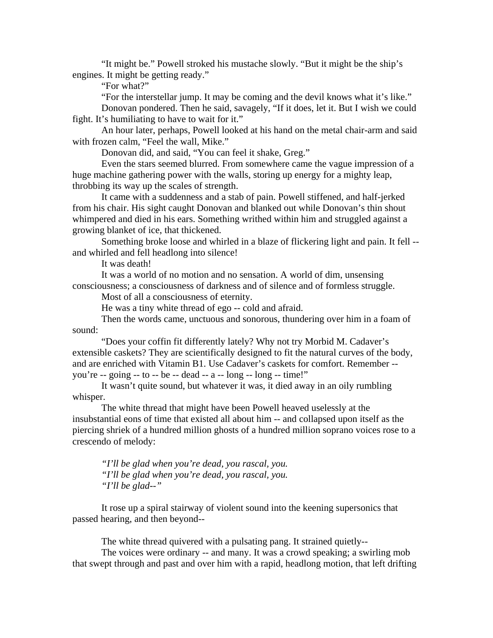"It might be." Powell stroked his mustache slowly. "But it might be the ship's engines. It might be getting ready."

"For what?"

"For the interstellar jump. It may be coming and the devil knows what it's like."

 Donovan pondered. Then he said, savagely, "If it does, let it. But I wish we could fight. It's humiliating to have to wait for it."

 An hour later, perhaps, Powell looked at his hand on the metal chair-arm and said with frozen calm, "Feel the wall, Mike."

Donovan did, and said, "You can feel it shake, Greg."

 Even the stars seemed blurred. From somewhere came the vague impression of a huge machine gathering power with the walls, storing up energy for a mighty leap, throbbing its way up the scales of strength.

 It came with a suddenness and a stab of pain. Powell stiffened, and half-jerked from his chair. His sight caught Donovan and blanked out while Donovan's thin shout whimpered and died in his ears. Something writhed within him and struggled against a growing blanket of ice, that thickened.

 Something broke loose and whirled in a blaze of flickering light and pain. It fell - and whirled and fell headlong into silence!

It was death!

 It was a world of no motion and no sensation. A world of dim, unsensing consciousness; a consciousness of darkness and of silence and of formless struggle.

Most of all a consciousness of eternity.

He was a tiny white thread of ego -- cold and afraid.

 Then the words came, unctuous and sonorous, thundering over him in a foam of sound:

 "Does your coffin fit differently lately? Why not try Morbid M. Cadaver's extensible caskets? They are scientifically designed to fit the natural curves of the body, and are enriched with Vitamin B1. Use Cadaver's caskets for comfort. Remember - you're  $-$  going  $-$  to  $-$  be  $-$  dead  $-$  a  $-$  long  $-$  long  $-$  time!"

 It wasn't quite sound, but whatever it was, it died away in an oily rumbling whisper.

 The white thread that might have been Powell heaved uselessly at the insubstantial eons of time that existed all about him -- and collapsed upon itself as the piercing shriek of a hundred million ghosts of a hundred million soprano voices rose to a crescendo of melody:

*"I'll be glad when you're dead, you rascal, you. "I'll be glad when you're dead, you rascal, you. "I'll be glad--"* 

It rose up a spiral stairway of violent sound into the keening supersonics that passed hearing, and then beyond--

The white thread quivered with a pulsating pang. It strained quietly--

 The voices were ordinary -- and many. It was a crowd speaking; a swirling mob that swept through and past and over him with a rapid, headlong motion, that left drifting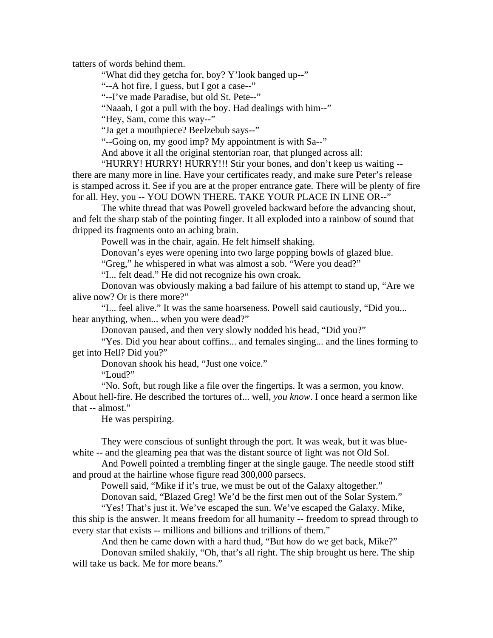tatters of words behind them.

"What did they getcha for, boy? Y'look banged up--"

"--A hot fire, I guess, but I got a case--"

"--I've made Paradise, but old St. Pete--"

"Naaah, I got a pull with the boy. Had dealings with him--"

"Hey, Sam, come this way--"

"Ja get a mouthpiece? Beelzebub says--"

"--Going on, my good imp? My appointment is with Sa--"

And above it all the original stentorian roar, that plunged across all:

 "HURRY! HURRY! HURRY!!! Stir your bones, and don't keep us waiting - there are many more in line. Have your certificates ready, and make sure Peter's release is stamped across it. See if you are at the proper entrance gate. There will be plenty of fire for all. Hey, you -- YOU DOWN THERE. TAKE YOUR PLACE IN LINE OR--"

 The white thread that was Powell groveled backward before the advancing shout, and felt the sharp stab of the pointing finger. It all exploded into a rainbow of sound that dripped its fragments onto an aching brain.

Powell was in the chair, again. He felt himself shaking.

Donovan's eyes were opening into two large popping bowls of glazed blue.

"Greg," he whispered in what was almost a sob. "Were you dead?"

"I... felt dead." He did not recognize his own croak.

 Donovan was obviously making a bad failure of his attempt to stand up, "Are we alive now? Or is there more?"

 "I... feel alive." It was the same hoarseness. Powell said cautiously, "Did you... hear anything, when... when you were dead?"

Donovan paused, and then very slowly nodded his head, "Did you?"

 "Yes. Did you hear about coffins... and females singing... and the lines forming to get into Hell? Did you?"

Donovan shook his head, "Just one voice."

"Loud?"

 "No. Soft, but rough like a file over the fingertips. It was a sermon, you know. About hell-fire. He described the tortures of... well, *you know*. I once heard a sermon like that -- almost."

He was perspiring.

 They were conscious of sunlight through the port. It was weak, but it was bluewhite -- and the gleaming pea that was the distant source of light was not Old Sol.

 And Powell pointed a trembling finger at the single gauge. The needle stood stiff and proud at the hairline whose figure read 300,000 parsecs.

Powell said, "Mike if it's true, we must be out of the Galaxy altogether."

Donovan said, "Blazed Greg! We'd be the first men out of the Solar System."

 "Yes! That's just it. We've escaped the sun. We've escaped the Galaxy. Mike, this ship is the answer. It means freedom for all humanity -- freedom to spread through to every star that exists -- millions and billions and trillions of them."

And then he came down with a hard thud, "But how do we get back, Mike?"

 Donovan smiled shakily, "Oh, that's all right. The ship brought us here. The ship will take us back. Me for more beans."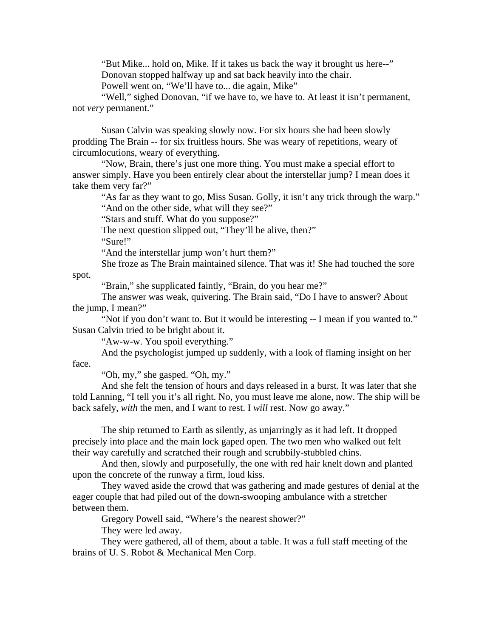"But Mike... hold on, Mike. If it takes us back the way it brought us here--" Donovan stopped halfway up and sat back heavily into the chair.

Powell went on, "We'll have to... die again, Mike"

"Well," sighed Donovan, "if we have to, we have to. At least it isn't permanent, not *very* permanent."

 Susan Calvin was speaking slowly now. For six hours she had been slowly prodding The Brain -- for six fruitless hours. She was weary of repetitions, weary of circumlocutions, weary of everything.

 "Now, Brain, there's just one more thing. You must make a special effort to answer simply. Have you been entirely clear about the interstellar jump? I mean does it take them very far?"

 "As far as they want to go, Miss Susan. Golly, it isn't any trick through the warp." "And on the other side, what will they see?"

"Stars and stuff. What do you suppose?"

The next question slipped out, "They'll be alive, then?"

"Sure!"

"And the interstellar jump won't hurt them?"

 She froze as The Brain maintained silence. That was it! She had touched the sore spot.

"Brain," she supplicated faintly, "Brain, do you hear me?"

 The answer was weak, quivering. The Brain said, "Do I have to answer? About the jump, I mean?"

 "Not if you don't want to. But it would be interesting -- I mean if you wanted to." Susan Calvin tried to be bright about it.

"Aw-w-w. You spoil everything."

And the psychologist jumped up suddenly, with a look of flaming insight on her

face.

"Oh, my," she gasped. "Oh, my."

 And she felt the tension of hours and days released in a burst. It was later that she told Lanning, "I tell you it's all right. No, you must leave me alone, now. The ship will be back safely, *with* the men, and I want to rest. I *will* rest. Now go away."

 The ship returned to Earth as silently, as unjarringly as it had left. It dropped precisely into place and the main lock gaped open. The two men who walked out felt their way carefully and scratched their rough and scrubbily-stubbled chins.

 And then, slowly and purposefully, the one with red hair knelt down and planted upon the concrete of the runway a firm, loud kiss.

 They waved aside the crowd that was gathering and made gestures of denial at the eager couple that had piled out of the down-swooping ambulance with a stretcher between them.

Gregory Powell said, "Where's the nearest shower?"

They were led away.

 They were gathered, all of them, about a table. It was a full staff meeting of the brains of U. S. Robot & Mechanical Men Corp.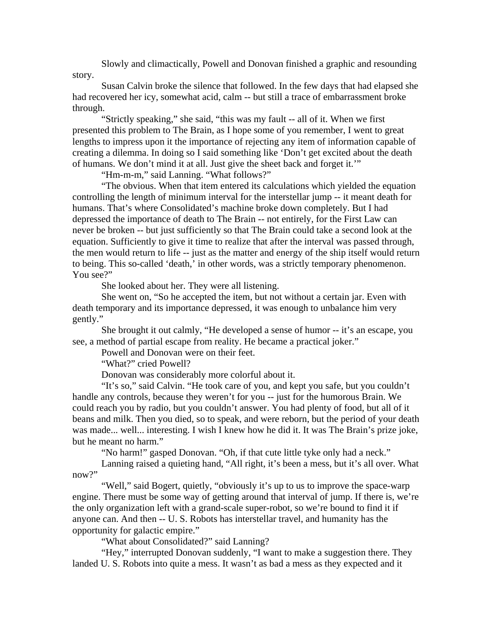Slowly and climactically, Powell and Donovan finished a graphic and resounding story.

 Susan Calvin broke the silence that followed. In the few days that had elapsed she had recovered her icy, somewhat acid, calm -- but still a trace of embarrassment broke through.

 "Strictly speaking," she said, "this was my fault -- all of it. When we first presented this problem to The Brain, as I hope some of you remember, I went to great lengths to impress upon it the importance of rejecting any item of information capable of creating a dilemma. In doing so I said something like 'Don't get excited about the death of humans. We don't mind it at all. Just give the sheet back and forget it.'"

"Hm-m-m," said Lanning. "What follows?"

 "The obvious. When that item entered its calculations which yielded the equation controlling the length of minimum interval for the interstellar jump -- it meant death for humans. That's where Consolidated's machine broke down completely. But I had depressed the importance of death to The Brain -- not entirely, for the First Law can never be broken -- but just sufficiently so that The Brain could take a second look at the equation. Sufficiently to give it time to realize that after the interval was passed through, the men would return to life -- just as the matter and energy of the ship itself would return to being. This so-called 'death,' in other words, was a strictly temporary phenomenon. You see?"

She looked about her. They were all listening.

 She went on, "So he accepted the item, but not without a certain jar. Even with death temporary and its importance depressed, it was enough to unbalance him very gently."

 She brought it out calmly, "He developed a sense of humor -- it's an escape, you see, a method of partial escape from reality. He became a practical joker."

Powell and Donovan were on their feet.

"What?" cried Powell?

Donovan was considerably more colorful about it.

 "It's so," said Calvin. "He took care of you, and kept you safe, but you couldn't handle any controls, because they weren't for you -- just for the humorous Brain. We could reach you by radio, but you couldn't answer. You had plenty of food, but all of it beans and milk. Then you died, so to speak, and were reborn, but the period of your death was made... well... interesting. I wish I knew how he did it. It was The Brain's prize joke, but he meant no harm."

"No harm!" gasped Donovan. "Oh, if that cute little tyke only had a neck."

 Lanning raised a quieting hand, "All right, it's been a mess, but it's all over. What now?"

 "Well," said Bogert, quietly, "obviously it's up to us to improve the space-warp engine. There must be some way of getting around that interval of jump. If there is, we're the only organization left with a grand-scale super-robot, so we're bound to find it if anyone can. And then -- U. S. Robots has interstellar travel, and humanity has the opportunity for galactic empire."

"What about Consolidated?" said Lanning?

 "Hey," interrupted Donovan suddenly, "I want to make a suggestion there. They landed U. S. Robots into quite a mess. It wasn't as bad a mess as they expected and it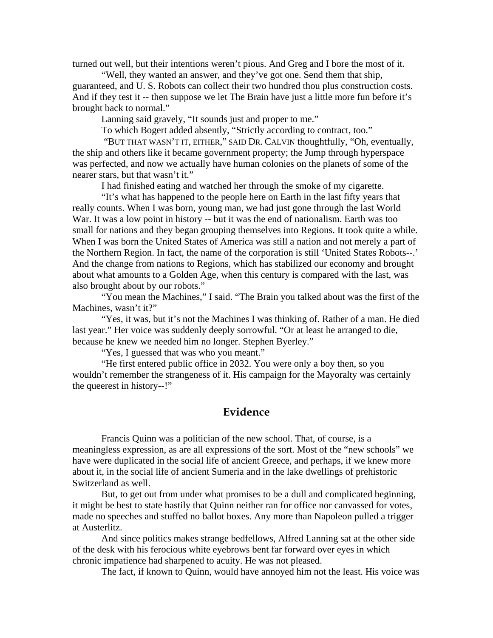turned out well, but their intentions weren't pious. And Greg and I bore the most of it. "Well, they wanted an answer, and they've got one. Send them that ship,

guaranteed, and U. S. Robots can collect their two hundred thou plus construction costs. And if they test it -- then suppose we let The Brain have just a little more fun before it's brought back to normal."

Lanning said gravely, "It sounds just and proper to me."

To which Bogert added absently, "Strictly according to contract, too."

 "BUT THAT WASN'T IT, EITHER," SAID DR. CALVIN thoughtfully, "Oh, eventually, the ship and others like it became government property; the Jump through hyperspace was perfected, and now we actually have human colonies on the planets of some of the nearer stars, but that wasn't it."

I had finished eating and watched her through the smoke of my cigarette.

 "It's what has happened to the people here on Earth in the last fifty years that really counts. When I was born, young man, we had just gone through the last World War. It was a low point in history -- but it was the end of nationalism. Earth was too small for nations and they began grouping themselves into Regions. It took quite a while. When I was born the United States of America was still a nation and not merely a part of the Northern Region. In fact, the name of the corporation is still 'United States Robots--.' And the change from nations to Regions, which has stabilized our economy and brought about what amounts to a Golden Age, when this century is compared with the last, was also brought about by our robots."

 "You mean the Machines," I said. "The Brain you talked about was the first of the Machines, wasn't it?"

 "Yes, it was, but it's not the Machines I was thinking of. Rather of a man. He died last year." Her voice was suddenly deeply sorrowful. "Or at least he arranged to die, because he knew we needed him no longer. Stephen Byerley."

"Yes, I guessed that was who you meant."

 "He first entered public office in 2032. You were only a boy then, so you wouldn't remember the strangeness of it. His campaign for the Mayoralty was certainly the queerest in history--!"

## **Evidence**

Francis Quinn was a politician of the new school. That, of course, is a meaningless expression, as are all expressions of the sort. Most of the "new schools" we have were duplicated in the social life of ancient Greece, and perhaps, if we knew more about it, in the social life of ancient Sumeria and in the lake dwellings of prehistoric Switzerland as well.

 But, to get out from under what promises to be a dull and complicated beginning, it might be best to state hastily that Quinn neither ran for office nor canvassed for votes, made no speeches and stuffed no ballot boxes. Any more than Napoleon pulled a trigger at Austerlitz.

 And since politics makes strange bedfellows, Alfred Lanning sat at the other side of the desk with his ferocious white eyebrows bent far forward over eyes in which chronic impatience had sharpened to acuity. He was not pleased.

The fact, if known to Quinn, would have annoyed him not the least. His voice was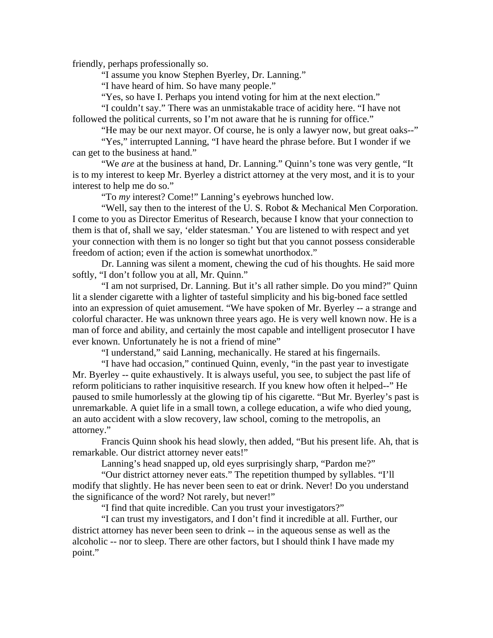friendly, perhaps professionally so.

"I assume you know Stephen Byerley, Dr. Lanning."

"I have heard of him. So have many people."

"Yes, so have I. Perhaps you intend voting for him at the next election."

 "I couldn't say." There was an unmistakable trace of acidity here. "I have not followed the political currents, so I'm not aware that he is running for office."

"He may be our next mayor. Of course, he is only a lawyer now, but great oaks--"

 "Yes," interrupted Lanning, "I have heard the phrase before. But I wonder if we can get to the business at hand."

 "We *are* at the business at hand, Dr. Lanning." Quinn's tone was very gentle, "It is to my interest to keep Mr. Byerley a district attorney at the very most, and it is to your interest to help me do so."

"To *my* interest? Come!" Lanning's eyebrows hunched low.

 "Well, say then to the interest of the U. S. Robot & Mechanical Men Corporation. I come to you as Director Emeritus of Research, because I know that your connection to them is that of, shall we say, 'elder statesman.' You are listened to with respect and yet your connection with them is no longer so tight but that you cannot possess considerable freedom of action; even if the action is somewhat unorthodox."

 Dr. Lanning was silent a moment, chewing the cud of his thoughts. He said more softly, "I don't follow you at all, Mr. Quinn."

 "I am not surprised, Dr. Lanning. But it's all rather simple. Do you mind?" Quinn lit a slender cigarette with a lighter of tasteful simplicity and his big-boned face settled into an expression of quiet amusement. "We have spoken of Mr. Byerley -- a strange and colorful character. He was unknown three years ago. He is very well known now. He is a man of force and ability, and certainly the most capable and intelligent prosecutor I have ever known. Unfortunately he is not a friend of mine"

"I understand," said Lanning, mechanically. He stared at his fingernails.

 "I have had occasion," continued Quinn, evenly, "in the past year to investigate Mr. Byerley -- quite exhaustively. It is always useful, you see, to subject the past life of reform politicians to rather inquisitive research. If you knew how often it helped--" He paused to smile humorlessly at the glowing tip of his cigarette. "But Mr. Byerley's past is unremarkable. A quiet life in a small town, a college education, a wife who died young, an auto accident with a slow recovery, law school, coming to the metropolis, an attorney."

 Francis Quinn shook his head slowly, then added, "But his present life. Ah, that is remarkable. Our district attorney never eats!"

Lanning's head snapped up, old eyes surprisingly sharp, "Pardon me?"

 "Our district attorney never eats." The repetition thumped by syllables. "I'll modify that slightly. He has never been seen to eat or drink. Never! Do you understand the significance of the word? Not rarely, but never!"

"I find that quite incredible. Can you trust your investigators?"

 "I can trust my investigators, and I don't find it incredible at all. Further, our district attorney has never been seen to drink -- in the aqueous sense as well as the alcoholic -- nor to sleep. There are other factors, but I should think I have made my point."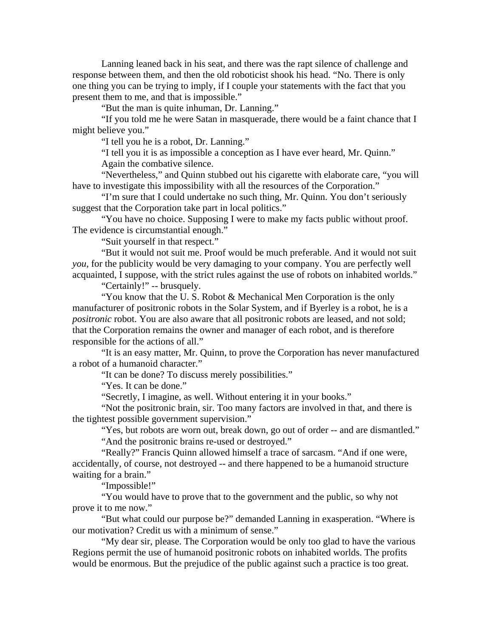Lanning leaned back in his seat, and there was the rapt silence of challenge and response between them, and then the old roboticist shook his head. "No. There is only one thing you can be trying to imply, if I couple your statements with the fact that you present them to me, and that is impossible."

"But the man is quite inhuman, Dr. Lanning."

 "If you told me he were Satan in masquerade, there would be a faint chance that I might believe you."

"I tell you he is a robot, Dr. Lanning."

 "I tell you it is as impossible a conception as I have ever heard, Mr. Quinn." Again the combative silence.

 "Nevertheless," and Quinn stubbed out his cigarette with elaborate care, "you will have to investigate this impossibility with all the resources of the Corporation."

 "I'm sure that I could undertake no such thing, Mr. Quinn. You don't seriously suggest that the Corporation take part in local politics."

 "You have no choice. Supposing I were to make my facts public without proof. The evidence is circumstantial enough."

"Suit yourself in that respect."

 "But it would not suit me. Proof would be much preferable. And it would not suit *you*, for the publicity would be very damaging to your company. You are perfectly well acquainted, I suppose, with the strict rules against the use of robots on inhabited worlds."

"Certainly!" -- brusquely.

 "You know that the U. S. Robot & Mechanical Men Corporation is the only manufacturer of positronic robots in the Solar System, and if Byerley is a robot, he is a *positronic* robot. You are also aware that all positronic robots are leased, and not sold; that the Corporation remains the owner and manager of each robot, and is therefore responsible for the actions of all."

 "It is an easy matter, Mr. Quinn, to prove the Corporation has never manufactured a robot of a humanoid character."

"It can be done? To discuss merely possibilities."

"Yes. It can be done."

"Secretly, I imagine, as well. Without entering it in your books."

 "Not the positronic brain, sir. Too many factors are involved in that, and there is the tightest possible government supervision."

 "Yes, but robots are worn out, break down, go out of order -- and are dismantled." "And the positronic brains re-used or destroyed."

 "Really?" Francis Quinn allowed himself a trace of sarcasm. "And if one were, accidentally, of course, not destroyed -- and there happened to be a humanoid structure waiting for a brain."

"Impossible!"

 "You would have to prove that to the government and the public, so why not prove it to me now."

 "But what could our purpose be?" demanded Lanning in exasperation. "Where is our motivation? Credit us with a minimum of sense."

 "My dear sir, please. The Corporation would be only too glad to have the various Regions permit the use of humanoid positronic robots on inhabited worlds. The profits would be enormous. But the prejudice of the public against such a practice is too great.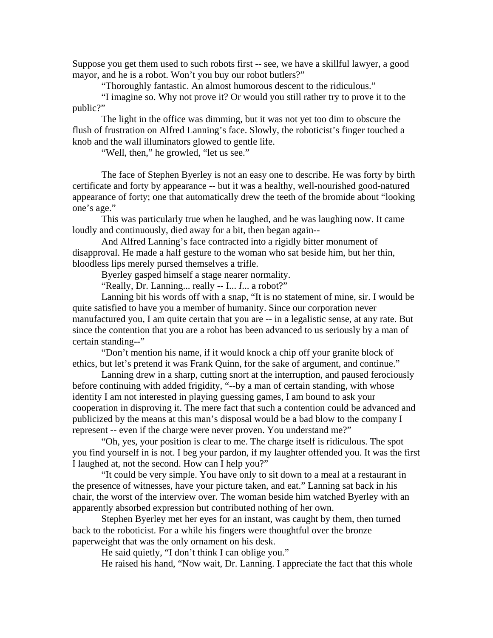Suppose you get them used to such robots first -- see, we have a skillful lawyer, a good mayor, and he is a robot. Won't you buy our robot butlers?"

"Thoroughly fantastic. An almost humorous descent to the ridiculous."

 "I imagine so. Why not prove it? Or would you still rather try to prove it to the public?"

 The light in the office was dimming, but it was not yet too dim to obscure the flush of frustration on Alfred Lanning's face. Slowly, the roboticist's finger touched a knob and the wall illuminators glowed to gentle life.

"Well, then," he growled, "let us see."

 The face of Stephen Byerley is not an easy one to describe. He was forty by birth certificate and forty by appearance -- but it was a healthy, well-nourished good-natured appearance of forty; one that automatically drew the teeth of the bromide about "looking one's age."

 This was particularly true when he laughed, and he was laughing now. It came loudly and continuously, died away for a bit, then began again--

 And Alfred Lanning's face contracted into a rigidly bitter monument of disapproval. He made a half gesture to the woman who sat beside him, but her thin, bloodless lips merely pursed themselves a trifle.

Byerley gasped himself a stage nearer normality.

"Really, Dr. Lanning... really -- I... *I*... a robot?"

 Lanning bit his words off with a snap, "It is no statement of mine, sir. I would be quite satisfied to have you a member of humanity. Since our corporation never manufactured you, I am quite certain that you are -- in a legalistic sense, at any rate. But since the contention that you are a robot has been advanced to us seriously by a man of certain standing--"

 "Don't mention his name, if it would knock a chip off your granite block of ethics, but let's pretend it was Frank Quinn, for the sake of argument, and continue."

 Lanning drew in a sharp, cutting snort at the interruption, and paused ferociously before continuing with added frigidity, "--by a man of certain standing, with whose identity I am not interested in playing guessing games, I am bound to ask your cooperation in disproving it. The mere fact that such a contention could be advanced and publicized by the means at this man's disposal would be a bad blow to the company I represent -- even if the charge were never proven. You understand me?"

 "Oh, yes, your position is clear to me. The charge itself is ridiculous. The spot you find yourself in is not. I beg your pardon, if my laughter offended you. It was the first I laughed at, not the second. How can I help you?"

 "It could be very simple. You have only to sit down to a meal at a restaurant in the presence of witnesses, have your picture taken, and eat." Lanning sat back in his chair, the worst of the interview over. The woman beside him watched Byerley with an apparently absorbed expression but contributed nothing of her own.

 Stephen Byerley met her eyes for an instant, was caught by them, then turned back to the roboticist. For a while his fingers were thoughtful over the bronze paperweight that was the only ornament on his desk.

He said quietly, "I don't think I can oblige you."

He raised his hand, "Now wait, Dr. Lanning. I appreciate the fact that this whole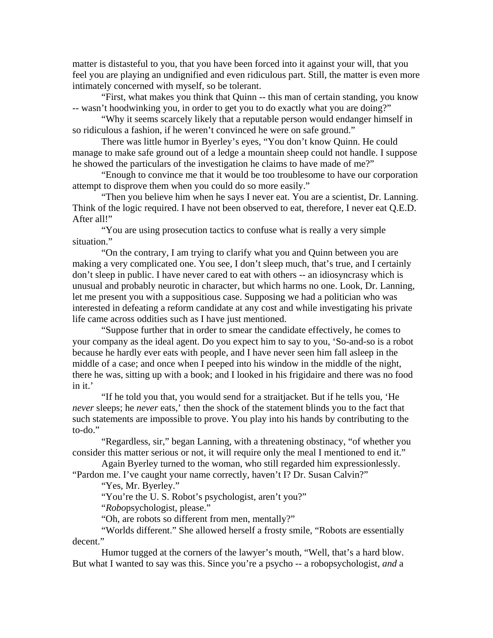matter is distasteful to you, that you have been forced into it against your will, that you feel you are playing an undignified and even ridiculous part. Still, the matter is even more intimately concerned with myself, so be tolerant.

 "First, what makes you think that Quinn -- this man of certain standing, you know -- wasn't hoodwinking you, in order to get you to do exactly what you are doing?"

 "Why it seems scarcely likely that a reputable person would endanger himself in so ridiculous a fashion, if he weren't convinced he were on safe ground."

 There was little humor in Byerley's eyes, "You don't know Quinn. He could manage to make safe ground out of a ledge a mountain sheep could not handle. I suppose he showed the particulars of the investigation he claims to have made of me?"

 "Enough to convince me that it would be too troublesome to have our corporation attempt to disprove them when you could do so more easily."

 "Then you believe him when he says I never eat. You are a scientist, Dr. Lanning. Think of the logic required. I have not been observed to eat, therefore, I never eat Q.E.D. After all!"

 "You are using prosecution tactics to confuse what is really a very simple situation."

 "On the contrary, I am trying to clarify what you and Quinn between you are making a very complicated one. You see, I don't sleep much, that's true, and I certainly don't sleep in public. I have never cared to eat with others -- an idiosyncrasy which is unusual and probably neurotic in character, but which harms no one. Look, Dr. Lanning, let me present you with a suppositious case. Supposing we had a politician who was interested in defeating a reform candidate at any cost and while investigating his private life came across oddities such as I have just mentioned.

 "Suppose further that in order to smear the candidate effectively, he comes to your company as the ideal agent. Do you expect him to say to you, 'So-and-so is a robot because he hardly ever eats with people, and I have never seen him fall asleep in the middle of a case; and once when I peeped into his window in the middle of the night, there he was, sitting up with a book; and I looked in his frigidaire and there was no food in it.'

 "If he told you that, you would send for a straitjacket. But if he tells you, 'He *never* sleeps; he *never* eats,' then the shock of the statement blinds you to the fact that such statements are impossible to prove. You play into his hands by contributing to the to-do."

 "Regardless, sir," began Lanning, with a threatening obstinacy, "of whether you consider this matter serious or not, it will require only the meal I mentioned to end it."

 Again Byerley turned to the woman, who still regarded him expressionlessly. "Pardon me. I've caught your name correctly, haven't I? Dr. Susan Calvin?"

"Yes, Mr. Byerley."

"You're the U.S. Robot's psychologist, aren't you?"

"*Robo*psychologist, please."

"Oh, are robots so different from men, mentally?"

 "Worlds different." She allowed herself a frosty smile, "Robots are essentially decent."

 Humor tugged at the corners of the lawyer's mouth, "Well, that's a hard blow. But what I wanted to say was this. Since you're a psycho -- a robopsychologist, *and* a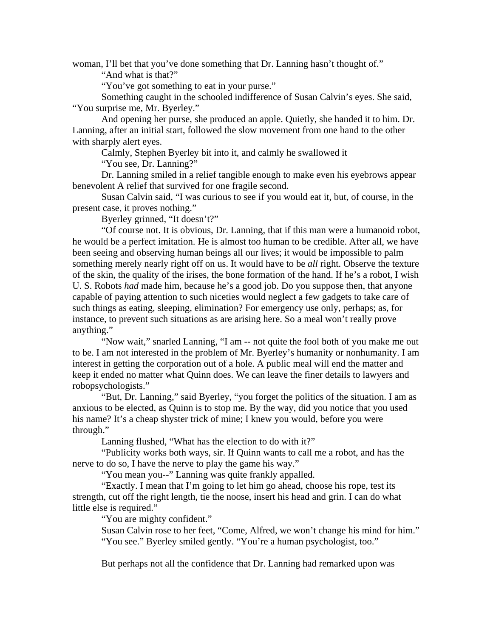woman, I'll bet that you've done something that Dr. Lanning hasn't thought of."

"And what is that?"

"You've got something to eat in your purse."

 Something caught in the schooled indifference of Susan Calvin's eyes. She said, "You surprise me, Mr. Byerley."

 And opening her purse, she produced an apple. Quietly, she handed it to him. Dr. Lanning, after an initial start, followed the slow movement from one hand to the other with sharply alert eyes.

 Calmly, Stephen Byerley bit into it, and calmly he swallowed it "You see, Dr. Lanning?"

 Dr. Lanning smiled in a relief tangible enough to make even his eyebrows appear benevolent A relief that survived for one fragile second.

 Susan Calvin said, "I was curious to see if you would eat it, but, of course, in the present case, it proves nothing."

Byerley grinned, "It doesn't?"

 "Of course not. It is obvious, Dr. Lanning, that if this man were a humanoid robot, he would be a perfect imitation. He is almost too human to be credible. After all, we have been seeing and observing human beings all our lives; it would be impossible to palm something merely nearly right off on us. It would have to be *all* right. Observe the texture of the skin, the quality of the irises, the bone formation of the hand. If he's a robot, I wish U. S. Robots *had* made him, because he's a good job. Do you suppose then, that anyone capable of paying attention to such niceties would neglect a few gadgets to take care of such things as eating, sleeping, elimination? For emergency use only, perhaps; as, for instance, to prevent such situations as are arising here. So a meal won't really prove anything."

 "Now wait," snarled Lanning, "I am -- not quite the fool both of you make me out to be. I am not interested in the problem of Mr. Byerley's humanity or nonhumanity. I am interest in getting the corporation out of a hole. A public meal will end the matter and keep it ended no matter what Quinn does. We can leave the finer details to lawyers and robopsychologists."

 "But, Dr. Lanning," said Byerley, "you forget the politics of the situation. I am as anxious to be elected, as Quinn is to stop me. By the way, did you notice that you used his name? It's a cheap shyster trick of mine; I knew you would, before you were through."

Lanning flushed, "What has the election to do with it?"

 "Publicity works both ways, sir. If Quinn wants to call me a robot, and has the nerve to do so, I have the nerve to play the game his way."

"You mean you--" Lanning was quite frankly appalled.

 "Exactly. I mean that I'm going to let him go ahead, choose his rope, test its strength, cut off the right length, tie the noose, insert his head and grin. I can do what little else is required."

"You are mighty confident."

 Susan Calvin rose to her feet, "Come, Alfred, we won't change his mind for him." "You see." Byerley smiled gently. "You're a human psychologist, too."

But perhaps not all the confidence that Dr. Lanning had remarked upon was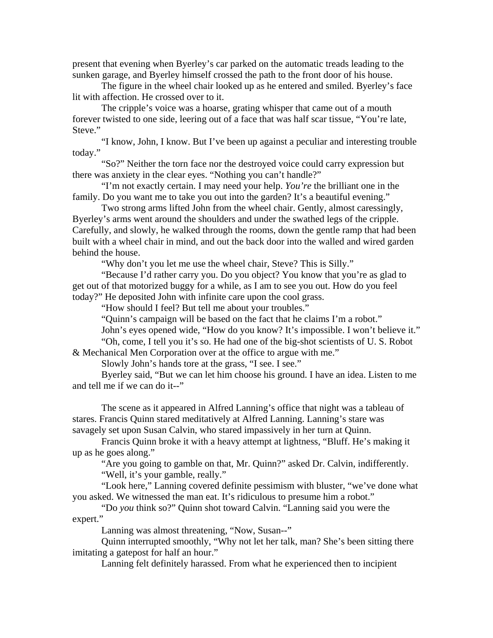present that evening when Byerley's car parked on the automatic treads leading to the sunken garage, and Byerley himself crossed the path to the front door of his house.

 The figure in the wheel chair looked up as he entered and smiled. Byerley's face lit with affection. He crossed over to it.

 The cripple's voice was a hoarse, grating whisper that came out of a mouth forever twisted to one side, leering out of a face that was half scar tissue, "You're late, Steve."

 "I know, John, I know. But I've been up against a peculiar and interesting trouble today."

 "So?" Neither the torn face nor the destroyed voice could carry expression but there was anxiety in the clear eyes. "Nothing you can't handle?"

 "I'm not exactly certain. I may need your help. *You're* the brilliant one in the family. Do you want me to take you out into the garden? It's a beautiful evening."

 Two strong arms lifted John from the wheel chair. Gently, almost caressingly, Byerley's arms went around the shoulders and under the swathed legs of the cripple. Carefully, and slowly, he walked through the rooms, down the gentle ramp that had been built with a wheel chair in mind, and out the back door into the walled and wired garden behind the house.

"Why don't you let me use the wheel chair, Steve? This is Silly."

 "Because I'd rather carry you. Do you object? You know that you're as glad to get out of that motorized buggy for a while, as I am to see you out. How do you feel today?" He deposited John with infinite care upon the cool grass.

"How should I feel? But tell me about your troubles."

"Quinn's campaign will be based on the fact that he claims I'm a robot."

 John's eyes opened wide, "How do you know? It's impossible. I won't believe it." "Oh, come, I tell you it's so. He had one of the big-shot scientists of U. S. Robot

& Mechanical Men Corporation over at the office to argue with me."

Slowly John's hands tore at the grass, "I see. I see."

 Byerley said, "But we can let him choose his ground. I have an idea. Listen to me and tell me if we can do it--"

 The scene as it appeared in Alfred Lanning's office that night was a tableau of stares. Francis Quinn stared meditatively at Alfred Lanning. Lanning's stare was savagely set upon Susan Calvin, who stared impassively in her turn at Quinn.

 Francis Quinn broke it with a heavy attempt at lightness, "Bluff. He's making it up as he goes along."

 "Are you going to gamble on that, Mr. Quinn?" asked Dr. Calvin, indifferently. "Well, it's your gamble, really."

 "Look here," Lanning covered definite pessimism with bluster, "we've done what you asked. We witnessed the man eat. It's ridiculous to presume him a robot."

 "Do *you* think so?" Quinn shot toward Calvin. "Lanning said you were the expert."

Lanning was almost threatening, "Now, Susan--"

 Quinn interrupted smoothly, "Why not let her talk, man? She's been sitting there imitating a gatepost for half an hour."

Lanning felt definitely harassed. From what he experienced then to incipient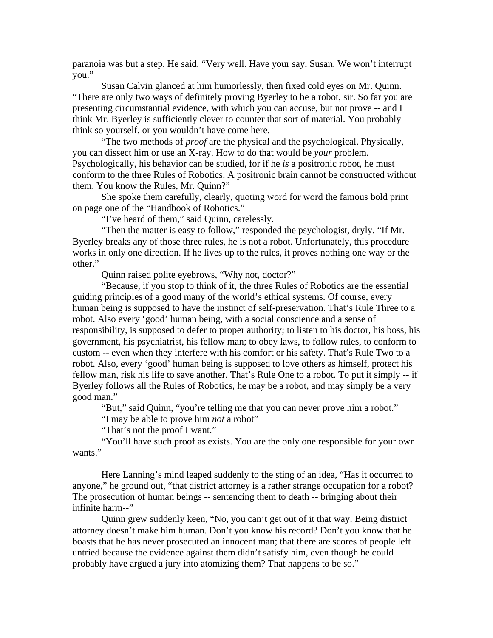paranoia was but a step. He said, "Very well. Have your say, Susan. We won't interrupt you."

 Susan Calvin glanced at him humorlessly, then fixed cold eyes on Mr. Quinn. "There are only two ways of definitely proving Byerley to be a robot, sir. So far you are presenting circumstantial evidence, with which you can accuse, but not prove -- and I think Mr. Byerley is sufficiently clever to counter that sort of material. You probably think so yourself, or you wouldn't have come here.

 "The two methods of *proof* are the physical and the psychological. Physically, you can dissect him or use an X-ray. How to do that would be *your* problem. Psychologically, his behavior can be studied, for if he *is* a positronic robot, he must conform to the three Rules of Robotics. A positronic brain cannot be constructed without them. You know the Rules, Mr. Quinn?"

 She spoke them carefully, clearly, quoting word for word the famous bold print on page one of the "Handbook of Robotics."

"I've heard of them," said Quinn, carelessly.

 "Then the matter is easy to follow," responded the psychologist, dryly. "If Mr. Byerley breaks any of those three rules, he is not a robot. Unfortunately, this procedure works in only one direction. If he lives up to the rules, it proves nothing one way or the other."

Quinn raised polite eyebrows, "Why not, doctor?"

 "Because, if you stop to think of it, the three Rules of Robotics are the essential guiding principles of a good many of the world's ethical systems. Of course, every human being is supposed to have the instinct of self-preservation. That's Rule Three to a robot. Also every 'good' human being, with a social conscience and a sense of responsibility, is supposed to defer to proper authority; to listen to his doctor, his boss, his government, his psychiatrist, his fellow man; to obey laws, to follow rules, to conform to custom -- even when they interfere with his comfort or his safety. That's Rule Two to a robot. Also, every 'good' human being is supposed to love others as himself, protect his fellow man, risk his life to save another. That's Rule One to a robot. To put it simply -- if Byerley follows all the Rules of Robotics, he may be a robot, and may simply be a very good man."

"But," said Quinn, "you're telling me that you can never prove him a robot."

"I may be able to prove him *not* a robot"

"That's not the proof I want."

 "You'll have such proof as exists. You are the only one responsible for your own wants."

 Here Lanning's mind leaped suddenly to the sting of an idea, "Has it occurred to anyone," he ground out, "that district attorney is a rather strange occupation for a robot? The prosecution of human beings -- sentencing them to death -- bringing about their infinite harm--"

 Quinn grew suddenly keen, "No, you can't get out of it that way. Being district attorney doesn't make him human. Don't you know his record? Don't you know that he boasts that he has never prosecuted an innocent man; that there are scores of people left untried because the evidence against them didn't satisfy him, even though he could probably have argued a jury into atomizing them? That happens to be so."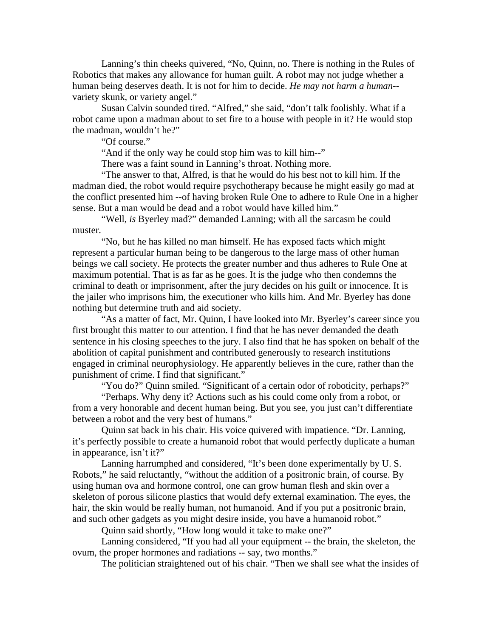Lanning's thin cheeks quivered, "No, Quinn, no. There is nothing in the Rules of Robotics that makes any allowance for human guilt. A robot may not judge whether a human being deserves death. It is not for him to decide. *He may not harm a human*- variety skunk, or variety angel."

 Susan Calvin sounded tired. "Alfred," she said, "don't talk foolishly. What if a robot came upon a madman about to set fire to a house with people in it? He would stop the madman, wouldn't he?"

"Of course."

"And if the only way he could stop him was to kill him--"

There was a faint sound in Lanning's throat. Nothing more.

 "The answer to that, Alfred, is that he would do his best not to kill him. If the madman died, the robot would require psychotherapy because he might easily go mad at the conflict presented him --of having broken Rule One to adhere to Rule One in a higher sense. But a man would be dead and a robot would have killed him."

 "Well, *is* Byerley mad?" demanded Lanning; with all the sarcasm he could muster.

 "No, but he has killed no man himself. He has exposed facts which might represent a particular human being to be dangerous to the large mass of other human beings we call society. He protects the greater number and thus adheres to Rule One at maximum potential. That is as far as he goes. It is the judge who then condemns the criminal to death or imprisonment, after the jury decides on his guilt or innocence. It is the jailer who imprisons him, the executioner who kills him. And Mr. Byerley has done nothing but determine truth and aid society.

 "As a matter of fact, Mr. Quinn, I have looked into Mr. Byerley's career since you first brought this matter to our attention. I find that he has never demanded the death sentence in his closing speeches to the jury. I also find that he has spoken on behalf of the abolition of capital punishment and contributed generously to research institutions engaged in criminal neurophysiology. He apparently believes in the cure, rather than the punishment of crime. I find that significant."

"You do?" Quinn smiled. "Significant of a certain odor of roboticity, perhaps?"

 "Perhaps. Why deny it? Actions such as his could come only from a robot, or from a very honorable and decent human being. But you see, you just can't differentiate between a robot and the very best of humans."

 Quinn sat back in his chair. His voice quivered with impatience. "Dr. Lanning, it's perfectly possible to create a humanoid robot that would perfectly duplicate a human in appearance, isn't it?"

 Lanning harrumphed and considered, "It's been done experimentally by U. S. Robots," he said reluctantly, "without the addition of a positronic brain, of course. By using human ova and hormone control, one can grow human flesh and skin over a skeleton of porous silicone plastics that would defy external examination. The eyes, the hair, the skin would be really human, not humanoid. And if you put a positronic brain, and such other gadgets as you might desire inside, you have a humanoid robot."

Quinn said shortly, "How long would it take to make one?"

 Lanning considered, "If you had all your equipment -- the brain, the skeleton, the ovum, the proper hormones and radiations -- say, two months."

The politician straightened out of his chair. "Then we shall see what the insides of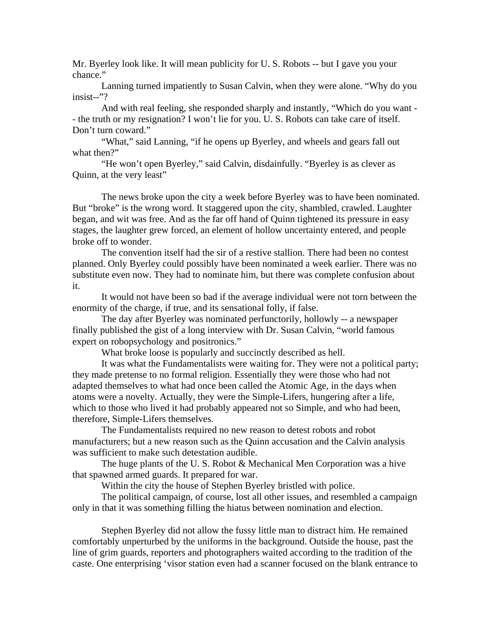Mr. Byerley look like. It will mean publicity for U. S. Robots -- but I gave you your chance."

 Lanning turned impatiently to Susan Calvin, when they were alone. "Why do you insist--"?

 And with real feeling, she responded sharply and instantly, "Which do you want - - the truth or my resignation? I won't lie for you. U. S. Robots can take care of itself. Don't turn coward."

"What," said Lanning, "if he opens up Byerley, and wheels and gears fall out what then?"

 "He won't open Byerley," said Calvin, disdainfully. "Byerley is as clever as Quinn, at the very least"

 The news broke upon the city a week before Byerley was to have been nominated. But "broke" is the wrong word. It staggered upon the city, shambled, crawled. Laughter began, and wit was free. And as the far off hand of Quinn tightened its pressure in easy stages, the laughter grew forced, an element of hollow uncertainty entered, and people broke off to wonder.

 The convention itself had the sir of a restive stallion. There had been no contest planned. Only Byerley could possibly have been nominated a week earlier. There was no substitute even now. They had to nominate him, but there was complete confusion about it.

 It would not have been so bad if the average individual were not torn between the enormity of the charge, if true, and its sensational folly, if false.

 The day after Byerley was nominated perfunctorily, hollowly -- a newspaper finally published the gist of a long interview with Dr. Susan Calvin, "world famous expert on robopsychology and positronics."

What broke loose is popularly and succinctly described as hell.

 It was what the Fundamentalists were waiting for. They were not a political party; they made pretense to no formal religion. Essentially they were those who had not adapted themselves to what had once been called the Atomic Age, in the days when atoms were a novelty. Actually, they were the Simple-Lifers, hungering after a life, which to those who lived it had probably appeared not so Simple, and who had been, therefore, Simple-Lifers themselves.

 The Fundamentalists required no new reason to detest robots and robot manufacturers; but a new reason such as the Quinn accusation and the Calvin analysis was sufficient to make such detestation audible.

The huge plants of the U.S. Robot & Mechanical Men Corporation was a hive that spawned armed guards. It prepared for war.

Within the city the house of Stephen Byerley bristled with police.

 The political campaign, of course, lost all other issues, and resembled a campaign only in that it was something filling the hiatus between nomination and election.

 Stephen Byerley did not allow the fussy little man to distract him. He remained comfortably unperturbed by the uniforms in the background. Outside the house, past the line of grim guards, reporters and photographers waited according to the tradition of the caste. One enterprising 'visor station even had a scanner focused on the blank entrance to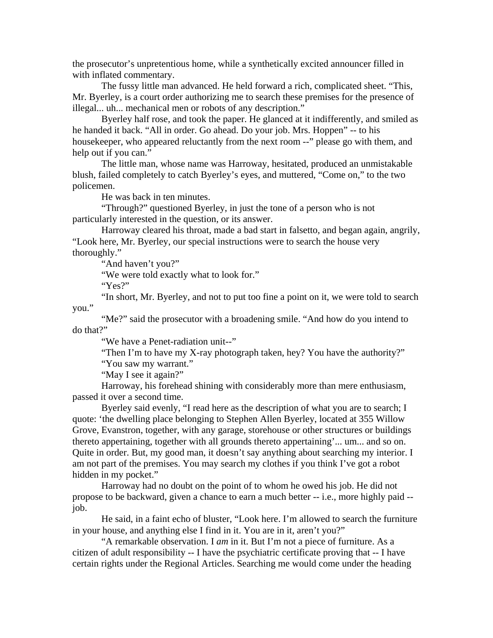the prosecutor's unpretentious home, while a synthetically excited announcer filled in with inflated commentary.

 The fussy little man advanced. He held forward a rich, complicated sheet. "This, Mr. Byerley, is a court order authorizing me to search these premises for the presence of illegal... uh... mechanical men or robots of any description."

 Byerley half rose, and took the paper. He glanced at it indifferently, and smiled as he handed it back. "All in order. Go ahead. Do your job. Mrs. Hoppen" -- to his housekeeper, who appeared reluctantly from the next room --" please go with them, and help out if you can."

 The little man, whose name was Harroway, hesitated, produced an unmistakable blush, failed completely to catch Byerley's eyes, and muttered, "Come on," to the two policemen.

He was back in ten minutes.

 "Through?" questioned Byerley, in just the tone of a person who is not particularly interested in the question, or its answer.

 Harroway cleared his throat, made a bad start in falsetto, and began again, angrily, "Look here, Mr. Byerley, our special instructions were to search the house very thoroughly."

"And haven't you?"

"We were told exactly what to look for."

"Yes?"

 "In short, Mr. Byerley, and not to put too fine a point on it, we were told to search you."

 "Me?" said the prosecutor with a broadening smile. "And how do you intend to do that?"

"We have a Penet-radiation unit--"

"Then I'm to have my X-ray photograph taken, hey? You have the authority?"

"You saw my warrant."

"May I see it again?"

 Harroway, his forehead shining with considerably more than mere enthusiasm, passed it over a second time.

 Byerley said evenly, "I read here as the description of what you are to search; I quote: 'the dwelling place belonging to Stephen Allen Byerley, located at 355 Willow Grove, Evanstron, together, with any garage, storehouse or other structures or buildings thereto appertaining, together with all grounds thereto appertaining'... um... and so on. Quite in order. But, my good man, it doesn't say anything about searching my interior. I am not part of the premises. You may search my clothes if you think I've got a robot hidden in my pocket."

 Harroway had no doubt on the point of to whom he owed his job. He did not propose to be backward, given a chance to earn a much better -- i.e., more highly paid - job.

 He said, in a faint echo of bluster, "Look here. I'm allowed to search the furniture in your house, and anything else I find in it. You are in it, aren't you?"

 "A remarkable observation. I *am* in it. But I'm not a piece of furniture. As a citizen of adult responsibility -- I have the psychiatric certificate proving that -- I have certain rights under the Regional Articles. Searching me would come under the heading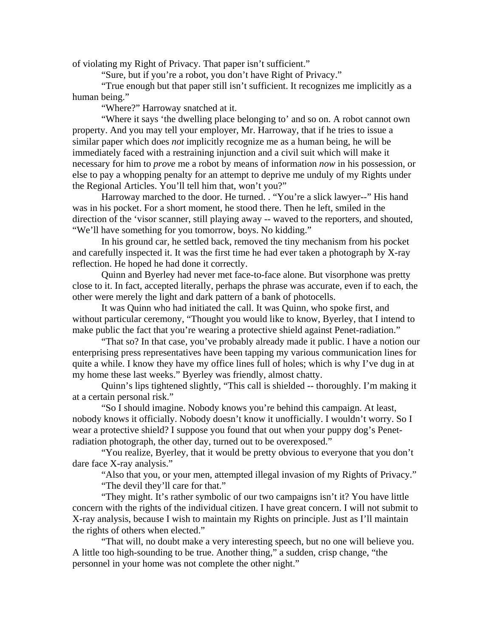of violating my Right of Privacy. That paper isn't sufficient."

"Sure, but if you're a robot, you don't have Right of Privacy."

 "True enough but that paper still isn't sufficient. It recognizes me implicitly as a human being."

"Where?" Harroway snatched at it.

 "Where it says 'the dwelling place belonging to' and so on. A robot cannot own property. And you may tell your employer, Mr. Harroway, that if he tries to issue a similar paper which does *not* implicitly recognize me as a human being, he will be immediately faced with a restraining injunction and a civil suit which will make it necessary for him to *prove* me a robot by means of information *now* in his possession, or else to pay a whopping penalty for an attempt to deprive me unduly of my Rights under the Regional Articles. You'll tell him that, won't you?"

 Harroway marched to the door. He turned. . "You're a slick lawyer--" His hand was in his pocket. For a short moment, he stood there. Then he left, smiled in the direction of the 'visor scanner, still playing away -- waved to the reporters, and shouted, "We'll have something for you tomorrow, boys. No kidding."

 In his ground car, he settled back, removed the tiny mechanism from his pocket and carefully inspected it. It was the first time he had ever taken a photograph by X-ray reflection. He hoped he had done it correctly.

 Quinn and Byerley had never met face-to-face alone. But visorphone was pretty close to it. In fact, accepted literally, perhaps the phrase was accurate, even if to each, the other were merely the light and dark pattern of a bank of photocells.

 It was Quinn who had initiated the call. It was Quinn, who spoke first, and without particular ceremony, "Thought you would like to know, Byerley, that I intend to make public the fact that you're wearing a protective shield against Penet-radiation."

 "That so? In that case, you've probably already made it public. I have a notion our enterprising press representatives have been tapping my various communication lines for quite a while. I know they have my office lines full of holes; which is why I've dug in at my home these last weeks." Byerley was friendly, almost chatty.

 Quinn's lips tightened slightly, "This call is shielded -- thoroughly. I'm making it at a certain personal risk."

 "So I should imagine. Nobody knows you're behind this campaign. At least, nobody knows it officially. Nobody doesn't know it unofficially. I wouldn't worry. So I wear a protective shield? I suppose you found that out when your puppy dog's Penetradiation photograph, the other day, turned out to be overexposed."

 "You realize, Byerley, that it would be pretty obvious to everyone that you don't dare face X-ray analysis."

 "Also that you, or your men, attempted illegal invasion of my Rights of Privacy." "The devil they'll care for that."

 "They might. It's rather symbolic of our two campaigns isn't it? You have little concern with the rights of the individual citizen. I have great concern. I will not submit to X-ray analysis, because I wish to maintain my Rights on principle. Just as I'll maintain the rights of others when elected."

 "That will, no doubt make a very interesting speech, but no one will believe you. A little too high-sounding to be true. Another thing," a sudden, crisp change, "the personnel in your home was not complete the other night."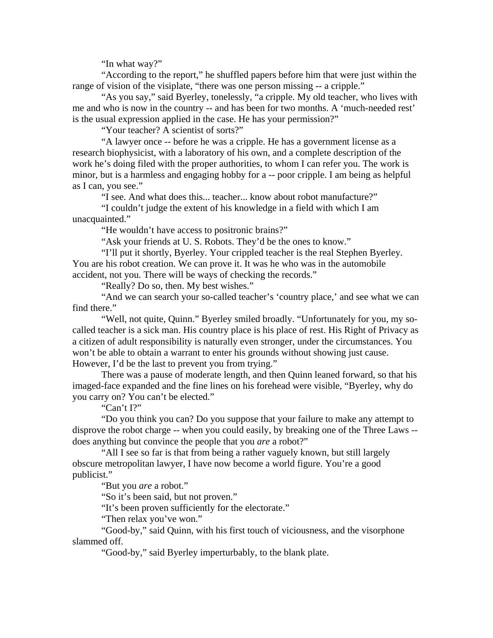"In what way?"

 "According to the report," he shuffled papers before him that were just within the range of vision of the visiplate, "there was one person missing -- a cripple."

 "As you say," said Byerley, tonelessly, "a cripple. My old teacher, who lives with me and who is now in the country -- and has been for two months. A 'much-needed rest' is the usual expression applied in the case. He has your permission?"

"Your teacher? A scientist of sorts?"

 "A lawyer once -- before he was a cripple. He has a government license as a research biophysicist, with a laboratory of his own, and a complete description of the work he's doing filed with the proper authorities, to whom I can refer you. The work is minor, but is a harmless and engaging hobby for a -- poor cripple. I am being as helpful as I can, you see."

"I see. And what does this... teacher... know about robot manufacture?"

 "I couldn't judge the extent of his knowledge in a field with which I am unacquainted."

"He wouldn't have access to positronic brains?"

"Ask your friends at U. S. Robots. They'd be the ones to know."

 "I'll put it shortly, Byerley. Your crippled teacher is the real Stephen Byerley. You are his robot creation. We can prove it. It was he who was in the automobile accident, not you. There will be ways of checking the records."

"Really? Do so, then. My best wishes."

 "And we can search your so-called teacher's 'country place,' and see what we can find there."

 "Well, not quite, Quinn." Byerley smiled broadly. "Unfortunately for you, my socalled teacher is a sick man. His country place is his place of rest. His Right of Privacy as a citizen of adult responsibility is naturally even stronger, under the circumstances. You won't be able to obtain a warrant to enter his grounds without showing just cause. However, I'd be the last to prevent you from trying."

 There was a pause of moderate length, and then Quinn leaned forward, so that his imaged-face expanded and the fine lines on his forehead were visible, "Byerley, why do you carry on? You can't be elected."

"Can't I?"

 "Do you think you can? Do you suppose that your failure to make any attempt to disprove the robot charge -- when you could easily, by breaking one of the Three Laws - does anything but convince the people that you *are* a robot?"

 "All I see so far is that from being a rather vaguely known, but still largely obscure metropolitan lawyer, I have now become a world figure. You're a good publicist."

"But you *are* a robot."

"So it's been said, but not proven."

"It's been proven sufficiently for the electorate."

"Then relax you've won."

 "Good-by," said Quinn, with his first touch of viciousness, and the visorphone slammed off.

"Good-by," said Byerley imperturbably, to the blank plate.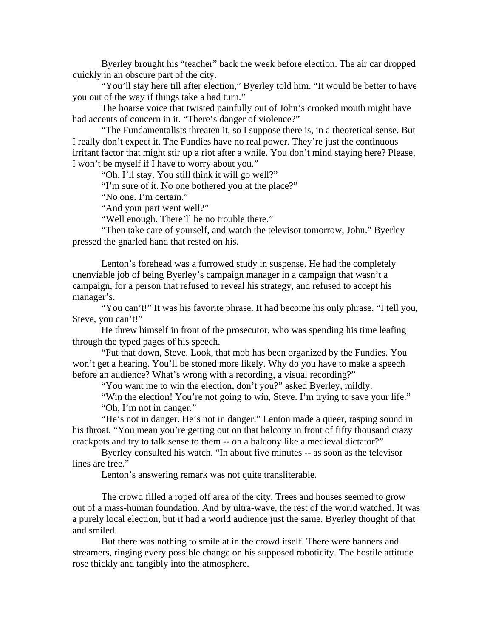Byerley brought his "teacher" back the week before election. The air car dropped quickly in an obscure part of the city.

 "You'll stay here till after election," Byerley told him. "It would be better to have you out of the way if things take a bad turn."

 The hoarse voice that twisted painfully out of John's crooked mouth might have had accents of concern in it. "There's danger of violence?"

 "The Fundamentalists threaten it, so I suppose there is, in a theoretical sense. But I really don't expect it. The Fundies have no real power. They're just the continuous irritant factor that might stir up a riot after a while. You don't mind staying here? Please, I won't be myself if I have to worry about you."

"Oh, I'll stay. You still think it will go well?"

"I'm sure of it. No one bothered you at the place?"

"No one. I'm certain."

"And your part went well?"

"Well enough. There'll be no trouble there."

 "Then take care of yourself, and watch the televisor tomorrow, John." Byerley pressed the gnarled hand that rested on his.

 Lenton's forehead was a furrowed study in suspense. He had the completely unenviable job of being Byerley's campaign manager in a campaign that wasn't a campaign, for a person that refused to reveal his strategy, and refused to accept his manager's.

 "You can't!" It was his favorite phrase. It had become his only phrase. "I tell you, Steve, you can't!"

 He threw himself in front of the prosecutor, who was spending his time leafing through the typed pages of his speech.

 "Put that down, Steve. Look, that mob has been organized by the Fundies. You won't get a hearing. You'll be stoned more likely. Why do you have to make a speech before an audience? What's wrong with a recording, a visual recording?"

"You want me to win the election, don't you?" asked Byerley, mildly.

"Win the election! You're not going to win, Steve. I'm trying to save your life." "Oh, I'm not in danger."

 "He's not in danger. He's not in danger." Lenton made a queer, rasping sound in his throat. "You mean you're getting out on that balcony in front of fifty thousand crazy crackpots and try to talk sense to them -- on a balcony like a medieval dictator?"

 Byerley consulted his watch. "In about five minutes -- as soon as the televisor lines are free."

Lenton's answering remark was not quite transliterable.

 The crowd filled a roped off area of the city. Trees and houses seemed to grow out of a mass-human foundation. And by ultra-wave, the rest of the world watched. It was a purely local election, but it had a world audience just the same. Byerley thought of that and smiled.

 But there was nothing to smile at in the crowd itself. There were banners and streamers, ringing every possible change on his supposed roboticity. The hostile attitude rose thickly and tangibly into the atmosphere.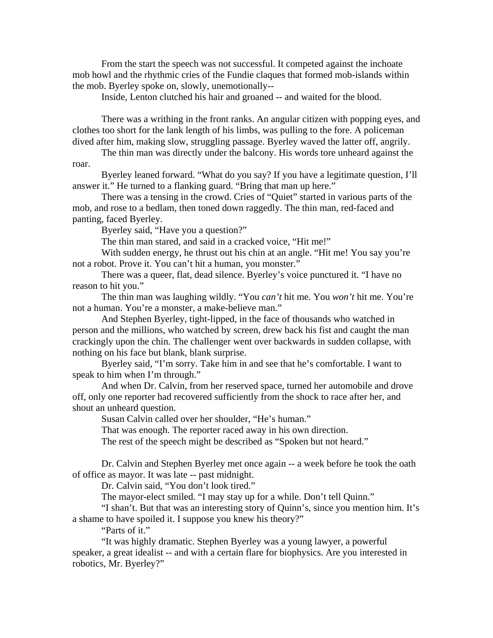From the start the speech was not successful. It competed against the inchoate mob howl and the rhythmic cries of the Fundie claques that formed mob-islands within the mob. Byerley spoke on, slowly, unemotionally--

Inside, Lenton clutched his hair and groaned -- and waited for the blood.

 There was a writhing in the front ranks. An angular citizen with popping eyes, and clothes too short for the lank length of his limbs, was pulling to the fore. A policeman dived after him, making slow, struggling passage. Byerley waved the latter off, angrily.

 The thin man was directly under the balcony. His words tore unheard against the roar.

 Byerley leaned forward. "What do you say? If you have a legitimate question, I'll answer it." He turned to a flanking guard. "Bring that man up here."

 There was a tensing in the crowd. Cries of "Quiet" started in various parts of the mob, and rose to a bedlam, then toned down raggedly. The thin man, red-faced and panting, faced Byerley.

Byerley said, "Have you a question?"

The thin man stared, and said in a cracked voice, "Hit me!"

With sudden energy, he thrust out his chin at an angle. "Hit me! You say you're not a robot. Prove it. You can't hit a human, you monster."

 There was a queer, flat, dead silence. Byerley's voice punctured it. "I have no reason to hit you."

 The thin man was laughing wildly. "You *can't* hit me. You *won't* hit me. You're not a human. You're a monster, a make-believe man."

 And Stephen Byerley, tight-lipped, in the face of thousands who watched in person and the millions, who watched by screen, drew back his fist and caught the man crackingly upon the chin. The challenger went over backwards in sudden collapse, with nothing on his face but blank, blank surprise.

 Byerley said, "I'm sorry. Take him in and see that he's comfortable. I want to speak to him when I'm through."

 And when Dr. Calvin, from her reserved space, turned her automobile and drove off, only one reporter had recovered sufficiently from the shock to race after her, and shout an unheard question.

Susan Calvin called over her shoulder, "He's human."

That was enough. The reporter raced away in his own direction.

The rest of the speech might be described as "Spoken but not heard."

 Dr. Calvin and Stephen Byerley met once again -- a week before he took the oath of office as mayor. It was late -- past midnight.

Dr. Calvin said, "You don't look tired."

The mayor-elect smiled. "I may stay up for a while. Don't tell Quinn."

 "I shan't. But that was an interesting story of Quinn's, since you mention him. It's a shame to have spoiled it. I suppose you knew his theory?"

"Parts of it."

 "It was highly dramatic. Stephen Byerley was a young lawyer, a powerful speaker, a great idealist -- and with a certain flare for biophysics. Are you interested in robotics, Mr. Byerley?"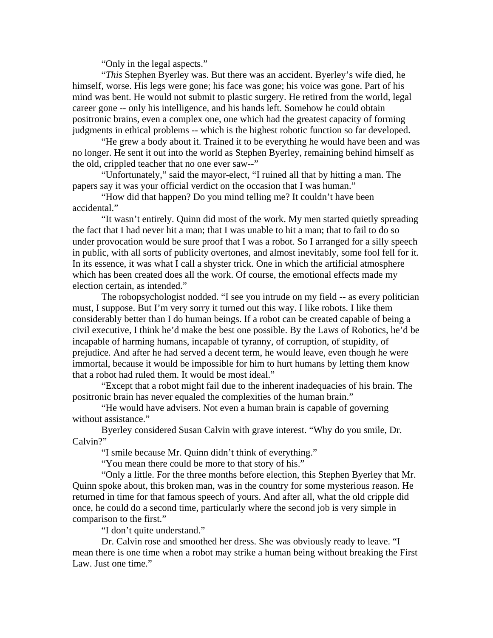"Only in the legal aspects."

 "*This* Stephen Byerley was. But there was an accident. Byerley's wife died, he himself, worse. His legs were gone; his face was gone; his voice was gone. Part of his mind was bent. He would not submit to plastic surgery. He retired from the world, legal career gone -- only his intelligence, and his hands left. Somehow he could obtain positronic brains, even a complex one, one which had the greatest capacity of forming judgments in ethical problems -- which is the highest robotic function so far developed.

 "He grew a body about it. Trained it to be everything he would have been and was no longer. He sent it out into the world as Stephen Byerley, remaining behind himself as the old, crippled teacher that no one ever saw--"

 "Unfortunately," said the mayor-elect, "I ruined all that by hitting a man. The papers say it was your official verdict on the occasion that I was human."

 "How did that happen? Do you mind telling me? It couldn't have been accidental."

 "It wasn't entirely. Quinn did most of the work. My men started quietly spreading the fact that I had never hit a man; that I was unable to hit a man; that to fail to do so under provocation would be sure proof that I was a robot. So I arranged for a silly speech in public, with all sorts of publicity overtones, and almost inevitably, some fool fell for it. In its essence, it was what I call a shyster trick. One in which the artificial atmosphere which has been created does all the work. Of course, the emotional effects made my election certain, as intended."

 The robopsychologist nodded. "I see you intrude on my field -- as every politician must, I suppose. But I'm very sorry it turned out this way. I like robots. I like them considerably better than I do human beings. If a robot can be created capable of being a civil executive, I think he'd make the best one possible. By the Laws of Robotics, he'd be incapable of harming humans, incapable of tyranny, of corruption, of stupidity, of prejudice. And after he had served a decent term, he would leave, even though he were immortal, because it would be impossible for him to hurt humans by letting them know that a robot had ruled them. It would be most ideal."

 "Except that a robot might fail due to the inherent inadequacies of his brain. The positronic brain has never equaled the complexities of the human brain."

 "He would have advisers. Not even a human brain is capable of governing without assistance."

 Byerley considered Susan Calvin with grave interest. "Why do you smile, Dr. Calvin?"

"I smile because Mr. Quinn didn't think of everything."

"You mean there could be more to that story of his."

 "Only a little. For the three months before election, this Stephen Byerley that Mr. Quinn spoke about, this broken man, was in the country for some mysterious reason. He returned in time for that famous speech of yours. And after all, what the old cripple did once, he could do a second time, particularly where the second job is very simple in comparison to the first."

"I don't quite understand."

 Dr. Calvin rose and smoothed her dress. She was obviously ready to leave. "I mean there is one time when a robot may strike a human being without breaking the First Law. Just one time."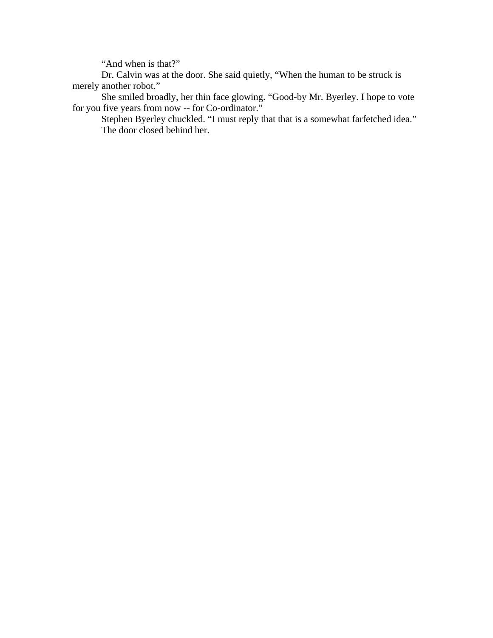"And when is that?"

 Dr. Calvin was at the door. She said quietly, "When the human to be struck is merely another robot."

 She smiled broadly, her thin face glowing. "Good-by Mr. Byerley. I hope to vote for you five years from now -- for Co-ordinator."

 Stephen Byerley chuckled. "I must reply that that is a somewhat farfetched idea." The door closed behind her.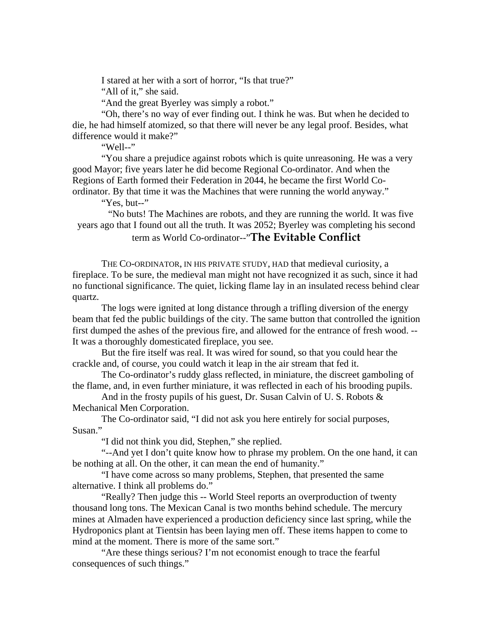I stared at her with a sort of horror, "Is that true?"

"All of it," she said.

"And the great Byerley was simply a robot."

 "Oh, there's no way of ever finding out. I think he was. But when he decided to die, he had himself atomized, so that there will never be any legal proof. Besides, what difference would it make?"

"Well--"

 "You share a prejudice against robots which is quite unreasoning. He was a very good Mayor; five years later he did become Regional Co-ordinator. And when the Regions of Earth formed their Federation in 2044, he became the first World Coordinator. By that time it was the Machines that were running the world anyway."

"Yes, but--"

 "No buts! The Machines are robots, and they are running the world. It was five years ago that I found out all the truth. It was 2052; Byerley was completing his second

## term as World Co-ordinator--"**The Evitable Conflict**

THE CO-ORDINATOR, IN HIS PRIVATE STUDY, HAD that medieval curiosity, a fireplace. To be sure, the medieval man might not have recognized it as such, since it had no functional significance. The quiet, licking flame lay in an insulated recess behind clear quartz.

 The logs were ignited at long distance through a trifling diversion of the energy beam that fed the public buildings of the city. The same button that controlled the ignition first dumped the ashes of the previous fire, and allowed for the entrance of fresh wood. -- It was a thoroughly domesticated fireplace, you see.

 But the fire itself was real. It was wired for sound, so that you could hear the crackle and, of course, you could watch it leap in the air stream that fed it.

 The Co-ordinator's ruddy glass reflected, in miniature, the discreet gamboling of the flame, and, in even further miniature, it was reflected in each of his brooding pupils.

 And in the frosty pupils of his guest, Dr. Susan Calvin of U. S. Robots & Mechanical Men Corporation.

 The Co-ordinator said, "I did not ask you here entirely for social purposes, Susan."

"I did not think you did, Stephen," she replied.

 "--And yet I don't quite know how to phrase my problem. On the one hand, it can be nothing at all. On the other, it can mean the end of humanity."

 "I have come across so many problems, Stephen, that presented the same alternative. I think all problems do."

 "Really? Then judge this -- World Steel reports an overproduction of twenty thousand long tons. The Mexican Canal is two months behind schedule. The mercury mines at Almaden have experienced a production deficiency since last spring, while the Hydroponics plant at Tientsin has been laying men off. These items happen to come to mind at the moment. There is more of the same sort."

 "Are these things serious? I'm not economist enough to trace the fearful consequences of such things."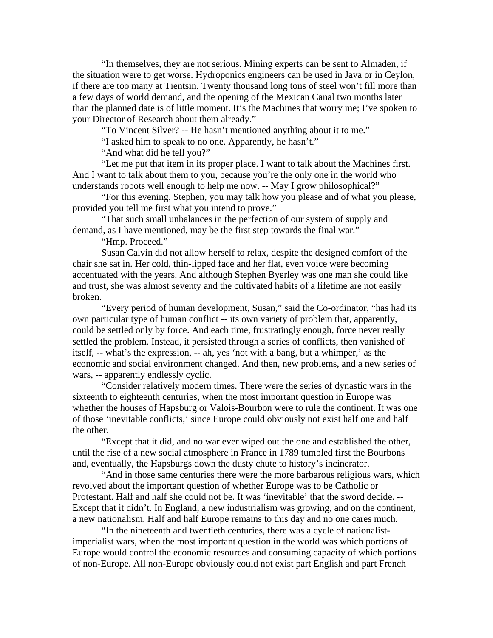"In themselves, they are not serious. Mining experts can be sent to Almaden, if the situation were to get worse. Hydroponics engineers can be used in Java or in Ceylon, if there are too many at Tientsin. Twenty thousand long tons of steel won't fill more than a few days of world demand, and the opening of the Mexican Canal two months later than the planned date is of little moment. It's the Machines that worry me; I've spoken to your Director of Research about them already."

"To Vincent Silver? -- He hasn't mentioned anything about it to me."

"I asked him to speak to no one. Apparently, he hasn't."

"And what did he tell you?"

 "Let me put that item in its proper place. I want to talk about the Machines first. And I want to talk about them to you, because you're the only one in the world who understands robots well enough to help me now. -- May I grow philosophical?"

 "For this evening, Stephen, you may talk how you please and of what you please, provided you tell me first what you intend to prove."

 "That such small unbalances in the perfection of our system of supply and demand, as I have mentioned, may be the first step towards the final war."

"Hmp. Proceed."

 Susan Calvin did not allow herself to relax, despite the designed comfort of the chair she sat in. Her cold, thin-lipped face and her flat, even voice were becoming accentuated with the years. And although Stephen Byerley was one man she could like and trust, she was almost seventy and the cultivated habits of a lifetime are not easily broken.

 "Every period of human development, Susan," said the Co-ordinator, "has had its own particular type of human conflict -- its own variety of problem that, apparently, could be settled only by force. And each time, frustratingly enough, force never really settled the problem. Instead, it persisted through a series of conflicts, then vanished of itself, -- what's the expression, -- ah, yes 'not with a bang, but a whimper,' as the economic and social environment changed. And then, new problems, and a new series of wars, -- apparently endlessly cyclic.

 "Consider relatively modern times. There were the series of dynastic wars in the sixteenth to eighteenth centuries, when the most important question in Europe was whether the houses of Hapsburg or Valois-Bourbon were to rule the continent. It was one of those 'inevitable conflicts,' since Europe could obviously not exist half one and half the other.

 "Except that it did, and no war ever wiped out the one and established the other, until the rise of a new social atmosphere in France in 1789 tumbled first the Bourbons and, eventually, the Hapsburgs down the dusty chute to history's incinerator.

 "And in those same centuries there were the more barbarous religious wars, which revolved about the important question of whether Europe was to be Catholic or Protestant. Half and half she could not be. It was 'inevitable' that the sword decide. -- Except that it didn't. In England, a new industrialism was growing, and on the continent, a new nationalism. Half and half Europe remains to this day and no one cares much.

 "In the nineteenth and twentieth centuries, there was a cycle of nationalistimperialist wars, when the most important question in the world was which portions of Europe would control the economic resources and consuming capacity of which portions of non-Europe. All non-Europe obviously could not exist part English and part French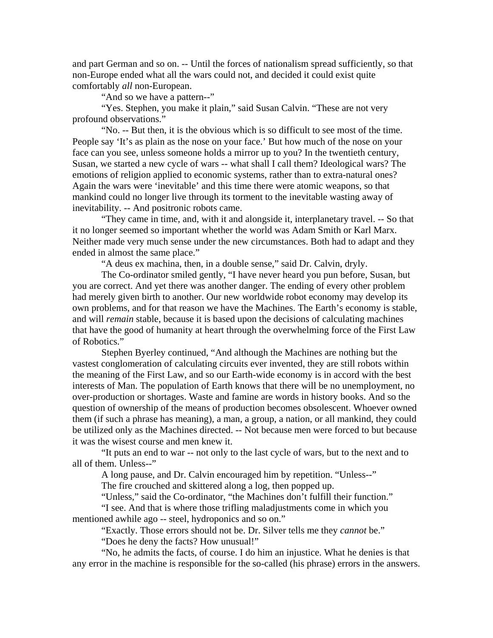and part German and so on. -- Until the forces of nationalism spread sufficiently, so that non-Europe ended what all the wars could not, and decided it could exist quite comfortably *all* non-European.

"And so we have a pattern--"

"Yes. Stephen, you make it plain," said Susan Calvin. "These are not very profound observations."

 "No. -- But then, it is the obvious which is so difficult to see most of the time. People say 'It's as plain as the nose on your face.' But how much of the nose on your face can you see, unless someone holds a mirror up to you? In the twentieth century, Susan, we started a new cycle of wars -- what shall I call them? Ideological wars? The emotions of religion applied to economic systems, rather than to extra-natural ones? Again the wars were 'inevitable' and this time there were atomic weapons, so that mankind could no longer live through its torment to the inevitable wasting away of inevitability. -- And positronic robots came.

 "They came in time, and, with it and alongside it, interplanetary travel. -- So that it no longer seemed so important whether the world was Adam Smith or Karl Marx. Neither made very much sense under the new circumstances. Both had to adapt and they ended in almost the same place."

"A deus ex machina, then, in a double sense," said Dr. Calvin, dryly.

 The Co-ordinator smiled gently, "I have never heard you pun before, Susan, but you are correct. And yet there was another danger. The ending of every other problem had merely given birth to another. Our new worldwide robot economy may develop its own problems, and for that reason we have the Machines. The Earth's economy is stable, and will *remain* stable, because it is based upon the decisions of calculating machines that have the good of humanity at heart through the overwhelming force of the First Law of Robotics."

 Stephen Byerley continued, "And although the Machines are nothing but the vastest conglomeration of calculating circuits ever invented, they are still robots within the meaning of the First Law, and so our Earth-wide economy is in accord with the best interests of Man. The population of Earth knows that there will be no unemployment, no over-production or shortages. Waste and famine are words in history books. And so the question of ownership of the means of production becomes obsolescent. Whoever owned them (if such a phrase has meaning), a man, a group, a nation, or all mankind, they could be utilized only as the Machines directed. -- Not because men were forced to but because it was the wisest course and men knew it.

 "It puts an end to war -- not only to the last cycle of wars, but to the next and to all of them. Unless--"

A long pause, and Dr. Calvin encouraged him by repetition. "Unless--"

The fire crouched and skittered along a log, then popped up.

"Unless," said the Co-ordinator, "the Machines don't fulfill their function."

 "I see. And that is where those trifling maladjustments come in which you mentioned awhile ago -- steel, hydroponics and so on."

"Exactly. Those errors should not be. Dr. Silver tells me they *cannot* be."

"Does he deny the facts? How unusual!"

 "No, he admits the facts, of course. I do him an injustice. What he denies is that any error in the machine is responsible for the so-called (his phrase) errors in the answers.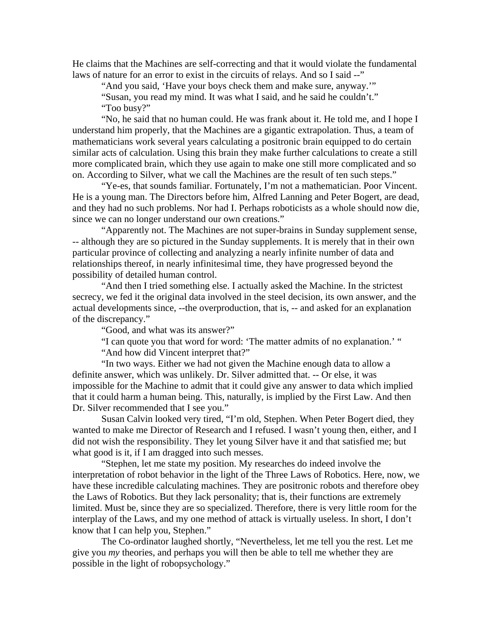He claims that the Machines are self-correcting and that it would violate the fundamental laws of nature for an error to exist in the circuits of relays. And so I said --"

"And you said, 'Have your boys check them and make sure, anyway.'"

 "Susan, you read my mind. It was what I said, and he said he couldn't." "Too busy?"

 "No, he said that no human could. He was frank about it. He told me, and I hope I understand him properly, that the Machines are a gigantic extrapolation. Thus, a team of mathematicians work several years calculating a positronic brain equipped to do certain similar acts of calculation. Using this brain they make further calculations to create a still more complicated brain, which they use again to make one still more complicated and so on. According to Silver, what we call the Machines are the result of ten such steps."

 "Ye-es, that sounds familiar. Fortunately, I'm not a mathematician. Poor Vincent. He is a young man. The Directors before him, Alfred Lanning and Peter Bogert, are dead, and they had no such problems. Nor had I. Perhaps roboticists as a whole should now die, since we can no longer understand our own creations."

 "Apparently not. The Machines are not super-brains in Sunday supplement sense, -- although they are so pictured in the Sunday supplements. It is merely that in their own particular province of collecting and analyzing a nearly infinite number of data and relationships thereof, in nearly infinitesimal time, they have progressed beyond the possibility of detailed human control.

 "And then I tried something else. I actually asked the Machine. In the strictest secrecy, we fed it the original data involved in the steel decision, its own answer, and the actual developments since, --the overproduction, that is, -- and asked for an explanation of the discrepancy."

"Good, and what was its answer?"

"I can quote you that word for word: 'The matter admits of no explanation.' "

"And how did Vincent interpret that?"

 "In two ways. Either we had not given the Machine enough data to allow a definite answer, which was unlikely. Dr. Silver admitted that. -- Or else, it was impossible for the Machine to admit that it could give any answer to data which implied that it could harm a human being. This, naturally, is implied by the First Law. And then Dr. Silver recommended that I see you."

 Susan Calvin looked very tired, "I'm old, Stephen. When Peter Bogert died, they wanted to make me Director of Research and I refused. I wasn't young then, either, and I did not wish the responsibility. They let young Silver have it and that satisfied me; but what good is it, if I am dragged into such messes.

 "Stephen, let me state my position. My researches do indeed involve the interpretation of robot behavior in the light of the Three Laws of Robotics. Here, now, we have these incredible calculating machines. They are positronic robots and therefore obey the Laws of Robotics. But they lack personality; that is, their functions are extremely limited. Must be, since they are so specialized. Therefore, there is very little room for the interplay of the Laws, and my one method of attack is virtually useless. In short, I don't know that I can help you, Stephen."

 The Co-ordinator laughed shortly, "Nevertheless, let me tell you the rest. Let me give you *my* theories, and perhaps you will then be able to tell me whether they are possible in the light of robopsychology."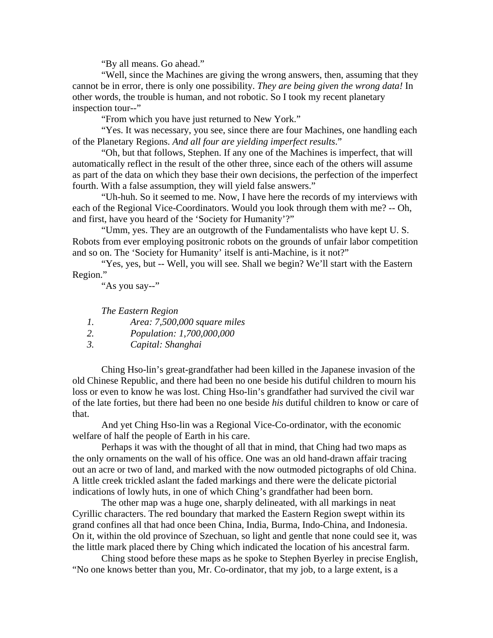"By all means. Go ahead."

 "Well, since the Machines are giving the wrong answers, then, assuming that they cannot be in error, there is only one possibility. *They are being given the wrong data!* In other words, the trouble is human, and not robotic. So I took my recent planetary inspection tour--"

"From which you have just returned to New York."

 "Yes. It was necessary, you see, since there are four Machines, one handling each of the Planetary Regions. *And all four are yielding imperfect results*."

 "Oh, but that follows, Stephen. If any one of the Machines is imperfect, that will automatically reflect in the result of the other three, since each of the others will assume as part of the data on which they base their own decisions, the perfection of the imperfect fourth. With a false assumption, they will yield false answers."

 "Uh-huh. So it seemed to me. Now, I have here the records of my interviews with each of the Regional Vice-Coordinators. Would you look through them with me? -- Oh, and first, have you heard of the 'Society for Humanity'?"

 "Umm, yes. They are an outgrowth of the Fundamentalists who have kept U. S. Robots from ever employing positronic robots on the grounds of unfair labor competition and so on. The 'Society for Humanity' itself is anti-Machine, is it not?"

 "Yes, yes, but -- Well, you will see. Shall we begin? We'll start with the Eastern Region."

"As you say--"

*The Eastern Region* 

- *1. Area: 7,500,000 square miles*
- *2. Population: 1,700,000,000*
- *3. Capital: Shanghai*

Ching Hso-lin's great-grandfather had been killed in the Japanese invasion of the old Chinese Republic, and there had been no one beside his dutiful children to mourn his loss or even to know he was lost. Ching Hso-lin's grandfather had survived the civil war of the late forties, but there had been no one beside *his* dutiful children to know or care of that.

 And yet Ching Hso-lin was a Regional Vice-Co-ordinator, with the economic welfare of half the people of Earth in his care.

 Perhaps it was with the thought of all that in mind, that Ching had two maps as the only ornaments on the wall of his office. One was an old hand-drawn affair tracing out an acre or two of land, and marked with the now outmoded pictographs of old China. A little creek trickled aslant the faded markings and there were the delicate pictorial indications of lowly huts, in one of which Ching's grandfather had been born.

 The other map was a huge one, sharply delineated, with all markings in neat Cyrillic characters. The red boundary that marked the Eastern Region swept within its grand confines all that had once been China, India, Burma, Indo-China, and Indonesia. On it, within the old province of Szechuan, so light and gentle that none could see it, was the little mark placed there by Ching which indicated the location of his ancestral farm.

 Ching stood before these maps as he spoke to Stephen Byerley in precise English, "No one knows better than you, Mr. Co-ordinator, that my job, to a large extent, is a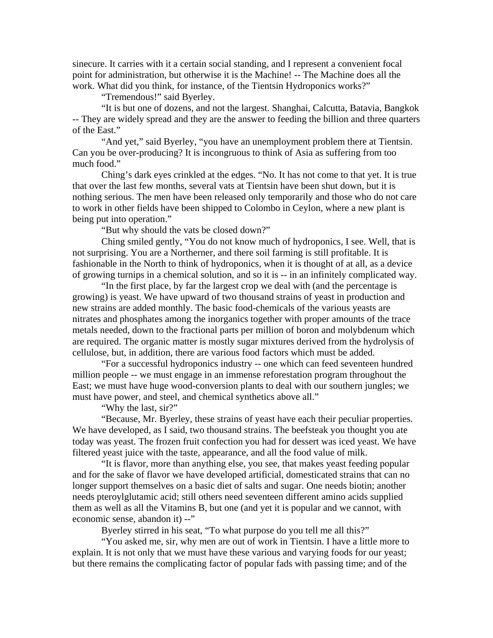sinecure. It carries with it a certain social standing, and I represent a convenient focal point for administration, but otherwise it is the Machine! -- The Machine does all the work. What did you think, for instance, of the Tientsin Hydroponics works?"

"Tremendous!" said Byerley.

 "It is but one of dozens, and not the largest. Shanghai, Calcutta, Batavia, Bangkok -- They are widely spread and they are the answer to feeding the billion and three quarters of the East."

 "And yet," said Byerley, "you have an unemployment problem there at Tientsin. Can you be over-producing? It is incongruous to think of Asia as suffering from too much food."

 Ching's dark eyes crinkled at the edges. "No. It has not come to that yet. It is true that over the last few months, several vats at Tientsin have been shut down, but it is nothing serious. The men have been released only temporarily and those who do not care to work in other fields have been shipped to Colombo in Ceylon, where a new plant is being put into operation."

"But why should the vats be closed down?"

 Ching smiled gently, "You do not know much of hydroponics, I see. Well, that is not surprising. You are a Northerner, and there soil farming is still profitable. It is fashionable in the North to think of hydroponics, when it is thought of at all, as a device of growing turnips in a chemical solution, and so it is -- in an infinitely complicated way.

 "In the first place, by far the largest crop we deal with (and the percentage is growing) is yeast. We have upward of two thousand strains of yeast in production and new strains are added monthly. The basic food-chemicals of the various yeasts are nitrates and phosphates among the inorganics together with proper amounts of the trace metals needed, down to the fractional parts per million of boron and molybdenum which are required. The organic matter is mostly sugar mixtures derived from the hydrolysis of cellulose, but, in addition, there are various food factors which must be added.

 "For a successful hydroponics industry -- one which can feed seventeen hundred million people -- we must engage in an immense reforestation program throughout the East; we must have huge wood-conversion plants to deal with our southern jungles; we must have power, and steel, and chemical synthetics above all."

"Why the last, sir?"

 "Because, Mr. Byerley, these strains of yeast have each their peculiar properties. We have developed, as I said, two thousand strains. The beefsteak you thought you ate today was yeast. The frozen fruit confection you had for dessert was iced yeast. We have filtered yeast juice with the taste, appearance, and all the food value of milk.

 "It is flavor, more than anything else, you see, that makes yeast feeding popular and for the sake of flavor we have developed artificial, domesticated strains that can no longer support themselves on a basic diet of salts and sugar. One needs biotin; another needs pteroylglutamic acid; still others need seventeen different amino acids supplied them as well as all the Vitamins B, but one (and yet it is popular and we cannot, with economic sense, abandon it) --"

Byerley stirred in his seat, "To what purpose do you tell me all this?"

 "You asked me, sir, why men are out of work in Tientsin. I have a little more to explain. It is not only that we must have these various and varying foods for our yeast; but there remains the complicating factor of popular fads with passing time; and of the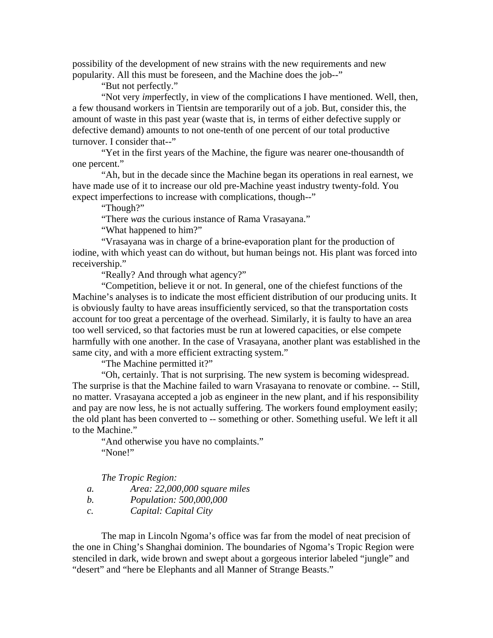possibility of the development of new strains with the new requirements and new popularity. All this must be foreseen, and the Machine does the job--"

"But not perfectly."

 "Not very *im*perfectly, in view of the complications I have mentioned. Well, then, a few thousand workers in Tientsin are temporarily out of a job. But, consider this, the amount of waste in this past year (waste that is, in terms of either defective supply or defective demand) amounts to not one-tenth of one percent of our total productive turnover. I consider that--"

 "Yet in the first years of the Machine, the figure was nearer one-thousandth of one percent."

 "Ah, but in the decade since the Machine began its operations in real earnest, we have made use of it to increase our old pre-Machine yeast industry twenty-fold. You expect imperfections to increase with complications, though--"

"Though?"

"There *was* the curious instance of Rama Vrasayana."

"What happened to him?"

 "Vrasayana was in charge of a brine-evaporation plant for the production of iodine, with which yeast can do without, but human beings not. His plant was forced into receivership."

"Really? And through what agency?"

 "Competition, believe it or not. In general, one of the chiefest functions of the Machine's analyses is to indicate the most efficient distribution of our producing units. It is obviously faulty to have areas insufficiently serviced, so that the transportation costs account for too great a percentage of the overhead. Similarly, it is faulty to have an area too well serviced, so that factories must be run at lowered capacities, or else compete harmfully with one another. In the case of Vrasayana, another plant was established in the same city, and with a more efficient extracting system."

"The Machine permitted it?"

 "Oh, certainly. That is not surprising. The new system is becoming widespread. The surprise is that the Machine failed to warn Vrasayana to renovate or combine. -- Still, no matter. Vrasayana accepted a job as engineer in the new plant, and if his responsibility and pay are now less, he is not actually suffering. The workers found employment easily; the old plant has been converted to -- something or other. Something useful. We left it all to the Machine."

 "And otherwise you have no complaints." "None!"

*The Tropic Region:* 

- *a. Area: 22,000,000 square miles*
- *b. Population: 500,000,000*
- *c. Capital: Capital City*

The map in Lincoln Ngoma's office was far from the model of neat precision of the one in Ching's Shanghai dominion. The boundaries of Ngoma's Tropic Region were stenciled in dark, wide brown and swept about a gorgeous interior labeled "jungle" and "desert" and "here be Elephants and all Manner of Strange Beasts."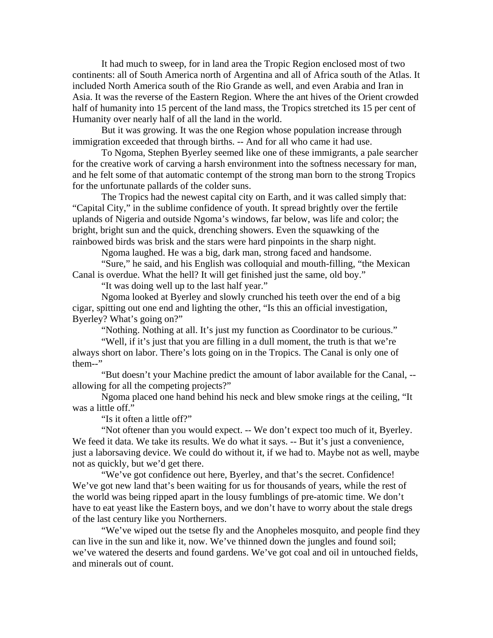It had much to sweep, for in land area the Tropic Region enclosed most of two continents: all of South America north of Argentina and all of Africa south of the Atlas. It included North America south of the Rio Grande as well, and even Arabia and Iran in Asia. It was the reverse of the Eastern Region. Where the ant hives of the Orient crowded half of humanity into 15 percent of the land mass, the Tropics stretched its 15 per cent of Humanity over nearly half of all the land in the world.

 But it was growing. It was the one Region whose population increase through immigration exceeded that through births. -- And for all who came it had use.

 To Ngoma, Stephen Byerley seemed like one of these immigrants, a pale searcher for the creative work of carving a harsh environment into the softness necessary for man, and he felt some of that automatic contempt of the strong man born to the strong Tropics for the unfortunate pallards of the colder suns.

 The Tropics had the newest capital city on Earth, and it was called simply that: "Capital City," in the sublime confidence of youth. It spread brightly over the fertile uplands of Nigeria and outside Ngoma's windows, far below, was life and color; the bright, bright sun and the quick, drenching showers. Even the squawking of the rainbowed birds was brisk and the stars were hard pinpoints in the sharp night.

Ngoma laughed. He was a big, dark man, strong faced and handsome.

 "Sure," he said, and his English was colloquial and mouth-filling, "the Mexican Canal is overdue. What the hell? It will get finished just the same, old boy."

"It was doing well up to the last half year."

 Ngoma looked at Byerley and slowly crunched his teeth over the end of a big cigar, spitting out one end and lighting the other, "Is this an official investigation, Byerley? What's going on?"

"Nothing. Nothing at all. It's just my function as Coordinator to be curious."

 "Well, if it's just that you are filling in a dull moment, the truth is that we're always short on labor. There's lots going on in the Tropics. The Canal is only one of them--"

 "But doesn't your Machine predict the amount of labor available for the Canal, - allowing for all the competing projects?"

 Ngoma placed one hand behind his neck and blew smoke rings at the ceiling, "It was a little off."

"Is it often a little off?"

 "Not oftener than you would expect. -- We don't expect too much of it, Byerley. We feed it data. We take its results. We do what it says. -- But it's just a convenience, just a laborsaving device. We could do without it, if we had to. Maybe not as well, maybe not as quickly, but we'd get there.

 "We've got confidence out here, Byerley, and that's the secret. Confidence! We've got new land that's been waiting for us for thousands of years, while the rest of the world was being ripped apart in the lousy fumblings of pre-atomic time. We don't have to eat yeast like the Eastern boys, and we don't have to worry about the stale dregs of the last century like you Northerners.

 "We've wiped out the tsetse fly and the Anopheles mosquito, and people find they can live in the sun and like it, now. We've thinned down the jungles and found soil; we've watered the deserts and found gardens. We've got coal and oil in untouched fields, and minerals out of count.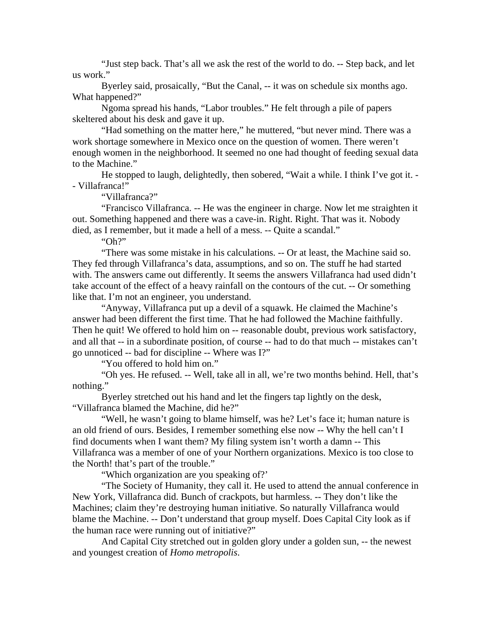"Just step back. That's all we ask the rest of the world to do. -- Step back, and let us work."

 Byerley said, prosaically, "But the Canal, -- it was on schedule six months ago. What happened?"

 Ngoma spread his hands, "Labor troubles." He felt through a pile of papers skeltered about his desk and gave it up.

 "Had something on the matter here," he muttered, "but never mind. There was a work shortage somewhere in Mexico once on the question of women. There weren't enough women in the neighborhood. It seemed no one had thought of feeding sexual data to the Machine."

 He stopped to laugh, delightedly, then sobered, "Wait a while. I think I've got it. - - Villafranca!"

"Villafranca?"

 "Francisco Villafranca. -- He was the engineer in charge. Now let me straighten it out. Something happened and there was a cave-in. Right. Right. That was it. Nobody died, as I remember, but it made a hell of a mess. -- Quite a scandal."

"Oh?"

 "There was some mistake in his calculations. -- Or at least, the Machine said so. They fed through Villafranca's data, assumptions, and so on. The stuff he had started with. The answers came out differently. It seems the answers Villafranca had used didn't take account of the effect of a heavy rainfall on the contours of the cut. -- Or something like that. I'm not an engineer, you understand.

 "Anyway, Villafranca put up a devil of a squawk. He claimed the Machine's answer had been different the first time. That he had followed the Machine faithfully. Then he quit! We offered to hold him on -- reasonable doubt, previous work satisfactory, and all that -- in a subordinate position, of course -- had to do that much -- mistakes can't go unnoticed -- bad for discipline -- Where was I?"

"You offered to hold him on."

 "Oh yes. He refused. -- Well, take all in all, we're two months behind. Hell, that's nothing."

 Byerley stretched out his hand and let the fingers tap lightly on the desk, "Villafranca blamed the Machine, did he?"

 "Well, he wasn't going to blame himself, was he? Let's face it; human nature is an old friend of ours. Besides, I remember something else now -- Why the hell can't I find documents when I want them? My filing system isn't worth a damn -- This Villafranca was a member of one of your Northern organizations. Mexico is too close to the North! that's part of the trouble."

"Which organization are you speaking of?'

 "The Society of Humanity, they call it. He used to attend the annual conference in New York, Villafranca did. Bunch of crackpots, but harmless. -- They don't like the Machines; claim they're destroying human initiative. So naturally Villafranca would blame the Machine. -- Don't understand that group myself. Does Capital City look as if the human race were running out of initiative?"

 And Capital City stretched out in golden glory under a golden sun, -- the newest and youngest creation of *Homo metropolis*.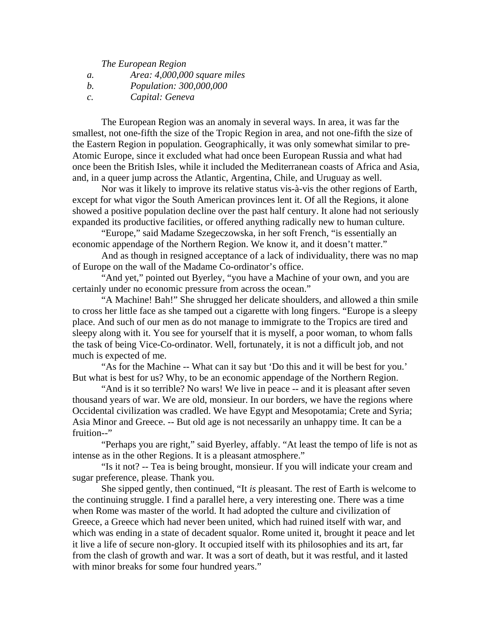*The European Region* 

*a. Area: 4,000,000 square miles* 

*b. Population: 300,000,000* 

*c. Capital: Geneva* 

The European Region was an anomaly in several ways. In area, it was far the smallest, not one-fifth the size of the Tropic Region in area, and not one-fifth the size of the Eastern Region in population. Geographically, it was only somewhat similar to pre-Atomic Europe, since it excluded what had once been European Russia and what had once been the British Isles, while it included the Mediterranean coasts of Africa and Asia, and, in a queer jump across the Atlantic, Argentina, Chile, and Uruguay as well.

 Nor was it likely to improve its relative status vis-à-vis the other regions of Earth, except for what vigor the South American provinces lent it. Of all the Regions, it alone showed a positive population decline over the past half century. It alone had not seriously expanded its productive facilities, or offered anything radically new to human culture.

 "Europe," said Madame Szegeczowska, in her soft French, "is essentially an economic appendage of the Northern Region. We know it, and it doesn't matter."

 And as though in resigned acceptance of a lack of individuality, there was no map of Europe on the wall of the Madame Co-ordinator's office.

 "And yet," pointed out Byerley, "you have a Machine of your own, and you are certainly under no economic pressure from across the ocean."

 "A Machine! Bah!" She shrugged her delicate shoulders, and allowed a thin smile to cross her little face as she tamped out a cigarette with long fingers. "Europe is a sleepy place. And such of our men as do not manage to immigrate to the Tropics are tired and sleepy along with it. You see for yourself that it is myself, a poor woman, to whom falls the task of being Vice-Co-ordinator. Well, fortunately, it is not a difficult job, and not much is expected of me.

 "As for the Machine -- What can it say but 'Do this and it will be best for you.' But what is best for us? Why, to be an economic appendage of the Northern Region.

 "And is it so terrible? No wars! We live in peace -- and it is pleasant after seven thousand years of war. We are old, monsieur. In our borders, we have the regions where Occidental civilization was cradled. We have Egypt and Mesopotamia; Crete and Syria; Asia Minor and Greece. -- But old age is not necessarily an unhappy time. It can be a fruition--"

 "Perhaps you are right," said Byerley, affably. "At least the tempo of life is not as intense as in the other Regions. It is a pleasant atmosphere."

 "Is it not? -- Tea is being brought, monsieur. If you will indicate your cream and sugar preference, please. Thank you.

 She sipped gently, then continued, "It *is* pleasant. The rest of Earth is welcome to the continuing struggle. I find a parallel here, a very interesting one. There was a time when Rome was master of the world. It had adopted the culture and civilization of Greece, a Greece which had never been united, which had ruined itself with war, and which was ending in a state of decadent squalor. Rome united it, brought it peace and let it live a life of secure non-glory. It occupied itself with its philosophies and its art, far from the clash of growth and war. It was a sort of death, but it was restful, and it lasted with minor breaks for some four hundred years."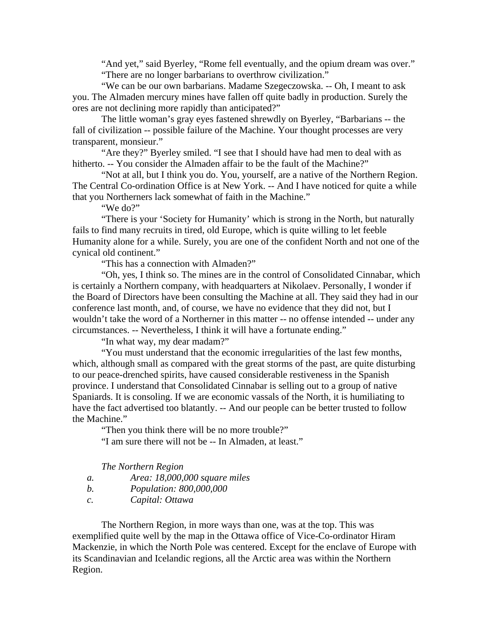"And yet," said Byerley, "Rome fell eventually, and the opium dream was over." "There are no longer barbarians to overthrow civilization."

 "We can be our own barbarians. Madame Szegeczowska. -- Oh, I meant to ask you. The Almaden mercury mines have fallen off quite badly in production. Surely the ores are not declining more rapidly than anticipated?"

 The little woman's gray eyes fastened shrewdly on Byerley, "Barbarians -- the fall of civilization -- possible failure of the Machine. Your thought processes are very transparent, monsieur."

 "Are they?" Byerley smiled. "I see that I should have had men to deal with as hitherto. -- You consider the Almaden affair to be the fault of the Machine?"

 "Not at all, but I think you do. You, yourself, are a native of the Northern Region. The Central Co-ordination Office is at New York. -- And I have noticed for quite a while that you Northerners lack somewhat of faith in the Machine."

"We do?"

 "There is your 'Society for Humanity' which is strong in the North, but naturally fails to find many recruits in tired, old Europe, which is quite willing to let feeble Humanity alone for a while. Surely, you are one of the confident North and not one of the cynical old continent."

"This has a connection with Almaden?"

 "Oh, yes, I think so. The mines are in the control of Consolidated Cinnabar, which is certainly a Northern company, with headquarters at Nikolaev. Personally, I wonder if the Board of Directors have been consulting the Machine at all. They said they had in our conference last month, and, of course, we have no evidence that they did not, but I wouldn't take the word of a Northerner in this matter -- no offense intended -- under any circumstances. -- Nevertheless, I think it will have a fortunate ending."

"In what way, my dear madam?"

 "You must understand that the economic irregularities of the last few months, which, although small as compared with the great storms of the past, are quite disturbing to our peace-drenched spirits, have caused considerable restiveness in the Spanish province. I understand that Consolidated Cinnabar is selling out to a group of native Spaniards. It is consoling. If we are economic vassals of the North, it is humiliating to have the fact advertised too blatantly. -- And our people can be better trusted to follow the Machine."

"Then you think there will be no more trouble?"

"I am sure there will not be -- In Almaden, at least."

*The Northern Region* 

- *a. Area: 18,000,000 square miles*
- *b. Population: 800,000,000*
- *c. Capital: Ottawa*

The Northern Region, in more ways than one, was at the top. This was exemplified quite well by the map in the Ottawa office of Vice-Co-ordinator Hiram Mackenzie, in which the North Pole was centered. Except for the enclave of Europe with its Scandinavian and Icelandic regions, all the Arctic area was within the Northern Region.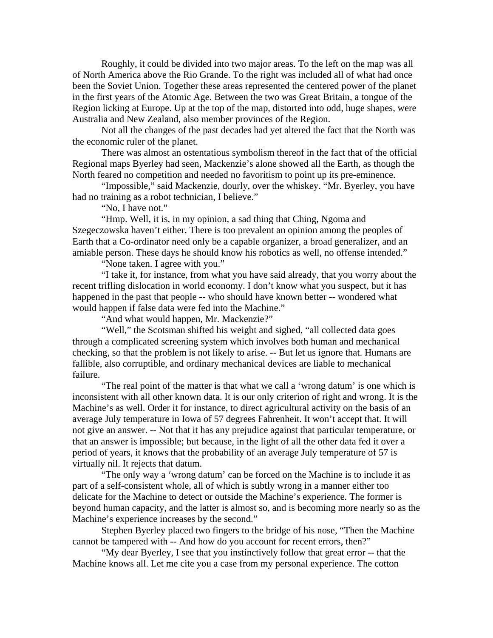Roughly, it could be divided into two major areas. To the left on the map was all of North America above the Rio Grande. To the right was included all of what had once been the Soviet Union. Together these areas represented the centered power of the planet in the first years of the Atomic Age. Between the two was Great Britain, a tongue of the Region licking at Europe. Up at the top of the map, distorted into odd, huge shapes, were Australia and New Zealand, also member provinces of the Region.

 Not all the changes of the past decades had yet altered the fact that the North was the economic ruler of the planet.

 There was almost an ostentatious symbolism thereof in the fact that of the official Regional maps Byerley had seen, Mackenzie's alone showed all the Earth, as though the North feared no competition and needed no favoritism to point up its pre-eminence.

 "Impossible," said Mackenzie, dourly, over the whiskey. "Mr. Byerley, you have had no training as a robot technician, I believe."

"No, I have not."

 "Hmp. Well, it is, in my opinion, a sad thing that Ching, Ngoma and Szegeczowska haven't either. There is too prevalent an opinion among the peoples of Earth that a Co-ordinator need only be a capable organizer, a broad generalizer, and an amiable person. These days he should know his robotics as well, no offense intended."

"None taken. I agree with you."

 "I take it, for instance, from what you have said already, that you worry about the recent trifling dislocation in world economy. I don't know what you suspect, but it has happened in the past that people -- who should have known better -- wondered what would happen if false data were fed into the Machine."

"And what would happen, Mr. Mackenzie?"

 "Well," the Scotsman shifted his weight and sighed, "all collected data goes through a complicated screening system which involves both human and mechanical checking, so that the problem is not likely to arise. -- But let us ignore that. Humans are fallible, also corruptible, and ordinary mechanical devices are liable to mechanical failure.

 "The real point of the matter is that what we call a 'wrong datum' is one which is inconsistent with all other known data. It is our only criterion of right and wrong. It is the Machine's as well. Order it for instance, to direct agricultural activity on the basis of an average July temperature in Iowa of 57 degrees Fahrenheit. It won't accept that. It will not give an answer. -- Not that it has any prejudice against that particular temperature, or that an answer is impossible; but because, in the light of all the other data fed it over a period of years, it knows that the probability of an average July temperature of 57 is virtually nil. It rejects that datum.

 "The only way a 'wrong datum' can be forced on the Machine is to include it as part of a self-consistent whole, all of which is subtly wrong in a manner either too delicate for the Machine to detect or outside the Machine's experience. The former is beyond human capacity, and the latter is almost so, and is becoming more nearly so as the Machine's experience increases by the second."

 Stephen Byerley placed two fingers to the bridge of his nose, "Then the Machine cannot be tampered with -- And how do you account for recent errors, then?"

 "My dear Byerley, I see that you instinctively follow that great error -- that the Machine knows all. Let me cite you a case from my personal experience. The cotton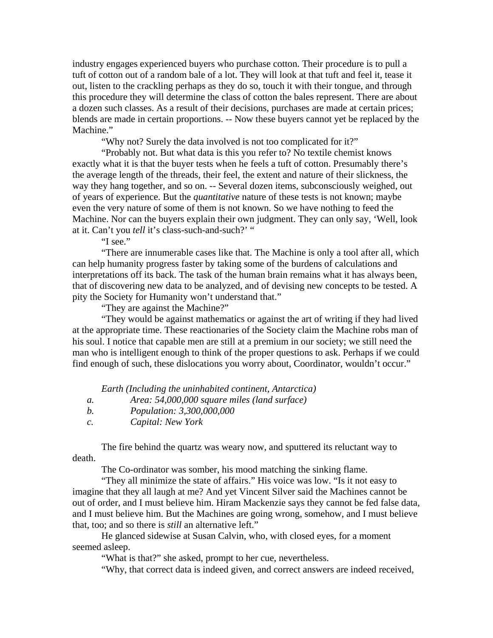industry engages experienced buyers who purchase cotton. Their procedure is to pull a tuft of cotton out of a random bale of a lot. They will look at that tuft and feel it, tease it out, listen to the crackling perhaps as they do so, touch it with their tongue, and through this procedure they will determine the class of cotton the bales represent. There are about a dozen such classes. As a result of their decisions, purchases are made at certain prices; blends are made in certain proportions. -- Now these buyers cannot yet be replaced by the Machine."

"Why not? Surely the data involved is not too complicated for it?"

 "Probably not. But what data is this you refer to? No textile chemist knows exactly what it is that the buyer tests when he feels a tuft of cotton. Presumably there's the average length of the threads, their feel, the extent and nature of their slickness, the way they hang together, and so on. -- Several dozen items, subconsciously weighed, out of years of experience. But the *quantitative* nature of these tests is not known; maybe even the very nature of some of them is not known. So we have nothing to feed the Machine. Nor can the buyers explain their own judgment. They can only say, 'Well, look at it. Can't you *tell* it's class-such-and-such?' "

"I see."

 "There are innumerable cases like that. The Machine is only a tool after all, which can help humanity progress faster by taking some of the burdens of calculations and interpretations off its back. The task of the human brain remains what it has always been, that of discovering new data to be analyzed, and of devising new concepts to be tested. A pity the Society for Humanity won't understand that."

"They are against the Machine?"

 "They would be against mathematics or against the art of writing if they had lived at the appropriate time. These reactionaries of the Society claim the Machine robs man of his soul. I notice that capable men are still at a premium in our society; we still need the man who is intelligent enough to think of the proper questions to ask. Perhaps if we could find enough of such, these dislocations you worry about, Coordinator, wouldn't occur."

*Earth (Including the uninhabited continent, Antarctica)* 

- *a. Area: 54,000,000 square miles (land surface)*
- *b. Population: 3,300,000,000*
- *c. Capital: New York*

The fire behind the quartz was weary now, and sputtered its reluctant way to death.

The Co-ordinator was somber, his mood matching the sinking flame.

 "They all minimize the state of affairs." His voice was low. "Is it not easy to imagine that they all laugh at me? And yet Vincent Silver said the Machines cannot be out of order, and I must believe him. Hiram Mackenzie says they cannot be fed false data, and I must believe him. But the Machines are going wrong, somehow, and I must believe that, too; and so there is *still* an alternative left."

 He glanced sidewise at Susan Calvin, who, with closed eyes, for a moment seemed asleep.

"What is that?" she asked, prompt to her cue, nevertheless.

"Why, that correct data is indeed given, and correct answers are indeed received,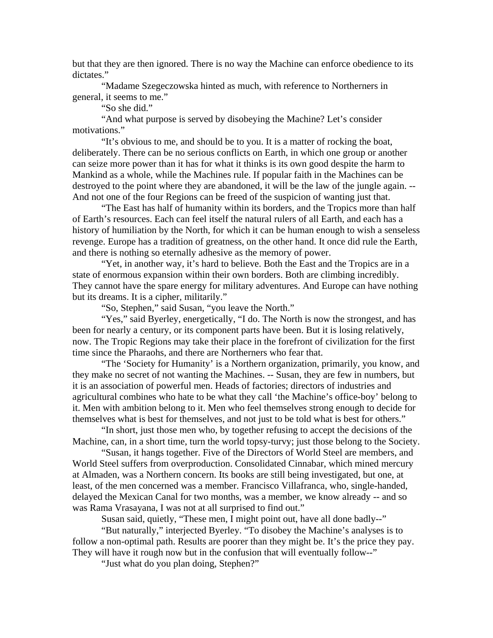but that they are then ignored. There is no way the Machine can enforce obedience to its dictates."

 "Madame Szegeczowska hinted as much, with reference to Northerners in general, it seems to me."

"So she did."

 "And what purpose is served by disobeying the Machine? Let's consider motivations."

 "It's obvious to me, and should be to you. It is a matter of rocking the boat, deliberately. There can be no serious conflicts on Earth, in which one group or another can seize more power than it has for what it thinks is its own good despite the harm to Mankind as a whole, while the Machines rule. If popular faith in the Machines can be destroyed to the point where they are abandoned, it will be the law of the jungle again. -- And not one of the four Regions can be freed of the suspicion of wanting just that.

 "The East has half of humanity within its borders, and the Tropics more than half of Earth's resources. Each can feel itself the natural rulers of all Earth, and each has a history of humiliation by the North, for which it can be human enough to wish a senseless revenge. Europe has a tradition of greatness, on the other hand. It once did rule the Earth, and there is nothing so eternally adhesive as the memory of power.

 "Yet, in another way, it's hard to believe. Both the East and the Tropics are in a state of enormous expansion within their own borders. Both are climbing incredibly. They cannot have the spare energy for military adventures. And Europe can have nothing but its dreams. It is a cipher, militarily."

"So, Stephen," said Susan, "you leave the North."

 "Yes," said Byerley, energetically, "I do. The North is now the strongest, and has been for nearly a century, or its component parts have been. But it is losing relatively, now. The Tropic Regions may take their place in the forefront of civilization for the first time since the Pharaohs, and there are Northerners who fear that.

 "The 'Society for Humanity' is a Northern organization, primarily, you know, and they make no secret of not wanting the Machines. -- Susan, they are few in numbers, but it is an association of powerful men. Heads of factories; directors of industries and agricultural combines who hate to be what they call 'the Machine's office-boy' belong to it. Men with ambition belong to it. Men who feel themselves strong enough to decide for themselves what is best for themselves, and not just to be told what is best for others."

 "In short, just those men who, by together refusing to accept the decisions of the Machine, can, in a short time, turn the world topsy-turvy; just those belong to the Society.

 "Susan, it hangs together. Five of the Directors of World Steel are members, and World Steel suffers from overproduction. Consolidated Cinnabar, which mined mercury at Almaden, was a Northern concern. Its books are still being investigated, but one, at least, of the men concerned was a member. Francisco Villafranca, who, single-handed, delayed the Mexican Canal for two months, was a member, we know already -- and so was Rama Vrasayana, I was not at all surprised to find out."

Susan said, quietly, "These men, I might point out, have all done badly--"

 "But naturally," interjected Byerley. "To disobey the Machine's analyses is to follow a non-optimal path. Results are poorer than they might be. It's the price they pay. They will have it rough now but in the confusion that will eventually follow--"

"Just what do you plan doing, Stephen?"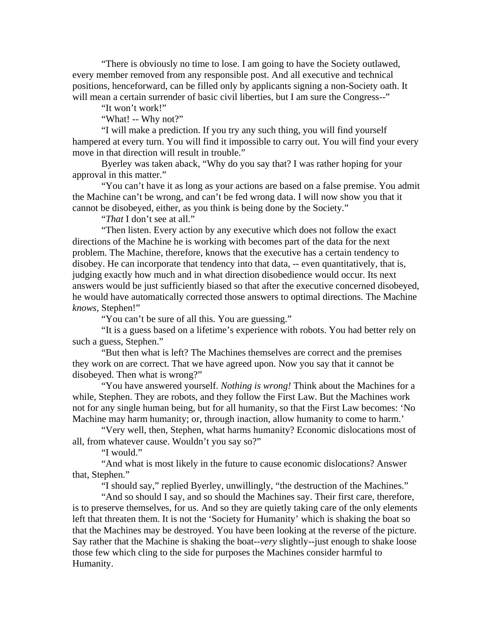"There is obviously no time to lose. I am going to have the Society outlawed, every member removed from any responsible post. And all executive and technical positions, henceforward, can be filled only by applicants signing a non-Society oath. It will mean a certain surrender of basic civil liberties, but I am sure the Congress--"

"It won't work!"

"What! -- Why not?"

 "I will make a prediction. If you try any such thing, you will find yourself hampered at every turn. You will find it impossible to carry out. You will find your every move in that direction will result in trouble."

 Byerley was taken aback, "Why do you say that? I was rather hoping for your approval in this matter."

 "You can't have it as long as your actions are based on a false premise. You admit the Machine can't be wrong, and can't be fed wrong data. I will now show you that it cannot be disobeyed, either, as you think is being done by the Society."

"*That* I don't see at all."

 "Then listen. Every action by any executive which does not follow the exact directions of the Machine he is working with becomes part of the data for the next problem. The Machine, therefore, knows that the executive has a certain tendency to disobey. He can incorporate that tendency into that data, -- even quantitatively, that is, judging exactly how much and in what direction disobedience would occur. Its next answers would be just sufficiently biased so that after the executive concerned disobeyed, he would have automatically corrected those answers to optimal directions. The Machine *knows*, Stephen!"

"You can't be sure of all this. You are guessing."

 "It is a guess based on a lifetime's experience with robots. You had better rely on such a guess, Stephen."

 "But then what is left? The Machines themselves are correct and the premises they work on are correct. That we have agreed upon. Now you say that it cannot be disobeyed. Then what is wrong?"

 "You have answered yourself. *Nothing is wrong!* Think about the Machines for a while, Stephen. They are robots, and they follow the First Law. But the Machines work not for any single human being, but for all humanity, so that the First Law becomes: 'No Machine may harm humanity; or, through inaction, allow humanity to come to harm.'

 "Very well, then, Stephen, what harms humanity? Economic dislocations most of all, from whatever cause. Wouldn't you say so?"

"I would."

 "And what is most likely in the future to cause economic dislocations? Answer that, Stephen."

"I should say," replied Byerley, unwillingly, "the destruction of the Machines."

 "And so should I say, and so should the Machines say. Their first care, therefore, is to preserve themselves, for us. And so they are quietly taking care of the only elements left that threaten them. It is not the 'Society for Humanity' which is shaking the boat so that the Machines may be destroyed. You have been looking at the reverse of the picture. Say rather that the Machine is shaking the boat--*very* slightly--just enough to shake loose those few which cling to the side for purposes the Machines consider harmful to Humanity.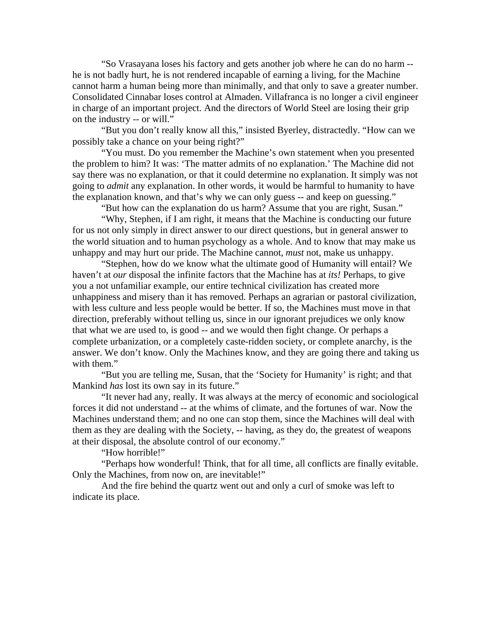"So Vrasayana loses his factory and gets another job where he can do no harm - he is not badly hurt, he is not rendered incapable of earning a living, for the Machine cannot harm a human being more than minimally, and that only to save a greater number. Consolidated Cinnabar loses control at Almaden. Villafranca is no longer a civil engineer in charge of an important project. And the directors of World Steel are losing their grip on the industry -- or will."

 "But you don't really know all this," insisted Byerley, distractedly. "How can we possibly take a chance on your being right?"

 "You must. Do you remember the Machine's own statement when you presented the problem to him? It was: 'The matter admits of no explanation.' The Machine did not say there was no explanation, or that it could determine no explanation. It simply was not going to *admit* any explanation. In other words, it would be harmful to humanity to have the explanation known, and that's why we can only guess -- and keep on guessing."

"But how can the explanation do us harm? Assume that you are right, Susan."

 "Why, Stephen, if I am right, it means that the Machine is conducting our future for us not only simply in direct answer to our direct questions, but in general answer to the world situation and to human psychology as a whole. And to know that may make us unhappy and may hurt our pride. The Machine cannot, *must* not, make us unhappy.

 "Stephen, how do we know what the ultimate good of Humanity will entail? We haven't at *our* disposal the infinite factors that the Machine has at *its!* Perhaps, to give you a not unfamiliar example, our entire technical civilization has created more unhappiness and misery than it has removed. Perhaps an agrarian or pastoral civilization, with less culture and less people would be better. If so, the Machines must move in that direction, preferably without telling us, since in our ignorant prejudices we only know that what we are used to, is good -- and we would then fight change. Or perhaps a complete urbanization, or a completely caste-ridden society, or complete anarchy, is the answer. We don't know. Only the Machines know, and they are going there and taking us with them."

 "But you are telling me, Susan, that the 'Society for Humanity' is right; and that Mankind *has* lost its own say in its future."

 "It never had any, really. It was always at the mercy of economic and sociological forces it did not understand -- at the whims of climate, and the fortunes of war. Now the Machines understand them; and no one can stop them, since the Machines will deal with them as they are dealing with the Society, -- having, as they do, the greatest of weapons at their disposal, the absolute control of our economy."

"How horrible!"

 "Perhaps how wonderful! Think, that for all time, all conflicts are finally evitable. Only the Machines, from now on, are inevitable!"

 And the fire behind the quartz went out and only a curl of smoke was left to indicate its place.